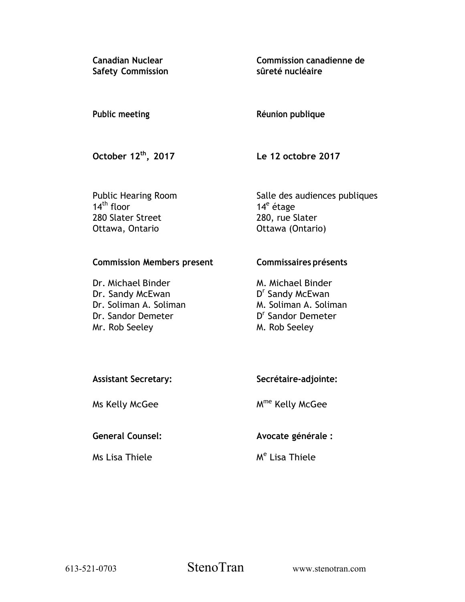**Canadian Nuclear Safety Commission**  **Commission canadienne de sûreté nucléaire** 

## **Public meeting**

## **Réunion publique**

**October 12th, 2017** 

**Le 12 octobre 2017** 

Public Hearing Room  $14<sup>th</sup>$  floor 280 Slater Street Ottawa, Ontario

Salle des audiences publiques 14<sup>e</sup> étage 280, rue Slater Ottawa (Ontario)

## **Commission Members present**

Dr. Michael Binder Dr. Sandy McEwan Dr. Soliman A. Soliman Dr. Sandor Demeter Mr. Rob Seeley

## **Commissaires présents**

M. Michael Binder D<sup>r</sup> Sandy McEwan M. Soliman A. Soliman D<sup>r</sup> Sandor Demeter M. Rob Seeley

| <b>Assistant Secretary:</b> | Secrétaire-adjointe: |
|-----------------------------|----------------------|
|                             |                      |
|                             |                      |

Ms Kelly McGee

# **General Counsel:**

Ms Lisa Thiele

Mme Kelly McGee

**Avocate générale :** 

M<sup>e</sup> Lisa Thiele

613-521-0703 StenoTran www.stenotran.com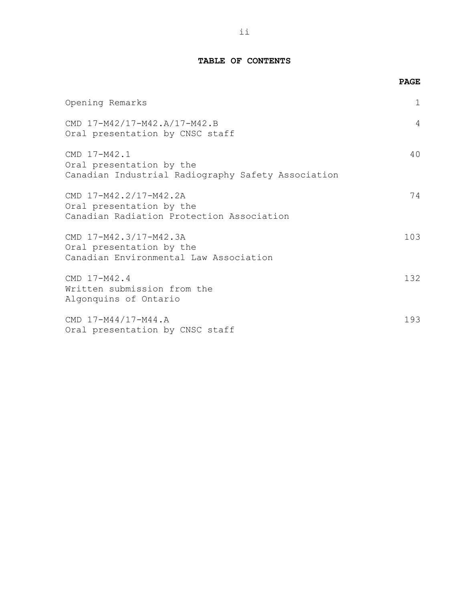## **TABLE OF CONTENTS**

|                                                                                                 | <b>PAGE</b> |
|-------------------------------------------------------------------------------------------------|-------------|
| Opening Remarks                                                                                 | 1           |
| CMD 17-M42/17-M42.A/17-M42.B<br>Oral presentation by CNSC staff                                 | 4           |
| CMD 17-M42.1<br>Oral presentation by the<br>Canadian Industrial Radiography Safety Association  | 40          |
| CMD 17-M42.2/17-M42.2A<br>Oral presentation by the<br>Canadian Radiation Protection Association | 74          |
| CMD 17-M42.3/17-M42.3A<br>Oral presentation by the<br>Canadian Environmental Law Association    | 103         |
| CMD 17-M42.4<br>Written submission from the<br>Algonquins of Ontario                            | 132         |
| CMD 17-M44/17-M44.A<br>Oral presentation by CNSC staff                                          | 193         |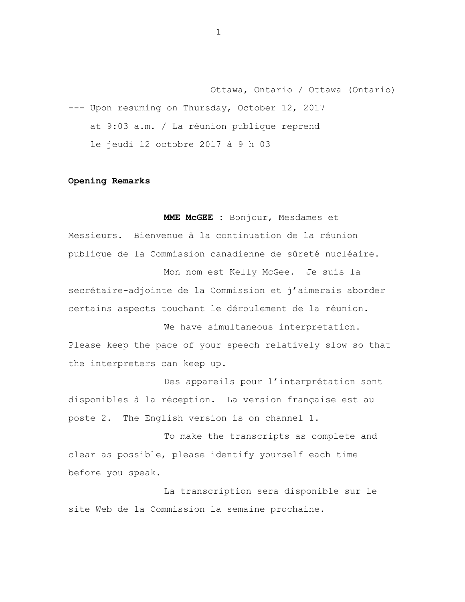Ottawa, Ontario / Ottawa (Ontario) --- Upon resuming on Thursday, October 12, 2017 at 9:03 a.m. / La réunion publique reprend le jeudi 12 octobre 2017 à 9 h 03

### **Opening Remarks**

**MME McGEE :** Bonjour, Mesdames et Messieurs. Bienvenue à la continuation de la réunion publique de la Commission canadienne de sûreté nucléaire. Mon nom est Kelly McGee. Je suis la

secrétaire-adjointe de la Commission et j'aimerais aborder certains aspects touchant le déroulement de la réunion.

We have simultaneous interpretation. Please keep the pace of your speech relatively slow so that the interpreters can keep up.

Des appareils pour l'interprétation sont disponibles à la réception. La version française est au poste 2. The English version is on channel 1.

To make the transcripts as complete and clear as possible, please identify yourself each time before you speak.

La transcription sera disponible sur le site Web de la Commission la semaine prochaine.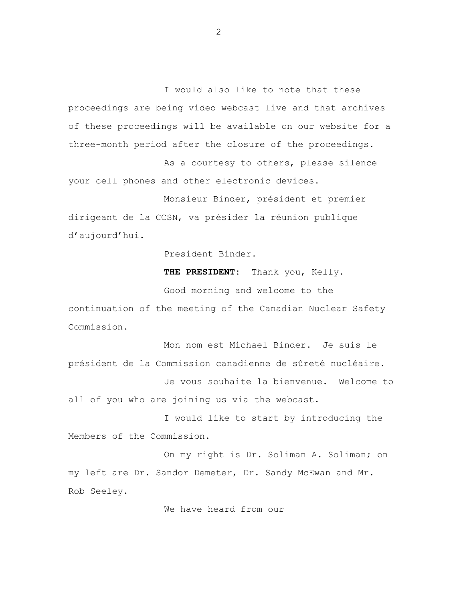I would also like to note that these proceedings are being video webcast live and that archives of these proceedings will be available on our website for a three-month period after the closure of the proceedings.

As a courtesy to others, please silence your cell phones and other electronic devices.

Monsieur Binder, président et premier dirigeant de la CCSN, va présider la réunion publique d'aujourd'hui.

President Binder.

**THE PRESIDENT:** Thank you, Kelly.

Good morning and welcome to the continuation of the meeting of the Canadian Nuclear Safety Commission.

Mon nom est Michael Binder. Je suis le président de la Commission canadienne de sûreté nucléaire. Je vous souhaite la bienvenue. Welcome to all of you who are joining us via the webcast.

I would like to start by introducing the Members of the Commission.

On my right is Dr. Soliman A. Soliman; on my left are Dr. Sandor Demeter, Dr. Sandy McEwan and Mr. Rob Seeley.

We have heard from our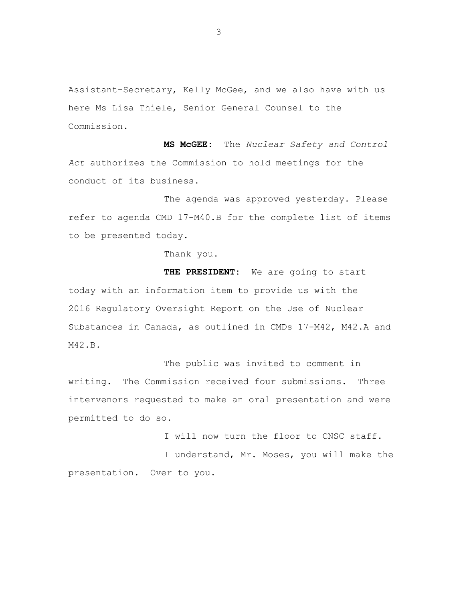Assistant-Secretary, Kelly McGee, and we also have with us here Ms Lisa Thiele, Senior General Counsel to the Commission.

**MS McGEE:** The *Nuclear Safety and Control Act* authorizes the Commission to hold meetings for the conduct of its business.

The agenda was approved yesterday. Please refer to agenda CMD 17-M40.B for the complete list of items to be presented today.

Thank you.

**THE PRESIDENT:** We are going to start today with an information item to provide us with the 2016 Regulatory Oversight Report on the Use of Nuclear Substances in Canada, as outlined in CMDs 17-M42, M42.A and M42.B.

The public was invited to comment in writing. The Commission received four submissions. Three intervenors requested to make an oral presentation and were permitted to do so.

I will now turn the floor to CNSC staff.

I understand, Mr. Moses, you will make the presentation. Over to you.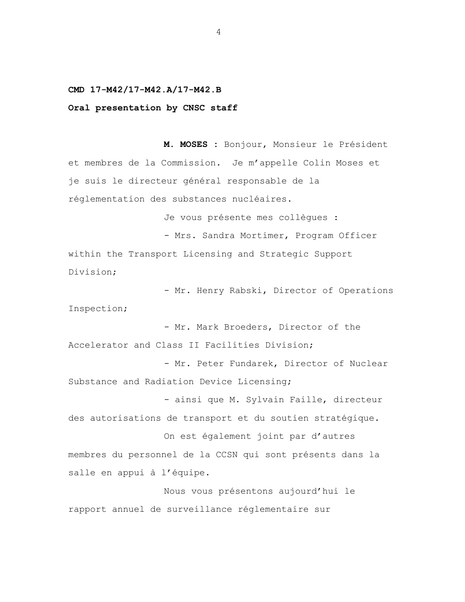### **CMD 17-M42/17-M42.A/17-M42.B**

#### **Oral presentation by CNSC staff**

**M. MOSES :** Bonjour, Monsieur le Président et membres de la Commission. Je m'appelle Colin Moses et je suis le directeur général responsable de la réglementation des substances nucléaires.

Je vous présente mes collègues :

- Mrs. Sandra Mortimer, Program Officer within the Transport Licensing and Strategic Support Division;

- Mr. Henry Rabski, Director of Operations Inspection;

- Mr. Mark Broeders, Director of the Accelerator and Class II Facilities Division;

- Mr. Peter Fundarek, Director of Nuclear Substance and Radiation Device Licensing;

- ainsi que M. Sylvain Faille, directeur des autorisations de transport et du soutien stratégique.

On est également joint par d'autres membres du personnel de la CCSN qui sont présents dans la salle en appui à l'équipe.

Nous vous présentons aujourd'hui le rapport annuel de surveillance réglementaire sur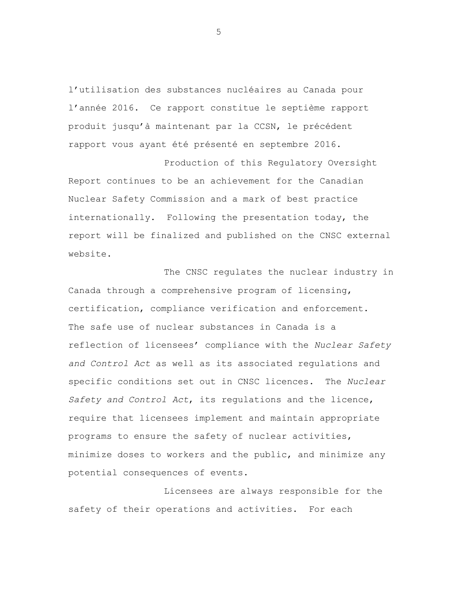l'utilisation des substances nucléaires au Canada pour l'année 2016. Ce rapport constitue le septième rapport produit jusqu'à maintenant par la CCSN, le précédent rapport vous ayant été présenté en septembre 2016.

Production of this Regulatory Oversight Report continues to be an achievement for the Canadian Nuclear Safety Commission and a mark of best practice internationally. Following the presentation today, the report will be finalized and published on the CNSC external website.

The CNSC regulates the nuclear industry in Canada through a comprehensive program of licensing, certification, compliance verification and enforcement. The safe use of nuclear substances in Canada is a reflection of licensees' compliance with the *Nuclear Safety and Control Act* as well as its associated regulations and specific conditions set out in CNSC licences. The *Nuclear Safety and Control Act*, its regulations and the licence, require that licensees implement and maintain appropriate programs to ensure the safety of nuclear activities, minimize doses to workers and the public, and minimize any potential consequences of events.

Licensees are always responsible for the safety of their operations and activities. For each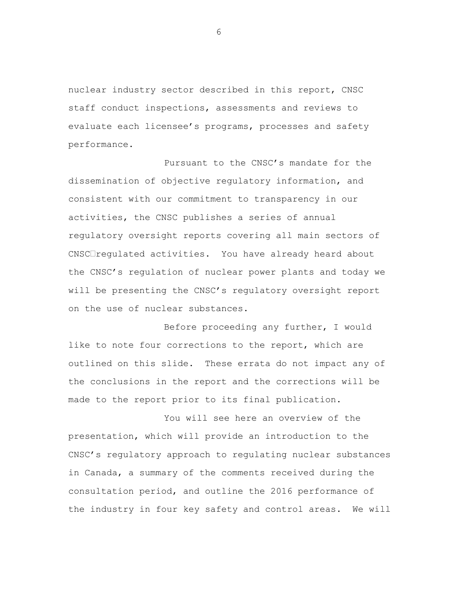nuclear industry sector described in this report, CNSC staff conduct inspections, assessments and reviews to evaluate each licensee's programs, processes and safety performance.

Pursuant to the CNSC's mandate for the dissemination of objective regulatory information, and consistent with our commitment to transparency in our activities, the CNSC publishes a series of annual regulatory oversight reports covering all main sectors of CNSC<sup>I</sup>regulated activities. You have already heard about the CNSC's regulation of nuclear power plants and today we will be presenting the CNSC's regulatory oversight report on the use of nuclear substances.

Before proceeding any further, I would like to note four corrections to the report, which are outlined on this slide. These errata do not impact any of the conclusions in the report and the corrections will be made to the report prior to its final publication.

You will see here an overview of the presentation, which will provide an introduction to the CNSC's regulatory approach to regulating nuclear substances in Canada, a summary of the comments received during the consultation period, and outline the 2016 performance of the industry in four key safety and control areas. We will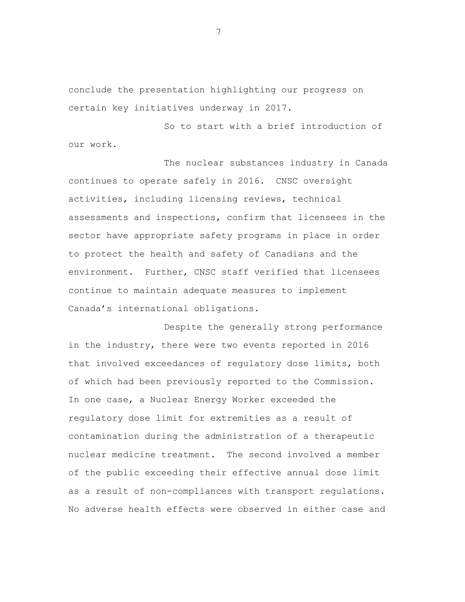conclude the presentation highlighting our progress on certain key initiatives underway in 2017.

So to start with a brief introduction of our work.

The nuclear substances industry in Canada continues to operate safely in 2016. CNSC oversight activities, including licensing reviews, technical assessments and inspections, confirm that licensees in the sector have appropriate safety programs in place in order to protect the health and safety of Canadians and the environment. Further, CNSC staff verified that licensees continue to maintain adequate measures to implement Canada's international obligations.

Despite the generally strong performance in the industry, there were two events reported in 2016 that involved exceedances of regulatory dose limits, both of which had been previously reported to the Commission. In one case, a Nuclear Energy Worker exceeded the regulatory dose limit for extremities as a result of contamination during the administration of a therapeutic nuclear medicine treatment. The second involved a member of the public exceeding their effective annual dose limit as a result of non-compliances with transport regulations. No adverse health effects were observed in either case and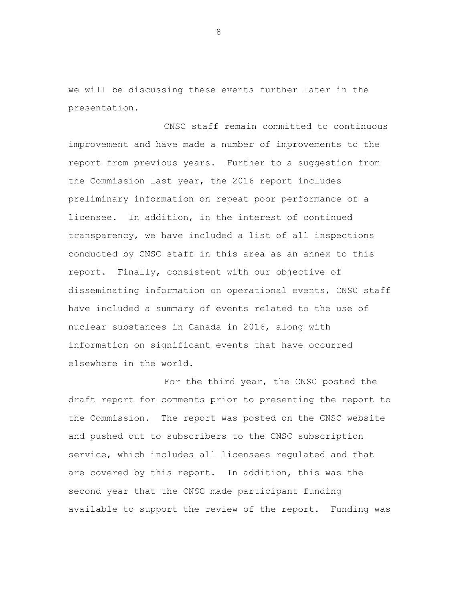we will be discussing these events further later in the presentation.

CNSC staff remain committed to continuous improvement and have made a number of improvements to the report from previous years. Further to a suggestion from the Commission last year, the 2016 report includes preliminary information on repeat poor performance of a licensee. In addition, in the interest of continued transparency, we have included a list of all inspections conducted by CNSC staff in this area as an annex to this report. Finally, consistent with our objective of disseminating information on operational events, CNSC staff have included a summary of events related to the use of nuclear substances in Canada in 2016, along with information on significant events that have occurred elsewhere in the world.

For the third year, the CNSC posted the draft report for comments prior to presenting the report to the Commission. The report was posted on the CNSC website and pushed out to subscribers to the CNSC subscription service, which includes all licensees regulated and that are covered by this report. In addition, this was the second year that the CNSC made participant funding available to support the review of the report. Funding was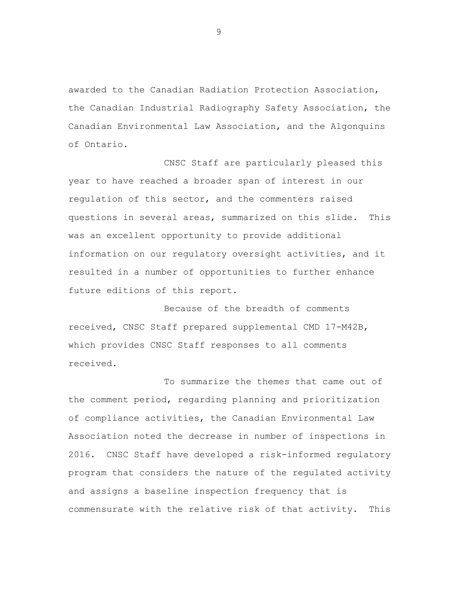awarded to the Canadian Radiation Protection Association, the Canadian Industrial Radiography Safety Association, the Canadian Environmental Law Association, and the Algonquins of Ontario.

CNSC Staff are particularly pleased this year to have reached a broader span of interest in our regulation of this sector, and the commenters raised questions in several areas, summarized on this slide. This was an excellent opportunity to provide additional information on our regulatory oversight activities, and it resulted in a number of opportunities to further enhance future editions of this report.

Because of the breadth of comments received, CNSC Staff prepared supplemental CMD 17-M42B, which provides CNSC Staff responses to all comments received.

To summarize the themes that came out of the comment period, regarding planning and prioritization of compliance activities, the Canadian Environmental Law Association noted the decrease in number of inspections in 2016. CNSC Staff have developed a risk-informed regulatory program that considers the nature of the regulated activity and assigns a baseline inspection frequency that is commensurate with the relative risk of that activity. This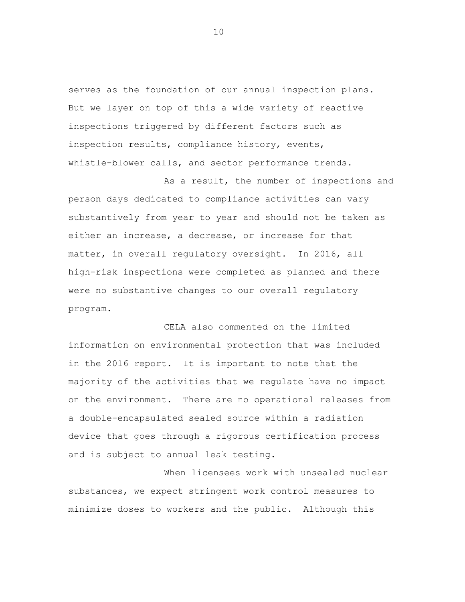serves as the foundation of our annual inspection plans. But we layer on top of this a wide variety of reactive inspections triggered by different factors such as inspection results, compliance history, events, whistle-blower calls, and sector performance trends.

As a result, the number of inspections and person days dedicated to compliance activities can vary substantively from year to year and should not be taken as either an increase, a decrease, or increase for that matter, in overall regulatory oversight. In 2016, all high-risk inspections were completed as planned and there were no substantive changes to our overall regulatory program.

CELA also commented on the limited information on environmental protection that was included in the 2016 report. It is important to note that the majority of the activities that we regulate have no impact on the environment. There are no operational releases from a double-encapsulated sealed source within a radiation device that goes through a rigorous certification process and is subject to annual leak testing.

When licensees work with unsealed nuclear substances, we expect stringent work control measures to minimize doses to workers and the public. Although this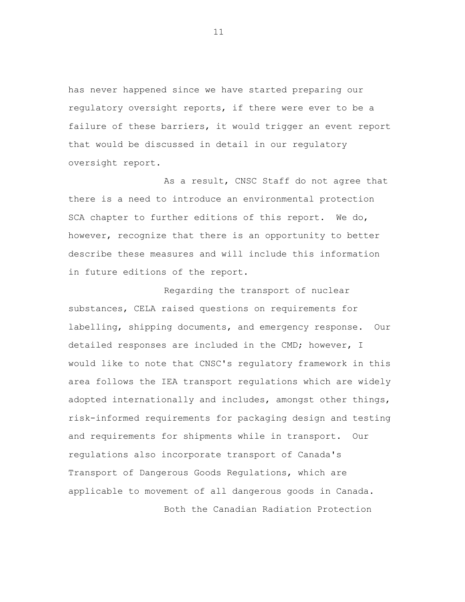has never happened since we have started preparing our regulatory oversight reports, if there were ever to be a failure of these barriers, it would trigger an event report that would be discussed in detail in our regulatory oversight report.

As a result, CNSC Staff do not agree that there is a need to introduce an environmental protection SCA chapter to further editions of this report. We do, however, recognize that there is an opportunity to better describe these measures and will include this information in future editions of the report.

Regarding the transport of nuclear substances, CELA raised questions on requirements for labelling, shipping documents, and emergency response. Our detailed responses are included in the CMD; however, I would like to note that CNSC's regulatory framework in this area follows the IEA transport regulations which are widely adopted internationally and includes, amongst other things, risk-informed requirements for packaging design and testing and requirements for shipments while in transport. Our regulations also incorporate transport of Canada's Transport of Dangerous Goods Regulations, which are applicable to movement of all dangerous goods in Canada.

Both the Canadian Radiation Protection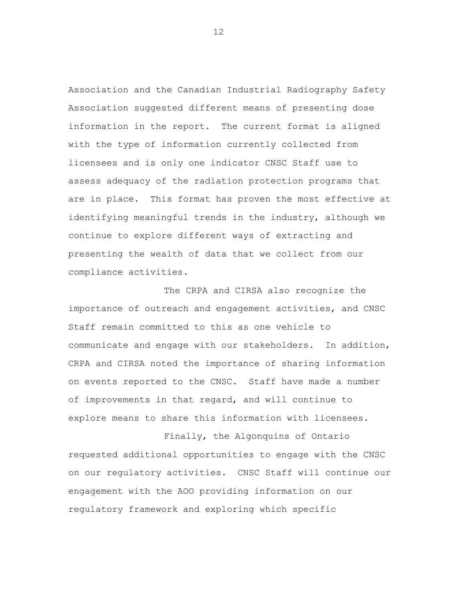Association and the Canadian Industrial Radiography Safety Association suggested different means of presenting dose information in the report. The current format is aligned with the type of information currently collected from licensees and is only one indicator CNSC Staff use to assess adequacy of the radiation protection programs that are in place. This format has proven the most effective at identifying meaningful trends in the industry, although we continue to explore different ways of extracting and presenting the wealth of data that we collect from our compliance activities.

The CRPA and CIRSA also recognize the importance of outreach and engagement activities, and CNSC Staff remain committed to this as one vehicle to communicate and engage with our stakeholders. In addition, CRPA and CIRSA noted the importance of sharing information on events reported to the CNSC. Staff have made a number of improvements in that regard, and will continue to explore means to share this information with licensees.

Finally, the Algonquins of Ontario requested additional opportunities to engage with the CNSC on our regulatory activities. CNSC Staff will continue our engagement with the AOO providing information on our regulatory framework and exploring which specific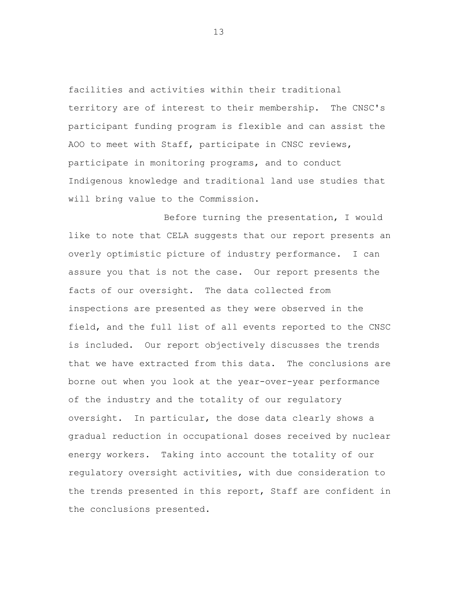facilities and activities within their traditional territory are of interest to their membership. The CNSC's participant funding program is flexible and can assist the AOO to meet with Staff, participate in CNSC reviews, participate in monitoring programs, and to conduct Indigenous knowledge and traditional land use studies that will bring value to the Commission.

Before turning the presentation, I would like to note that CELA suggests that our report presents an overly optimistic picture of industry performance. I can assure you that is not the case. Our report presents the facts of our oversight. The data collected from inspections are presented as they were observed in the field, and the full list of all events reported to the CNSC is included. Our report objectively discusses the trends that we have extracted from this data. The conclusions are borne out when you look at the year-over-year performance of the industry and the totality of our regulatory oversight. In particular, the dose data clearly shows a gradual reduction in occupational doses received by nuclear energy workers. Taking into account the totality of our regulatory oversight activities, with due consideration to the trends presented in this report, Staff are confident in the conclusions presented.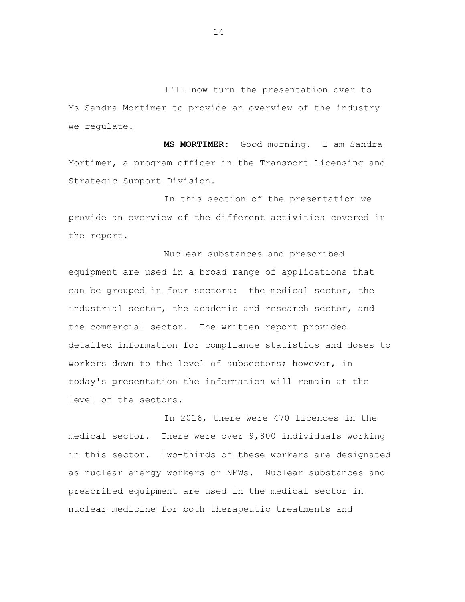I'll now turn the presentation over to Ms Sandra Mortimer to provide an overview of the industry we regulate.

**MS MORTIMER:** Good morning. I am Sandra Mortimer, a program officer in the Transport Licensing and Strategic Support Division.

In this section of the presentation we provide an overview of the different activities covered in the report.

Nuclear substances and prescribed equipment are used in a broad range of applications that can be grouped in four sectors: the medical sector, the industrial sector, the academic and research sector, and the commercial sector. The written report provided detailed information for compliance statistics and doses to workers down to the level of subsectors; however, in today's presentation the information will remain at the level of the sectors.

In 2016, there were 470 licences in the medical sector. There were over 9,800 individuals working in this sector. Two-thirds of these workers are designated as nuclear energy workers or NEWs. Nuclear substances and prescribed equipment are used in the medical sector in nuclear medicine for both therapeutic treatments and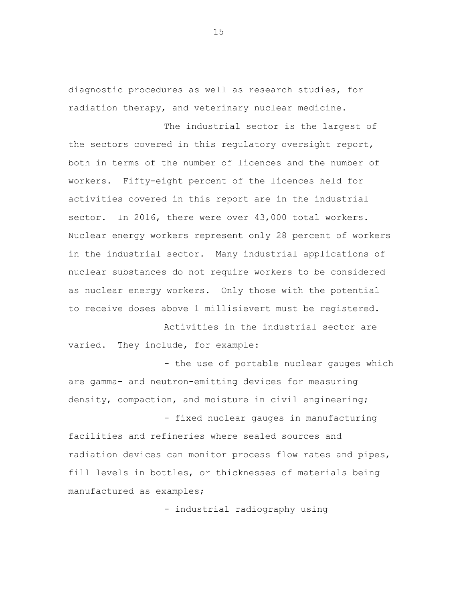diagnostic procedures as well as research studies, for radiation therapy, and veterinary nuclear medicine.

The industrial sector is the largest of the sectors covered in this regulatory oversight report, both in terms of the number of licences and the number of workers. Fifty-eight percent of the licences held for activities covered in this report are in the industrial sector. In 2016, there were over 43,000 total workers. Nuclear energy workers represent only 28 percent of workers in the industrial sector. Many industrial applications of nuclear substances do not require workers to be considered as nuclear energy workers. Only those with the potential to receive doses above 1 millisievert must be registered.

Activities in the industrial sector are varied. They include, for example:

- the use of portable nuclear gauges which are gamma- and neutron-emitting devices for measuring density, compaction, and moisture in civil engineering; - fixed nuclear gauges in manufacturing

facilities and refineries where sealed sources and radiation devices can monitor process flow rates and pipes, fill levels in bottles, or thicknesses of materials being manufactured as examples;

- industrial radiography using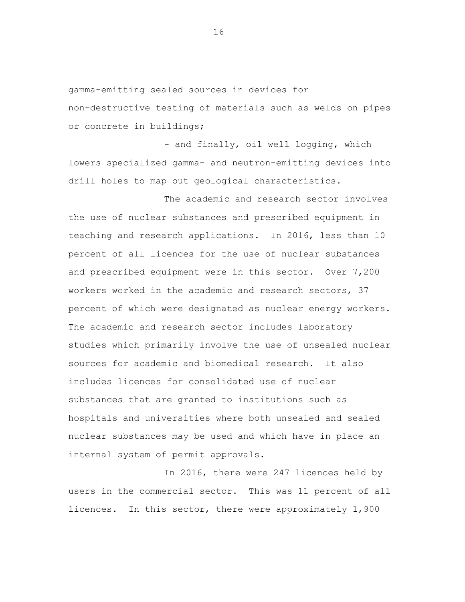gamma-emitting sealed sources in devices for non-destructive testing of materials such as welds on pipes or concrete in buildings;

- and finally, oil well logging, which lowers specialized gamma- and neutron-emitting devices into drill holes to map out geological characteristics.

The academic and research sector involves the use of nuclear substances and prescribed equipment in teaching and research applications. In 2016, less than 10 percent of all licences for the use of nuclear substances and prescribed equipment were in this sector. Over 7,200 workers worked in the academic and research sectors, 37 percent of which were designated as nuclear energy workers. The academic and research sector includes laboratory studies which primarily involve the use of unsealed nuclear sources for academic and biomedical research. It also includes licences for consolidated use of nuclear substances that are granted to institutions such as hospitals and universities where both unsealed and sealed nuclear substances may be used and which have in place an internal system of permit approvals.

In 2016, there were 247 licences held by users in the commercial sector. This was 11 percent of all licences. In this sector, there were approximately 1,900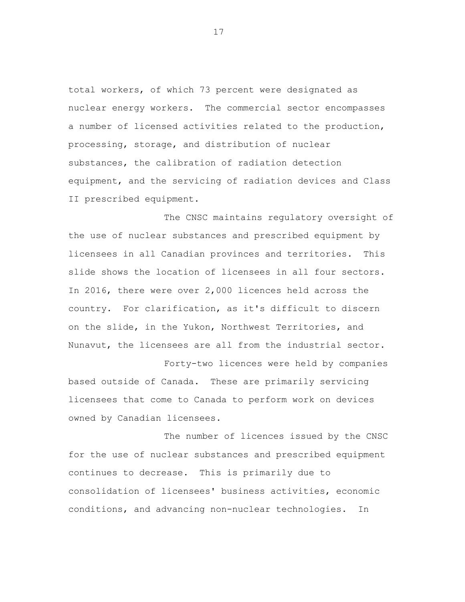total workers, of which 73 percent were designated as nuclear energy workers. The commercial sector encompasses a number of licensed activities related to the production, processing, storage, and distribution of nuclear substances, the calibration of radiation detection equipment, and the servicing of radiation devices and Class II prescribed equipment.

The CNSC maintains regulatory oversight of the use of nuclear substances and prescribed equipment by licensees in all Canadian provinces and territories. This slide shows the location of licensees in all four sectors. In 2016, there were over 2,000 licences held across the country. For clarification, as it's difficult to discern on the slide, in the Yukon, Northwest Territories, and Nunavut, the licensees are all from the industrial sector.

Forty-two licences were held by companies based outside of Canada. These are primarily servicing licensees that come to Canada to perform work on devices owned by Canadian licensees.

The number of licences issued by the CNSC for the use of nuclear substances and prescribed equipment continues to decrease. This is primarily due to consolidation of licensees' business activities, economic conditions, and advancing non-nuclear technologies. In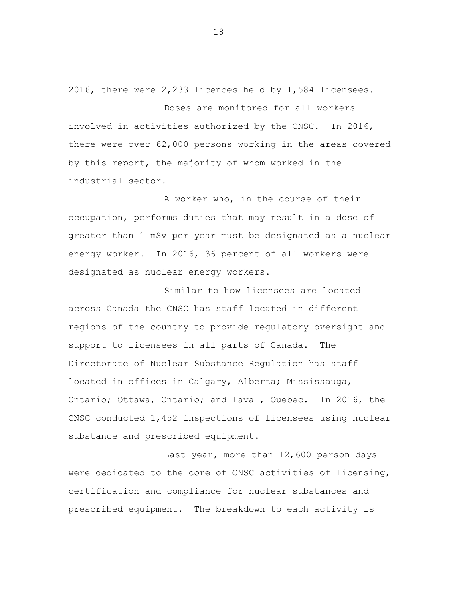2016, there were 2,233 licences held by 1,584 licensees.

Doses are monitored for all workers involved in activities authorized by the CNSC. In 2016, there were over 62,000 persons working in the areas covered by this report, the majority of whom worked in the industrial sector.

A worker who, in the course of their occupation, performs duties that may result in a dose of greater than 1 mSv per year must be designated as a nuclear energy worker. In 2016, 36 percent of all workers were designated as nuclear energy workers.

Similar to how licensees are located across Canada the CNSC has staff located in different regions of the country to provide regulatory oversight and support to licensees in all parts of Canada. The Directorate of Nuclear Substance Regulation has staff located in offices in Calgary, Alberta; Mississauga, Ontario; Ottawa, Ontario; and Laval, Quebec. In 2016, the CNSC conducted 1,452 inspections of licensees using nuclear substance and prescribed equipment.

Last year, more than 12,600 person days were dedicated to the core of CNSC activities of licensing, certification and compliance for nuclear substances and prescribed equipment. The breakdown to each activity is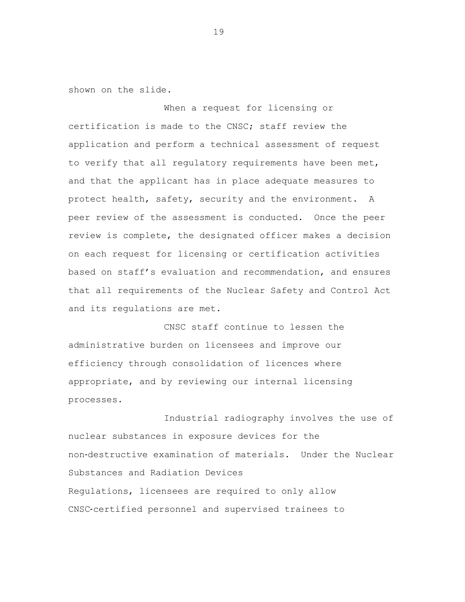shown on the slide.

When a request for licensing or certification is made to the CNSC; staff review the application and perform a technical assessment of request to verify that all regulatory requirements have been met, and that the applicant has in place adequate measures to protect health, safety, security and the environment. A peer review of the assessment is conducted. Once the peer review is complete, the designated officer makes a decision on each request for licensing or certification activities based on staff's evaluation and recommendation, and ensures that all requirements of the Nuclear Safety and Control Act and its regulations are met.

CNSC staff continue to lessen the administrative burden on licensees and improve our efficiency through consolidation of licences where appropriate, and by reviewing our internal licensing processes.

Industrial radiography involves the use of nuclear substances in exposure devices for the non‐destructive examination of materials. Under the Nuclear Substances and Radiation Devices Regulations, licensees are required to only allow CNSC‐certified personnel and supervised trainees to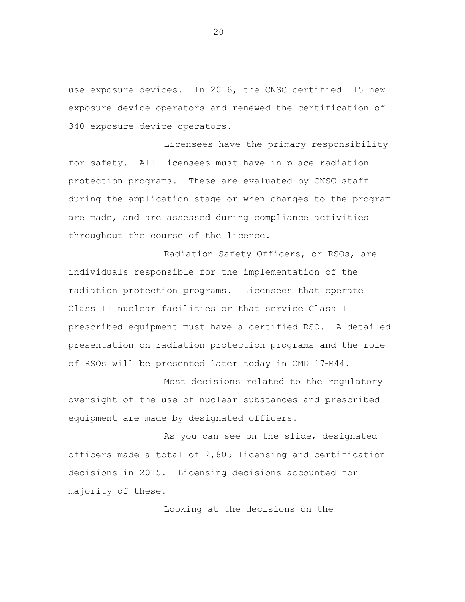use exposure devices. In 2016, the CNSC certified 115 new exposure device operators and renewed the certification of 340 exposure device operators.

Licensees have the primary responsibility for safety. All licensees must have in place radiation protection programs. These are evaluated by CNSC staff during the application stage or when changes to the program are made, and are assessed during compliance activities throughout the course of the licence.

Radiation Safety Officers, or RSOs, are individuals responsible for the implementation of the radiation protection programs. Licensees that operate Class II nuclear facilities or that service Class II prescribed equipment must have a certified RSO. A detailed presentation on radiation protection programs and the role of RSOs will be presented later today in CMD 17‐M44.

Most decisions related to the regulatory oversight of the use of nuclear substances and prescribed equipment are made by designated officers.

As you can see on the slide, designated officers made a total of 2,805 licensing and certification decisions in 2015. Licensing decisions accounted for majority of these.

Looking at the decisions on the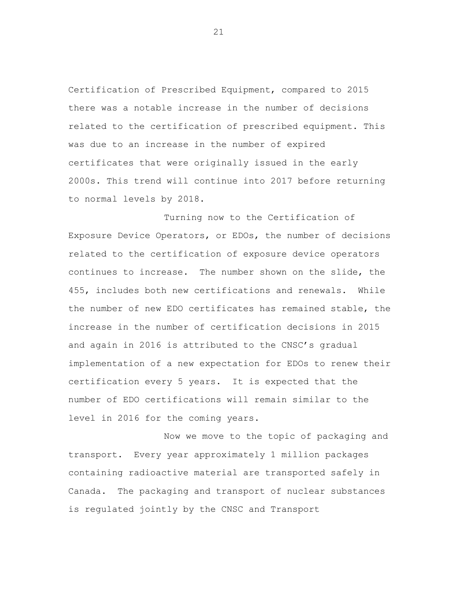Certification of Prescribed Equipment, compared to 2015 there was a notable increase in the number of decisions related to the certification of prescribed equipment. This was due to an increase in the number of expired certificates that were originally issued in the early 2000s. This trend will continue into 2017 before returning to normal levels by 2018.

Turning now to the Certification of Exposure Device Operators, or EDOs, the number of decisions related to the certification of exposure device operators continues to increase. The number shown on the slide, the 455, includes both new certifications and renewals. While the number of new EDO certificates has remained stable, the increase in the number of certification decisions in 2015 and again in 2016 is attributed to the CNSC's gradual implementation of a new expectation for EDOs to renew their certification every 5 years. It is expected that the number of EDO certifications will remain similar to the level in 2016 for the coming years.

Now we move to the topic of packaging and transport. Every year approximately 1 million packages containing radioactive material are transported safely in Canada. The packaging and transport of nuclear substances is regulated jointly by the CNSC and Transport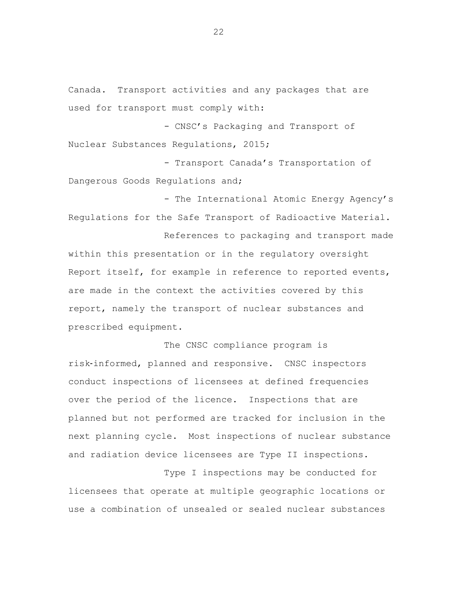Canada. Transport activities and any packages that are used for transport must comply with:

- CNSC's Packaging and Transport of Nuclear Substances Regulations, 2015;

- Transport Canada's Transportation of Dangerous Goods Regulations and;

- The International Atomic Energy Agency's Regulations for the Safe Transport of Radioactive Material.

References to packaging and transport made within this presentation or in the regulatory oversight Report itself, for example in reference to reported events, are made in the context the activities covered by this report, namely the transport of nuclear substances and prescribed equipment.

The CNSC compliance program is risk‐informed, planned and responsive. CNSC inspectors conduct inspections of licensees at defined frequencies over the period of the licence. Inspections that are planned but not performed are tracked for inclusion in the next planning cycle. Most inspections of nuclear substance and radiation device licensees are Type II inspections.

Type I inspections may be conducted for licensees that operate at multiple geographic locations or use a combination of unsealed or sealed nuclear substances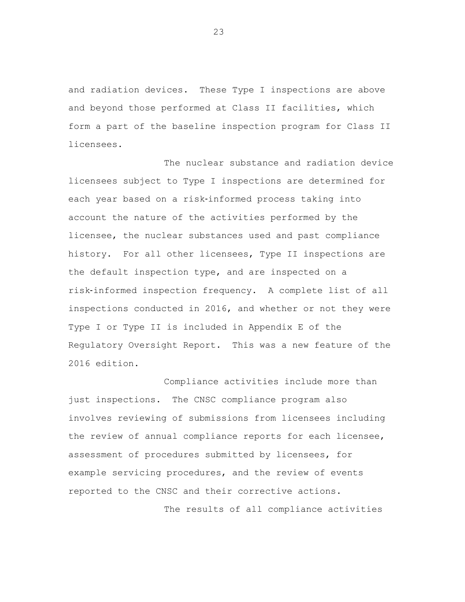and radiation devices. These Type I inspections are above and beyond those performed at Class II facilities, which form a part of the baseline inspection program for Class II licensees.

The nuclear substance and radiation device licensees subject to Type I inspections are determined for each year based on a risk-informed process taking into account the nature of the activities performed by the licensee, the nuclear substances used and past compliance history. For all other licensees, Type II inspections are the default inspection type, and are inspected on a risk‐informed inspection frequency. A complete list of all inspections conducted in 2016, and whether or not they were Type I or Type II is included in Appendix E of the Regulatory Oversight Report. This was a new feature of the 2016 edition.

Compliance activities include more than just inspections. The CNSC compliance program also involves reviewing of submissions from licensees including the review of annual compliance reports for each licensee, assessment of procedures submitted by licensees, for example servicing procedures, and the review of events reported to the CNSC and their corrective actions.

The results of all compliance activities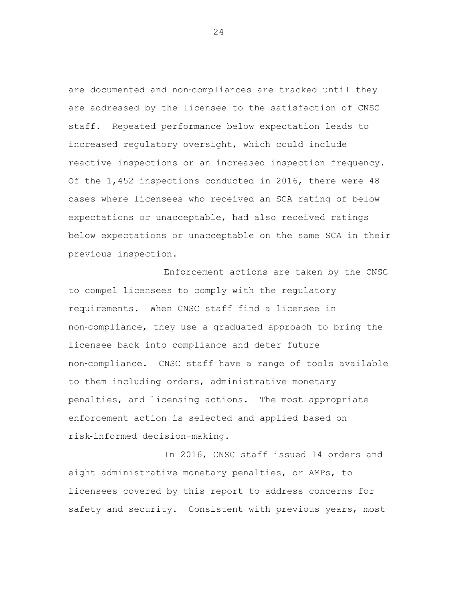are documented and non‐compliances are tracked until they are addressed by the licensee to the satisfaction of CNSC staff. Repeated performance below expectation leads to increased regulatory oversight, which could include reactive inspections or an increased inspection frequency. Of the 1,452 inspections conducted in 2016, there were 48 cases where licensees who received an SCA rating of below expectations or unacceptable, had also received ratings below expectations or unacceptable on the same SCA in their previous inspection.

Enforcement actions are taken by the CNSC to compel licensees to comply with the regulatory requirements. When CNSC staff find a licensee in non‐compliance, they use a graduated approach to bring the licensee back into compliance and deter future non‐compliance. CNSC staff have a range of tools available to them including orders, administrative monetary penalties, and licensing actions. The most appropriate enforcement action is selected and applied based on risk‐informed decision-making.

In 2016, CNSC staff issued 14 orders and eight administrative monetary penalties, or AMPs, to licensees covered by this report to address concerns for safety and security. Consistent with previous years, most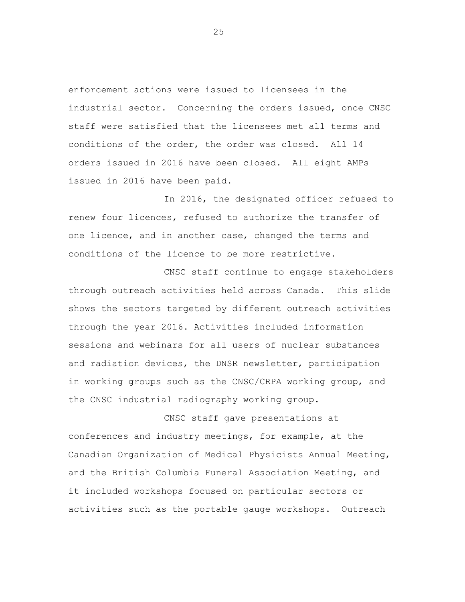enforcement actions were issued to licensees in the industrial sector. Concerning the orders issued, once CNSC staff were satisfied that the licensees met all terms and conditions of the order, the order was closed. All 14 orders issued in 2016 have been closed. All eight AMPs issued in 2016 have been paid.

In 2016, the designated officer refused to renew four licences, refused to authorize the transfer of one licence, and in another case, changed the terms and conditions of the licence to be more restrictive.

CNSC staff continue to engage stakeholders through outreach activities held across Canada. This slide shows the sectors targeted by different outreach activities through the year 2016. Activities included information sessions and webinars for all users of nuclear substances and radiation devices, the DNSR newsletter, participation in working groups such as the CNSC/CRPA working group, and the CNSC industrial radiography working group.

CNSC staff gave presentations at conferences and industry meetings, for example, at the Canadian Organization of Medical Physicists Annual Meeting, and the British Columbia Funeral Association Meeting, and it included workshops focused on particular sectors or activities such as the portable gauge workshops. Outreach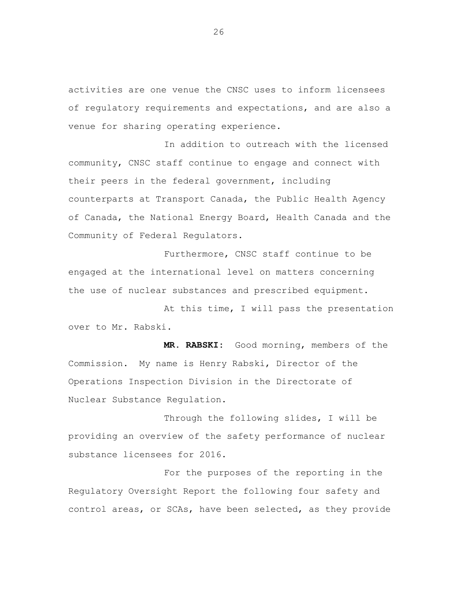activities are one venue the CNSC uses to inform licensees of regulatory requirements and expectations, and are also a venue for sharing operating experience.

In addition to outreach with the licensed community, CNSC staff continue to engage and connect with their peers in the federal government, including counterparts at Transport Canada, the Public Health Agency of Canada, the National Energy Board, Health Canada and the Community of Federal Regulators.

Furthermore, CNSC staff continue to be engaged at the international level on matters concerning the use of nuclear substances and prescribed equipment.

At this time, I will pass the presentation over to Mr. Rabski.

**MR. RABSKI:** Good morning, members of the Commission. My name is Henry Rabski, Director of the Operations Inspection Division in the Directorate of Nuclear Substance Regulation.

Through the following slides, I will be providing an overview of the safety performance of nuclear substance licensees for 2016.

For the purposes of the reporting in the Regulatory Oversight Report the following four safety and control areas, or SCAs, have been selected, as they provide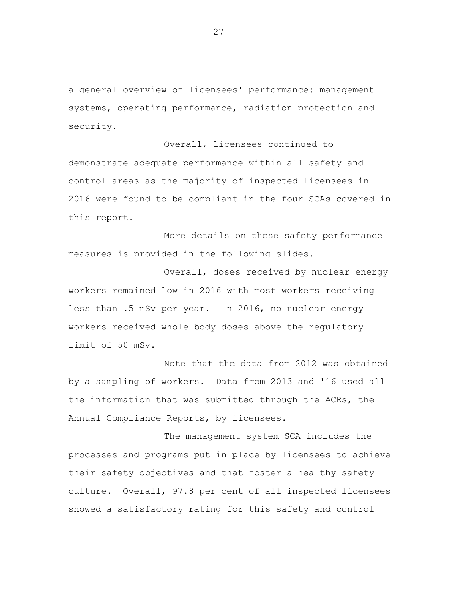a general overview of licensees' performance: management systems, operating performance, radiation protection and security.

Overall, licensees continued to demonstrate adequate performance within all safety and control areas as the majority of inspected licensees in 2016 were found to be compliant in the four SCAs covered in this report.

More details on these safety performance measures is provided in the following slides.

Overall, doses received by nuclear energy workers remained low in 2016 with most workers receiving less than .5 mSv per year. In 2016, no nuclear energy workers received whole body doses above the regulatory limit of 50 mSv.

Note that the data from 2012 was obtained by a sampling of workers. Data from 2013 and '16 used all the information that was submitted through the ACRs, the Annual Compliance Reports, by licensees.

The management system SCA includes the processes and programs put in place by licensees to achieve their safety objectives and that foster a healthy safety culture. Overall, 97.8 per cent of all inspected licensees showed a satisfactory rating for this safety and control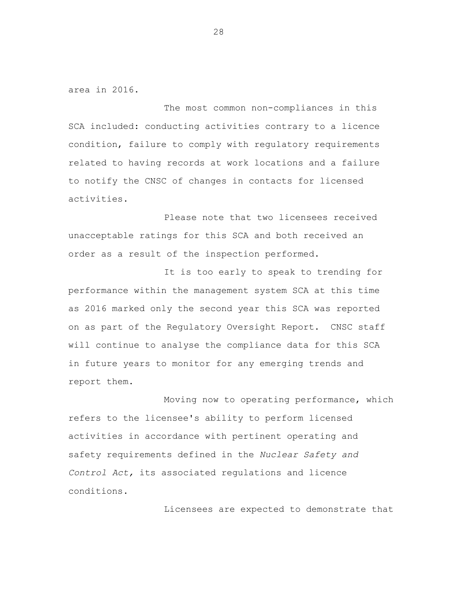area in 2016.

The most common non-compliances in this SCA included: conducting activities contrary to a licence condition, failure to comply with regulatory requirements related to having records at work locations and a failure to notify the CNSC of changes in contacts for licensed activities.

Please note that two licensees received unacceptable ratings for this SCA and both received an order as a result of the inspection performed.

It is too early to speak to trending for performance within the management system SCA at this time as 2016 marked only the second year this SCA was reported on as part of the Regulatory Oversight Report. CNSC staff will continue to analyse the compliance data for this SCA in future years to monitor for any emerging trends and report them.

Moving now to operating performance, which refers to the licensee's ability to perform licensed activities in accordance with pertinent operating and safety requirements defined in the *Nuclear Safety and Control Act,* its associated regulations and licence conditions.

Licensees are expected to demonstrate that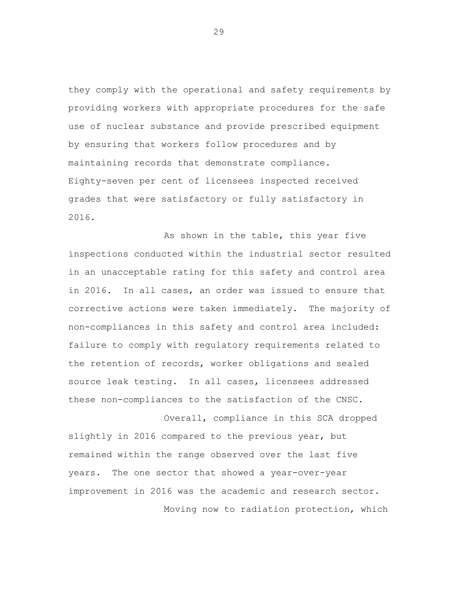they comply with the operational and safety requirements by providing workers with appropriate procedures for the safe use of nuclear substance and provide prescribed equipment by ensuring that workers follow procedures and by maintaining records that demonstrate compliance. Eighty-seven per cent of licensees inspected received grades that were satisfactory or fully satisfactory in 2016.

As shown in the table, this year five inspections conducted within the industrial sector resulted in an unacceptable rating for this safety and control area in 2016. In all cases, an order was issued to ensure that corrective actions were taken immediately. The majority of non-compliances in this safety and control area included: failure to comply with regulatory requirements related to the retention of records, worker obligations and sealed source leak testing. In all cases, licensees addressed these non-compliances to the satisfaction of the CNSC.

Overall, compliance in this SCA dropped slightly in 2016 compared to the previous year, but remained within the range observed over the last five years. The one sector that showed a year-over-year improvement in 2016 was the academic and research sector. Moving now to radiation protection, which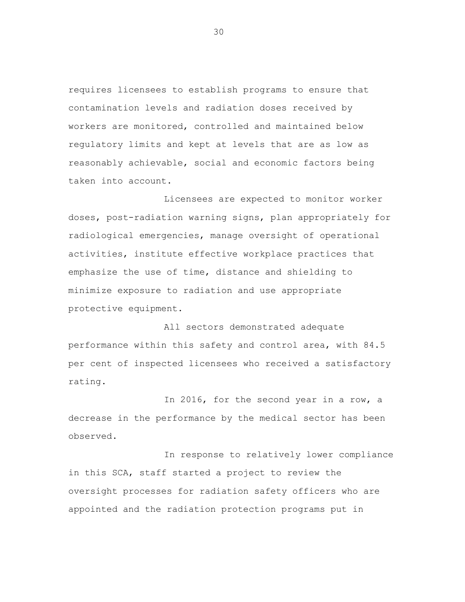requires licensees to establish programs to ensure that contamination levels and radiation doses received by workers are monitored, controlled and maintained below regulatory limits and kept at levels that are as low as reasonably achievable, social and economic factors being taken into account.

Licensees are expected to monitor worker doses, post-radiation warning signs, plan appropriately for radiological emergencies, manage oversight of operational activities, institute effective workplace practices that emphasize the use of time, distance and shielding to minimize exposure to radiation and use appropriate protective equipment.

All sectors demonstrated adequate performance within this safety and control area, with 84.5 per cent of inspected licensees who received a satisfactory rating.

In 2016, for the second year in a row, a decrease in the performance by the medical sector has been observed.

In response to relatively lower compliance in this SCA, staff started a project to review the oversight processes for radiation safety officers who are appointed and the radiation protection programs put in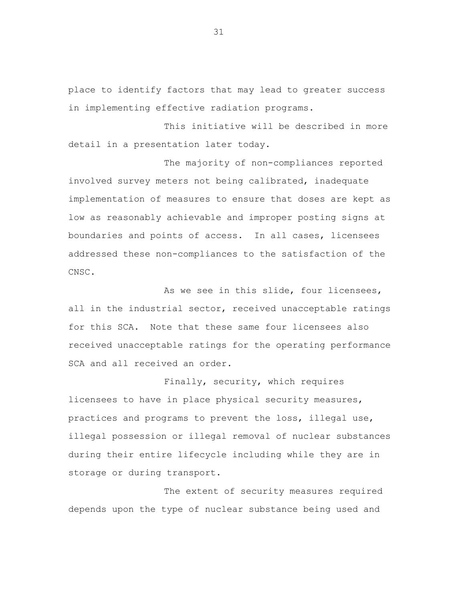place to identify factors that may lead to greater success in implementing effective radiation programs.

This initiative will be described in more detail in a presentation later today.

The majority of non-compliances reported involved survey meters not being calibrated, inadequate implementation of measures to ensure that doses are kept as low as reasonably achievable and improper posting signs at boundaries and points of access. In all cases, licensees addressed these non-compliances to the satisfaction of the CNSC.

As we see in this slide, four licensees, all in the industrial sector, received unacceptable ratings for this SCA. Note that these same four licensees also received unacceptable ratings for the operating performance SCA and all received an order.

Finally, security, which requires licensees to have in place physical security measures, practices and programs to prevent the loss, illegal use, illegal possession or illegal removal of nuclear substances during their entire lifecycle including while they are in storage or during transport.

The extent of security measures required depends upon the type of nuclear substance being used and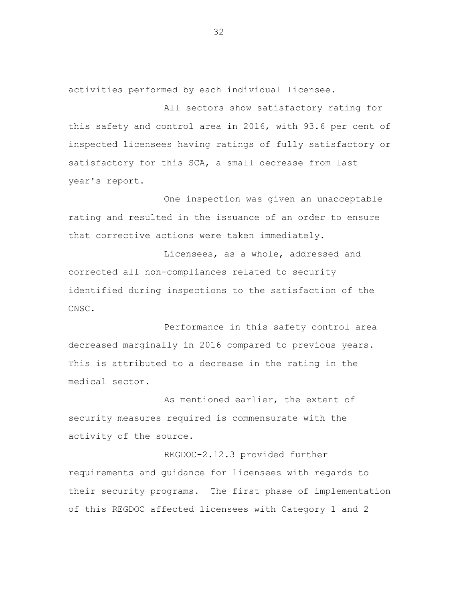activities performed by each individual licensee.

All sectors show satisfactory rating for this safety and control area in 2016, with 93.6 per cent of inspected licensees having ratings of fully satisfactory or satisfactory for this SCA, a small decrease from last year's report.

One inspection was given an unacceptable rating and resulted in the issuance of an order to ensure that corrective actions were taken immediately.

Licensees, as a whole, addressed and corrected all non-compliances related to security identified during inspections to the satisfaction of the CNSC.

Performance in this safety control area decreased marginally in 2016 compared to previous years. This is attributed to a decrease in the rating in the medical sector.

As mentioned earlier, the extent of security measures required is commensurate with the activity of the source.

REGDOC-2.12.3 provided further requirements and guidance for licensees with regards to their security programs. The first phase of implementation of this REGDOC affected licensees with Category 1 and 2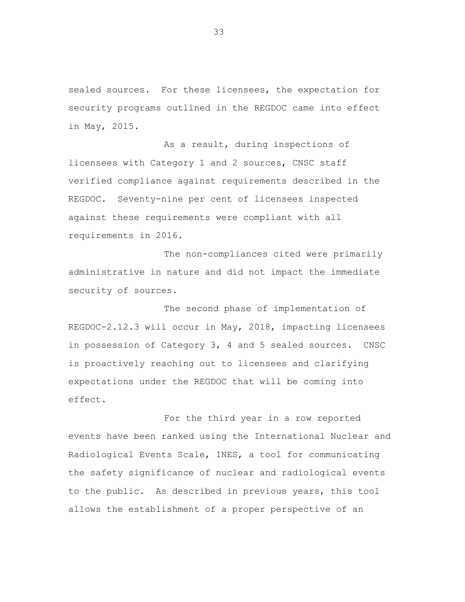sealed sources. For these licensees, the expectation for security programs outlined in the REGDOC came into effect in May, 2015.

As a result, during inspections of licensees with Category 1 and 2 sources, CNSC staff verified compliance against requirements described in the REGDOC. Seventy-nine per cent of licensees inspected against these requirements were compliant with all requirements in 2016.

The non-compliances cited were primarily administrative in nature and did not impact the immediate security of sources.

The second phase of implementation of REGDOC-2.12.3 will occur in May, 2018, impacting licensees in possession of Category 3, 4 and 5 sealed sources. CNSC is proactively reaching out to licensees and clarifying expectations under the REGDOC that will be coming into effect.

For the third year in a row reported events have been ranked using the International Nuclear and Radiological Events Scale, INES, a tool for communicating the safety significance of nuclear and radiological events to the public. As described in previous years, this tool allows the establishment of a proper perspective of an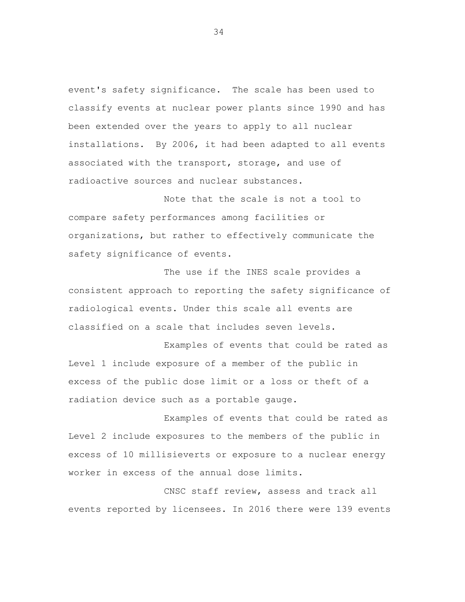event's safety significance. The scale has been used to classify events at nuclear power plants since 1990 and has been extended over the years to apply to all nuclear installations. By 2006, it had been adapted to all events associated with the transport, storage, and use of radioactive sources and nuclear substances.

Note that the scale is not a tool to compare safety performances among facilities or organizations, but rather to effectively communicate the safety significance of events.

The use if the INES scale provides a consistent approach to reporting the safety significance of radiological events. Under this scale all events are classified on a scale that includes seven levels.

Examples of events that could be rated as Level 1 include exposure of a member of the public in excess of the public dose limit or a loss or theft of a radiation device such as a portable gauge.

Examples of events that could be rated as Level 2 include exposures to the members of the public in excess of 10 millisieverts or exposure to a nuclear energy worker in excess of the annual dose limits.

CNSC staff review, assess and track all events reported by licensees. In 2016 there were 139 events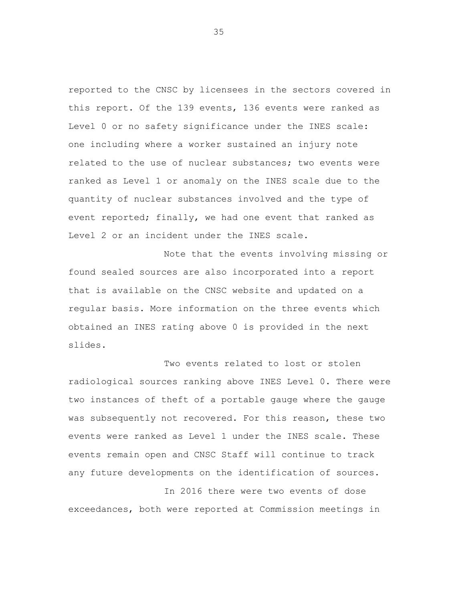reported to the CNSC by licensees in the sectors covered in this report. Of the 139 events, 136 events were ranked as Level 0 or no safety significance under the INES scale: one including where a worker sustained an injury note related to the use of nuclear substances; two events were ranked as Level 1 or anomaly on the INES scale due to the quantity of nuclear substances involved and the type of event reported; finally, we had one event that ranked as Level 2 or an incident under the INES scale.

Note that the events involving missing or found sealed sources are also incorporated into a report that is available on the CNSC website and updated on a regular basis. More information on the three events which obtained an INES rating above 0 is provided in the next slides.

Two events related to lost or stolen radiological sources ranking above INES Level 0. There were two instances of theft of a portable gauge where the gauge was subsequently not recovered. For this reason, these two events were ranked as Level 1 under the INES scale. These events remain open and CNSC Staff will continue to track any future developments on the identification of sources.

In 2016 there were two events of dose exceedances, both were reported at Commission meetings in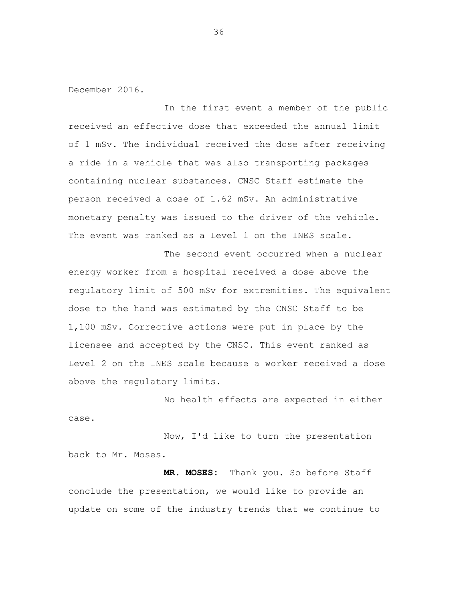December 2016.

In the first event a member of the public received an effective dose that exceeded the annual limit of 1 mSv. The individual received the dose after receiving a ride in a vehicle that was also transporting packages containing nuclear substances. CNSC Staff estimate the person received a dose of 1.62 mSv. An administrative monetary penalty was issued to the driver of the vehicle. The event was ranked as a Level 1 on the INES scale.

The second event occurred when a nuclear energy worker from a hospital received a dose above the regulatory limit of 500 mSv for extremities. The equivalent dose to the hand was estimated by the CNSC Staff to be 1,100 mSv. Corrective actions were put in place by the licensee and accepted by the CNSC. This event ranked as Level 2 on the INES scale because a worker received a dose above the regulatory limits.

No health effects are expected in either case.

Now, I'd like to turn the presentation back to Mr. Moses.

 **MR. MOSES:** Thank you. So before Staff conclude the presentation, we would like to provide an update on some of the industry trends that we continue to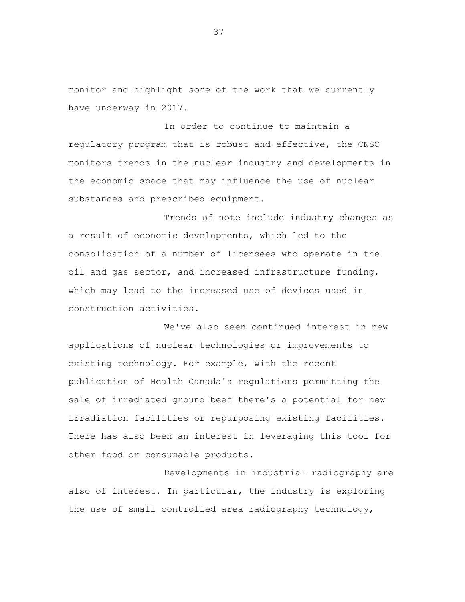monitor and highlight some of the work that we currently have underway in 2017.

In order to continue to maintain a regulatory program that is robust and effective, the CNSC monitors trends in the nuclear industry and developments in the economic space that may influence the use of nuclear substances and prescribed equipment.

Trends of note include industry changes as a result of economic developments, which led to the consolidation of a number of licensees who operate in the oil and gas sector, and increased infrastructure funding, which may lead to the increased use of devices used in construction activities.

We've also seen continued interest in new applications of nuclear technologies or improvements to existing technology. For example, with the recent publication of Health Canada's regulations permitting the sale of irradiated ground beef there's a potential for new irradiation facilities or repurposing existing facilities. There has also been an interest in leveraging this tool for other food or consumable products.

Developments in industrial radiography are also of interest. In particular, the industry is exploring the use of small controlled area radiography technology,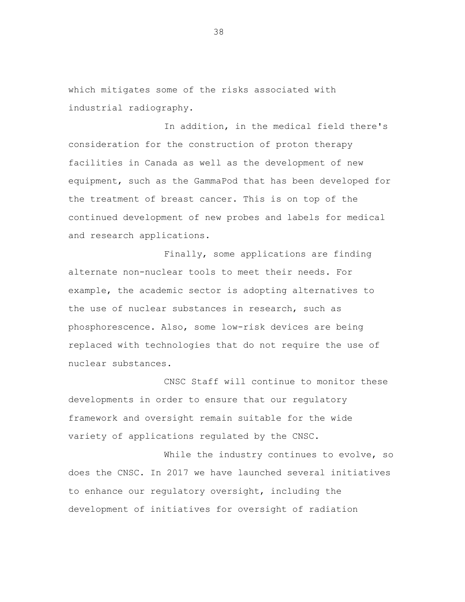which mitigates some of the risks associated with industrial radiography.

In addition, in the medical field there's consideration for the construction of proton therapy facilities in Canada as well as the development of new equipment, such as the GammaPod that has been developed for the treatment of breast cancer. This is on top of the continued development of new probes and labels for medical and research applications.

Finally, some applications are finding alternate non-nuclear tools to meet their needs. For example, the academic sector is adopting alternatives to the use of nuclear substances in research, such as phosphorescence. Also, some low-risk devices are being replaced with technologies that do not require the use of nuclear substances.

CNSC Staff will continue to monitor these developments in order to ensure that our regulatory framework and oversight remain suitable for the wide variety of applications regulated by the CNSC.

While the industry continues to evolve, so does the CNSC. In 2017 we have launched several initiatives to enhance our regulatory oversight, including the development of initiatives for oversight of radiation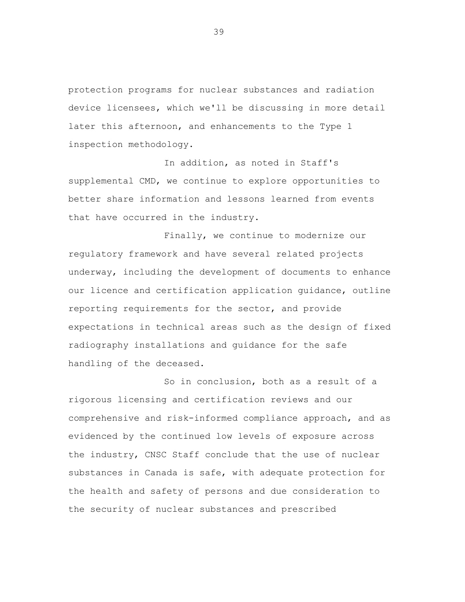protection programs for nuclear substances and radiation device licensees, which we'll be discussing in more detail later this afternoon, and enhancements to the Type 1 inspection methodology.

In addition, as noted in Staff's supplemental CMD, we continue to explore opportunities to better share information and lessons learned from events that have occurred in the industry.

Finally, we continue to modernize our regulatory framework and have several related projects underway, including the development of documents to enhance our licence and certification application guidance, outline reporting requirements for the sector, and provide expectations in technical areas such as the design of fixed radiography installations and guidance for the safe handling of the deceased.

So in conclusion, both as a result of a rigorous licensing and certification reviews and our comprehensive and risk-informed compliance approach, and as evidenced by the continued low levels of exposure across the industry, CNSC Staff conclude that the use of nuclear substances in Canada is safe, with adequate protection for the health and safety of persons and due consideration to the security of nuclear substances and prescribed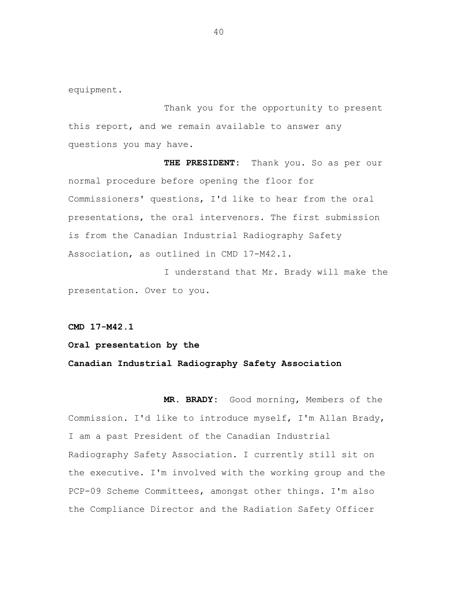equipment.

Thank you for the opportunity to present this report, and we remain available to answer any questions you may have.

 **THE PRESIDENT:** Thank you. So as per our normal procedure before opening the floor for Commissioners' questions, I'd like to hear from the oral presentations, the oral intervenors. The first submission is from the Canadian Industrial Radiography Safety Association, as outlined in CMD 17-M42.1.

I understand that Mr. Brady will make the presentation. Over to you.

**CMD 17-M42.1** 

**Oral presentation by the Canadian Industrial Radiography Safety Association** 

 **MR. BRADY:** Good morning, Members of the Commission. I'd like to introduce myself, I'm Allan Brady, I am a past President of the Canadian Industrial Radiography Safety Association. I currently still sit on the executive. I'm involved with the working group and the PCP-09 Scheme Committees, amongst other things. I'm also the Compliance Director and the Radiation Safety Officer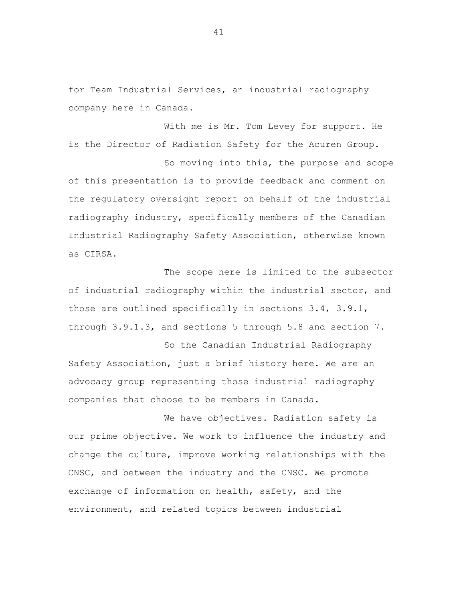for Team Industrial Services, an industrial radiography company here in Canada.

With me is Mr. Tom Levey for support. He is the Director of Radiation Safety for the Acuren Group.

So moving into this, the purpose and scope of this presentation is to provide feedback and comment on the regulatory oversight report on behalf of the industrial radiography industry, specifically members of the Canadian Industrial Radiography Safety Association, otherwise known as CIRSA.

The scope here is limited to the subsector of industrial radiography within the industrial sector, and those are outlined specifically in sections 3.4, 3.9.1, through 3.9.1.3, and sections 5 through 5.8 and section 7.

So the Canadian Industrial Radiography Safety Association, just a brief history here. We are an advocacy group representing those industrial radiography companies that choose to be members in Canada.

We have objectives. Radiation safety is our prime objective. We work to influence the industry and change the culture, improve working relationships with the CNSC, and between the industry and the CNSC. We promote exchange of information on health, safety, and the environment, and related topics between industrial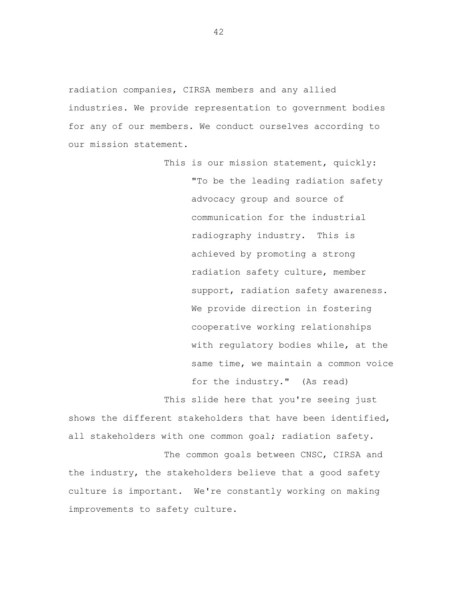radiation companies, CIRSA members and any allied industries. We provide representation to government bodies for any of our members. We conduct ourselves according to our mission statement.

> This is our mission statement, quickly: "To be the leading radiation safety advocacy group and source of communication for the industrial radiography industry. This is achieved by promoting a strong radiation safety culture, member support, radiation safety awareness. We provide direction in fostering cooperative working relationships with regulatory bodies while, at the same time, we maintain a common voice for the industry." (As read)

This slide here that you're seeing just shows the different stakeholders that have been identified, all stakeholders with one common goal; radiation safety.

The common goals between CNSC, CIRSA and the industry, the stakeholders believe that a good safety culture is important. We're constantly working on making improvements to safety culture.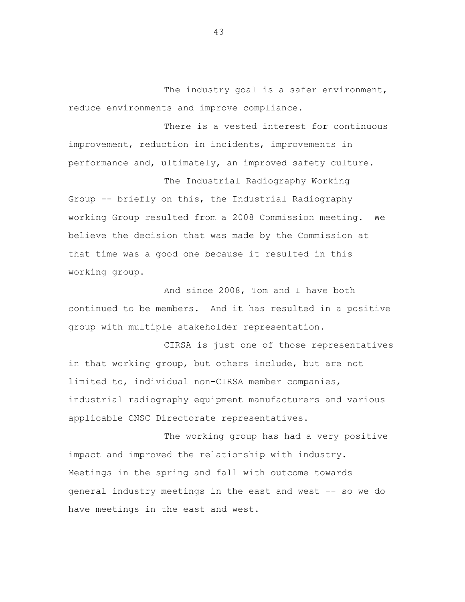The industry goal is a safer environment, reduce environments and improve compliance.

There is a vested interest for continuous improvement, reduction in incidents, improvements in performance and, ultimately, an improved safety culture.

The Industrial Radiography Working Group -- briefly on this, the Industrial Radiography working Group resulted from a 2008 Commission meeting. We believe the decision that was made by the Commission at that time was a good one because it resulted in this working group.

And since 2008, Tom and I have both continued to be members. And it has resulted in a positive group with multiple stakeholder representation.

CIRSA is just one of those representatives in that working group, but others include, but are not limited to, individual non-CIRSA member companies, industrial radiography equipment manufacturers and various applicable CNSC Directorate representatives.

The working group has had a very positive impact and improved the relationship with industry. Meetings in the spring and fall with outcome towards general industry meetings in the east and west -- so we do have meetings in the east and west.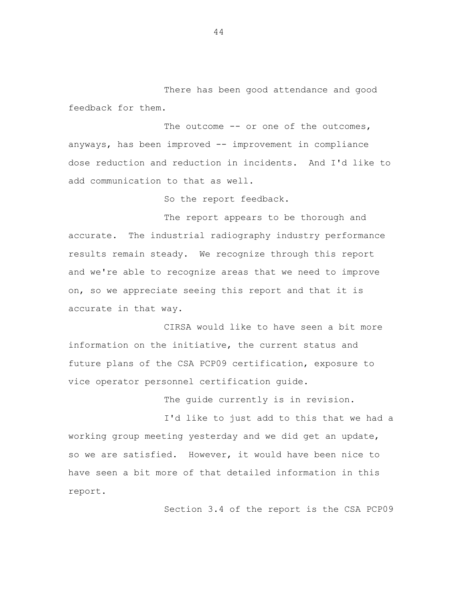There has been good attendance and good feedback for them.

The outcome -- or one of the outcomes, anyways, has been improved -- improvement in compliance dose reduction and reduction in incidents. And I'd like to add communication to that as well.

So the report feedback.

The report appears to be thorough and accurate. The industrial radiography industry performance results remain steady. We recognize through this report and we're able to recognize areas that we need to improve on, so we appreciate seeing this report and that it is accurate in that way.

CIRSA would like to have seen a bit more information on the initiative, the current status and future plans of the CSA PCP09 certification, exposure to vice operator personnel certification guide.

The guide currently is in revision.

I'd like to just add to this that we had a working group meeting yesterday and we did get an update, so we are satisfied. However, it would have been nice to have seen a bit more of that detailed information in this report.

Section 3.4 of the report is the CSA PCP09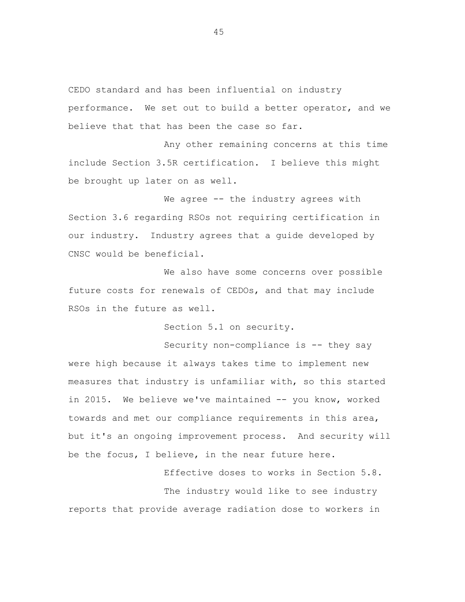CEDO standard and has been influential on industry performance. We set out to build a better operator, and we believe that that has been the case so far.

Any other remaining concerns at this time include Section 3.5R certification. I believe this might be brought up later on as well.

We agree -- the industry agrees with Section 3.6 regarding RSOs not requiring certification in our industry. Industry agrees that a guide developed by CNSC would be beneficial.

We also have some concerns over possible future costs for renewals of CEDOs, and that may include RSOs in the future as well.

Section 5.1 on security.

Security non-compliance is -- they say were high because it always takes time to implement new measures that industry is unfamiliar with, so this started in 2015. We believe we've maintained -- you know, worked towards and met our compliance requirements in this area, but it's an ongoing improvement process. And security will be the focus, I believe, in the near future here.

Effective doses to works in Section 5.8. The industry would like to see industry reports that provide average radiation dose to workers in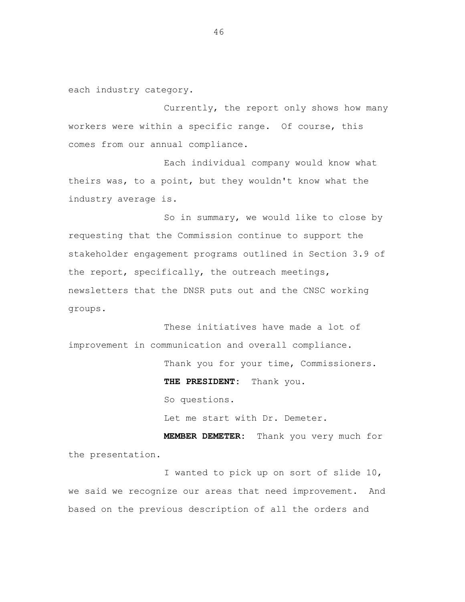each industry category.

Currently, the report only shows how many workers were within a specific range. Of course, this comes from our annual compliance.

Each individual company would know what theirs was, to a point, but they wouldn't know what the industry average is.

So in summary, we would like to close by requesting that the Commission continue to support the stakeholder engagement programs outlined in Section 3.9 of the report, specifically, the outreach meetings, newsletters that the DNSR puts out and the CNSC working groups.

These initiatives have made a lot of improvement in communication and overall compliance.

Thank you for your time, Commissioners.

 **THE PRESIDENT:** Thank you.

So questions.

Let me start with Dr. Demeter.

 **MEMBER DEMETER:** Thank you very much for the presentation.

I wanted to pick up on sort of slide 10, we said we recognize our areas that need improvement. And based on the previous description of all the orders and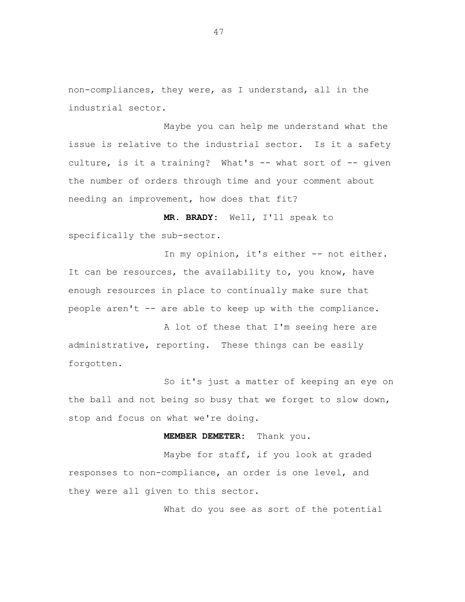non-compliances, they were, as I understand, all in the industrial sector.

Maybe you can help me understand what the issue is relative to the industrial sector. Is it a safety culture, is it a training? What's -- what sort of -- given the number of orders through time and your comment about needing an improvement, how does that fit?

 **MR. BRADY:** Well, I'll speak to specifically the sub-sector.

In my opinion, it's either -- not either. It can be resources, the availability to, you know, have enough resources in place to continually make sure that people aren't -- are able to keep up with the compliance.

A lot of these that I'm seeing here are administrative, reporting. These things can be easily forgotten.

So it's just a matter of keeping an eye on the ball and not being so busy that we forget to slow down, stop and focus on what we're doing.

## **MEMBER DEMETER:** Thank you.

Maybe for staff, if you look at graded responses to non-compliance, an order is one level, and they were all given to this sector.

What do you see as sort of the potential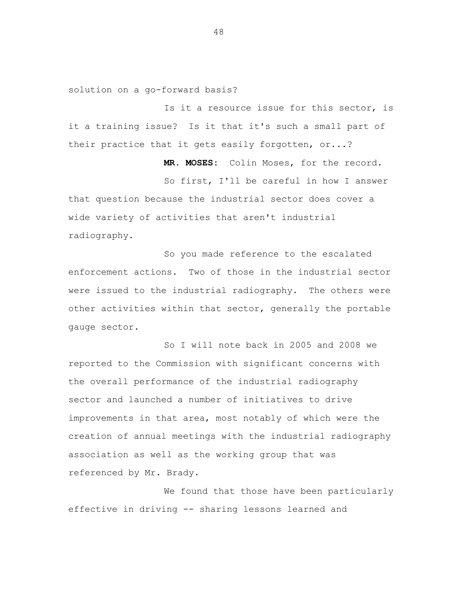solution on a go-forward basis?

Is it a resource issue for this sector, is it a training issue? Is it that it's such a small part of their practice that it gets easily forgotten, or...?

 **MR. MOSES:** Colin Moses, for the record.

So first, I'll be careful in how I answer that question because the industrial sector does cover a wide variety of activities that aren't industrial radiography.

So you made reference to the escalated enforcement actions. Two of those in the industrial sector were issued to the industrial radiography. The others were other activities within that sector, generally the portable gauge sector.

So I will note back in 2005 and 2008 we reported to the Commission with significant concerns with the overall performance of the industrial radiography sector and launched a number of initiatives to drive improvements in that area, most notably of which were the creation of annual meetings with the industrial radiography association as well as the working group that was referenced by Mr. Brady.

We found that those have been particularly effective in driving -- sharing lessons learned and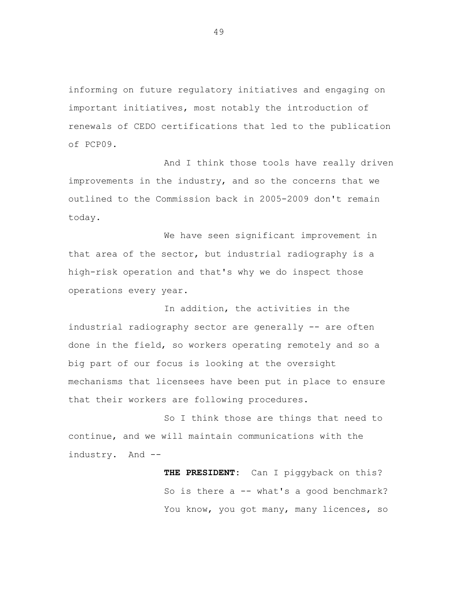informing on future regulatory initiatives and engaging on important initiatives, most notably the introduction of renewals of CEDO certifications that led to the publication of PCP09.

And I think those tools have really driven improvements in the industry, and so the concerns that we outlined to the Commission back in 2005-2009 don't remain today.

We have seen significant improvement in that area of the sector, but industrial radiography is a high-risk operation and that's why we do inspect those operations every year.

In addition, the activities in the industrial radiography sector are generally -- are often done in the field, so workers operating remotely and so a big part of our focus is looking at the oversight mechanisms that licensees have been put in place to ensure that their workers are following procedures.

So I think those are things that need to continue, and we will maintain communications with the industry. And --

> **THE PRESIDENT:** Can I piggyback on this? So is there  $a$  -- what's a good benchmark? You know, you got many, many licences, so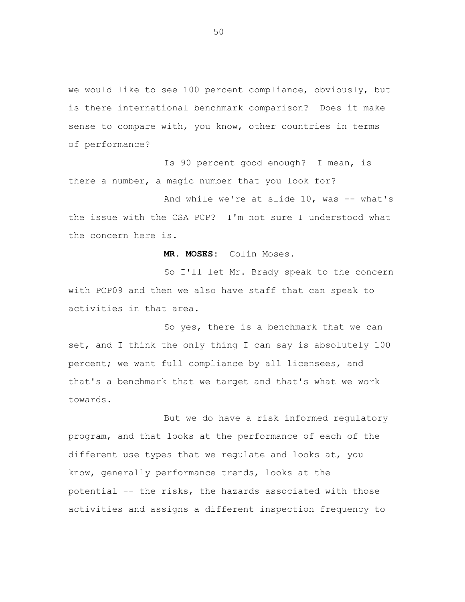we would like to see 100 percent compliance, obviously, but is there international benchmark comparison? Does it make sense to compare with, you know, other countries in terms of performance?

Is 90 percent good enough? I mean, is there a number, a magic number that you look for?

And while we're at slide 10, was -- what's the issue with the CSA PCP? I'm not sure I understood what the concern here is.

 **MR. MOSES:** Colin Moses.

So I'll let Mr. Brady speak to the concern with PCP09 and then we also have staff that can speak to activities in that area.

So yes, there is a benchmark that we can set, and I think the only thing I can say is absolutely 100 percent; we want full compliance by all licensees, and that's a benchmark that we target and that's what we work towards.

But we do have a risk informed regulatory program, and that looks at the performance of each of the different use types that we regulate and looks at, you know, generally performance trends, looks at the potential -- the risks, the hazards associated with those activities and assigns a different inspection frequency to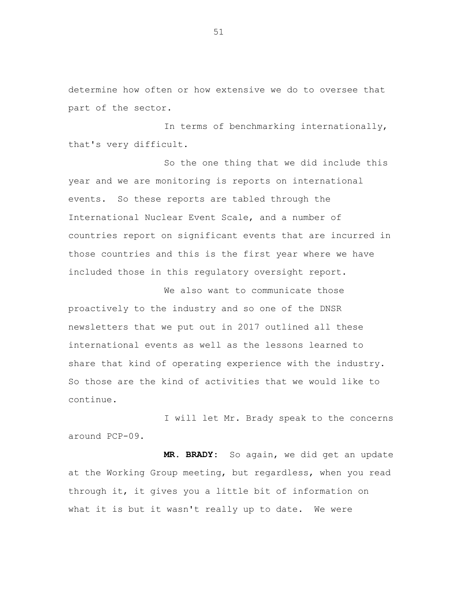determine how often or how extensive we do to oversee that part of the sector.

In terms of benchmarking internationally, that's very difficult.

So the one thing that we did include this year and we are monitoring is reports on international events. So these reports are tabled through the International Nuclear Event Scale, and a number of countries report on significant events that are incurred in those countries and this is the first year where we have included those in this regulatory oversight report.

We also want to communicate those proactively to the industry and so one of the DNSR newsletters that we put out in 2017 outlined all these international events as well as the lessons learned to share that kind of operating experience with the industry. So those are the kind of activities that we would like to continue.

I will let Mr. Brady speak to the concerns around PCP-09.

**MR. BRADY:** So again, we did get an update at the Working Group meeting, but regardless, when you read through it, it gives you a little bit of information on what it is but it wasn't really up to date. We were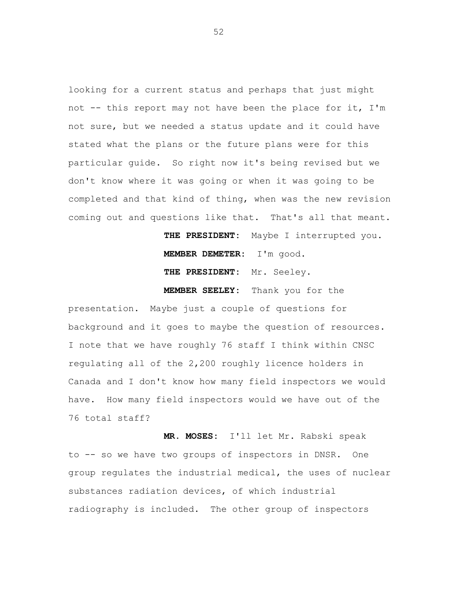looking for a current status and perhaps that just might not -- this report may not have been the place for it, I'm not sure, but we needed a status update and it could have stated what the plans or the future plans were for this particular guide. So right now it's being revised but we don't know where it was going or when it was going to be completed and that kind of thing, when was the new revision coming out and questions like that. That's all that meant.

> **THE PRESIDENT:** Maybe I interrupted you. **MEMBER DEMETER:** I'm good.

**THE PRESIDENT:** Mr. Seeley.

**MEMBER SEELEY:** Thank you for the presentation. Maybe just a couple of questions for background and it goes to maybe the question of resources. I note that we have roughly 76 staff I think within CNSC regulating all of the 2,200 roughly licence holders in Canada and I don't know how many field inspectors we would have. How many field inspectors would we have out of the 76 total staff?

 **MR. MOSES:** I'll let Mr. Rabski speak to -- so we have two groups of inspectors in DNSR. One group regulates the industrial medical, the uses of nuclear substances radiation devices, of which industrial radiography is included. The other group of inspectors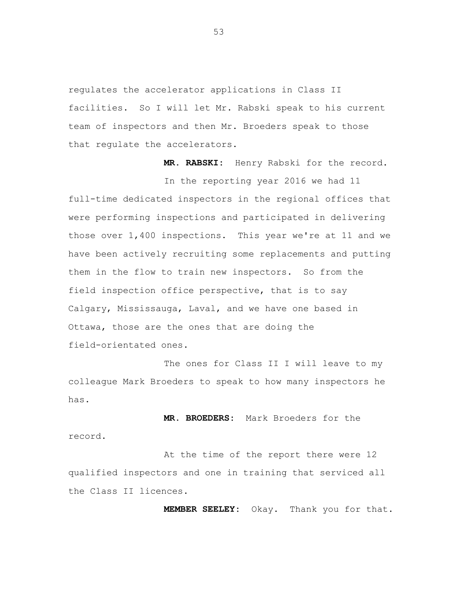regulates the accelerator applications in Class II facilities. So I will let Mr. Rabski speak to his current team of inspectors and then Mr. Broeders speak to those that regulate the accelerators.

**MR. RABSKI:** Henry Rabski for the record.

In the reporting year 2016 we had 11 full-time dedicated inspectors in the regional offices that were performing inspections and participated in delivering those over 1,400 inspections. This year we're at 11 and we have been actively recruiting some replacements and putting them in the flow to train new inspectors. So from the field inspection office perspective, that is to say Calgary, Mississauga, Laval, and we have one based in Ottawa, those are the ones that are doing the field-orientated ones.

The ones for Class II I will leave to my colleague Mark Broeders to speak to how many inspectors he has.

**MR. BROEDERS:** Mark Broeders for the record.

At the time of the report there were 12 qualified inspectors and one in training that serviced all the Class II licences.

**MEMBER SEELEY:** Okay. Thank you for that.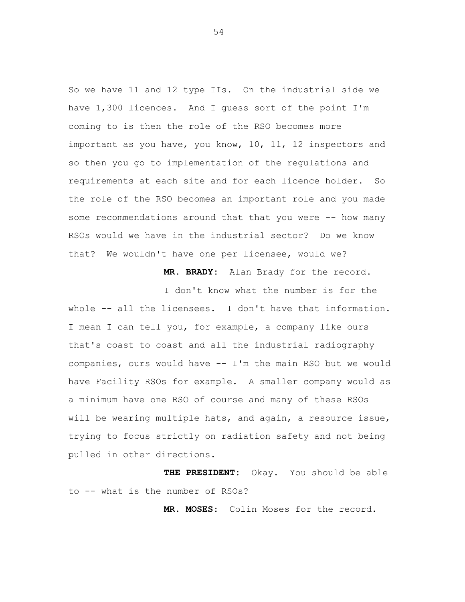So we have 11 and 12 type IIs. On the industrial side we have 1,300 licences. And I guess sort of the point I'm coming to is then the role of the RSO becomes more important as you have, you know, 10, 11, 12 inspectors and so then you go to implementation of the regulations and requirements at each site and for each licence holder. So the role of the RSO becomes an important role and you made some recommendations around that that you were -- how many RSOs would we have in the industrial sector? Do we know that? We wouldn't have one per licensee, would we?

**MR. BRADY:** Alan Brady for the record.

I don't know what the number is for the whole -- all the licensees. I don't have that information. I mean I can tell you, for example, a company like ours that's coast to coast and all the industrial radiography companies, ours would have -- I'm the main RSO but we would have Facility RSOs for example. A smaller company would as a minimum have one RSO of course and many of these RSOs will be wearing multiple hats, and again, a resource issue, trying to focus strictly on radiation safety and not being pulled in other directions.

**THE PRESIDENT:** Okay. You should be able to -- what is the number of RSOs?

**MR. MOSES:** Colin Moses for the record.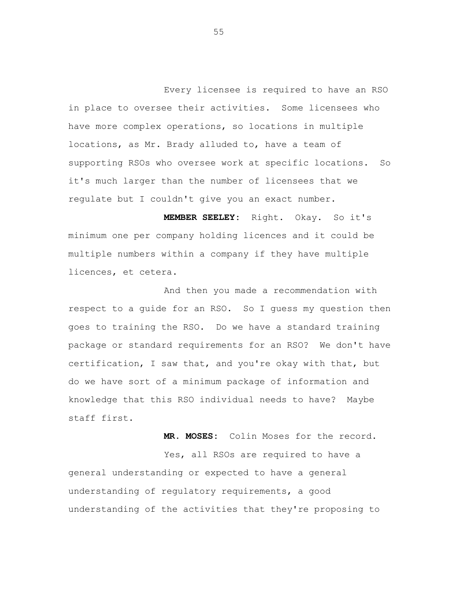Every licensee is required to have an RSO in place to oversee their activities. Some licensees who have more complex operations, so locations in multiple locations, as Mr. Brady alluded to, have a team of supporting RSOs who oversee work at specific locations. So it's much larger than the number of licensees that we regulate but I couldn't give you an exact number.

 **MEMBER SEELEY:** Right. Okay. So it's minimum one per company holding licences and it could be multiple numbers within a company if they have multiple licences, et cetera.

And then you made a recommendation with respect to a guide for an RSO. So I guess my question then goes to training the RSO. Do we have a standard training package or standard requirements for an RSO? We don't have certification, I saw that, and you're okay with that, but do we have sort of a minimum package of information and knowledge that this RSO individual needs to have? Maybe staff first.

**MR. MOSES:** Colin Moses for the record.

Yes, all RSOs are required to have a general understanding or expected to have a general understanding of regulatory requirements, a good understanding of the activities that they're proposing to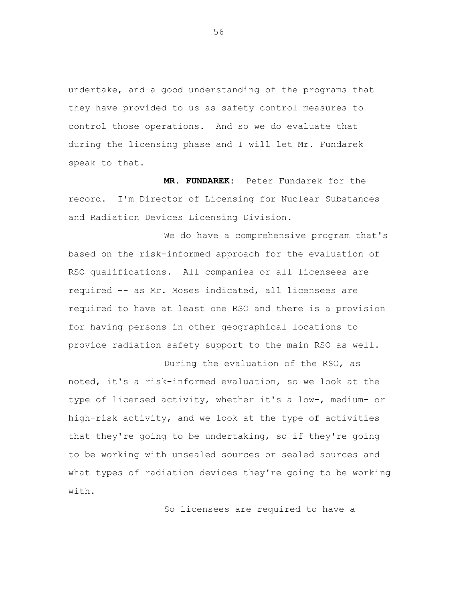undertake, and a good understanding of the programs that they have provided to us as safety control measures to control those operations. And so we do evaluate that during the licensing phase and I will let Mr. Fundarek speak to that.

**MR. FUNDAREK:** Peter Fundarek for the record. I'm Director of Licensing for Nuclear Substances and Radiation Devices Licensing Division.

We do have a comprehensive program that's based on the risk-informed approach for the evaluation of RSO qualifications. All companies or all licensees are required -- as Mr. Moses indicated, all licensees are required to have at least one RSO and there is a provision for having persons in other geographical locations to provide radiation safety support to the main RSO as well.

During the evaluation of the RSO, as noted, it's a risk-informed evaluation, so we look at the type of licensed activity, whether it's a low-, medium- or high-risk activity, and we look at the type of activities that they're going to be undertaking, so if they're going to be working with unsealed sources or sealed sources and what types of radiation devices they're going to be working with.

So licensees are required to have a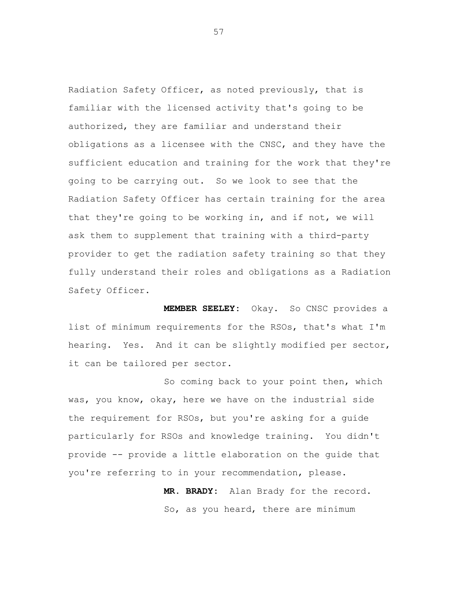Radiation Safety Officer, as noted previously, that is familiar with the licensed activity that's going to be authorized, they are familiar and understand their obligations as a licensee with the CNSC, and they have the sufficient education and training for the work that they're going to be carrying out. So we look to see that the Radiation Safety Officer has certain training for the area that they're going to be working in, and if not, we will ask them to supplement that training with a third-party provider to get the radiation safety training so that they fully understand their roles and obligations as a Radiation Safety Officer.

 **MEMBER SEELEY:** Okay. So CNSC provides a list of minimum requirements for the RSOs, that's what I'm hearing. Yes. And it can be slightly modified per sector, it can be tailored per sector.

So coming back to your point then, which was, you know, okay, here we have on the industrial side the requirement for RSOs, but you're asking for a guide particularly for RSOs and knowledge training. You didn't provide -- provide a little elaboration on the guide that you're referring to in your recommendation, please.

> **MR. BRADY:** Alan Brady for the record. So, as you heard, there are minimum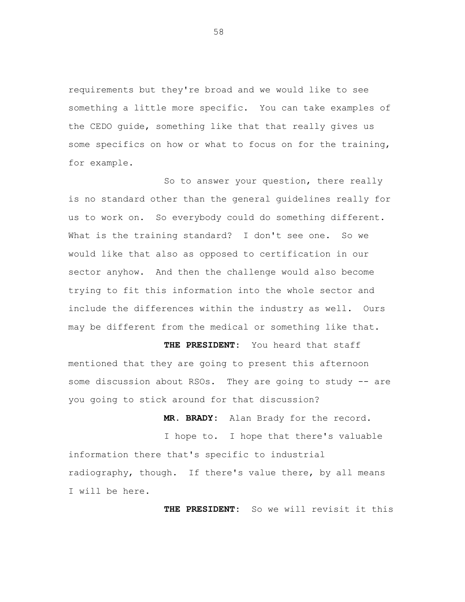requirements but they're broad and we would like to see something a little more specific. You can take examples of the CEDO guide, something like that that really gives us some specifics on how or what to focus on for the training, for example.

So to answer your question, there really is no standard other than the general guidelines really for us to work on. So everybody could do something different. What is the training standard? I don't see one. So we would like that also as opposed to certification in our sector anyhow. And then the challenge would also become trying to fit this information into the whole sector and include the differences within the industry as well. Ours may be different from the medical or something like that.

**THE PRESIDENT:** You heard that staff mentioned that they are going to present this afternoon some discussion about RSOs. They are going to study -- are you going to stick around for that discussion?

**MR. BRADY:** Alan Brady for the record. I hope to. I hope that there's valuable information there that's specific to industrial radiography, though. If there's value there, by all means I will be here.

**THE PRESIDENT:** So we will revisit it this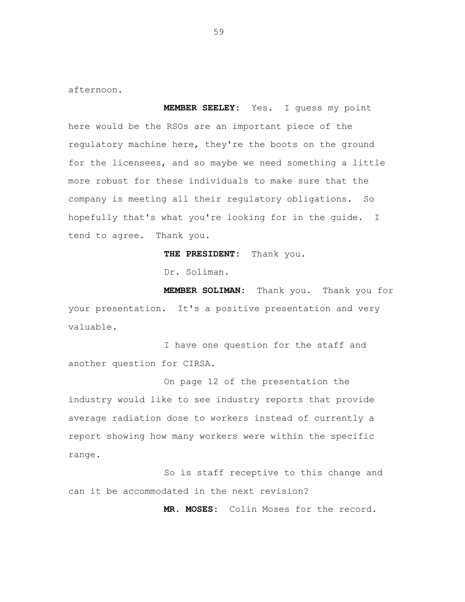afternoon.

**MEMBER SEELEY:** Yes. I guess my point here would be the RSOs are an important piece of the regulatory machine here, they're the boots on the ground for the licensees, and so maybe we need something a little more robust for these individuals to make sure that the company is meeting all their regulatory obligations. So hopefully that's what you're looking for in the guide. I tend to agree. Thank you.

**THE PRESIDENT:** Thank you.

Dr. Soliman.

 **MEMBER SOLIMAN:** Thank you. Thank you for your presentation. It's a positive presentation and very valuable.

I have one question for the staff and another question for CIRSA.

On page 12 of the presentation the industry would like to see industry reports that provide average radiation dose to workers instead of currently a report showing how many workers were within the specific range.

So is staff receptive to this change and can it be accommodated in the next revision?

**MR. MOSES:** Colin Moses for the record.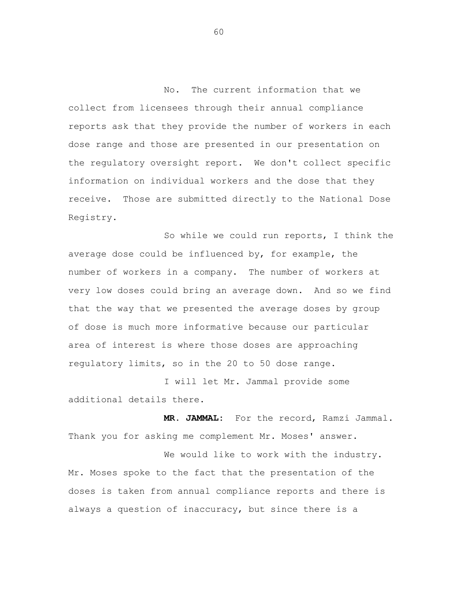No. The current information that we collect from licensees through their annual compliance reports ask that they provide the number of workers in each dose range and those are presented in our presentation on the regulatory oversight report. We don't collect specific information on individual workers and the dose that they receive. Those are submitted directly to the National Dose Registry.

So while we could run reports, I think the average dose could be influenced by, for example, the number of workers in a company. The number of workers at very low doses could bring an average down. And so we find that the way that we presented the average doses by group of dose is much more informative because our particular area of interest is where those doses are approaching regulatory limits, so in the 20 to 50 dose range.

I will let Mr. Jammal provide some additional details there.

**MR. JAMMAL:** For the record, Ramzi Jammal. Thank you for asking me complement Mr. Moses' answer.

We would like to work with the industry. Mr. Moses spoke to the fact that the presentation of the doses is taken from annual compliance reports and there is always a question of inaccuracy, but since there is a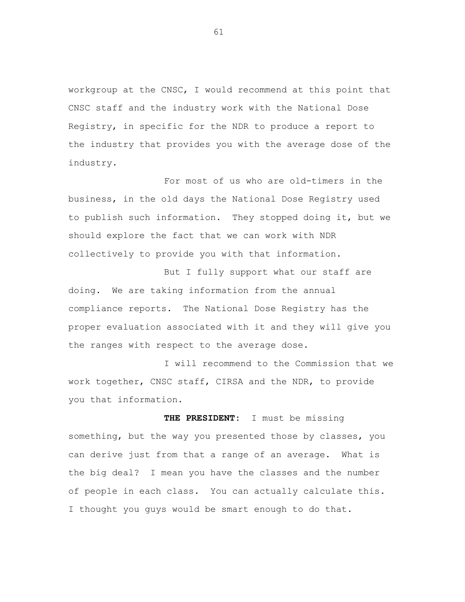workgroup at the CNSC, I would recommend at this point that CNSC staff and the industry work with the National Dose Registry, in specific for the NDR to produce a report to the industry that provides you with the average dose of the industry.

For most of us who are old-timers in the business, in the old days the National Dose Registry used to publish such information. They stopped doing it, but we should explore the fact that we can work with NDR collectively to provide you with that information.

But I fully support what our staff are doing. We are taking information from the annual compliance reports. The National Dose Registry has the proper evaluation associated with it and they will give you the ranges with respect to the average dose.

I will recommend to the Commission that we work together, CNSC staff, CIRSA and the NDR, to provide you that information.

 **THE PRESIDENT:** I must be missing something, but the way you presented those by classes, you can derive just from that a range of an average. What is the big deal? I mean you have the classes and the number of people in each class. You can actually calculate this. I thought you guys would be smart enough to do that.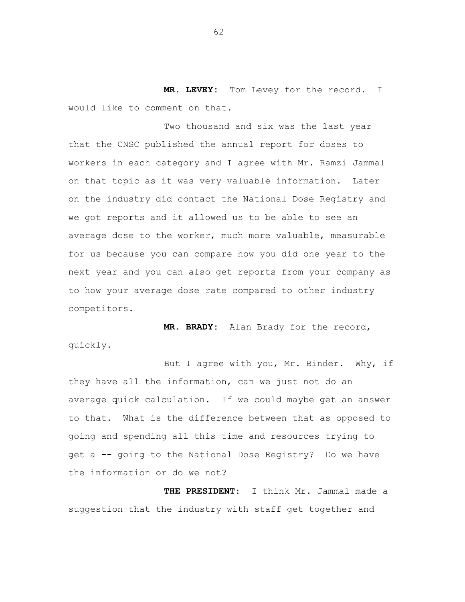**MR. LEVEY:** Tom Levey for the record. I would like to comment on that.

Two thousand and six was the last year that the CNSC published the annual report for doses to workers in each category and I agree with Mr. Ramzi Jammal on that topic as it was very valuable information. Later on the industry did contact the National Dose Registry and we got reports and it allowed us to be able to see an average dose to the worker, much more valuable, measurable for us because you can compare how you did one year to the next year and you can also get reports from your company as to how your average dose rate compared to other industry competitors.

**MR. BRADY:** Alan Brady for the record, quickly.

But I agree with you, Mr. Binder. Why, if they have all the information, can we just not do an average quick calculation. If we could maybe get an answer to that. What is the difference between that as opposed to going and spending all this time and resources trying to get a -- going to the National Dose Registry? Do we have the information or do we not?

**THE PRESIDENT:** I think Mr. Jammal made a suggestion that the industry with staff get together and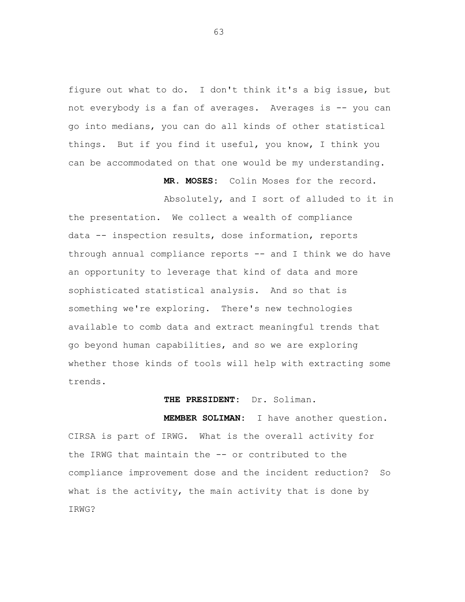figure out what to do. I don't think it's a big issue, but not everybody is a fan of averages. Averages is -- you can go into medians, you can do all kinds of other statistical things. But if you find it useful, you know, I think you can be accommodated on that one would be my understanding.

**MR. MOSES:** Colin Moses for the record.

Absolutely, and I sort of alluded to it in

the presentation. We collect a wealth of compliance data -- inspection results, dose information, reports through annual compliance reports -- and I think we do have an opportunity to leverage that kind of data and more sophisticated statistical analysis. And so that is something we're exploring. There's new technologies available to comb data and extract meaningful trends that go beyond human capabilities, and so we are exploring whether those kinds of tools will help with extracting some trends.

## **THE PRESIDENT:** Dr. Soliman.

**MEMBER SOLIMAN:** I have another question. CIRSA is part of IRWG. What is the overall activity for the IRWG that maintain the -- or contributed to the compliance improvement dose and the incident reduction? So what is the activity, the main activity that is done by IRWG?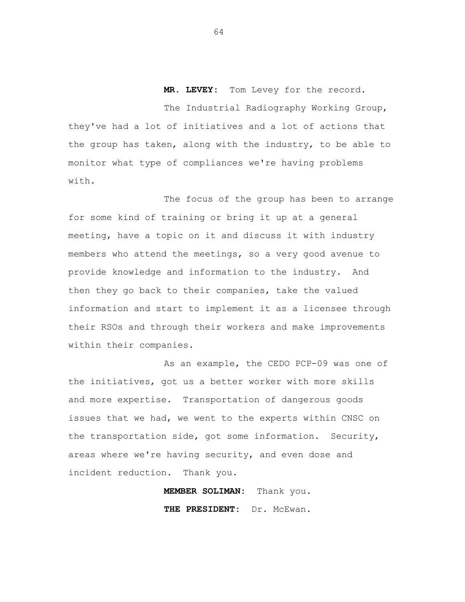**MR. LEVEY:** Tom Levey for the record. The Industrial Radiography Working Group, they've had a lot of initiatives and a lot of actions that the group has taken, along with the industry, to be able to monitor what type of compliances we're having problems with.

The focus of the group has been to arrange for some kind of training or bring it up at a general meeting, have a topic on it and discuss it with industry members who attend the meetings, so a very good avenue to provide knowledge and information to the industry. And then they go back to their companies, take the valued information and start to implement it as a licensee through their RSOs and through their workers and make improvements within their companies.

As an example, the CEDO PCP-09 was one of the initiatives, got us a better worker with more skills and more expertise. Transportation of dangerous goods issues that we had, we went to the experts within CNSC on the transportation side, got some information. Security, areas where we're having security, and even dose and incident reduction. Thank you.

> **MEMBER SOLIMAN:** Thank you. **THE PRESIDENT:** Dr. McEwan.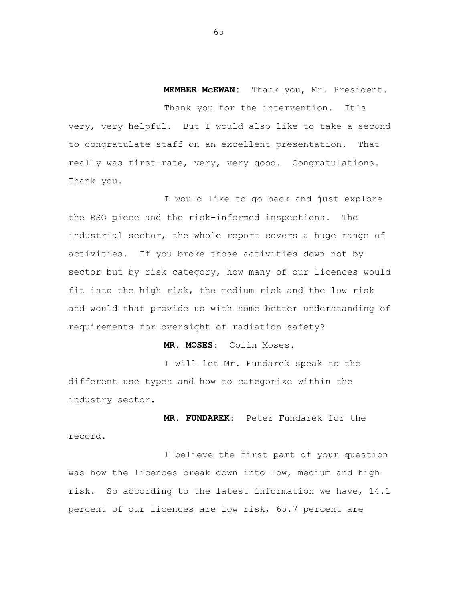**MEMBER McEWAN:** Thank you, Mr. President. Thank you for the intervention. It's very, very helpful. But I would also like to take a second to congratulate staff on an excellent presentation. That really was first-rate, very, very good. Congratulations. Thank you.

I would like to go back and just explore the RSO piece and the risk-informed inspections. The industrial sector, the whole report covers a huge range of activities. If you broke those activities down not by sector but by risk category, how many of our licences would fit into the high risk, the medium risk and the low risk and would that provide us with some better understanding of requirements for oversight of radiation safety?

**MR. MOSES:** Colin Moses.

I will let Mr. Fundarek speak to the different use types and how to categorize within the industry sector.

 **MR. FUNDAREK:** Peter Fundarek for the record.

I believe the first part of your question was how the licences break down into low, medium and high risk. So according to the latest information we have, 14.1 percent of our licences are low risk, 65.7 percent are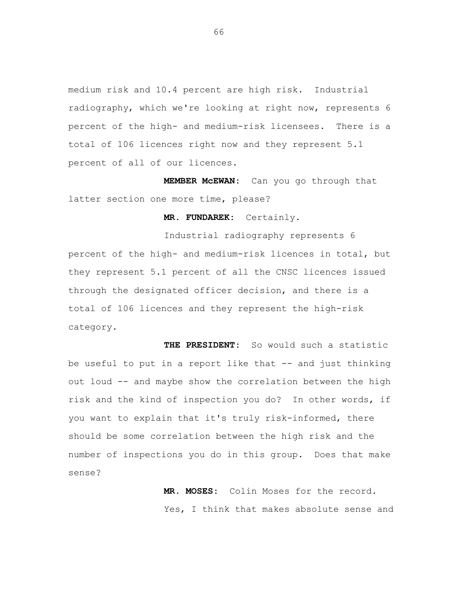medium risk and 10.4 percent are high risk. Industrial radiography, which we're looking at right now, represents 6 percent of the high- and medium-risk licensees. There is a total of 106 licences right now and they represent 5.1 percent of all of our licences.

**MEMBER McEWAN:** Can you go through that latter section one more time, please?

**MR. FUNDAREK:** Certainly.

Industrial radiography represents 6 percent of the high- and medium-risk licences in total, but they represent 5.1 percent of all the CNSC licences issued through the designated officer decision, and there is a total of 106 licences and they represent the high-risk category.

 **THE PRESIDENT:** So would such a statistic be useful to put in a report like that -- and just thinking out loud -- and maybe show the correlation between the high risk and the kind of inspection you do? In other words, if you want to explain that it's truly risk-informed, there should be some correlation between the high risk and the number of inspections you do in this group. Does that make sense?

> **MR. MOSES:** Colin Moses for the record. Yes, I think that makes absolute sense and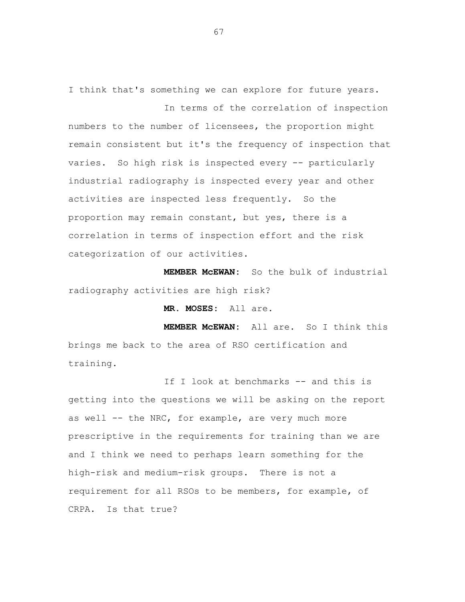I think that's something we can explore for future years. In terms of the correlation of inspection

numbers to the number of licensees, the proportion might remain consistent but it's the frequency of inspection that varies. So high risk is inspected every -- particularly industrial radiography is inspected every year and other activities are inspected less frequently. So the proportion may remain constant, but yes, there is a correlation in terms of inspection effort and the risk categorization of our activities.

**MEMBER McEWAN:** So the bulk of industrial radiography activities are high risk?

**MR. MOSES:** All are.

**MEMBER McEWAN:** All are. So I think this brings me back to the area of RSO certification and training.

If I look at benchmarks -- and this is getting into the questions we will be asking on the report as well -- the NRC, for example, are very much more prescriptive in the requirements for training than we are and I think we need to perhaps learn something for the high-risk and medium-risk groups. There is not a requirement for all RSOs to be members, for example, of CRPA. Is that true?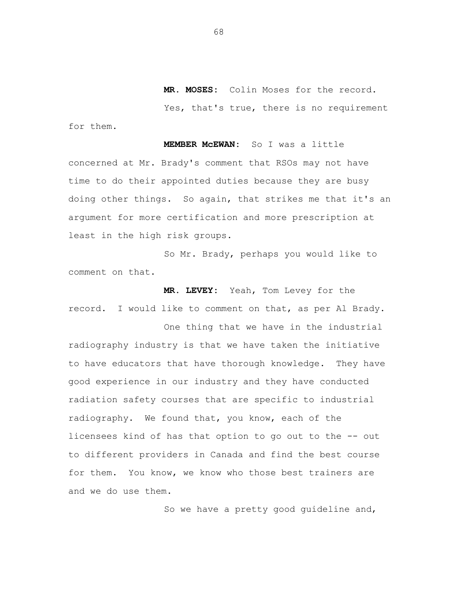**MR. MOSES:** Colin Moses for the record. Yes, that's true, there is no requirement

**MEMBER McEWAN:** So I was a little concerned at Mr. Brady's comment that RSOs may not have time to do their appointed duties because they are busy doing other things. So again, that strikes me that it's an argument for more certification and more prescription at least in the high risk groups.

So Mr. Brady, perhaps you would like to comment on that.

**MR. LEVEY:** Yeah, Tom Levey for the record. I would like to comment on that, as per Al Brady.

One thing that we have in the industrial radiography industry is that we have taken the initiative to have educators that have thorough knowledge. They have good experience in our industry and they have conducted radiation safety courses that are specific to industrial radiography. We found that, you know, each of the licensees kind of has that option to go out to the -- out to different providers in Canada and find the best course for them. You know, we know who those best trainers are and we do use them.

So we have a pretty good guideline and,

68

for them.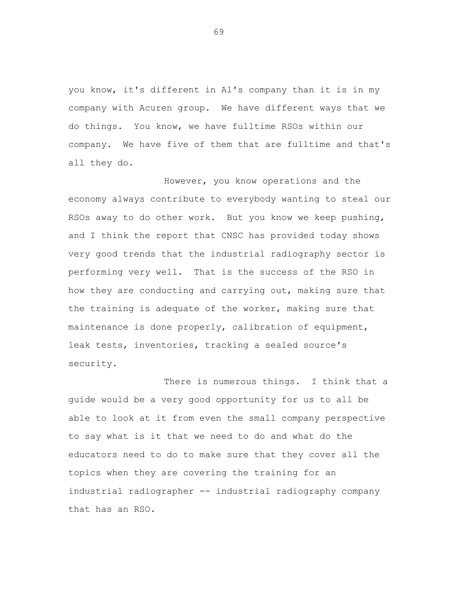you know, it's different in Al's company than it is in my company with Acuren group. We have different ways that we do things. You know, we have fulltime RSOs within our company. We have five of them that are fulltime and that's all they do.

However, you know operations and the economy always contribute to everybody wanting to steal our RSOs away to do other work. But you know we keep pushing, and I think the report that CNSC has provided today shows very good trends that the industrial radiography sector is performing very well. That is the success of the RSO in how they are conducting and carrying out, making sure that the training is adequate of the worker, making sure that maintenance is done properly, calibration of equipment, leak tests, inventories, tracking a sealed source's security.

There is numerous things. I think that a guide would be a very good opportunity for us to all be able to look at it from even the small company perspective to say what is it that we need to do and what do the educators need to do to make sure that they cover all the topics when they are covering the training for an industrial radiographer -- industrial radiography company that has an RSO.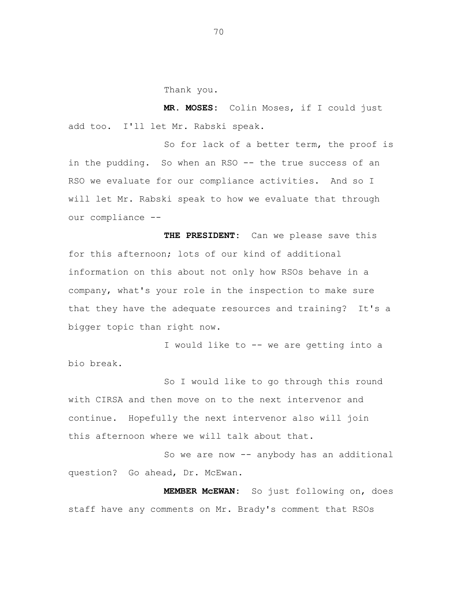Thank you.

**MR. MOSES:** Colin Moses, if I could just add too. I'll let Mr. Rabski speak.

So for lack of a better term, the proof is in the pudding. So when an RSO -- the true success of an RSO we evaluate for our compliance activities. And so I will let Mr. Rabski speak to how we evaluate that through our compliance --

**THE PRESIDENT:** Can we please save this for this afternoon; lots of our kind of additional information on this about not only how RSOs behave in a company, what's your role in the inspection to make sure that they have the adequate resources and training? It's a bigger topic than right now.

I would like to -- we are getting into a bio break.

So I would like to go through this round with CIRSA and then move on to the next intervenor and continue. Hopefully the next intervenor also will join this afternoon where we will talk about that.

So we are now -- anybody has an additional question? Go ahead, Dr. McEwan.

**MEMBER McEWAN:** So just following on, does staff have any comments on Mr. Brady's comment that RSOs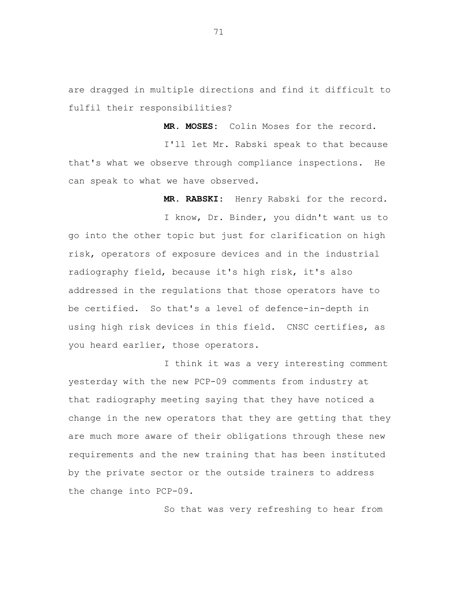are dragged in multiple directions and find it difficult to fulfil their responsibilities?

**MR. MOSES:** Colin Moses for the record.

I'll let Mr. Rabski speak to that because that's what we observe through compliance inspections. He can speak to what we have observed.

**MR. RABSKI:** Henry Rabski for the record.

I know, Dr. Binder, you didn't want us to go into the other topic but just for clarification on high risk, operators of exposure devices and in the industrial radiography field, because it's high risk, it's also addressed in the regulations that those operators have to be certified. So that's a level of defence-in-depth in using high risk devices in this field. CNSC certifies, as you heard earlier, those operators.

I think it was a very interesting comment yesterday with the new PCP-09 comments from industry at that radiography meeting saying that they have noticed a change in the new operators that they are getting that they are much more aware of their obligations through these new requirements and the new training that has been instituted by the private sector or the outside trainers to address the change into PCP-09.

So that was very refreshing to hear from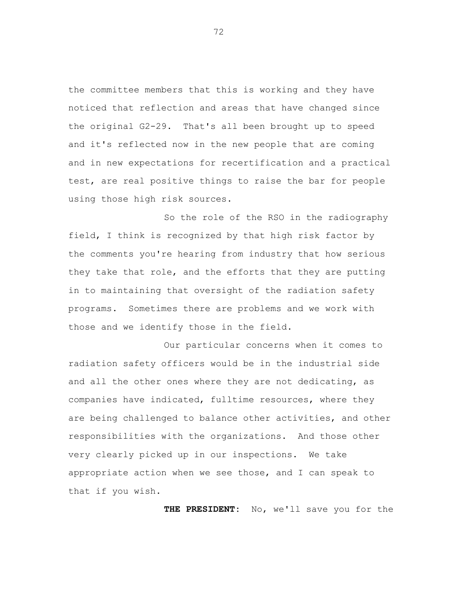the committee members that this is working and they have noticed that reflection and areas that have changed since the original G2-29. That's all been brought up to speed and it's reflected now in the new people that are coming and in new expectations for recertification and a practical test, are real positive things to raise the bar for people using those high risk sources.

So the role of the RSO in the radiography field, I think is recognized by that high risk factor by the comments you're hearing from industry that how serious they take that role, and the efforts that they are putting in to maintaining that oversight of the radiation safety programs. Sometimes there are problems and we work with those and we identify those in the field.

Our particular concerns when it comes to radiation safety officers would be in the industrial side and all the other ones where they are not dedicating, as companies have indicated, fulltime resources, where they are being challenged to balance other activities, and other responsibilities with the organizations. And those other very clearly picked up in our inspections. We take appropriate action when we see those, and I can speak to that if you wish.

**THE PRESIDENT:** No, we'll save you for the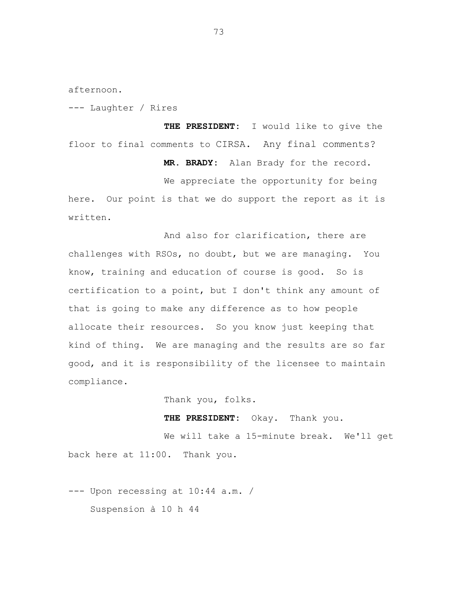afternoon.

--- Laughter / Rires

**THE PRESIDENT:** I would like to give the floor to final comments to CIRSA. Any final comments?

**MR. BRADY:** Alan Brady for the record.

We appreciate the opportunity for being here. Our point is that we do support the report as it is written.

And also for clarification, there are challenges with RSOs, no doubt, but we are managing. You know, training and education of course is good. So is certification to a point, but I don't think any amount of that is going to make any difference as to how people allocate their resources. So you know just keeping that kind of thing. We are managing and the results are so far good, and it is responsibility of the licensee to maintain compliance.

Thank you, folks.

**THE PRESIDENT:** Okay. Thank you.

We will take a 15-minute break. We'll get back here at 11:00. Thank you.

--- Upon recessing at 10:44 a.m. / Suspension à 10 h 44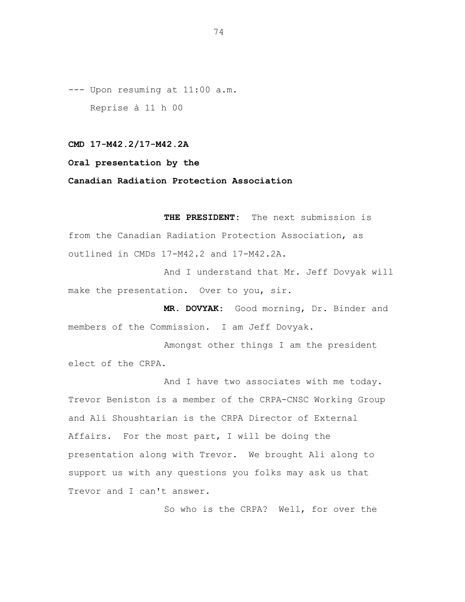--- Upon resuming at 11:00 a.m. Reprise à 11 h 00

### **CMD 17-M42.2/17-M42.2A**

## **Oral presentation by the**

### **Canadian Radiation Protection Association**

**THE PRESIDENT:** The next submission is from the Canadian Radiation Protection Association, as outlined in CMDs 17-M42.2 and 17-M42.2A.

And I understand that Mr. Jeff Dovyak will make the presentation. Over to you, sir.

**MR. DOVYAK:** Good morning, Dr. Binder and members of the Commission. I am Jeff Dovyak.

Amongst other things I am the president elect of the CRPA.

And I have two associates with me today. Trevor Beniston is a member of the CRPA-CNSC Working Group and Ali Shoushtarian is the CRPA Director of External Affairs. For the most part, I will be doing the presentation along with Trevor. We brought Ali along to support us with any questions you folks may ask us that Trevor and I can't answer.

So who is the CRPA? Well, for over the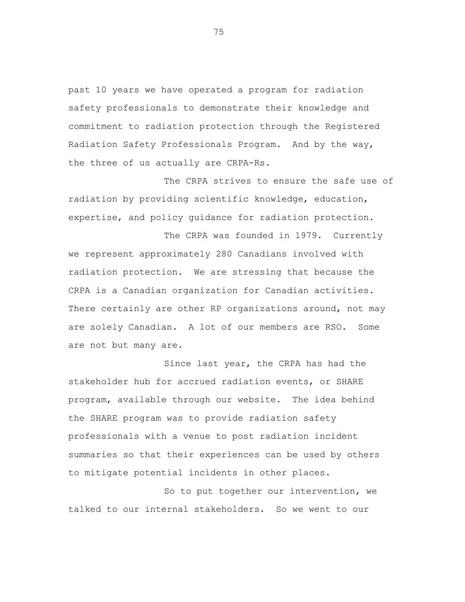past 10 years we have operated a program for radiation safety professionals to demonstrate their knowledge and commitment to radiation protection through the Registered Radiation Safety Professionals Program. And by the way, the three of us actually are CRPA-Rs.

The CRPA strives to ensure the safe use of radiation by providing scientific knowledge, education, expertise, and policy guidance for radiation protection.

The CRPA was founded in 1979. Currently we represent approximately 280 Canadians involved with radiation protection. We are stressing that because the CRPA is a Canadian organization for Canadian activities. There certainly are other RP organizations around, not may are solely Canadian. A lot of our members are RSO. Some are not but many are.

Since last year, the CRPA has had the stakeholder hub for accrued radiation events, or SHARE program, available through our website. The idea behind the SHARE program was to provide radiation safety professionals with a venue to post radiation incident summaries so that their experiences can be used by others to mitigate potential incidents in other places.

So to put together our intervention, we talked to our internal stakeholders. So we went to our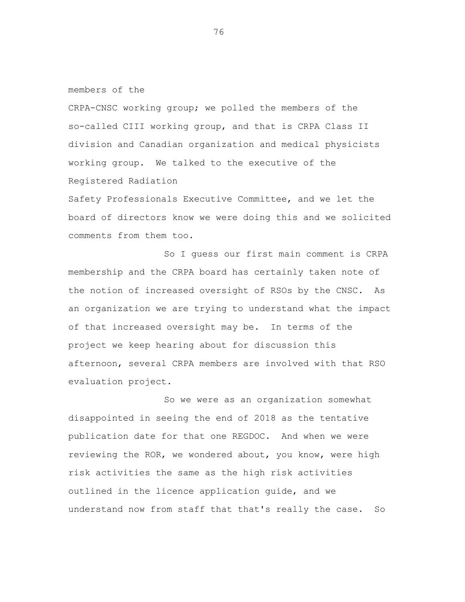members of the

CRPA-CNSC working group; we polled the members of the so-called CIII working group, and that is CRPA Class II division and Canadian organization and medical physicists working group. We talked to the executive of the Registered Radiation

Safety Professionals Executive Committee, and we let the board of directors know we were doing this and we solicited comments from them too.

So I guess our first main comment is CRPA membership and the CRPA board has certainly taken note of the notion of increased oversight of RSOs by the CNSC. As an organization we are trying to understand what the impact of that increased oversight may be. In terms of the project we keep hearing about for discussion this afternoon, several CRPA members are involved with that RSO evaluation project.

So we were as an organization somewhat disappointed in seeing the end of 2018 as the tentative publication date for that one REGDOC. And when we were reviewing the ROR, we wondered about, you know, were high risk activities the same as the high risk activities outlined in the licence application guide, and we understand now from staff that that's really the case. So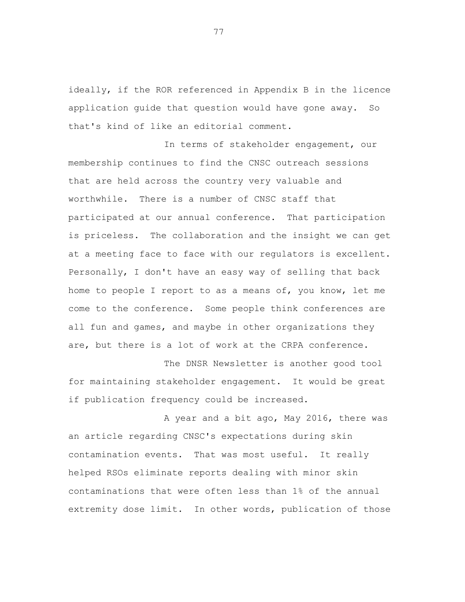ideally, if the ROR referenced in Appendix B in the licence application guide that question would have gone away. So that's kind of like an editorial comment.

In terms of stakeholder engagement, our membership continues to find the CNSC outreach sessions that are held across the country very valuable and worthwhile. There is a number of CNSC staff that participated at our annual conference. That participation is priceless. The collaboration and the insight we can get at a meeting face to face with our regulators is excellent. Personally, I don't have an easy way of selling that back home to people I report to as a means of, you know, let me come to the conference. Some people think conferences are all fun and games, and maybe in other organizations they are, but there is a lot of work at the CRPA conference.

The DNSR Newsletter is another good tool for maintaining stakeholder engagement. It would be great if publication frequency could be increased.

A year and a bit ago, May 2016, there was an article regarding CNSC's expectations during skin contamination events. That was most useful. It really helped RSOs eliminate reports dealing with minor skin contaminations that were often less than 1% of the annual extremity dose limit. In other words, publication of those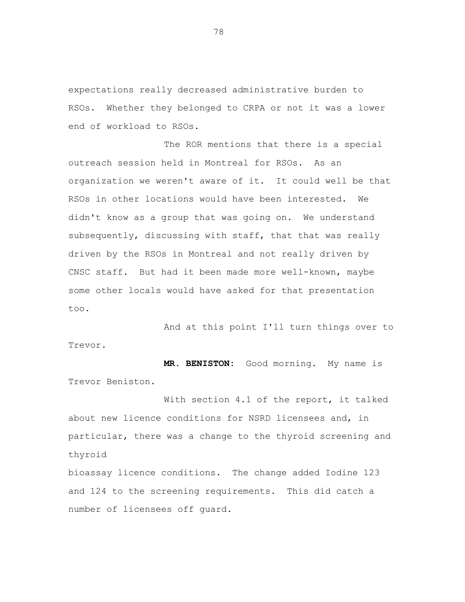expectations really decreased administrative burden to RSOs. Whether they belonged to CRPA or not it was a lower end of workload to RSOs.

The ROR mentions that there is a special outreach session held in Montreal for RSOs. As an organization we weren't aware of it. It could well be that RSOs in other locations would have been interested. We didn't know as a group that was going on. We understand subsequently, discussing with staff, that that was really driven by the RSOs in Montreal and not really driven by CNSC staff. But had it been made more well-known, maybe some other locals would have asked for that presentation too.

And at this point I'll turn things over to Trevor.

**MR. BENISTON:** Good morning. My name is Trevor Beniston.

With section 4.1 of the report, it talked about new licence conditions for NSRD licensees and, in particular, there was a change to the thyroid screening and thyroid

bioassay licence conditions. The change added Iodine 123 and 124 to the screening requirements. This did catch a number of licensees off guard.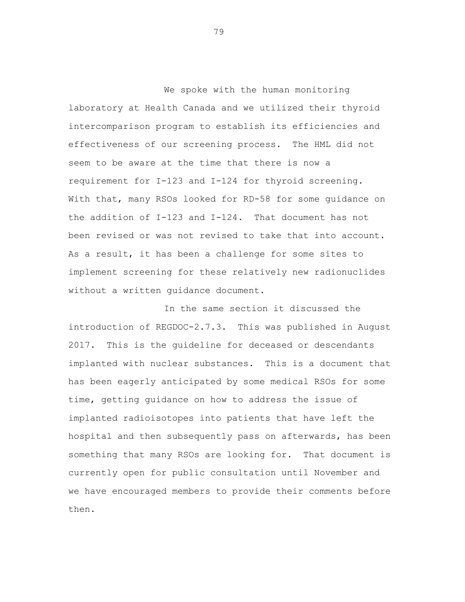We spoke with the human monitoring laboratory at Health Canada and we utilized their thyroid intercomparison program to establish its efficiencies and effectiveness of our screening process. The HML did not seem to be aware at the time that there is now a requirement for I-123 and I-124 for thyroid screening. With that, many RSOs looked for RD-58 for some guidance on the addition of I-123 and I-124. That document has not been revised or was not revised to take that into account. As a result, it has been a challenge for some sites to implement screening for these relatively new radionuclides without a written guidance document.

In the same section it discussed the introduction of REGDOC-2.7.3. This was published in August 2017. This is the guideline for deceased or descendants implanted with nuclear substances. This is a document that has been eagerly anticipated by some medical RSOs for some time, getting guidance on how to address the issue of implanted radioisotopes into patients that have left the hospital and then subsequently pass on afterwards, has been something that many RSOs are looking for. That document is currently open for public consultation until November and we have encouraged members to provide their comments before then.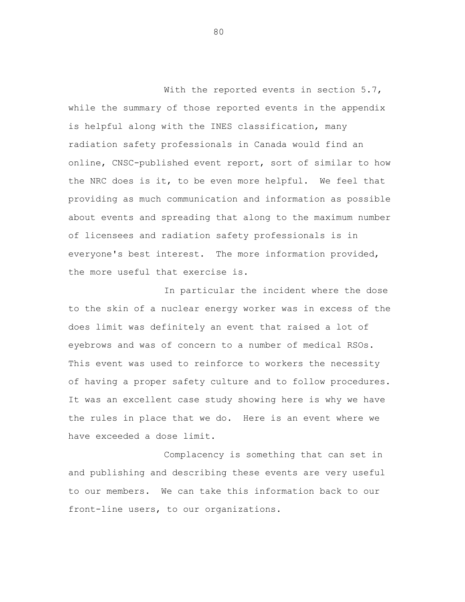With the reported events in section 5.7, while the summary of those reported events in the appendix is helpful along with the INES classification, many radiation safety professionals in Canada would find an online, CNSC-published event report, sort of similar to how the NRC does is it, to be even more helpful. We feel that providing as much communication and information as possible about events and spreading that along to the maximum number of licensees and radiation safety professionals is in everyone's best interest. The more information provided, the more useful that exercise is.

In particular the incident where the dose to the skin of a nuclear energy worker was in excess of the does limit was definitely an event that raised a lot of eyebrows and was of concern to a number of medical RSOs. This event was used to reinforce to workers the necessity of having a proper safety culture and to follow procedures. It was an excellent case study showing here is why we have the rules in place that we do. Here is an event where we have exceeded a dose limit.

Complacency is something that can set in and publishing and describing these events are very useful to our members. We can take this information back to our front-line users, to our organizations.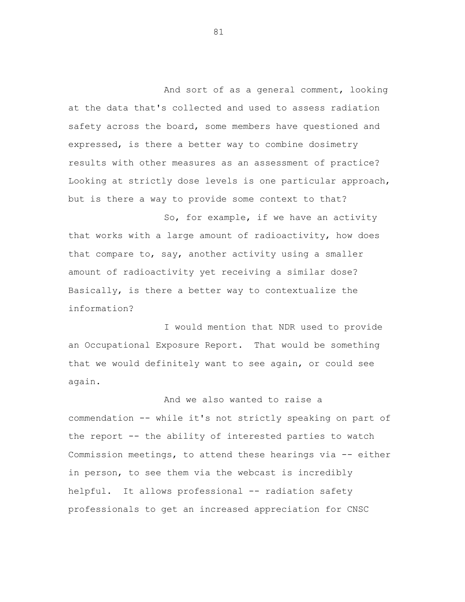And sort of as a general comment, looking at the data that's collected and used to assess radiation safety across the board, some members have questioned and expressed, is there a better way to combine dosimetry results with other measures as an assessment of practice? Looking at strictly dose levels is one particular approach, but is there a way to provide some context to that?

So, for example, if we have an activity that works with a large amount of radioactivity, how does that compare to, say, another activity using a smaller amount of radioactivity yet receiving a similar dose? Basically, is there a better way to contextualize the information?

I would mention that NDR used to provide an Occupational Exposure Report. That would be something that we would definitely want to see again, or could see again.

And we also wanted to raise a commendation -- while it's not strictly speaking on part of the report -- the ability of interested parties to watch Commission meetings, to attend these hearings via -- either in person, to see them via the webcast is incredibly helpful. It allows professional -- radiation safety professionals to get an increased appreciation for CNSC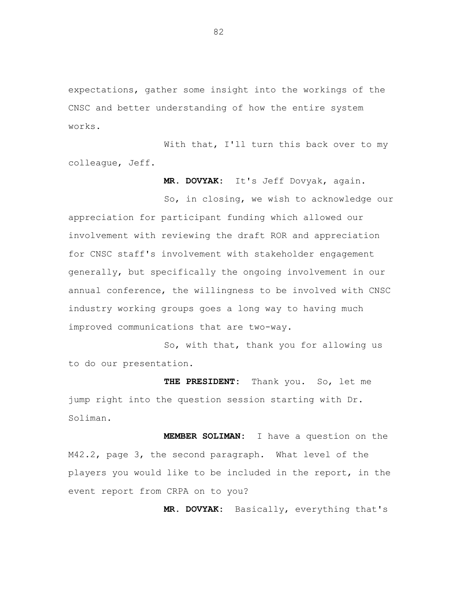expectations, gather some insight into the workings of the CNSC and better understanding of how the entire system works.

With that, I'll turn this back over to my colleague, Jeff.

**MR. DOVYAK:** It's Jeff Dovyak, again.

So, in closing, we wish to acknowledge our appreciation for participant funding which allowed our involvement with reviewing the draft ROR and appreciation for CNSC staff's involvement with stakeholder engagement generally, but specifically the ongoing involvement in our annual conference, the willingness to be involved with CNSC industry working groups goes a long way to having much improved communications that are two-way.

So, with that, thank you for allowing us to do our presentation.

**THE PRESIDENT:** Thank you. So, let me jump right into the question session starting with Dr. Soliman.

**MEMBER SOLIMAN:** I have a question on the M42.2, page 3, the second paragraph. What level of the players you would like to be included in the report, in the event report from CRPA on to you?

**MR. DOVYAK:** Basically, everything that's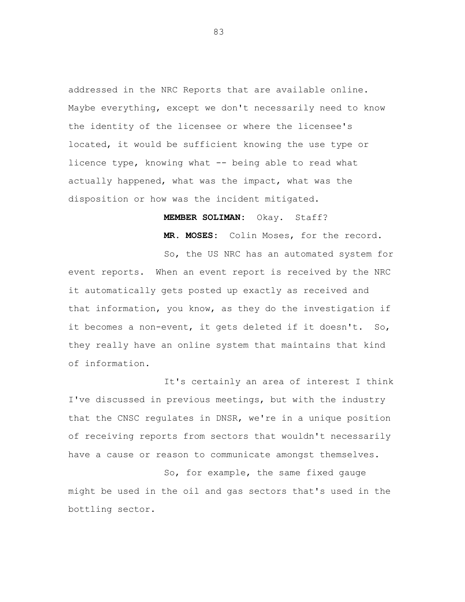addressed in the NRC Reports that are available online. Maybe everything, except we don't necessarily need to know the identity of the licensee or where the licensee's located, it would be sufficient knowing the use type or licence type, knowing what -- being able to read what actually happened, what was the impact, what was the disposition or how was the incident mitigated.

### **MEMBER SOLIMAN:** Okay. Staff?

**MR. MOSES:** Colin Moses, for the record.

So, the US NRC has an automated system for event reports. When an event report is received by the NRC it automatically gets posted up exactly as received and that information, you know, as they do the investigation if it becomes a non-event, it gets deleted if it doesn't. So, they really have an online system that maintains that kind of information.

It's certainly an area of interest I think I've discussed in previous meetings, but with the industry that the CNSC regulates in DNSR, we're in a unique position of receiving reports from sectors that wouldn't necessarily have a cause or reason to communicate amongst themselves.

So, for example, the same fixed gauge might be used in the oil and gas sectors that's used in the bottling sector.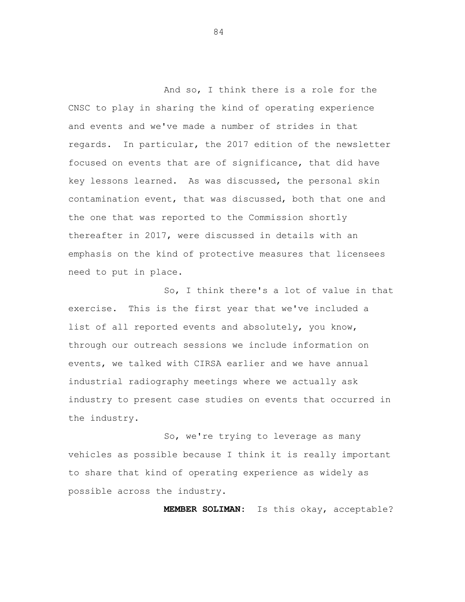And so, I think there is a role for the CNSC to play in sharing the kind of operating experience and events and we've made a number of strides in that regards. In particular, the 2017 edition of the newsletter focused on events that are of significance, that did have key lessons learned. As was discussed, the personal skin contamination event, that was discussed, both that one and the one that was reported to the Commission shortly thereafter in 2017, were discussed in details with an emphasis on the kind of protective measures that licensees need to put in place.

So, I think there's a lot of value in that exercise. This is the first year that we've included a list of all reported events and absolutely, you know, through our outreach sessions we include information on events, we talked with CIRSA earlier and we have annual industrial radiography meetings where we actually ask industry to present case studies on events that occurred in the industry.

So, we're trying to leverage as many vehicles as possible because I think it is really important to share that kind of operating experience as widely as possible across the industry.

**MEMBER SOLIMAN:** Is this okay, acceptable?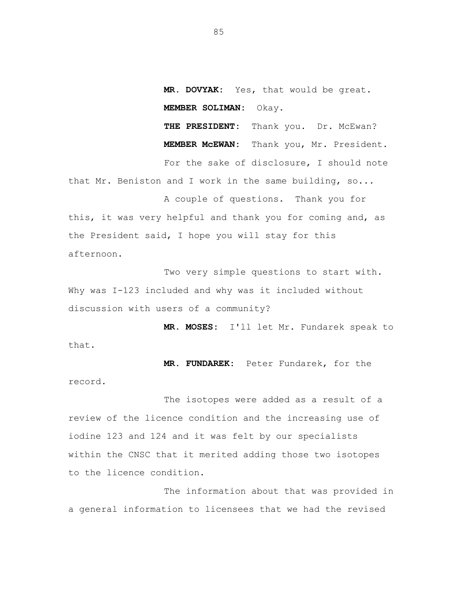**MR. DOVYAK:** Yes, that would be great. **MEMBER SOLIMAN:** Okay.

THE PRESIDENT: Thank you. Dr. McEwan? **MEMBER McEWAN:** Thank you, Mr. President. For the sake of disclosure, I should note that Mr. Beniston and I work in the same building, so...

A couple of questions. Thank you for this, it was very helpful and thank you for coming and, as the President said, I hope you will stay for this afternoon.

Two very simple questions to start with. Why was I-123 included and why was it included without discussion with users of a community?

**MR. MOSES:** I'll let Mr. Fundarek speak to that.

**MR. FUNDAREK:** Peter Fundarek, for the

The isotopes were added as a result of a review of the licence condition and the increasing use of iodine 123 and 124 and it was felt by our specialists within the CNSC that it merited adding those two isotopes to the licence condition.

record.

The information about that was provided in a general information to licensees that we had the revised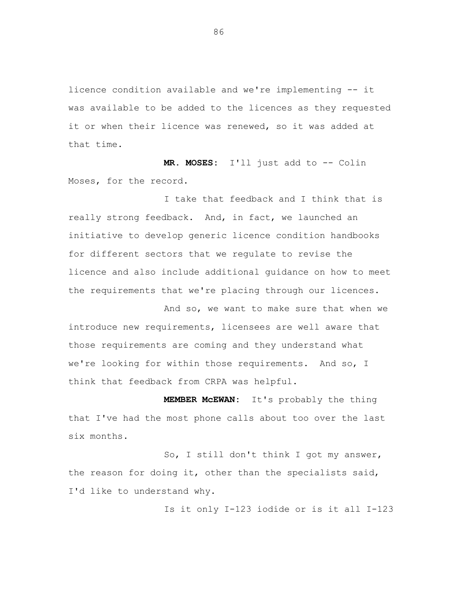licence condition available and we're implementing -- it was available to be added to the licences as they requested it or when their licence was renewed, so it was added at that time.

**MR. MOSES:** I'll just add to -- Colin Moses, for the record.

I take that feedback and I think that is really strong feedback. And, in fact, we launched an initiative to develop generic licence condition handbooks for different sectors that we regulate to revise the licence and also include additional guidance on how to meet the requirements that we're placing through our licences.

And so, we want to make sure that when we introduce new requirements, licensees are well aware that those requirements are coming and they understand what we're looking for within those requirements. And so, I think that feedback from CRPA was helpful.

**MEMBER McEWAN:** It's probably the thing that I've had the most phone calls about too over the last six months.

So, I still don't think I got my answer, the reason for doing it, other than the specialists said, I'd like to understand why.

Is it only I-123 iodide or is it all I-123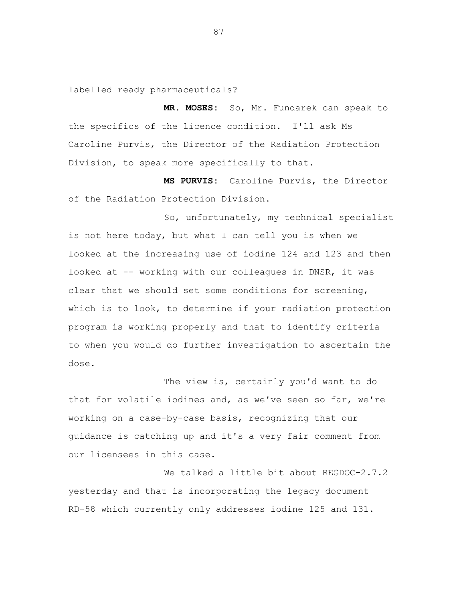labelled ready pharmaceuticals?

**MR. MOSES:** So, Mr. Fundarek can speak to the specifics of the licence condition. I'll ask Ms Caroline Purvis, the Director of the Radiation Protection Division, to speak more specifically to that.

**MS PURVIS:** Caroline Purvis, the Director of the Radiation Protection Division.

So, unfortunately, my technical specialist is not here today, but what I can tell you is when we looked at the increasing use of iodine 124 and 123 and then looked at -- working with our colleagues in DNSR, it was clear that we should set some conditions for screening, which is to look, to determine if your radiation protection program is working properly and that to identify criteria to when you would do further investigation to ascertain the dose.

The view is, certainly you'd want to do that for volatile iodines and, as we've seen so far, we're working on a case-by-case basis, recognizing that our guidance is catching up and it's a very fair comment from our licensees in this case.

We talked a little bit about REGDOC-2.7.2 yesterday and that is incorporating the legacy document RD-58 which currently only addresses iodine 125 and 131.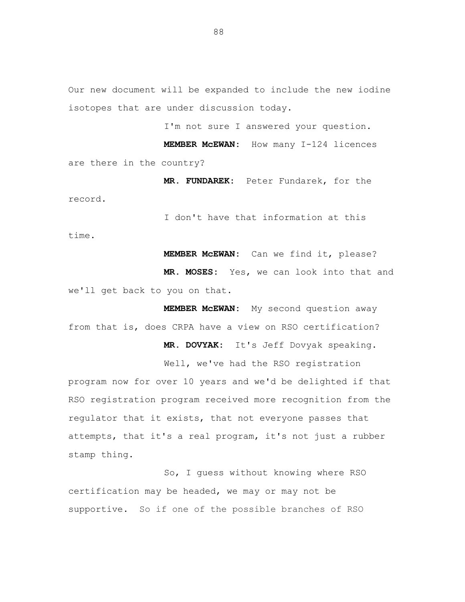Our new document will be expanded to include the new iodine isotopes that are under discussion today.

I'm not sure I answered your question.

**MEMBER McEWAN:** How many I-124 licences are there in the country?

**MR. FUNDAREK:** Peter Fundarek, for the record.

I don't have that information at this

time.

**MEMBER McEWAN:** Can we find it, please?

**MR. MOSES:** Yes, we can look into that and we'll get back to you on that.

**MEMBER McEWAN:** My second question away from that is, does CRPA have a view on RSO certification?

**MR. DOVYAK:** It's Jeff Dovyak speaking.

Well, we've had the RSO registration program now for over 10 years and we'd be delighted if that RSO registration program received more recognition from the regulator that it exists, that not everyone passes that attempts, that it's a real program, it's not just a rubber stamp thing.

So, I guess without knowing where RSO certification may be headed, we may or may not be supportive. So if one of the possible branches of RSO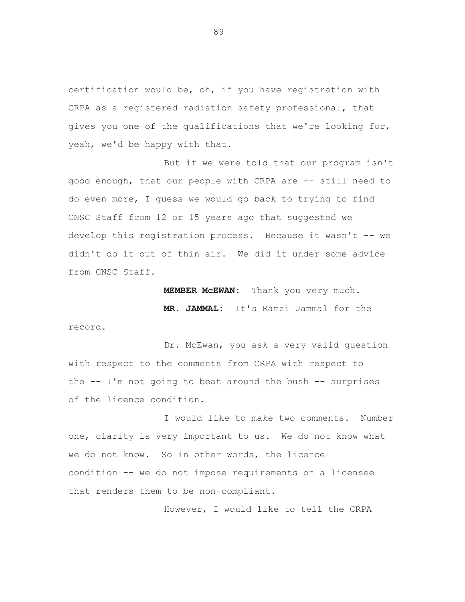certification would be, oh, if you have registration with CRPA as a registered radiation safety professional, that gives you one of the qualifications that we're looking for, yeah, we'd be happy with that.

But if we were told that our program isn't good enough, that our people with CRPA are -- still need to do even more, I guess we would go back to trying to find CNSC Staff from 12 or 15 years ago that suggested we develop this registration process. Because it wasn't -- we didn't do it out of thin air. We did it under some advice from CNSC Staff.

**MEMBER McEWAN:** Thank you very much.

**MR. JAMMAL:** It's Ramzi Jammal for the

record.

Dr. McEwan, you ask a very valid question with respect to the comments from CRPA with respect to the  $--$  I'm not going to beat around the bush  $--$  surprises of the licence condition.

I would like to make two comments. Number one, clarity is very important to us. We do not know what we do not know. So in other words, the licence condition -- we do not impose requirements on a licensee that renders them to be non-compliant.

However, I would like to tell the CRPA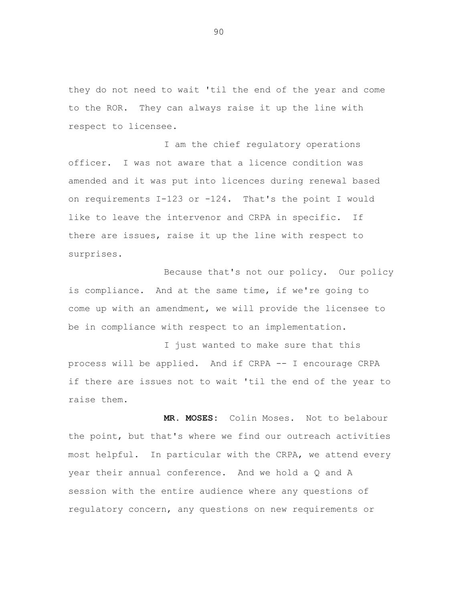they do not need to wait 'til the end of the year and come to the ROR. They can always raise it up the line with respect to licensee.

I am the chief regulatory operations officer. I was not aware that a licence condition was amended and it was put into licences during renewal based on requirements I-123 or -124. That's the point I would like to leave the intervenor and CRPA in specific. If there are issues, raise it up the line with respect to surprises.

Because that's not our policy. Our policy is compliance. And at the same time, if we're going to come up with an amendment, we will provide the licensee to be in compliance with respect to an implementation.

I just wanted to make sure that this process will be applied. And if CRPA -- I encourage CRPA if there are issues not to wait 'til the end of the year to raise them.

**MR. MOSES:** Colin Moses. Not to belabour the point, but that's where we find our outreach activities most helpful. In particular with the CRPA, we attend every year their annual conference. And we hold a Q and A session with the entire audience where any questions of regulatory concern, any questions on new requirements or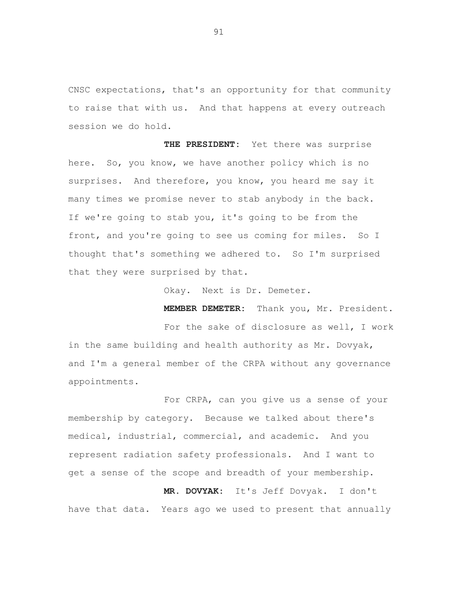CNSC expectations, that's an opportunity for that community to raise that with us. And that happens at every outreach session we do hold.

**THE PRESIDENT:** Yet there was surprise here. So, you know, we have another policy which is no surprises. And therefore, you know, you heard me say it many times we promise never to stab anybody in the back. If we're going to stab you, it's going to be from the front, and you're going to see us coming for miles. So I thought that's something we adhered to. So I'm surprised that they were surprised by that.

Okay. Next is Dr. Demeter.

**MEMBER DEMETER:** Thank you, Mr. President.

For the sake of disclosure as well, I work in the same building and health authority as Mr. Dovyak, and I'm a general member of the CRPA without any governance appointments.

For CRPA, can you give us a sense of your membership by category. Because we talked about there's medical, industrial, commercial, and academic. And you represent radiation safety professionals. And I want to get a sense of the scope and breadth of your membership.

**MR. DOVYAK:** It's Jeff Dovyak. I don't have that data. Years ago we used to present that annually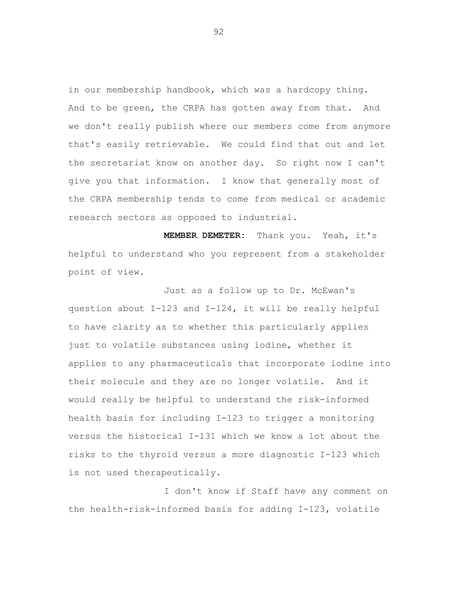in our membership handbook, which was a hardcopy thing. And to be green, the CRPA has gotten away from that. And we don't really publish where our members come from anymore that's easily retrievable. We could find that out and let the secretariat know on another day. So right now I can't give you that information. I know that generally most of the CRPA membership tends to come from medical or academic research sectors as opposed to industrial.

**MEMBER DEMETER:** Thank you. Yeah, it's helpful to understand who you represent from a stakeholder point of view.

Just as a follow up to Dr. McEwan's question about I-123 and I-124, it will be really helpful to have clarity as to whether this particularly applies just to volatile substances using iodine, whether it applies to any pharmaceuticals that incorporate iodine into their molecule and they are no longer volatile. And it would really be helpful to understand the risk-informed health basis for including I-123 to trigger a monitoring versus the historical I-131 which we know a lot about the risks to the thyroid versus a more diagnostic I-123 which is not used therapeutically.

I don't know if Staff have any comment on the health-risk-informed basis for adding I-123, volatile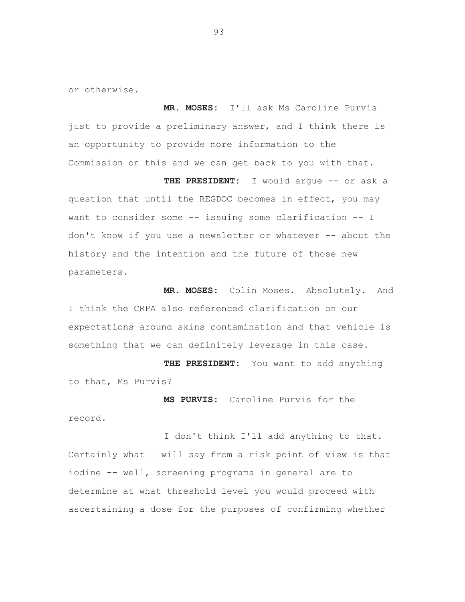or otherwise.

**MR. MOSES:** I'll ask Ms Caroline Purvis just to provide a preliminary answer, and I think there is an opportunity to provide more information to the Commission on this and we can get back to you with that.

**THE PRESIDENT:** I would argue -- or ask a question that until the REGDOC becomes in effect, you may want to consider some -- issuing some clarification -- I don't know if you use a newsletter or whatever -- about the history and the intention and the future of those new parameters.

**MR. MOSES:** Colin Moses. Absolutely. And I think the CRPA also referenced clarification on our expectations around skins contamination and that vehicle is something that we can definitely leverage in this case.

**THE PRESIDENT:** You want to add anything to that, Ms Purvis?

**MS PURVIS:** Caroline Purvis for the record.

I don't think I'll add anything to that. Certainly what I will say from a risk point of view is that iodine -- well, screening programs in general are to determine at what threshold level you would proceed with ascertaining a dose for the purposes of confirming whether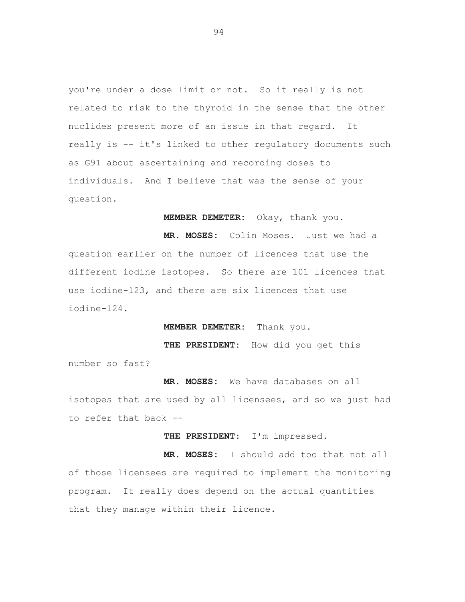you're under a dose limit or not. So it really is not related to risk to the thyroid in the sense that the other nuclides present more of an issue in that regard. It really is -- it's linked to other regulatory documents such as G91 about ascertaining and recording doses to individuals. And I believe that was the sense of your question.

**MEMBER DEMETER:** Okay, thank you.

**MR. MOSES:** Colin Moses. Just we had a question earlier on the number of licences that use the different iodine isotopes. So there are 101 licences that use iodine-123, and there are six licences that use iodine-124.

**MEMBER DEMETER:** Thank you.

**THE PRESIDENT:** How did you get this

number so fast?

**MR. MOSES:** We have databases on all

isotopes that are used by all licensees, and so we just had to refer that back --

**THE PRESIDENT:** I'm impressed.

**MR. MOSES:** I should add too that not all of those licensees are required to implement the monitoring program. It really does depend on the actual quantities that they manage within their licence.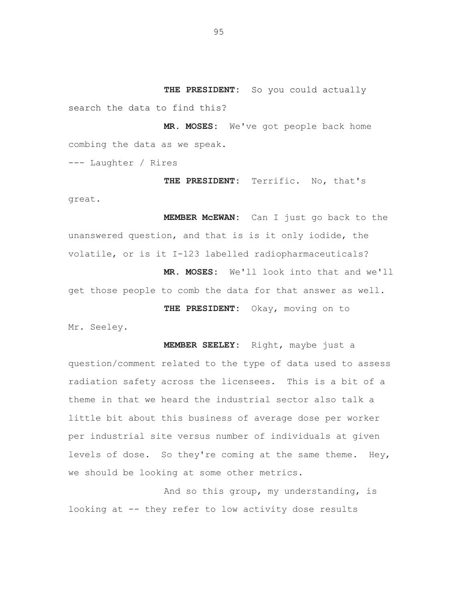**THE PRESIDENT:** So you could actually search the data to find this?

**MR. MOSES:** We've got people back home combing the data as we speak.

--- Laughter / Rires

**THE PRESIDENT:** Terrific. No, that's great.

**MEMBER McEWAN:** Can I just go back to the unanswered question, and that is is it only iodide, the volatile, or is it I-123 labelled radiopharmaceuticals?

**MR. MOSES:** We'll look into that and we'll get those people to comb the data for that answer as well.

**THE PRESIDENT:** Okay, moving on to

Mr. Seeley.

**MEMBER SEELEY:** Right, maybe just a question/comment related to the type of data used to assess radiation safety across the licensees. This is a bit of a theme in that we heard the industrial sector also talk a little bit about this business of average dose per worker per industrial site versus number of individuals at given levels of dose. So they're coming at the same theme. Hey, we should be looking at some other metrics.

And so this group, my understanding, is looking at -- they refer to low activity dose results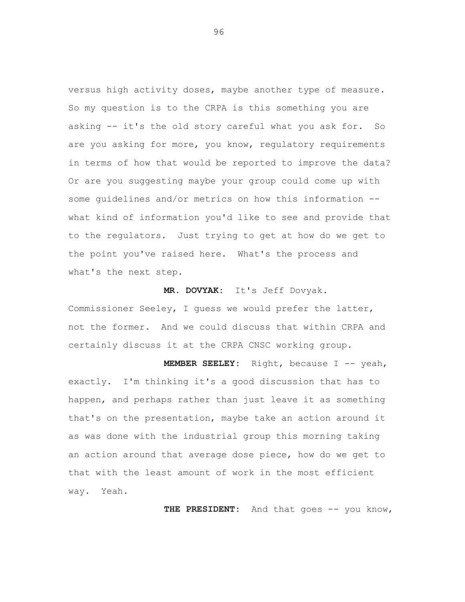versus high activity doses, maybe another type of measure. So my question is to the CRPA is this something you are asking -- it's the old story careful what you ask for. So are you asking for more, you know, regulatory requirements in terms of how that would be reported to improve the data? Or are you suggesting maybe your group could come up with some guidelines and/or metrics on how this information - what kind of information you'd like to see and provide that to the regulators. Just trying to get at how do we get to the point you've raised here. What's the process and what's the next step.

#### **MR. DOVYAK:** It's Jeff Dovyak.

Commissioner Seeley, I guess we would prefer the latter, not the former. And we could discuss that within CRPA and certainly discuss it at the CRPA CNSC working group.

**MEMBER SEELEY:** Right, because I -- yeah, exactly. I'm thinking it's a good discussion that has to happen, and perhaps rather than just leave it as something that's on the presentation, maybe take an action around it as was done with the industrial group this morning taking an action around that average dose piece, how do we get to that with the least amount of work in the most efficient way. Yeah.

THE PRESIDENT: And that goes -- you know,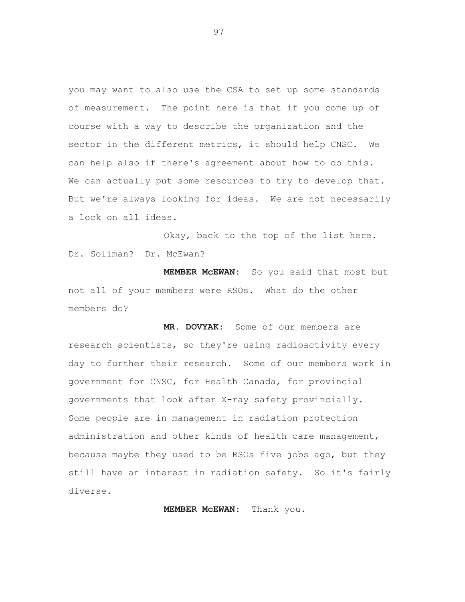you may want to also use the CSA to set up some standards of measurement. The point here is that if you come up of course with a way to describe the organization and the sector in the different metrics, it should help CNSC. We can help also if there's agreement about how to do this. We can actually put some resources to try to develop that. But we're always looking for ideas. We are not necessarily a lock on all ideas.

Okay, back to the top of the list here. Dr. Soliman? Dr. McEwan?

**MEMBER McEWAN:** So you said that most but not all of your members were RSOs. What do the other members do?

**MR. DOVYAK:** Some of our members are research scientists, so they're using radioactivity every day to further their research. Some of our members work in government for CNSC, for Health Canada, for provincial governments that look after X-ray safety provincially. Some people are in management in radiation protection administration and other kinds of health care management, because maybe they used to be RSOs five jobs ago, but they still have an interest in radiation safety. So it's fairly diverse.

**MEMBER McEWAN:** Thank you.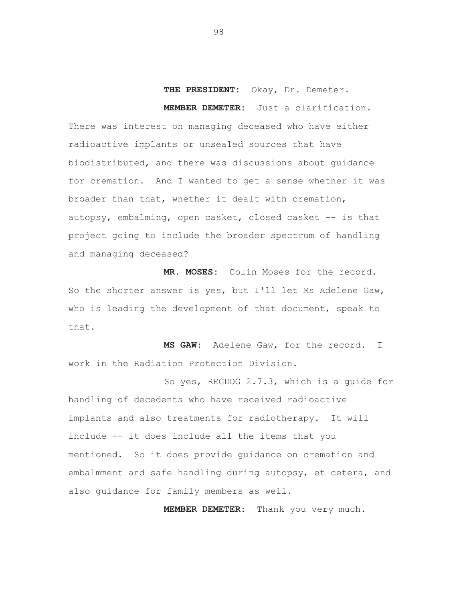# **THE PRESIDENT:** Okay, Dr. Demeter. **MEMBER DEMETER:** Just a clarification.

There was interest on managing deceased who have either radioactive implants or unsealed sources that have biodistributed, and there was discussions about guidance for cremation. And I wanted to get a sense whether it was broader than that, whether it dealt with cremation, autopsy, embalming, open casket, closed casket -- is that project going to include the broader spectrum of handling and managing deceased?

**MR. MOSES:** Colin Moses for the record. So the shorter answer is yes, but I'll let Ms Adelene Gaw, who is leading the development of that document, speak to that.

**MS GAW:** Adelene Gaw, for the record. I work in the Radiation Protection Division.

So yes, REGDOG 2.7.3, which is a guide for handling of decedents who have received radioactive implants and also treatments for radiotherapy. It will include -- it does include all the items that you mentioned. So it does provide guidance on cremation and embalmment and safe handling during autopsy, et cetera, and also guidance for family members as well.

**MEMBER DEMETER:** Thank you very much.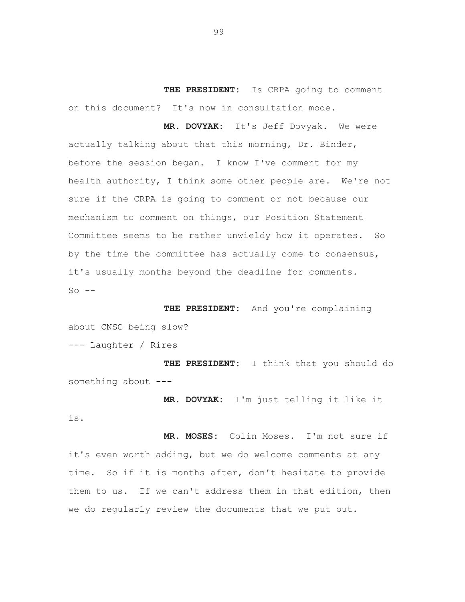**THE PRESIDENT:** Is CRPA going to comment on this document? It's now in consultation mode.

**MR. DOVYAK:** It's Jeff Dovyak. We were actually talking about that this morning, Dr. Binder, before the session began. I know I've comment for my health authority, I think some other people are. We're not sure if the CRPA is going to comment or not because our mechanism to comment on things, our Position Statement Committee seems to be rather unwieldy how it operates. So by the time the committee has actually come to consensus, it's usually months beyond the deadline for comments.  $So$   $--$ 

**THE PRESIDENT:** And you're complaining about CNSC being slow?

--- Laughter / Rires

**THE PRESIDENT:** I think that you should do something about ---

**MR. DOVYAK:** I'm just telling it like it

is.

**MR. MOSES:** Colin Moses. I'm not sure if it's even worth adding, but we do welcome comments at any time. So if it is months after, don't hesitate to provide them to us. If we can't address them in that edition, then we do regularly review the documents that we put out.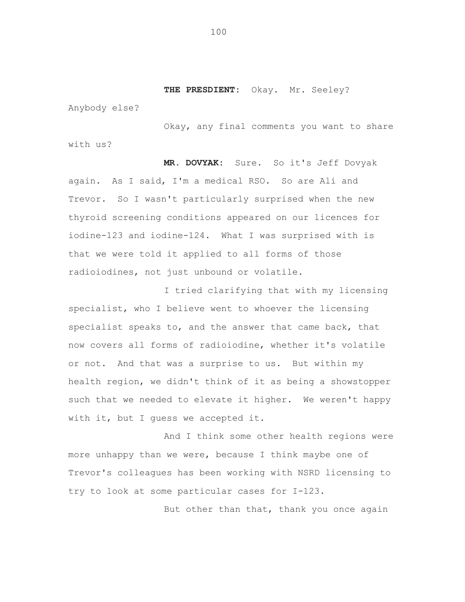**THE PRESDIENT:** Okay. Mr. Seeley?

Anybody else?

Okay, any final comments you want to share with us?

**MR. DOVYAK:** Sure. So it's Jeff Dovyak again. As I said, I'm a medical RSO. So are Ali and Trevor. So I wasn't particularly surprised when the new thyroid screening conditions appeared on our licences for iodine-123 and iodine-124. What I was surprised with is that we were told it applied to all forms of those radioiodines, not just unbound or volatile.

I tried clarifying that with my licensing specialist, who I believe went to whoever the licensing specialist speaks to, and the answer that came back, that now covers all forms of radioiodine, whether it's volatile or not. And that was a surprise to us. But within my health region, we didn't think of it as being a showstopper such that we needed to elevate it higher. We weren't happy with it, but I guess we accepted it.

And I think some other health regions were more unhappy than we were, because I think maybe one of Trevor's colleagues has been working with NSRD licensing to try to look at some particular cases for I-123.

But other than that, thank you once again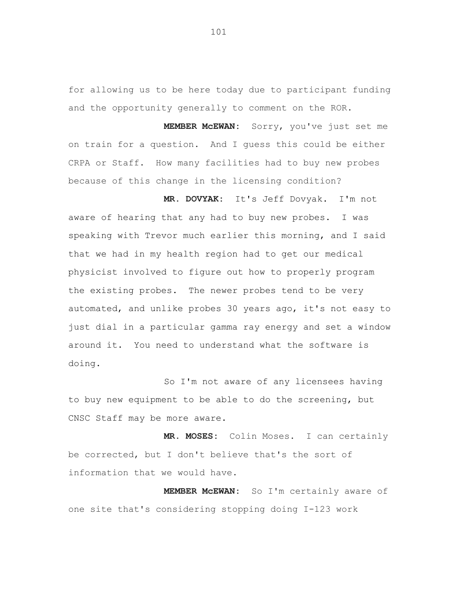for allowing us to be here today due to participant funding and the opportunity generally to comment on the ROR.

**MEMBER McEWAN:** Sorry, you've just set me on train for a question. And I guess this could be either CRPA or Staff. How many facilities had to buy new probes because of this change in the licensing condition?

**MR. DOVYAK:** It's Jeff Dovyak. I'm not aware of hearing that any had to buy new probes. I was speaking with Trevor much earlier this morning, and I said that we had in my health region had to get our medical physicist involved to figure out how to properly program the existing probes. The newer probes tend to be very automated, and unlike probes 30 years ago, it's not easy to just dial in a particular gamma ray energy and set a window around it. You need to understand what the software is doing.

So I'm not aware of any licensees having to buy new equipment to be able to do the screening, but CNSC Staff may be more aware.

**MR. MOSES:** Colin Moses. I can certainly be corrected, but I don't believe that's the sort of information that we would have.

**MEMBER McEWAN:** So I'm certainly aware of one site that's considering stopping doing I-123 work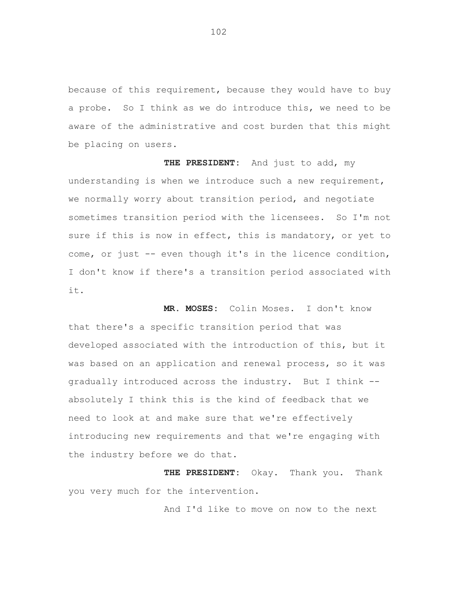because of this requirement, because they would have to buy a probe. So I think as we do introduce this, we need to be aware of the administrative and cost burden that this might be placing on users.

**THE PRESIDENT:** And just to add, my understanding is when we introduce such a new requirement, we normally worry about transition period, and negotiate sometimes transition period with the licensees. So I'm not sure if this is now in effect, this is mandatory, or yet to come, or just -- even though it's in the licence condition, I don't know if there's a transition period associated with it.

**MR. MOSES:** Colin Moses. I don't know that there's a specific transition period that was developed associated with the introduction of this, but it was based on an application and renewal process, so it was gradually introduced across the industry. But I think - absolutely I think this is the kind of feedback that we need to look at and make sure that we're effectively introducing new requirements and that we're engaging with the industry before we do that.

**THE PRESIDENT:** Okay. Thank you. Thank you very much for the intervention.

And I'd like to move on now to the next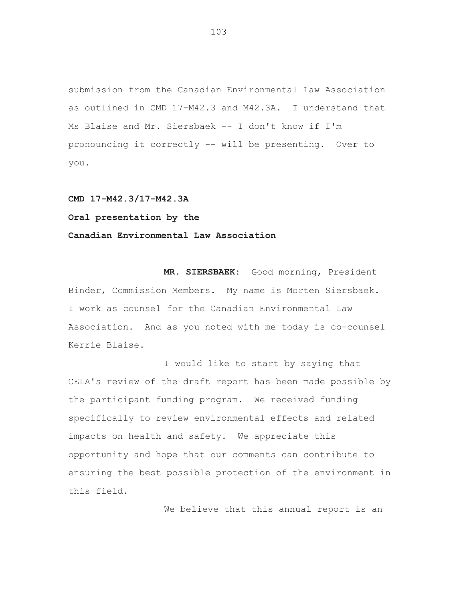submission from the Canadian Environmental Law Association as outlined in CMD 17-M42.3 and M42.3A. I understand that Ms Blaise and Mr. Siersbaek -- I don't know if I'm pronouncing it correctly -- will be presenting. Over to you.

**CMD 17-M42.3/17-M42.3A Oral presentation by the Canadian Environmental Law Association** 

**MR. SIERSBAEK:** Good morning, President Binder, Commission Members. My name is Morten Siersbaek. I work as counsel for the Canadian Environmental Law Association. And as you noted with me today is co-counsel Kerrie Blaise.

I would like to start by saying that CELA's review of the draft report has been made possible by the participant funding program. We received funding specifically to review environmental effects and related impacts on health and safety. We appreciate this opportunity and hope that our comments can contribute to ensuring the best possible protection of the environment in this field.

We believe that this annual report is an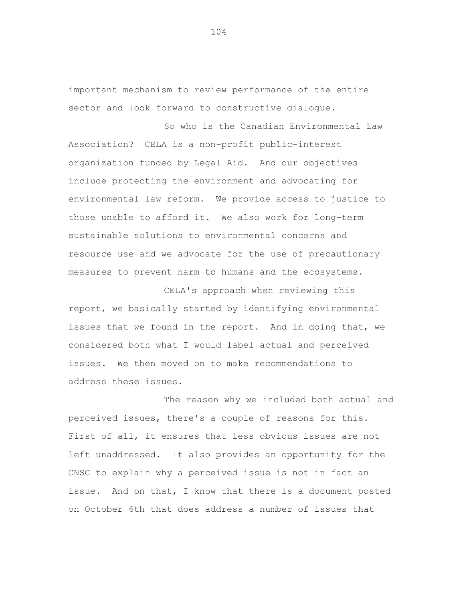important mechanism to review performance of the entire sector and look forward to constructive dialogue.

So who is the Canadian Environmental Law Association? CELA is a non-profit public-interest organization funded by Legal Aid. And our objectives include protecting the environment and advocating for environmental law reform. We provide access to justice to those unable to afford it. We also work for long-term sustainable solutions to environmental concerns and resource use and we advocate for the use of precautionary measures to prevent harm to humans and the ecosystems.

CELA's approach when reviewing this report, we basically started by identifying environmental issues that we found in the report. And in doing that, we considered both what I would label actual and perceived issues. We then moved on to make recommendations to address these issues.

The reason why we included both actual and perceived issues, there's a couple of reasons for this. First of all, it ensures that less obvious issues are not left unaddressed. It also provides an opportunity for the CNSC to explain why a perceived issue is not in fact an issue. And on that, I know that there is a document posted on October 6th that does address a number of issues that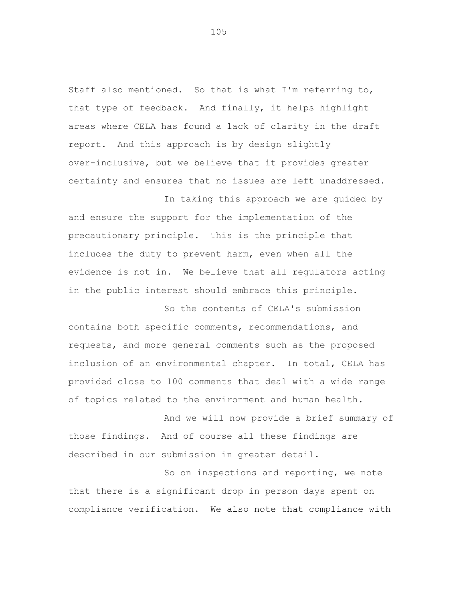Staff also mentioned. So that is what I'm referring to, that type of feedback. And finally, it helps highlight areas where CELA has found a lack of clarity in the draft report. And this approach is by design slightly over-inclusive, but we believe that it provides greater certainty and ensures that no issues are left unaddressed.

In taking this approach we are guided by and ensure the support for the implementation of the precautionary principle. This is the principle that includes the duty to prevent harm, even when all the evidence is not in. We believe that all regulators acting in the public interest should embrace this principle.

So the contents of CELA's submission contains both specific comments, recommendations, and requests, and more general comments such as the proposed inclusion of an environmental chapter. In total, CELA has provided close to 100 comments that deal with a wide range of topics related to the environment and human health.

And we will now provide a brief summary of those findings. And of course all these findings are described in our submission in greater detail.

So on inspections and reporting, we note that there is a significant drop in person days spent on compliance verification. We also note that compliance with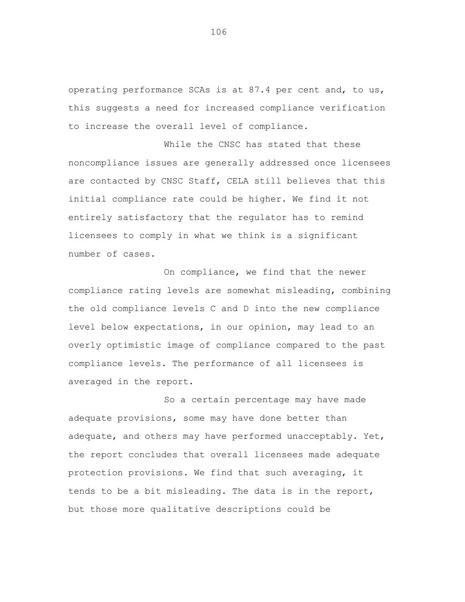operating performance SCAs is at 87.4 per cent and, to us, this suggests a need for increased compliance verification to increase the overall level of compliance.

While the CNSC has stated that these noncompliance issues are generally addressed once licensees are contacted by CNSC Staff, CELA still believes that this initial compliance rate could be higher. We find it not entirely satisfactory that the regulator has to remind licensees to comply in what we think is a significant number of cases.

On compliance, we find that the newer compliance rating levels are somewhat misleading, combining the old compliance levels C and D into the new compliance level below expectations, in our opinion, may lead to an overly optimistic image of compliance compared to the past compliance levels. The performance of all licensees is averaged in the report.

So a certain percentage may have made adequate provisions, some may have done better than adequate, and others may have performed unacceptably. Yet, the report concludes that overall licensees made adequate protection provisions. We find that such averaging, it tends to be a bit misleading. The data is in the report, but those more qualitative descriptions could be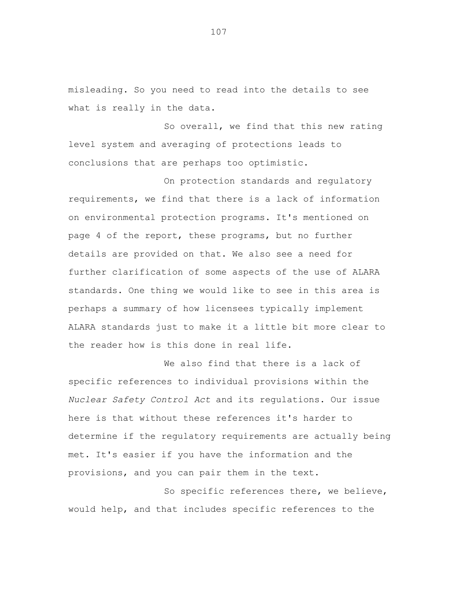misleading. So you need to read into the details to see what is really in the data.

So overall, we find that this new rating level system and averaging of protections leads to conclusions that are perhaps too optimistic.

On protection standards and regulatory requirements, we find that there is a lack of information on environmental protection programs. It's mentioned on page 4 of the report, these programs, but no further details are provided on that. We also see a need for further clarification of some aspects of the use of ALARA standards. One thing we would like to see in this area is perhaps a summary of how licensees typically implement ALARA standards just to make it a little bit more clear to the reader how is this done in real life.

We also find that there is a lack of specific references to individual provisions within the *Nuclear Safety Control Act* and its regulations. Our issue here is that without these references it's harder to determine if the regulatory requirements are actually being met. It's easier if you have the information and the provisions, and you can pair them in the text.

So specific references there, we believe, would help, and that includes specific references to the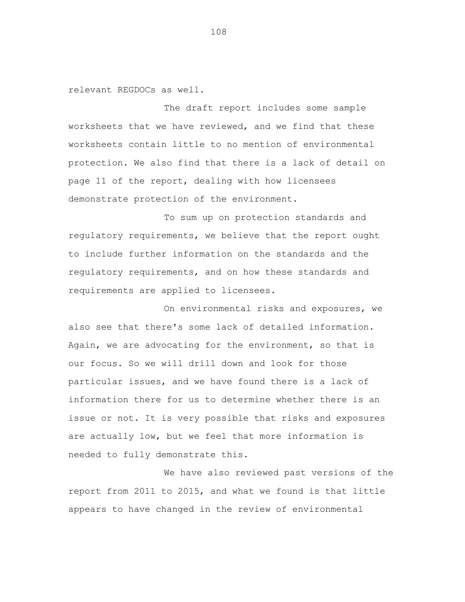relevant REGDOCs as well.

The draft report includes some sample worksheets that we have reviewed, and we find that these worksheets contain little to no mention of environmental protection. We also find that there is a lack of detail on page 11 of the report, dealing with how licensees demonstrate protection of the environment.

To sum up on protection standards and regulatory requirements, we believe that the report ought to include further information on the standards and the regulatory requirements, and on how these standards and requirements are applied to licensees.

On environmental risks and exposures, we also see that there's some lack of detailed information. Again, we are advocating for the environment, so that is our focus. So we will drill down and look for those particular issues, and we have found there is a lack of information there for us to determine whether there is an issue or not. It is very possible that risks and exposures are actually low, but we feel that more information is needed to fully demonstrate this.

We have also reviewed past versions of the report from 2011 to 2015, and what we found is that little appears to have changed in the review of environmental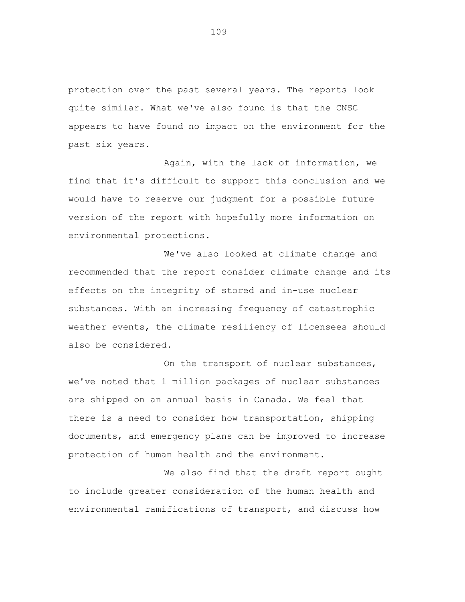protection over the past several years. The reports look quite similar. What we've also found is that the CNSC appears to have found no impact on the environment for the past six years.

Again, with the lack of information, we find that it's difficult to support this conclusion and we would have to reserve our judgment for a possible future version of the report with hopefully more information on environmental protections.

We've also looked at climate change and recommended that the report consider climate change and its effects on the integrity of stored and in-use nuclear substances. With an increasing frequency of catastrophic weather events, the climate resiliency of licensees should also be considered.

On the transport of nuclear substances, we've noted that 1 million packages of nuclear substances are shipped on an annual basis in Canada. We feel that there is a need to consider how transportation, shipping documents, and emergency plans can be improved to increase protection of human health and the environment.

We also find that the draft report ought to include greater consideration of the human health and environmental ramifications of transport, and discuss how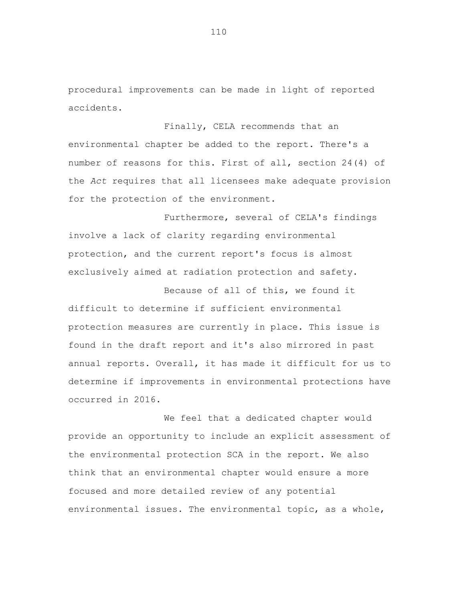procedural improvements can be made in light of reported accidents.

Finally, CELA recommends that an environmental chapter be added to the report. There's a number of reasons for this. First of all, section 24(4) of the *Act* requires that all licensees make adequate provision for the protection of the environment.

Furthermore, several of CELA's findings involve a lack of clarity regarding environmental protection, and the current report's focus is almost exclusively aimed at radiation protection and safety.

Because of all of this, we found it difficult to determine if sufficient environmental protection measures are currently in place. This issue is found in the draft report and it's also mirrored in past annual reports. Overall, it has made it difficult for us to determine if improvements in environmental protections have occurred in 2016.

We feel that a dedicated chapter would provide an opportunity to include an explicit assessment of the environmental protection SCA in the report. We also think that an environmental chapter would ensure a more focused and more detailed review of any potential environmental issues. The environmental topic, as a whole,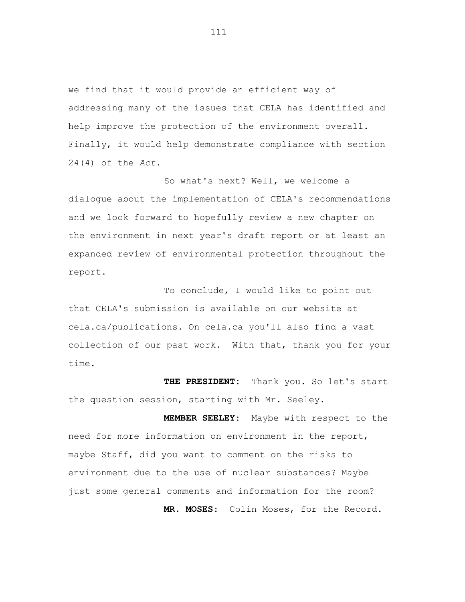we find that it would provide an efficient way of addressing many of the issues that CELA has identified and help improve the protection of the environment overall. Finally, it would help demonstrate compliance with section 24(4) of the *Act*.

So what's next? Well, we welcome a dialogue about the implementation of CELA's recommendations and we look forward to hopefully review a new chapter on the environment in next year's draft report or at least an expanded review of environmental protection throughout the report.

To conclude, I would like to point out that CELA's submission is available on our website at cela.ca/publications. On cela.ca you'll also find a vast collection of our past work. With that, thank you for your time.

**THE PRESIDENT:** Thank you. So let's start the question session, starting with Mr. Seeley.

 **MEMBER SEELEY:** Maybe with respect to the need for more information on environment in the report, maybe Staff, did you want to comment on the risks to environment due to the use of nuclear substances? Maybe just some general comments and information for the room?  **MR. MOSES:** Colin Moses, for the Record.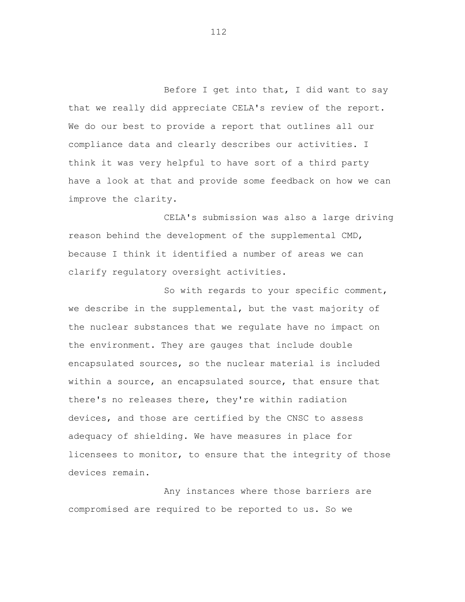Before I get into that, I did want to say that we really did appreciate CELA's review of the report. We do our best to provide a report that outlines all our compliance data and clearly describes our activities. I think it was very helpful to have sort of a third party have a look at that and provide some feedback on how we can improve the clarity.

CELA's submission was also a large driving reason behind the development of the supplemental CMD, because I think it identified a number of areas we can clarify regulatory oversight activities.

So with regards to your specific comment, we describe in the supplemental, but the vast majority of the nuclear substances that we regulate have no impact on the environment. They are gauges that include double encapsulated sources, so the nuclear material is included within a source, an encapsulated source, that ensure that there's no releases there, they're within radiation devices, and those are certified by the CNSC to assess adequacy of shielding. We have measures in place for licensees to monitor, to ensure that the integrity of those devices remain.

Any instances where those barriers are compromised are required to be reported to us. So we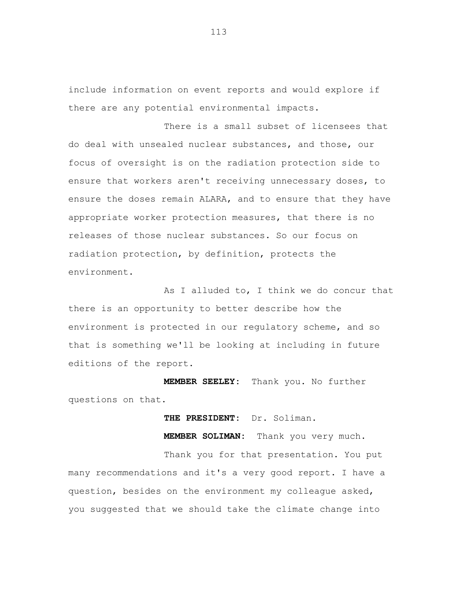include information on event reports and would explore if there are any potential environmental impacts.

There is a small subset of licensees that do deal with unsealed nuclear substances, and those, our focus of oversight is on the radiation protection side to ensure that workers aren't receiving unnecessary doses, to ensure the doses remain ALARA, and to ensure that they have appropriate worker protection measures, that there is no releases of those nuclear substances. So our focus on radiation protection, by definition, protects the environment.

As I alluded to, I think we do concur that there is an opportunity to better describe how the environment is protected in our regulatory scheme, and so that is something we'll be looking at including in future editions of the report.

 **MEMBER SEELEY:** Thank you. No further questions on that.

 **THE PRESIDENT:** Dr. Soliman.

 **MEMBER SOLIMAN:** Thank you very much.

Thank you for that presentation. You put many recommendations and it's a very good report. I have a question, besides on the environment my colleague asked, you suggested that we should take the climate change into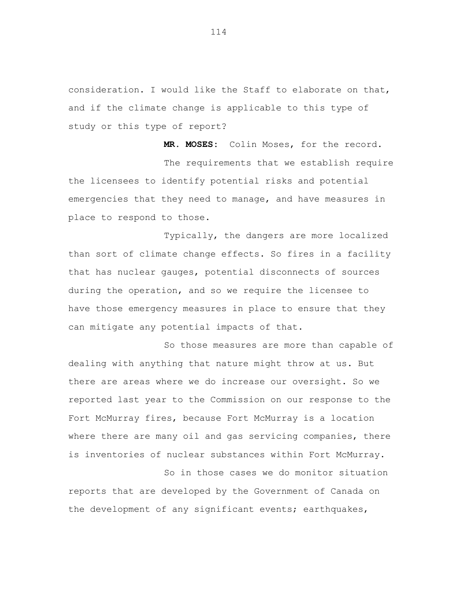consideration. I would like the Staff to elaborate on that, and if the climate change is applicable to this type of study or this type of report?

 **MR. MOSES:** Colin Moses, for the record. The requirements that we establish require the licensees to identify potential risks and potential emergencies that they need to manage, and have measures in place to respond to those.

Typically, the dangers are more localized than sort of climate change effects. So fires in a facility that has nuclear gauges, potential disconnects of sources during the operation, and so we require the licensee to have those emergency measures in place to ensure that they can mitigate any potential impacts of that.

So those measures are more than capable of dealing with anything that nature might throw at us. But there are areas where we do increase our oversight. So we reported last year to the Commission on our response to the Fort McMurray fires, because Fort McMurray is a location where there are many oil and gas servicing companies, there is inventories of nuclear substances within Fort McMurray.

So in those cases we do monitor situation reports that are developed by the Government of Canada on the development of any significant events; earthquakes,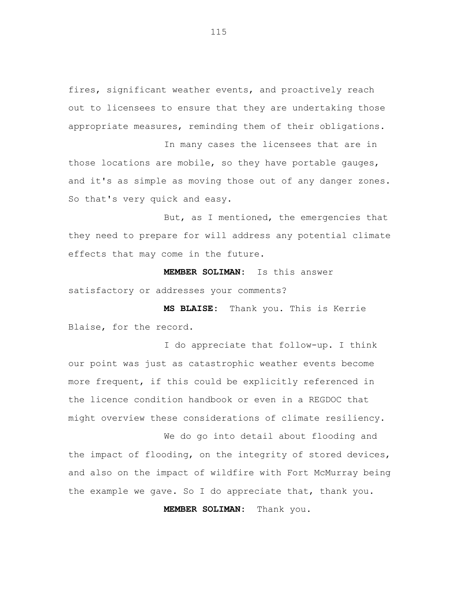fires, significant weather events, and proactively reach out to licensees to ensure that they are undertaking those appropriate measures, reminding them of their obligations.

In many cases the licensees that are in those locations are mobile, so they have portable gauges, and it's as simple as moving those out of any danger zones. So that's very quick and easy.

But, as I mentioned, the emergencies that they need to prepare for will address any potential climate effects that may come in the future.

 **MEMBER SOLIMAN:** Is this answer satisfactory or addresses your comments?

 **MS BLAISE:** Thank you. This is Kerrie Blaise, for the record.

I do appreciate that follow-up. I think our point was just as catastrophic weather events become more frequent, if this could be explicitly referenced in the licence condition handbook or even in a REGDOC that might overview these considerations of climate resiliency.

We do go into detail about flooding and the impact of flooding, on the integrity of stored devices, and also on the impact of wildfire with Fort McMurray being the example we gave. So I do appreciate that, thank you.

 **MEMBER SOLIMAN:** Thank you.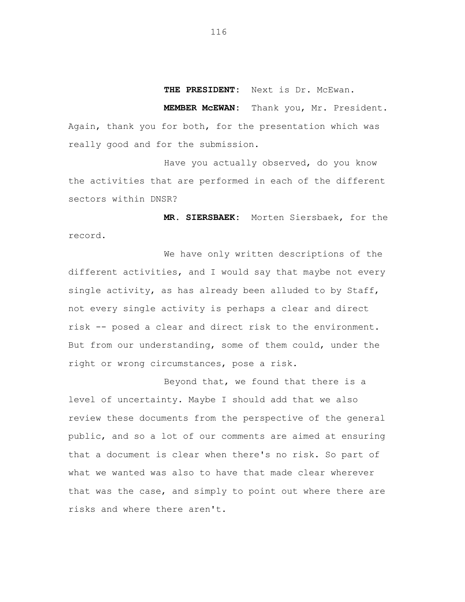**THE PRESIDENT:** Next is Dr. McEwan.

 **MEMBER McEWAN:** Thank you, Mr. President. Again, thank you for both, for the presentation which was really good and for the submission.

Have you actually observed, do you know the activities that are performed in each of the different sectors within DNSR?

 **MR. SIERSBAEK:** Morten Siersbaek, for the record.

We have only written descriptions of the different activities, and I would say that maybe not every single activity, as has already been alluded to by Staff, not every single activity is perhaps a clear and direct risk -- posed a clear and direct risk to the environment. But from our understanding, some of them could, under the right or wrong circumstances, pose a risk.

Beyond that, we found that there is a level of uncertainty. Maybe I should add that we also review these documents from the perspective of the general public, and so a lot of our comments are aimed at ensuring that a document is clear when there's no risk. So part of what we wanted was also to have that made clear wherever that was the case, and simply to point out where there are risks and where there aren't.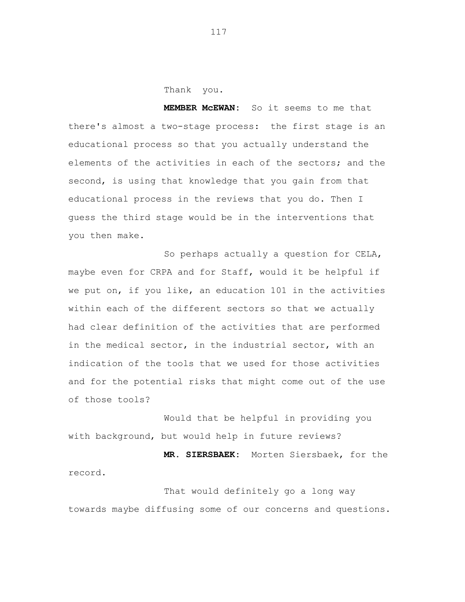Thank you.

 **MEMBER McEWAN:** So it seems to me that there's almost a two-stage process: the first stage is an educational process so that you actually understand the elements of the activities in each of the sectors; and the second, is using that knowledge that you gain from that educational process in the reviews that you do. Then I guess the third stage would be in the interventions that you then make.

So perhaps actually a question for CELA, maybe even for CRPA and for Staff, would it be helpful if we put on, if you like, an education 101 in the activities within each of the different sectors so that we actually had clear definition of the activities that are performed in the medical sector, in the industrial sector, with an indication of the tools that we used for those activities and for the potential risks that might come out of the use of those tools?

Would that be helpful in providing you with background, but would help in future reviews?

**MR. SIERSBAEK:** Morten Siersbaek, for the record.

That would definitely go a long way towards maybe diffusing some of our concerns and questions.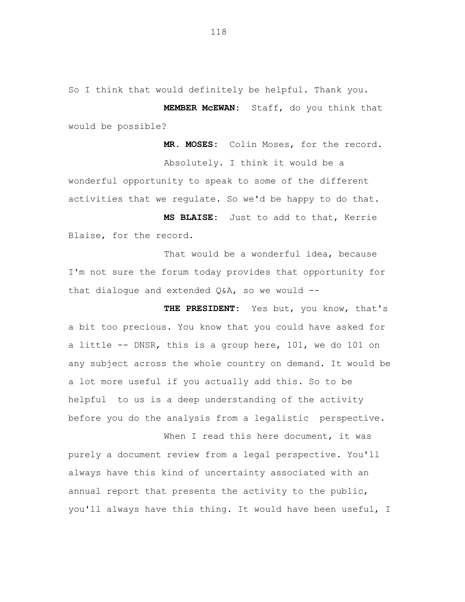So I think that would definitely be helpful. Thank you.

**MEMBER McEWAN:** Staff, do you think that would be possible?

**MR. MOSES:** Colin Moses, for the record. Absolutely. I think it would be a wonderful opportunity to speak to some of the different activities that we regulate. So we'd be happy to do that.

 **MS BLAISE:** Just to add to that, Kerrie Blaise, for the record.

That would be a wonderful idea, because I'm not sure the forum today provides that opportunity for that dialogue and extended  $Q\&A$ , so we would --

**THE PRESIDENT:** Yes but, you know, that's a bit too precious. You know that you could have asked for a little -- DNSR, this is a group here, 101, we do 101 on any subject across the whole country on demand. It would be a lot more useful if you actually add this. So to be helpful to us is a deep understanding of the activity before you do the analysis from a legalistic perspective.

When I read this here document, it was purely a document review from a legal perspective. You'll always have this kind of uncertainty associated with an annual report that presents the activity to the public, you'll always have this thing. It would have been useful, I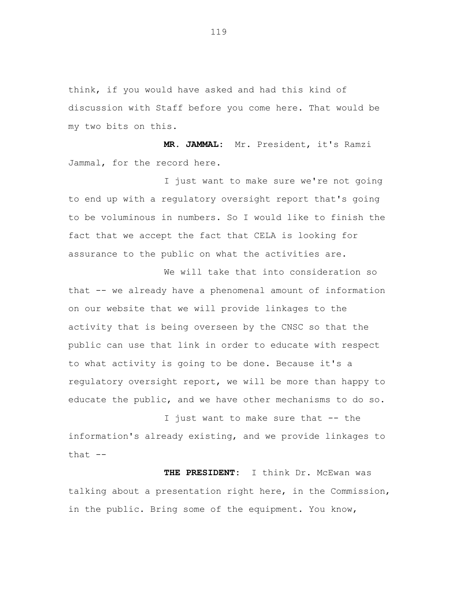think, if you would have asked and had this kind of discussion with Staff before you come here. That would be my two bits on this.

 **MR. JAMMAL:** Mr. President, it's Ramzi Jammal, for the record here.

I just want to make sure we're not going to end up with a regulatory oversight report that's going to be voluminous in numbers. So I would like to finish the fact that we accept the fact that CELA is looking for assurance to the public on what the activities are.

We will take that into consideration so that -- we already have a phenomenal amount of information on our website that we will provide linkages to the activity that is being overseen by the CNSC so that the public can use that link in order to educate with respect to what activity is going to be done. Because it's a regulatory oversight report, we will be more than happy to educate the public, and we have other mechanisms to do so.

I just want to make sure that -- the information's already existing, and we provide linkages to that  $--$ 

 **THE PRESIDENT:** I think Dr. McEwan was talking about a presentation right here, in the Commission, in the public. Bring some of the equipment. You know,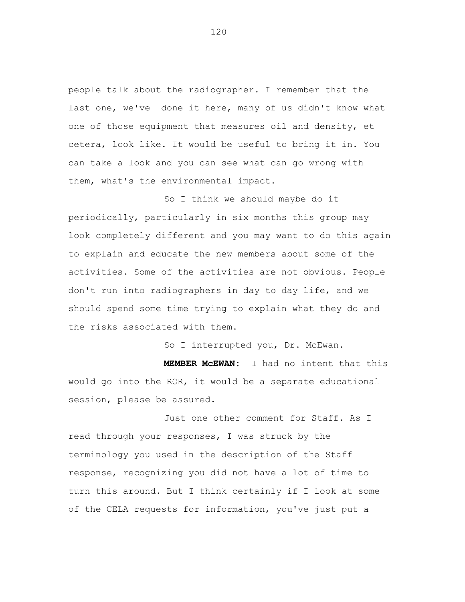people talk about the radiographer. I remember that the last one, we've done it here, many of us didn't know what one of those equipment that measures oil and density, et cetera, look like. It would be useful to bring it in. You can take a look and you can see what can go wrong with them, what's the environmental impact.

So I think we should maybe do it periodically, particularly in six months this group may look completely different and you may want to do this again to explain and educate the new members about some of the activities. Some of the activities are not obvious. People don't run into radiographers in day to day life, and we should spend some time trying to explain what they do and the risks associated with them.

So I interrupted you, Dr. McEwan.

 **MEMBER McEWAN:** I had no intent that this would go into the ROR, it would be a separate educational session, please be assured.

Just one other comment for Staff. As I read through your responses, I was struck by the terminology you used in the description of the Staff response, recognizing you did not have a lot of time to turn this around. But I think certainly if I look at some of the CELA requests for information, you've just put a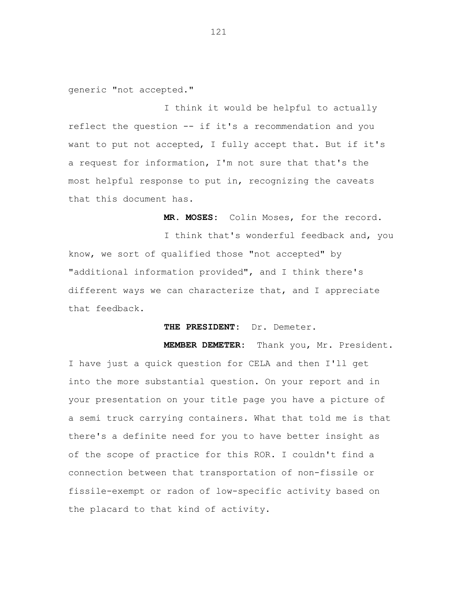generic "not accepted."

I think it would be helpful to actually reflect the question -- if it's a recommendation and you want to put not accepted, I fully accept that. But if it's a request for information, I'm not sure that that's the most helpful response to put in, recognizing the caveats that this document has.

 **MR. MOSES:** Colin Moses, for the record.

I think that's wonderful feedback and, you know, we sort of qualified those "not accepted" by "additional information provided", and I think there's different ways we can characterize that, and I appreciate that feedback.

 **THE PRESIDENT:** Dr. Demeter.

 **MEMBER DEMETER:** Thank you, Mr. President. I have just a quick question for CELA and then I'll get into the more substantial question. On your report and in your presentation on your title page you have a picture of a semi truck carrying containers. What that told me is that there's a definite need for you to have better insight as of the scope of practice for this ROR. I couldn't find a connection between that transportation of non-fissile or fissile-exempt or radon of low-specific activity based on the placard to that kind of activity.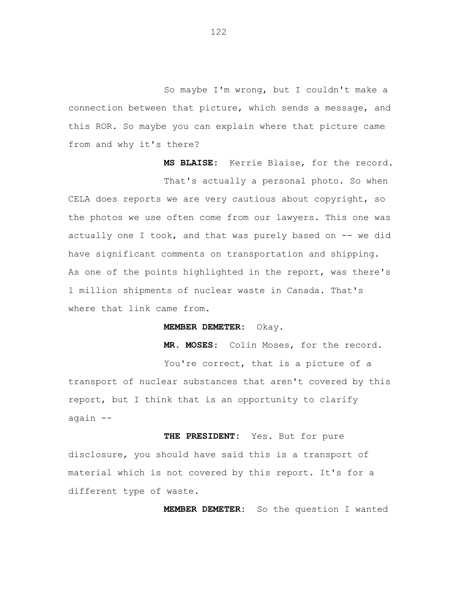So maybe I'm wrong, but I couldn't make a connection between that picture, which sends a message, and this ROR. So maybe you can explain where that picture came from and why it's there?

 **MS BLAISE:** Kerrie Blaise, for the record. That's actually a personal photo. So when CELA does reports we are very cautious about copyright, so the photos we use often come from our lawyers. This one was actually one I took, and that was purely based on  $-$ - we did have significant comments on transportation and shipping. As one of the points highlighted in the report, was there's 1 million shipments of nuclear waste in Canada. That's where that link came from.

 **MEMBER DEMETER:** Okay.

 **MR. MOSES:** Colin Moses, for the record.

You're correct, that is a picture of a transport of nuclear substances that aren't covered by this report, but I think that is an opportunity to clarify again --

 **THE PRESIDENT:** Yes. But for pure disclosure, you should have said this is a transport of material which is not covered by this report. It's for a different type of waste.

 **MEMBER DEMETER:** So the question I wanted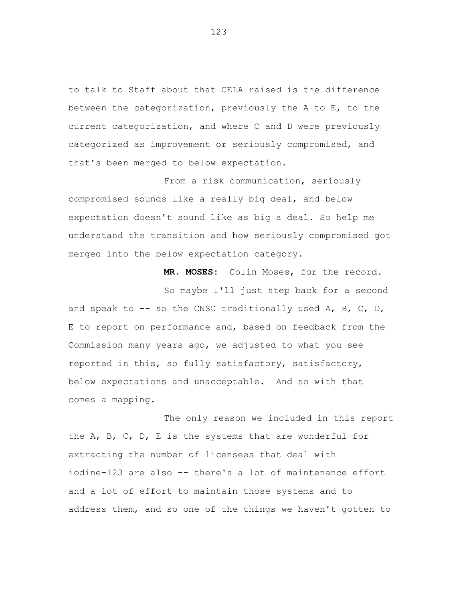to talk to Staff about that CELA raised is the difference between the categorization, previously the A to E, to the current categorization, and where C and D were previously categorized as improvement or seriously compromised, and that's been merged to below expectation.

From a risk communication, seriously compromised sounds like a really big deal, and below expectation doesn't sound like as big a deal. So help me understand the transition and how seriously compromised got merged into the below expectation category.

**MR. MOSES:** Colin Moses, for the record.

So maybe I'll just step back for a second and speak to  $-$ - so the CNSC traditionally used A, B, C, D, E to report on performance and, based on feedback from the Commission many years ago, we adjusted to what you see reported in this, so fully satisfactory, satisfactory, below expectations and unacceptable. And so with that comes a mapping.

The only reason we included in this report the A, B, C, D, E is the systems that are wonderful for extracting the number of licensees that deal with iodine-123 are also -- there's a lot of maintenance effort and a lot of effort to maintain those systems and to address them, and so one of the things we haven't gotten to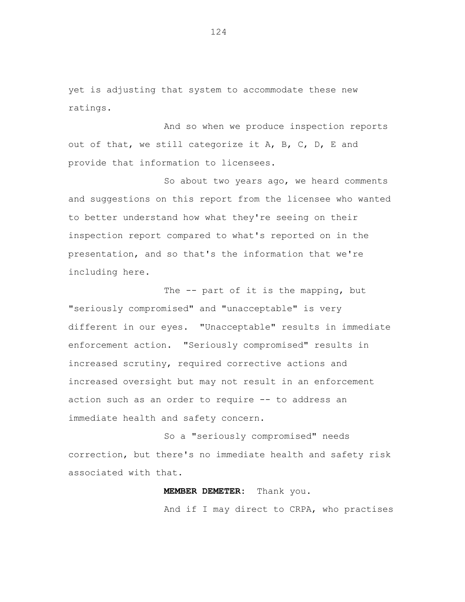yet is adjusting that system to accommodate these new ratings.

And so when we produce inspection reports out of that, we still categorize it A, B, C, D, E and provide that information to licensees.

So about two years ago, we heard comments and suggestions on this report from the licensee who wanted to better understand how what they're seeing on their inspection report compared to what's reported on in the presentation, and so that's the information that we're including here.

The -- part of it is the mapping, but "seriously compromised" and "unacceptable" is very different in our eyes. "Unacceptable" results in immediate enforcement action. "Seriously compromised" results in increased scrutiny, required corrective actions and increased oversight but may not result in an enforcement action such as an order to require -- to address an immediate health and safety concern.

So a "seriously compromised" needs correction, but there's no immediate health and safety risk associated with that.

> **MEMBER DEMETER:** Thank you. And if I may direct to CRPA, who practises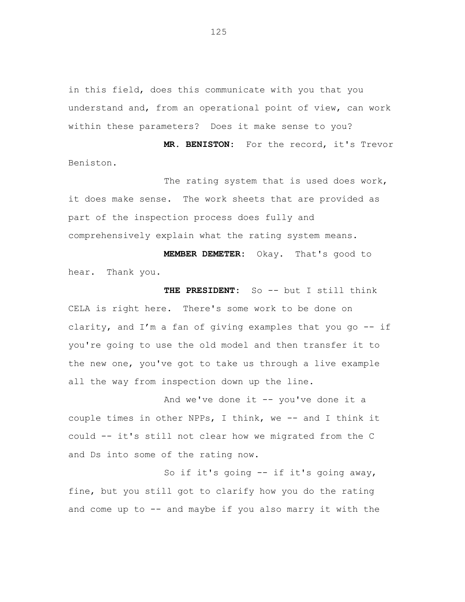in this field, does this communicate with you that you understand and, from an operational point of view, can work within these parameters? Does it make sense to you?

 **MR. BENISTON:** For the record, it's Trevor Beniston.

The rating system that is used does work, it does make sense. The work sheets that are provided as part of the inspection process does fully and comprehensively explain what the rating system means.

**MEMBER DEMETER:** Okay. That's good to hear. Thank you.

**THE PRESIDENT:** So -- but I still think CELA is right here. There's some work to be done on clarity, and I'm a fan of giving examples that you go -- if you're going to use the old model and then transfer it to the new one, you've got to take us through a live example all the way from inspection down up the line.

And we've done it  $-$  you've done it a couple times in other NPPs, I think, we -- and I think it could -- it's still not clear how we migrated from the C and Ds into some of the rating now.

So if it's going -- if it's going away, fine, but you still got to clarify how you do the rating and come up to -- and maybe if you also marry it with the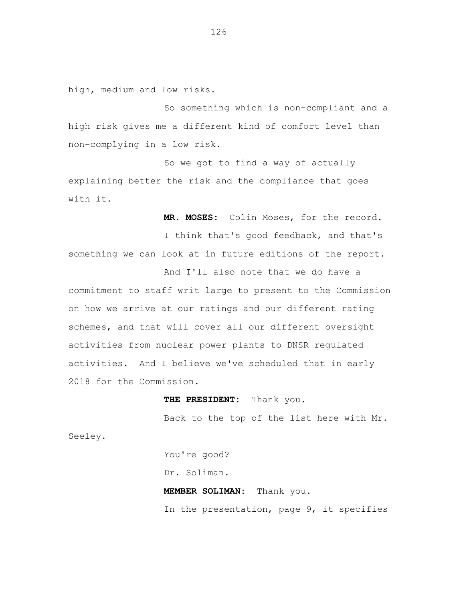high, medium and low risks.

So something which is non-compliant and a high risk gives me a different kind of comfort level than non-complying in a low risk.

So we got to find a way of actually explaining better the risk and the compliance that goes with it.

 **MR. MOSES:** Colin Moses, for the record.

I think that's good feedback, and that's something we can look at in future editions of the report.

And I'll also note that we do have a commitment to staff writ large to present to the Commission on how we arrive at our ratings and our different rating schemes, and that will cover all our different oversight activities from nuclear power plants to DNSR regulated activities. And I believe we've scheduled that in early 2018 for the Commission.

 **THE PRESIDENT:** Thank you.

Back to the top of the list here with Mr.

Seeley.

 You're good? Dr. Soliman.  **MEMBER SOLIMAN:** Thank you. In the presentation, page 9, it specifies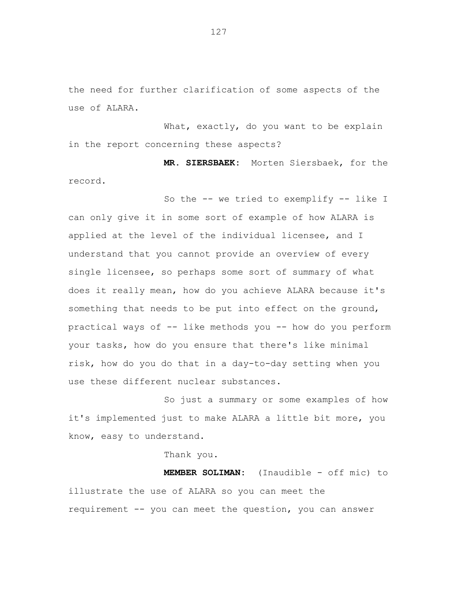the need for further clarification of some aspects of the use of ALARA.

What, exactly, do you want to be explain in the report concerning these aspects?

 **MR. SIERSBAEK:** Morten Siersbaek, for the record.

So the -- we tried to exemplify -- like I can only give it in some sort of example of how ALARA is applied at the level of the individual licensee, and I understand that you cannot provide an overview of every single licensee, so perhaps some sort of summary of what does it really mean, how do you achieve ALARA because it's something that needs to be put into effect on the ground, practical ways of -- like methods you -- how do you perform your tasks, how do you ensure that there's like minimal risk, how do you do that in a day-to-day setting when you use these different nuclear substances.

So just a summary or some examples of how it's implemented just to make ALARA a little bit more, you know, easy to understand.

Thank you.

**MEMBER SOLIMAN:** (Inaudible - off mic) to illustrate the use of ALARA so you can meet the requirement -- you can meet the question, you can answer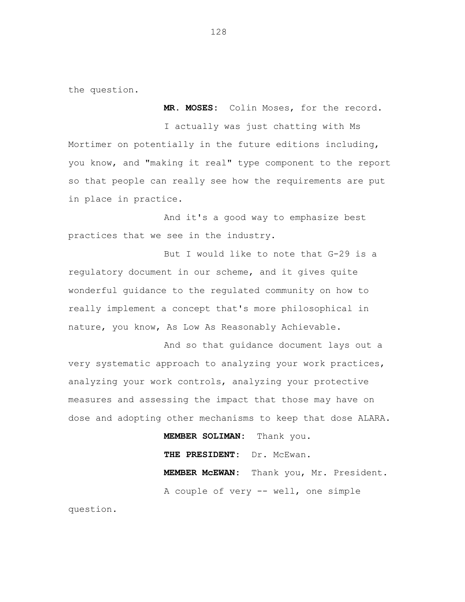the question.

I actually was just chatting with Ms Mortimer on potentially in the future editions including, you know, and "making it real" type component to the report so that people can really see how the requirements are put in place in practice.

**MR. MOSES:** Colin Moses, for the record.

And it's a good way to emphasize best practices that we see in the industry.

But I would like to note that G-29 is a regulatory document in our scheme, and it gives quite wonderful guidance to the regulated community on how to really implement a concept that's more philosophical in nature, you know, As Low As Reasonably Achievable.

And so that guidance document lays out a very systematic approach to analyzing your work practices, analyzing your work controls, analyzing your protective measures and assessing the impact that those may have on dose and adopting other mechanisms to keep that dose ALARA.

**MEMBER SOLIMAN:** Thank you.

 **THE PRESIDENT:** Dr. McEwan.

 **MEMBER McEWAN:** Thank you, Mr. President. A couple of very -- well, one simple

question.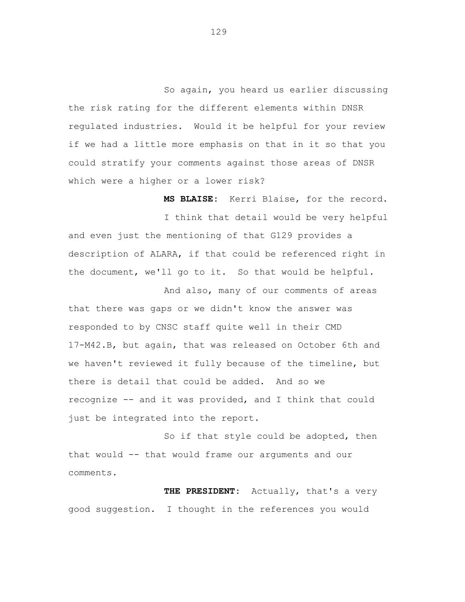So again, you heard us earlier discussing the risk rating for the different elements within DNSR regulated industries. Would it be helpful for your review if we had a little more emphasis on that in it so that you could stratify your comments against those areas of DNSR which were a higher or a lower risk?

 **MS BLAISE:** Kerri Blaise, for the record. I think that detail would be very helpful and even just the mentioning of that G129 provides a description of ALARA, if that could be referenced right in the document, we'll go to it. So that would be helpful.

And also, many of our comments of areas that there was gaps or we didn't know the answer was responded to by CNSC staff quite well in their CMD 17-M42.B, but again, that was released on October 6th and we haven't reviewed it fully because of the timeline, but there is detail that could be added. And so we recognize -- and it was provided, and I think that could just be integrated into the report.

So if that style could be adopted, then that would -- that would frame our arguments and our comments.

**THE PRESIDENT:** Actually, that's a very good suggestion. I thought in the references you would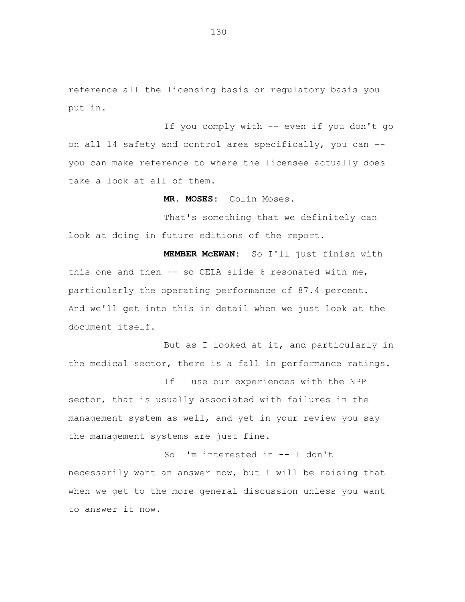reference all the licensing basis or regulatory basis you put in.

If you comply with -- even if you don't go on all 14 safety and control area specifically, you can - you can make reference to where the licensee actually does take a look at all of them.

**MR. MOSES:** Colin Moses.

That's something that we definitely can look at doing in future editions of the report.

**MEMBER McEWAN:** So I'll just finish with this one and then -- so CELA slide 6 resonated with me, particularly the operating performance of 87.4 percent. And we'll get into this in detail when we just look at the document itself.

But as I looked at it, and particularly in the medical sector, there is a fall in performance ratings.

If I use our experiences with the NPP sector, that is usually associated with failures in the management system as well, and yet in your review you say the management systems are just fine.

So I'm interested in -- I don't necessarily want an answer now, but I will be raising that when we get to the more general discussion unless you want to answer it now.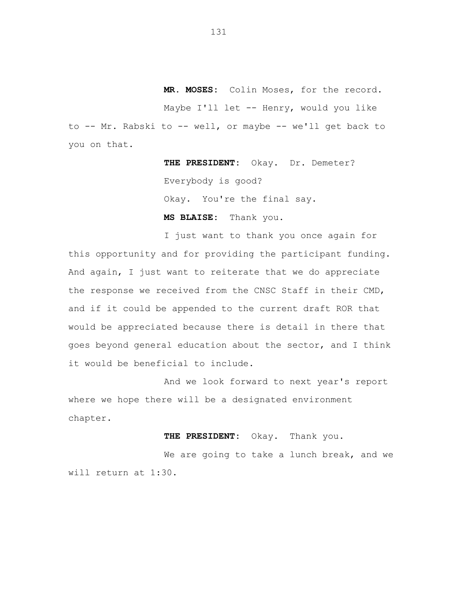**MR. MOSES:** Colin Moses, for the record. Maybe I'll let -- Henry, would you like to -- Mr. Rabski to -- well, or maybe -- we'll get back to you on that.

> **THE PRESIDENT:** Okay. Dr. Demeter? Everybody is good? Okay. You're the final say.

 **MS BLAISE:** Thank you.

I just want to thank you once again for this opportunity and for providing the participant funding. And again, I just want to reiterate that we do appreciate the response we received from the CNSC Staff in their CMD, and if it could be appended to the current draft ROR that would be appreciated because there is detail in there that goes beyond general education about the sector, and I think it would be beneficial to include.

And we look forward to next year's report where we hope there will be a designated environment chapter.

 **THE PRESIDENT:** Okay. Thank you.

We are going to take a lunch break, and we will return at 1:30.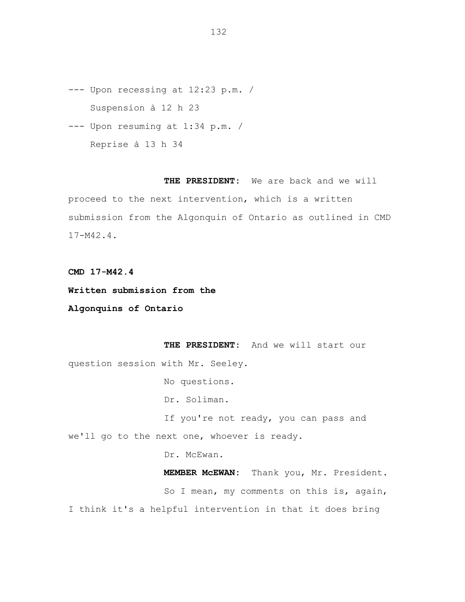- --- Upon recessing at 12:23 p.m. / Suspension à 12 h 23
- --- Upon resuming at 1:34 p.m. / Reprise à 13 h 34

**THE PRESIDENT:** We are back and we will proceed to the next intervention, which is a written submission from the Algonquin of Ontario as outlined in CMD 17-M42.4.

**CMD 17-M42.4** 

**Written submission from the** 

**Algonquins of Ontario** 

**THE PRESIDENT:** And we will start our question session with Mr. Seeley.

No questions.

Dr. Soliman.

If you're not ready, you can pass and we'll go to the next one, whoever is ready.

Dr. McEwan.

**MEMBER McEWAN:** Thank you, Mr. President. So I mean, my comments on this is, again, I think it's a helpful intervention in that it does bring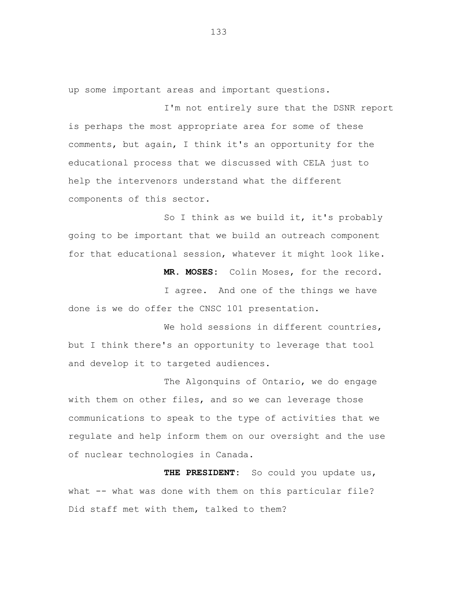up some important areas and important questions.

I'm not entirely sure that the DSNR report is perhaps the most appropriate area for some of these comments, but again, I think it's an opportunity for the educational process that we discussed with CELA just to help the intervenors understand what the different components of this sector.

So I think as we build it, it's probably going to be important that we build an outreach component for that educational session, whatever it might look like.

**MR. MOSES:** Colin Moses, for the record.

I agree. And one of the things we have done is we do offer the CNSC 101 presentation.

We hold sessions in different countries, but I think there's an opportunity to leverage that tool and develop it to targeted audiences.

The Algonquins of Ontario, we do engage with them on other files, and so we can leverage those communications to speak to the type of activities that we regulate and help inform them on our oversight and the use of nuclear technologies in Canada.

**THE PRESIDENT:** So could you update us, what -- what was done with them on this particular file? Did staff met with them, talked to them?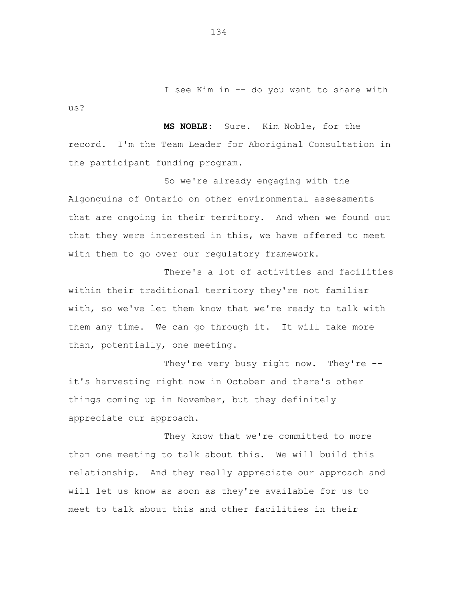I see Kim in -- do you want to share with

**MS NOBLE:** Sure. Kim Noble, for the record. I'm the Team Leader for Aboriginal Consultation in the participant funding program.

So we're already engaging with the Algonquins of Ontario on other environmental assessments that are ongoing in their territory. And when we found out that they were interested in this, we have offered to meet with them to go over our regulatory framework.

There's a lot of activities and facilities within their traditional territory they're not familiar with, so we've let them know that we're ready to talk with them any time. We can go through it. It will take more than, potentially, one meeting.

They're very busy right now. They're -it's harvesting right now in October and there's other things coming up in November, but they definitely appreciate our approach.

They know that we're committed to more than one meeting to talk about this. We will build this relationship. And they really appreciate our approach and will let us know as soon as they're available for us to meet to talk about this and other facilities in their

134

us?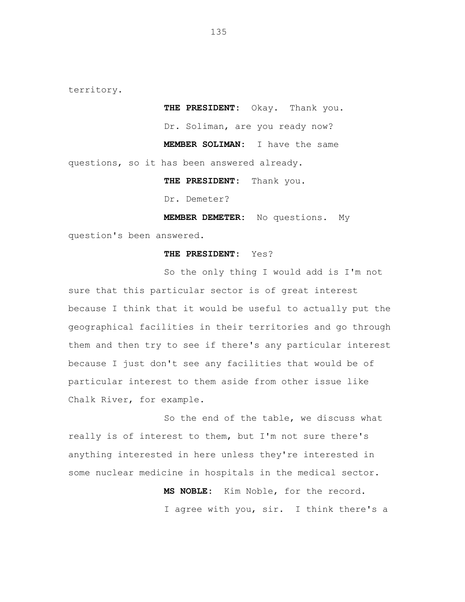territory.

**THE PRESIDENT:** Okay. Thank you. Dr. Soliman, are you ready now?  **MEMBER SOLIMAN:** I have the same questions, so it has been answered already. **THE PRESIDENT:** Thank you.

Dr. Demeter?

**MEMBER DEMETER:** No questions. My question's been answered.

## **THE PRESIDENT:** Yes?

So the only thing I would add is I'm not sure that this particular sector is of great interest because I think that it would be useful to actually put the geographical facilities in their territories and go through them and then try to see if there's any particular interest because I just don't see any facilities that would be of particular interest to them aside from other issue like Chalk River, for example.

So the end of the table, we discuss what really is of interest to them, but I'm not sure there's anything interested in here unless they're interested in some nuclear medicine in hospitals in the medical sector.

> **MS NOBLE:** Kim Noble, for the record. I agree with you, sir. I think there's a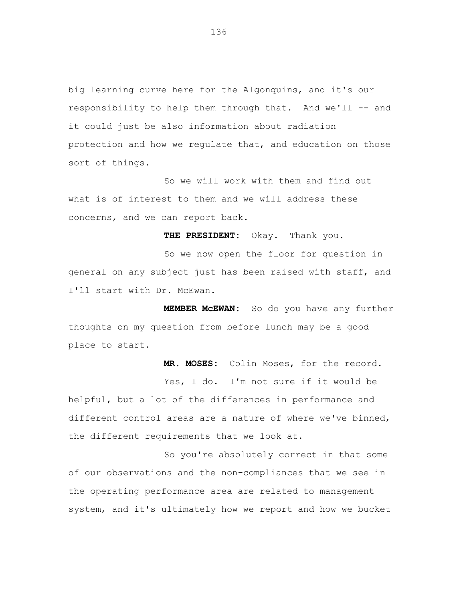big learning curve here for the Algonquins, and it's our responsibility to help them through that. And we'll -- and it could just be also information about radiation protection and how we regulate that, and education on those sort of things.

So we will work with them and find out what is of interest to them and we will address these concerns, and we can report back.

**THE PRESIDENT:** Okay. Thank you.

So we now open the floor for question in general on any subject just has been raised with staff, and I'll start with Dr. McEwan.

**MEMBER McEWAN:** So do you have any further thoughts on my question from before lunch may be a good place to start.

 **MR. MOSES:** Colin Moses, for the record.

Yes, I do. I'm not sure if it would be helpful, but a lot of the differences in performance and different control areas are a nature of where we've binned, the different requirements that we look at.

So you're absolutely correct in that some of our observations and the non-compliances that we see in the operating performance area are related to management system, and it's ultimately how we report and how we bucket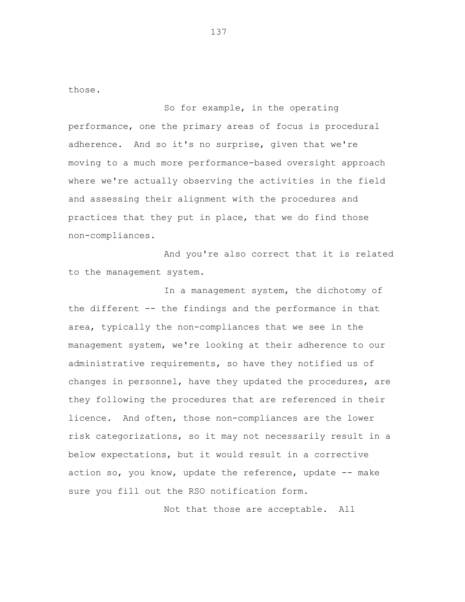those.

So for example, in the operating performance, one the primary areas of focus is procedural adherence. And so it's no surprise, given that we're moving to a much more performance-based oversight approach where we're actually observing the activities in the field and assessing their alignment with the procedures and practices that they put in place, that we do find those non-compliances.

And you're also correct that it is related to the management system.

In a management system, the dichotomy of the different -- the findings and the performance in that area, typically the non-compliances that we see in the management system, we're looking at their adherence to our administrative requirements, so have they notified us of changes in personnel, have they updated the procedures, are they following the procedures that are referenced in their licence. And often, those non-compliances are the lower risk categorizations, so it may not necessarily result in a below expectations, but it would result in a corrective action so, you know, update the reference, update -- make sure you fill out the RSO notification form.

Not that those are acceptable. All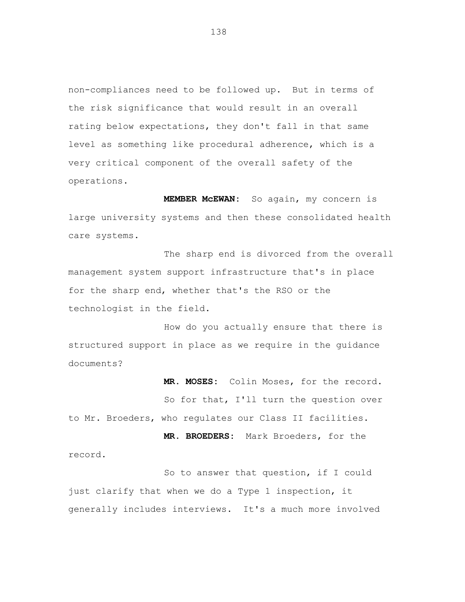non-compliances need to be followed up. But in terms of the risk significance that would result in an overall rating below expectations, they don't fall in that same level as something like procedural adherence, which is a very critical component of the overall safety of the operations.

**MEMBER McEWAN:** So again, my concern is large university systems and then these consolidated health care systems.

The sharp end is divorced from the overall management system support infrastructure that's in place for the sharp end, whether that's the RSO or the technologist in the field.

How do you actually ensure that there is structured support in place as we require in the guidance documents?

**MR. MOSES:** Colin Moses, for the record. So for that, I'll turn the question over to Mr. Broeders, who regulates our Class II facilities.

**MR. BROEDERS:** Mark Broeders, for the record.

So to answer that question, if I could just clarify that when we do a Type 1 inspection, it generally includes interviews. It's a much more involved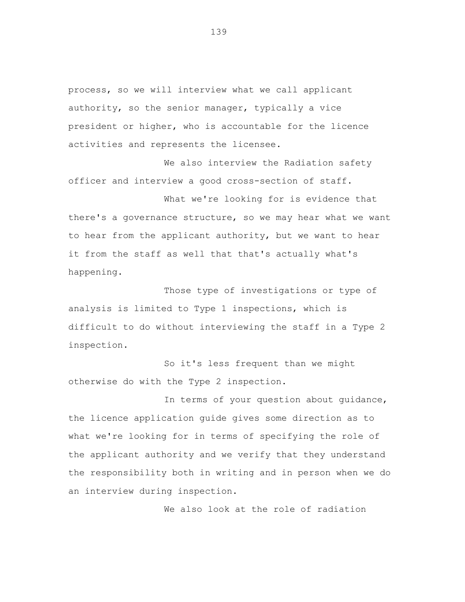process, so we will interview what we call applicant authority, so the senior manager, typically a vice president or higher, who is accountable for the licence activities and represents the licensee.

We also interview the Radiation safety officer and interview a good cross-section of staff.

What we're looking for is evidence that there's a governance structure, so we may hear what we want to hear from the applicant authority, but we want to hear it from the staff as well that that's actually what's happening.

Those type of investigations or type of analysis is limited to Type 1 inspections, which is difficult to do without interviewing the staff in a Type 2 inspection.

So it's less frequent than we might otherwise do with the Type 2 inspection.

In terms of your question about guidance, the licence application guide gives some direction as to what we're looking for in terms of specifying the role of the applicant authority and we verify that they understand the responsibility both in writing and in person when we do an interview during inspection.

We also look at the role of radiation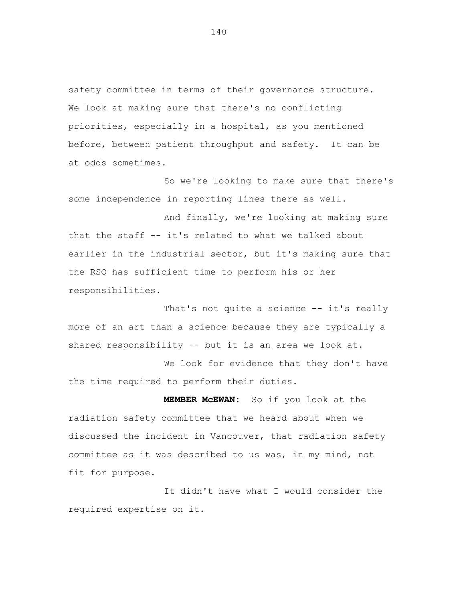safety committee in terms of their governance structure. We look at making sure that there's no conflicting priorities, especially in a hospital, as you mentioned before, between patient throughput and safety. It can be at odds sometimes.

So we're looking to make sure that there's some independence in reporting lines there as well.

And finally, we're looking at making sure that the staff -- it's related to what we talked about earlier in the industrial sector, but it's making sure that the RSO has sufficient time to perform his or her responsibilities.

That's not quite a science -- it's really more of an art than a science because they are typically a shared responsibility  $-$  but it is an area we look at.

We look for evidence that they don't have the time required to perform their duties.

**MEMBER McEWAN:** So if you look at the radiation safety committee that we heard about when we discussed the incident in Vancouver, that radiation safety committee as it was described to us was, in my mind, not fit for purpose.

It didn't have what I would consider the required expertise on it.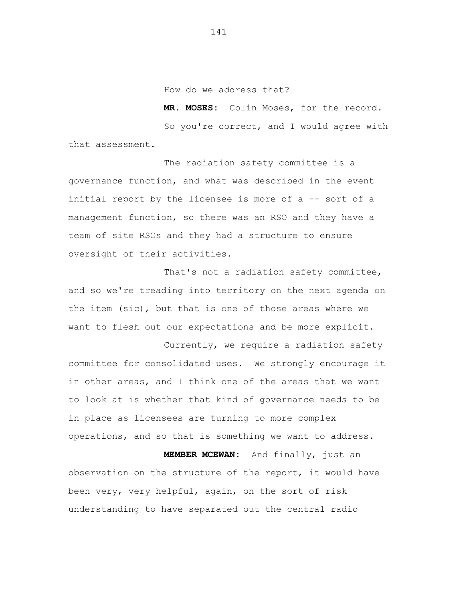How do we address that?

**MR. MOSES:** Colin Moses, for the record.

So you're correct, and I would agree with that assessment.

The radiation safety committee is a governance function, and what was described in the event initial report by the licensee is more of a -- sort of a management function, so there was an RSO and they have a team of site RSOs and they had a structure to ensure oversight of their activities.

That's not a radiation safety committee, and so we're treading into territory on the next agenda on the item (sic), but that is one of those areas where we want to flesh out our expectations and be more explicit.

Currently, we require a radiation safety committee for consolidated uses. We strongly encourage it in other areas, and I think one of the areas that we want to look at is whether that kind of governance needs to be in place as licensees are turning to more complex operations, and so that is something we want to address.

**MEMBER MCEWAN:** And finally, just an observation on the structure of the report, it would have been very, very helpful, again, on the sort of risk understanding to have separated out the central radio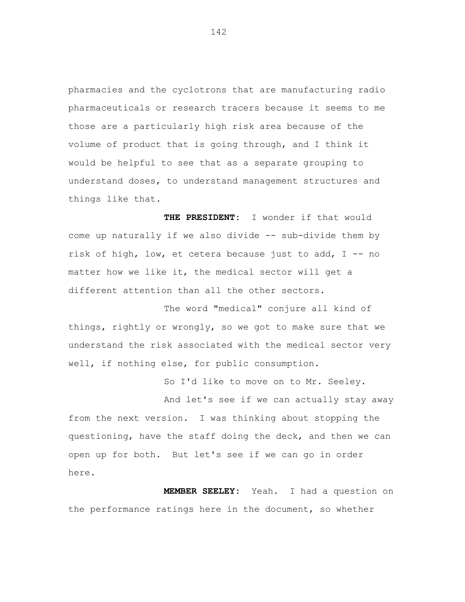pharmacies and the cyclotrons that are manufacturing radio pharmaceuticals or research tracers because it seems to me those are a particularly high risk area because of the volume of product that is going through, and I think it would be helpful to see that as a separate grouping to understand doses, to understand management structures and things like that.

**THE PRESIDENT:** I wonder if that would come up naturally if we also divide -- sub-divide them by risk of high, low, et cetera because just to add, I -- no matter how we like it, the medical sector will get a different attention than all the other sectors.

The word "medical" conjure all kind of things, rightly or wrongly, so we got to make sure that we understand the risk associated with the medical sector very well, if nothing else, for public consumption.

So I'd like to move on to Mr. Seeley.

And let's see if we can actually stay away from the next version. I was thinking about stopping the questioning, have the staff doing the deck, and then we can open up for both. But let's see if we can go in order here.

**MEMBER SEELEY:** Yeah. I had a question on the performance ratings here in the document, so whether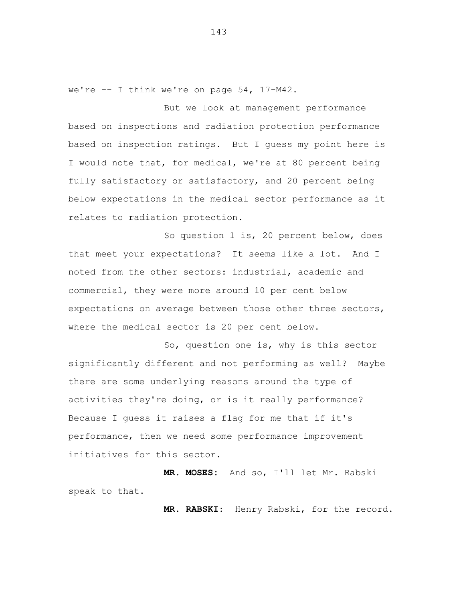we're -- I think we're on page 54, 17-M42.

But we look at management performance based on inspections and radiation protection performance based on inspection ratings. But I guess my point here is I would note that, for medical, we're at 80 percent being fully satisfactory or satisfactory, and 20 percent being below expectations in the medical sector performance as it relates to radiation protection.

So question 1 is, 20 percent below, does that meet your expectations? It seems like a lot. And I noted from the other sectors: industrial, academic and commercial, they were more around 10 per cent below expectations on average between those other three sectors, where the medical sector is 20 per cent below.

So, question one is, why is this sector significantly different and not performing as well? Maybe there are some underlying reasons around the type of activities they're doing, or is it really performance? Because I guess it raises a flag for me that if it's performance, then we need some performance improvement initiatives for this sector.

**MR. MOSES:** And so, I'll let Mr. Rabski speak to that.

**MR. RABSKI:** Henry Rabski, for the record.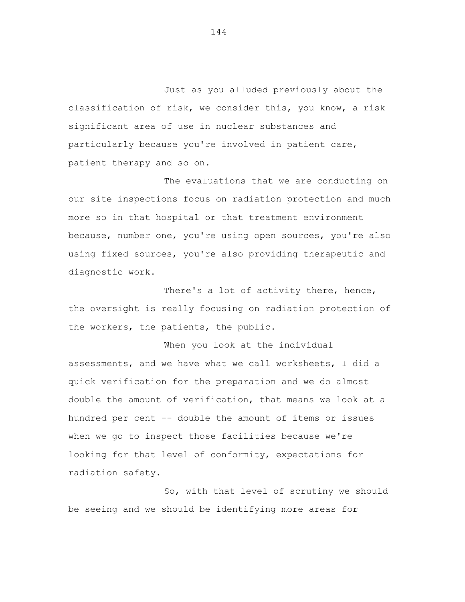Just as you alluded previously about the classification of risk, we consider this, you know, a risk significant area of use in nuclear substances and particularly because you're involved in patient care, patient therapy and so on.

The evaluations that we are conducting on our site inspections focus on radiation protection and much more so in that hospital or that treatment environment because, number one, you're using open sources, you're also using fixed sources, you're also providing therapeutic and diagnostic work.

There's a lot of activity there, hence, the oversight is really focusing on radiation protection of the workers, the patients, the public.

When you look at the individual assessments, and we have what we call worksheets, I did a quick verification for the preparation and we do almost double the amount of verification, that means we look at a hundred per cent -- double the amount of items or issues when we go to inspect those facilities because we're looking for that level of conformity, expectations for radiation safety.

So, with that level of scrutiny we should be seeing and we should be identifying more areas for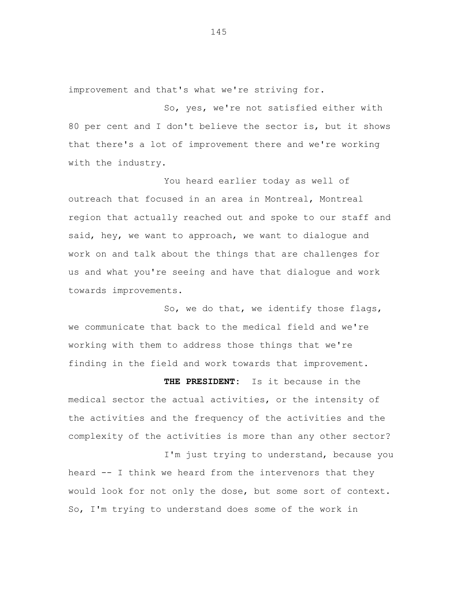improvement and that's what we're striving for.

So, yes, we're not satisfied either with 80 per cent and I don't believe the sector is, but it shows that there's a lot of improvement there and we're working with the industry.

You heard earlier today as well of outreach that focused in an area in Montreal, Montreal region that actually reached out and spoke to our staff and said, hey, we want to approach, we want to dialogue and work on and talk about the things that are challenges for us and what you're seeing and have that dialogue and work towards improvements.

So, we do that, we identify those flags, we communicate that back to the medical field and we're working with them to address those things that we're finding in the field and work towards that improvement.

**THE PRESIDENT:** Is it because in the medical sector the actual activities, or the intensity of the activities and the frequency of the activities and the complexity of the activities is more than any other sector?

heard -- I think we heard from the intervenors that they would look for not only the dose, but some sort of context. So, I'm trying to understand does some of the work in

I'm just trying to understand, because you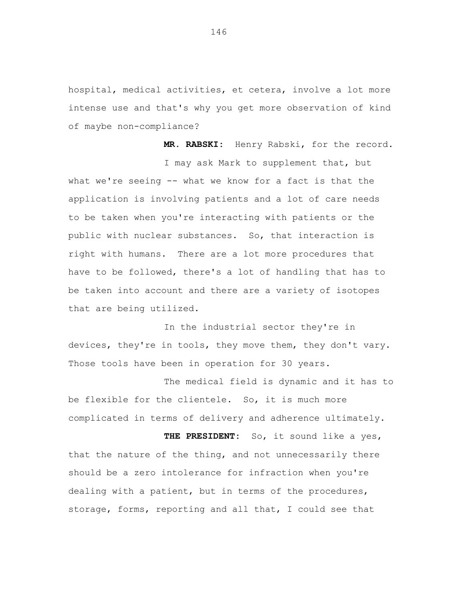hospital, medical activities, et cetera, involve a lot more intense use and that's why you get more observation of kind of maybe non-compliance?

**MR. RABSKI:** Henry Rabski, for the record. I may ask Mark to supplement that, but what we're seeing -- what we know for a fact is that the application is involving patients and a lot of care needs to be taken when you're interacting with patients or the public with nuclear substances. So, that interaction is right with humans. There are a lot more procedures that have to be followed, there's a lot of handling that has to be taken into account and there are a variety of isotopes that are being utilized.

In the industrial sector they're in devices, they're in tools, they move them, they don't vary. Those tools have been in operation for 30 years.

The medical field is dynamic and it has to be flexible for the clientele. So, it is much more complicated in terms of delivery and adherence ultimately.

 **THE PRESIDENT:** So, it sound like a yes, that the nature of the thing, and not unnecessarily there should be a zero intolerance for infraction when you're dealing with a patient, but in terms of the procedures, storage, forms, reporting and all that, I could see that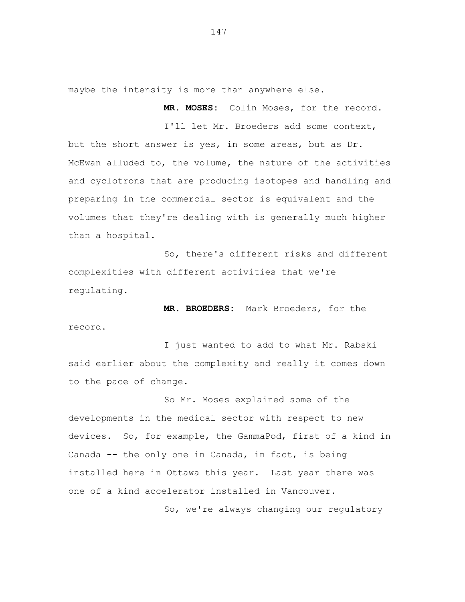maybe the intensity is more than anywhere else.

**MR. MOSES:** Colin Moses, for the record.

I'll let Mr. Broeders add some context,

but the short answer is yes, in some areas, but as Dr. McEwan alluded to, the volume, the nature of the activities and cyclotrons that are producing isotopes and handling and preparing in the commercial sector is equivalent and the volumes that they're dealing with is generally much higher than a hospital.

So, there's different risks and different complexities with different activities that we're regulating.

**MR. BROEDERS:** Mark Broeders, for the record.

I just wanted to add to what Mr. Rabski said earlier about the complexity and really it comes down to the pace of change.

So Mr. Moses explained some of the developments in the medical sector with respect to new devices. So, for example, the GammaPod, first of a kind in Canada -- the only one in Canada, in fact, is being installed here in Ottawa this year. Last year there was one of a kind accelerator installed in Vancouver.

So, we're always changing our regulatory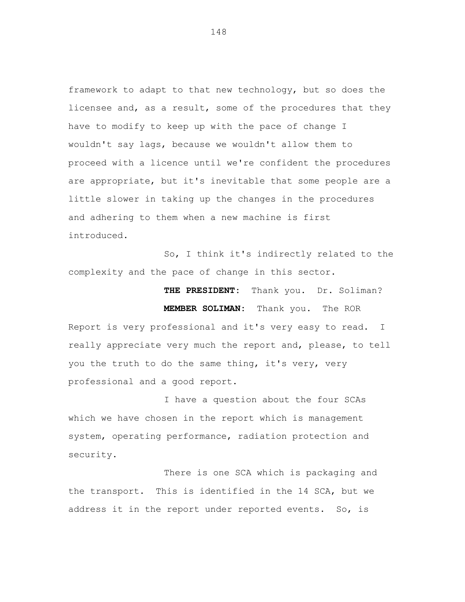framework to adapt to that new technology, but so does the licensee and, as a result, some of the procedures that they have to modify to keep up with the pace of change I wouldn't say lags, because we wouldn't allow them to proceed with a licence until we're confident the procedures are appropriate, but it's inevitable that some people are a little slower in taking up the changes in the procedures and adhering to them when a new machine is first introduced.

So, I think it's indirectly related to the complexity and the pace of change in this sector.

 **THE PRESIDENT:** Thank you. Dr. Soliman?

**MEMBER SOLIMAN:** Thank you. The ROR Report is very professional and it's very easy to read. I really appreciate very much the report and, please, to tell you the truth to do the same thing, it's very, very professional and a good report.

I have a question about the four SCAs which we have chosen in the report which is management system, operating performance, radiation protection and security.

There is one SCA which is packaging and the transport. This is identified in the 14 SCA, but we address it in the report under reported events. So, is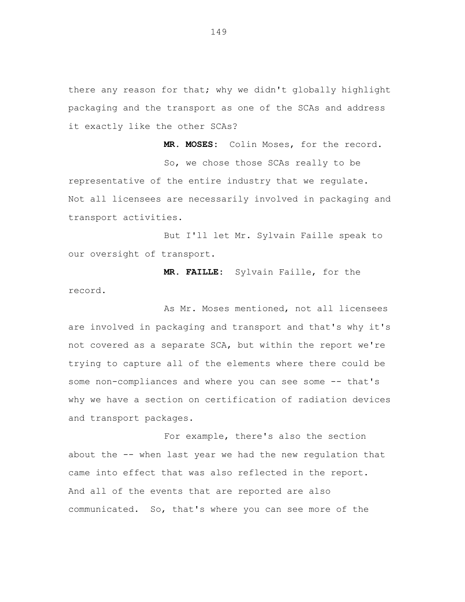there any reason for that; why we didn't globally highlight packaging and the transport as one of the SCAs and address it exactly like the other SCAs?

**MR. MOSES:** Colin Moses, for the record. So, we chose those SCAs really to be representative of the entire industry that we regulate. Not all licensees are necessarily involved in packaging and transport activities.

But I'll let Mr. Sylvain Faille speak to our oversight of transport.

**MR. FAILLE:** Sylvain Faille, for the record.

As Mr. Moses mentioned, not all licensees are involved in packaging and transport and that's why it's not covered as a separate SCA, but within the report we're trying to capture all of the elements where there could be some non-compliances and where you can see some -- that's why we have a section on certification of radiation devices and transport packages.

For example, there's also the section about the -- when last year we had the new regulation that came into effect that was also reflected in the report. And all of the events that are reported are also communicated. So, that's where you can see more of the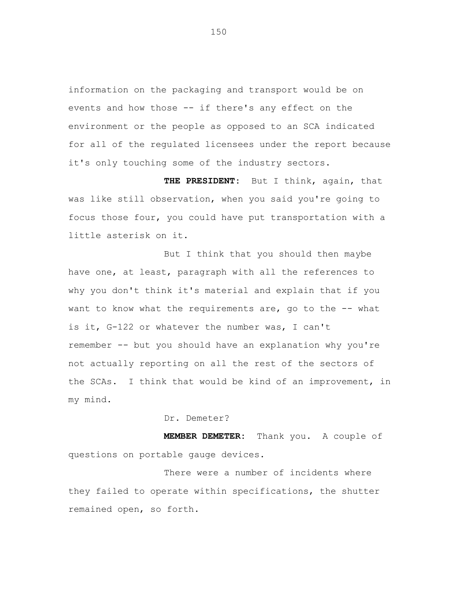information on the packaging and transport would be on events and how those -- if there's any effect on the environment or the people as opposed to an SCA indicated for all of the regulated licensees under the report because it's only touching some of the industry sectors.

**THE PRESIDENT:** But I think, again, that was like still observation, when you said you're going to focus those four, you could have put transportation with a little asterisk on it.

But I think that you should then maybe have one, at least, paragraph with all the references to why you don't think it's material and explain that if you want to know what the requirements are, go to the -- what is it, G-122 or whatever the number was, I can't remember -- but you should have an explanation why you're not actually reporting on all the rest of the sectors of the SCAs. I think that would be kind of an improvement, in my mind.

Dr. Demeter?

**MEMBER DEMETER:** Thank you. A couple of questions on portable gauge devices.

There were a number of incidents where they failed to operate within specifications, the shutter remained open, so forth.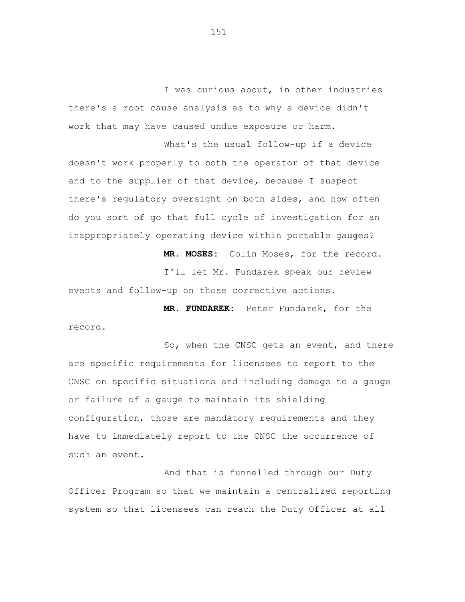I was curious about, in other industries there's a root cause analysis as to why a device didn't work that may have caused undue exposure or harm.

What's the usual follow-up if a device doesn't work properly to both the operator of that device and to the supplier of that device, because I suspect there's regulatory oversight on both sides, and how often do you sort of go that full cycle of investigation for an inappropriately operating device within portable gauges?

**MR. MOSES:** Colin Moses, for the record.

I'll let Mr. Fundarek speak our review events and follow-up on those corrective actions.

**MR. FUNDAREK:** Peter Fundarek, for the record.

So, when the CNSC gets an event, and there are specific requirements for licensees to report to the CNSC on specific situations and including damage to a gauge or failure of a gauge to maintain its shielding configuration, those are mandatory requirements and they have to immediately report to the CNSC the occurrence of such an event.

And that is funnelled through our Duty Officer Program so that we maintain a centralized reporting system so that licensees can reach the Duty Officer at all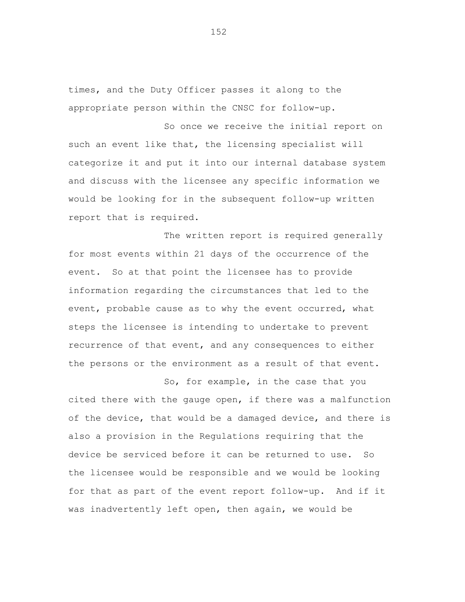times, and the Duty Officer passes it along to the appropriate person within the CNSC for follow-up.

So once we receive the initial report on such an event like that, the licensing specialist will categorize it and put it into our internal database system and discuss with the licensee any specific information we would be looking for in the subsequent follow-up written report that is required.

The written report is required generally for most events within 21 days of the occurrence of the event. So at that point the licensee has to provide information regarding the circumstances that led to the event, probable cause as to why the event occurred, what steps the licensee is intending to undertake to prevent recurrence of that event, and any consequences to either the persons or the environment as a result of that event.

So, for example, in the case that you cited there with the gauge open, if there was a malfunction of the device, that would be a damaged device, and there is also a provision in the Regulations requiring that the device be serviced before it can be returned to use. So the licensee would be responsible and we would be looking for that as part of the event report follow-up. And if it was inadvertently left open, then again, we would be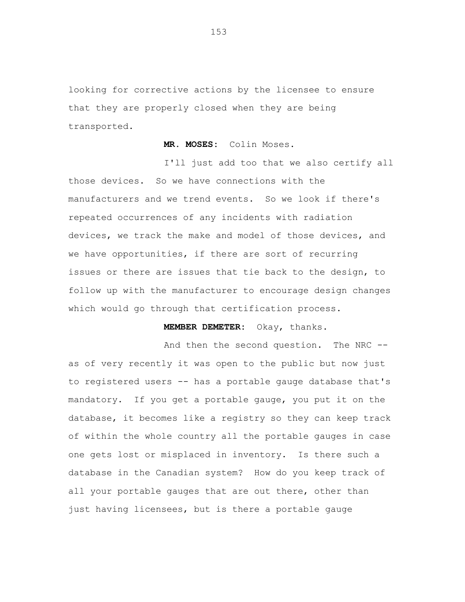looking for corrective actions by the licensee to ensure that they are properly closed when they are being transported.

## **MR. MOSES:** Colin Moses.

I'll just add too that we also certify all those devices. So we have connections with the manufacturers and we trend events. So we look if there's repeated occurrences of any incidents with radiation devices, we track the make and model of those devices, and we have opportunities, if there are sort of recurring issues or there are issues that tie back to the design, to follow up with the manufacturer to encourage design changes which would go through that certification process.

## **MEMBER DEMETER:** Okay, thanks.

And then the second question. The NRC - as of very recently it was open to the public but now just to registered users -- has a portable gauge database that's mandatory**.** If you get a portable gauge, you put it on the database, it becomes like a registry so they can keep track of within the whole country all the portable gauges in case one gets lost or misplaced in inventory. Is there such a database in the Canadian system? How do you keep track of all your portable gauges that are out there, other than just having licensees, but is there a portable gauge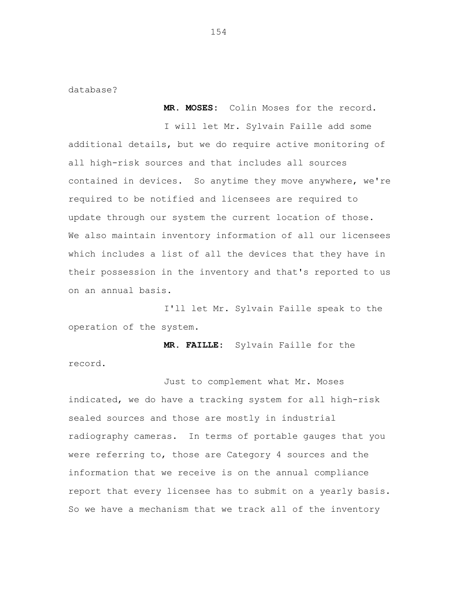database?

 **MR. MOSES:** Colin Moses for the record.

I will let Mr. Sylvain Faille add some additional details, but we do require active monitoring of all high-risk sources and that includes all sources contained in devices. So anytime they move anywhere, we're required to be notified and licensees are required to update through our system the current location of those. We also maintain inventory information of all our licensees which includes a list of all the devices that they have in their possession in the inventory and that's reported to us on an annual basis.

I'll let Mr. Sylvain Faille speak to the operation of the system.

**MR. FAILLE:** Sylvain Faille for the record.

Just to complement what Mr. Moses indicated, we do have a tracking system for all high-risk sealed sources and those are mostly in industrial radiography cameras. In terms of portable gauges that you were referring to, those are Category 4 sources and the information that we receive is on the annual compliance report that every licensee has to submit on a yearly basis. So we have a mechanism that we track all of the inventory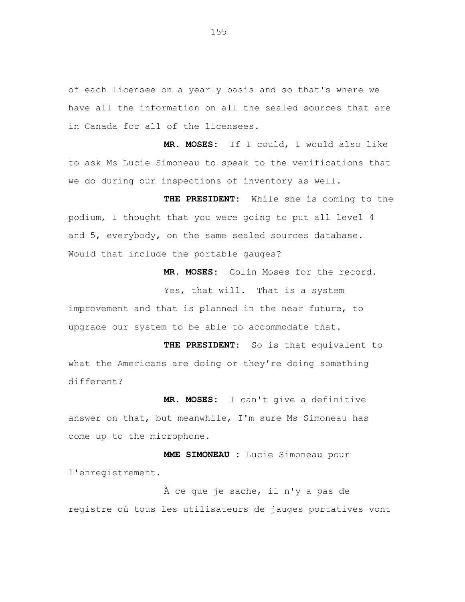of each licensee on a yearly basis and so that's where we have all the information on all the sealed sources that are in Canada for all of the licensees.

**MR. MOSES:** If I could, I would also like to ask Ms Lucie Simoneau to speak to the verifications that we do during our inspections of inventory as well.

 **THE PRESIDENT:** While she is coming to the podium, I thought that you were going to put all level 4 and 5, everybody, on the same sealed sources database. Would that include the portable gauges?

**MR. MOSES:** Colin Moses for the record.

Yes, that will. That is a system improvement and that is planned in the near future, to upgrade our system to be able to accommodate that.

**THE PRESIDENT:** So is that equivalent to what the Americans are doing or they're doing something different?

**MR. MOSES:** I can't give a definitive answer on that, but meanwhile, I'm sure Ms Simoneau has come up to the microphone.

**MME SIMONEAU :** Lucie Simoneau pour l'enregistrement.

À ce que je sache, il n'y a pas de registre où tous les utilisateurs de jauges portatives vont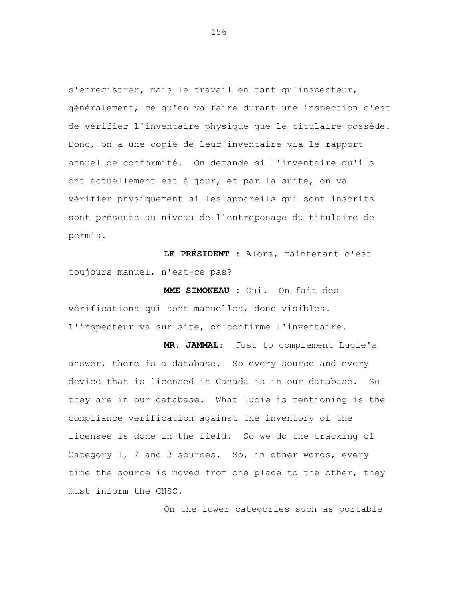s'enregistrer, mais le travail en tant qu'inspecteur, généralement, ce qu'on va faire durant une inspection c'est de vérifier l'inventaire physique que le titulaire possède. Donc, on a une copie de leur inventaire via le rapport annuel de conformité. On demande si l'inventaire qu'ils ont actuellement est à jour, et par la suite, on va vérifier physiquement si les appareils qui sont inscrits sont présents au niveau de l'entreposage du titulaire de permis.

**LE PRÉSIDENT :** Alors, maintenant c'est toujours manuel, n'est-ce pas?

**MME SIMONEAU :** Oui. On fait des vérifications qui sont manuelles, donc visibles. L'inspecteur va sur site, on confirme l'inventaire.

**MR. JAMMAL:** Just to complement Lucie's answer, there is a database. So every source and every device that is licensed in Canada is in our database. So they are in our database. What Lucie is mentioning is the compliance verification against the inventory of the licensee is done in the field. So we do the tracking of Category 1, 2 and 3 sources. So, in other words, every time the source is moved from one place to the other, they must inform the CNSC.

On the lower categories such as portable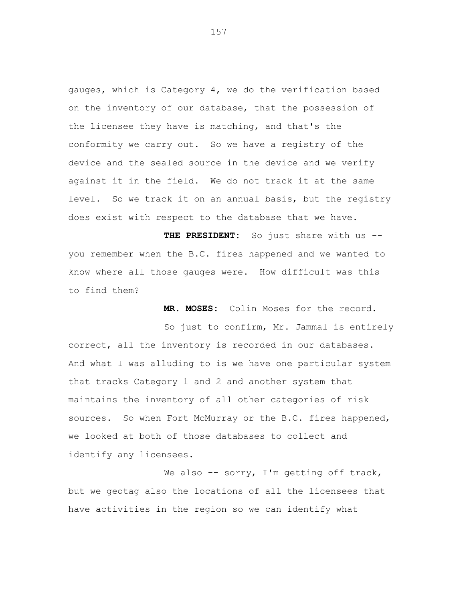gauges, which is Category 4, we do the verification based on the inventory of our database, that the possession of the licensee they have is matching, and that's the conformity we carry out. So we have a registry of the device and the sealed source in the device and we verify against it in the field. We do not track it at the same level. So we track it on an annual basis, but the registry does exist with respect to the database that we have.

**THE PRESIDENT:** So just share with us - you remember when the B.C. fires happened and we wanted to know where all those gauges were. How difficult was this to find them?

 **MR. MOSES:** Colin Moses for the record.

So just to confirm, Mr. Jammal is entirely correct, all the inventory is recorded in our databases. And what I was alluding to is we have one particular system that tracks Category 1 and 2 and another system that maintains the inventory of all other categories of risk sources. So when Fort McMurray or the B.C. fires happened, we looked at both of those databases to collect and identify any licensees.

We also -- sorry, I'm getting off track, but we geotag also the locations of all the licensees that have activities in the region so we can identify what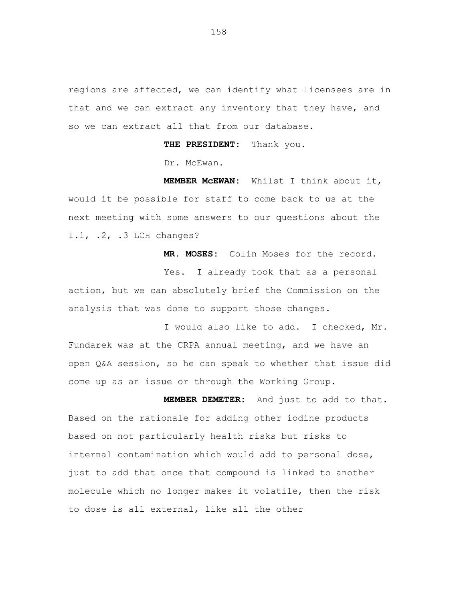regions are affected, we can identify what licensees are in that and we can extract any inventory that they have, and so we can extract all that from our database.

**THE PRESIDENT:** Thank you.

Dr. McEwan.

**MEMBER McEWAN:** Whilst I think about it, would it be possible for staff to come back to us at the next meeting with some answers to our questions about the I.1, .2, .3 LCH changes?

**MR. MOSES:** Colin Moses for the record. Yes. I already took that as a personal action, but we can absolutely brief the Commission on the analysis that was done to support those changes.

I would also like to add. I checked, Mr. Fundarek was at the CRPA annual meeting, and we have an open Q&A session, so he can speak to whether that issue did come up as an issue or through the Working Group.

**MEMBER DEMETER:** And just to add to that. Based on the rationale for adding other iodine products based on not particularly health risks but risks to internal contamination which would add to personal dose, just to add that once that compound is linked to another molecule which no longer makes it volatile, then the risk to dose is all external, like all the other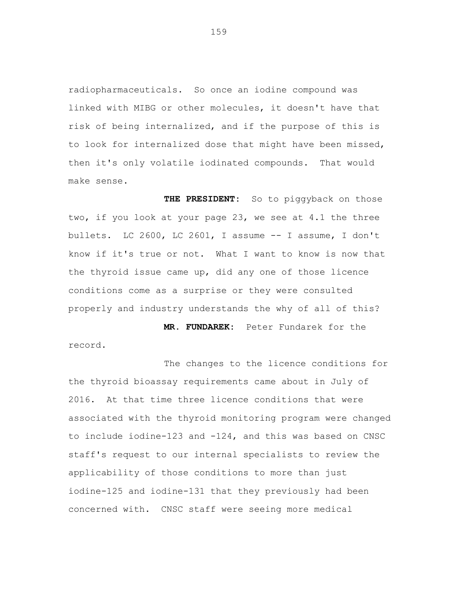radiopharmaceuticals. So once an iodine compound was linked with MIBG or other molecules, it doesn't have that risk of being internalized, and if the purpose of this is to look for internalized dose that might have been missed, then it's only volatile iodinated compounds. That would make sense.

THE PRESIDENT: So to piggyback on those two, if you look at your page 23, we see at 4.1 the three bullets. LC 2600, LC 2601, I assume -- I assume, I don't know if it's true or not. What I want to know is now that the thyroid issue came up, did any one of those licence conditions come as a surprise or they were consulted properly and industry understands the why of all of this?

**MR. FUNDAREK:** Peter Fundarek for the record.

The changes to the licence conditions for the thyroid bioassay requirements came about in July of 2016. At that time three licence conditions that were associated with the thyroid monitoring program were changed to include iodine-123 and -124, and this was based on CNSC staff's request to our internal specialists to review the applicability of those conditions to more than just iodine-125 and iodine-131 that they previously had been concerned with. CNSC staff were seeing more medical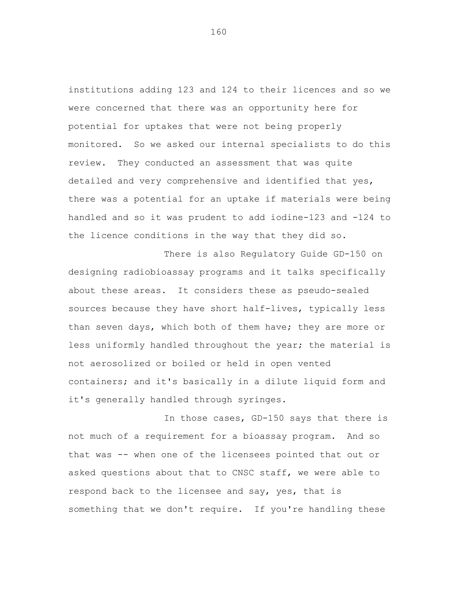institutions adding 123 and 124 to their licences and so we were concerned that there was an opportunity here for potential for uptakes that were not being properly monitored. So we asked our internal specialists to do this review. They conducted an assessment that was quite detailed and very comprehensive and identified that yes, there was a potential for an uptake if materials were being handled and so it was prudent to add iodine-123 and -124 to the licence conditions in the way that they did so.

There is also Regulatory Guide GD-150 on designing radiobioassay programs and it talks specifically about these areas. It considers these as pseudo-sealed sources because they have short half-lives, typically less than seven days, which both of them have; they are more or less uniformly handled throughout the year; the material is not aerosolized or boiled or held in open vented containers; and it's basically in a dilute liquid form and it's generally handled through syringes.

In those cases, GD-150 says that there is not much of a requirement for a bioassay program. And so that was -- when one of the licensees pointed that out or asked questions about that to CNSC staff, we were able to respond back to the licensee and say, yes, that is something that we don't require. If you're handling these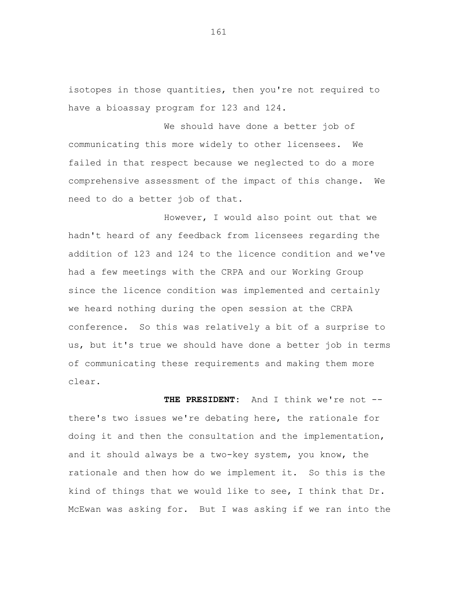isotopes in those quantities, then you're not required to have a bioassay program for 123 and 124.

We should have done a better job of communicating this more widely to other licensees. We failed in that respect because we neglected to do a more comprehensive assessment of the impact of this change. We need to do a better job of that.

However, I would also point out that we hadn't heard of any feedback from licensees regarding the addition of 123 and 124 to the licence condition and we've had a few meetings with the CRPA and our Working Group since the licence condition was implemented and certainly we heard nothing during the open session at the CRPA conference. So this was relatively a bit of a surprise to us, but it's true we should have done a better job in terms of communicating these requirements and making them more clear.

 **THE PRESIDENT:** And I think we're not - there's two issues we're debating here, the rationale for doing it and then the consultation and the implementation, and it should always be a two-key system, you know, the rationale and then how do we implement it. So this is the kind of things that we would like to see, I think that Dr. McEwan was asking for. But I was asking if we ran into the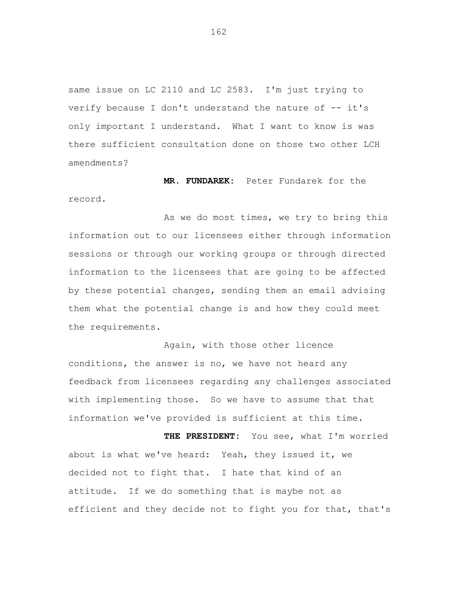same issue on LC 2110 and LC 2583. I'm just trying to verify because I don't understand the nature of -- it's only important I understand. What I want to know is was there sufficient consultation done on those two other LCH amendments?

**MR. FUNDAREK:** Peter Fundarek for the

record.

As we do most times, we try to bring this information out to our licensees either through information sessions or through our working groups or through directed information to the licensees that are going to be affected by these potential changes, sending them an email advising them what the potential change is and how they could meet the requirements.

Again, with those other licence conditions, the answer is no, we have not heard any feedback from licensees regarding any challenges associated with implementing those. So we have to assume that that information we've provided is sufficient at this time.

**THE PRESIDENT:** You see, what I'm worried about is what we've heard: Yeah, they issued it, we decided not to fight that. I hate that kind of an attitude. If we do something that is maybe not as efficient and they decide not to fight you for that, that's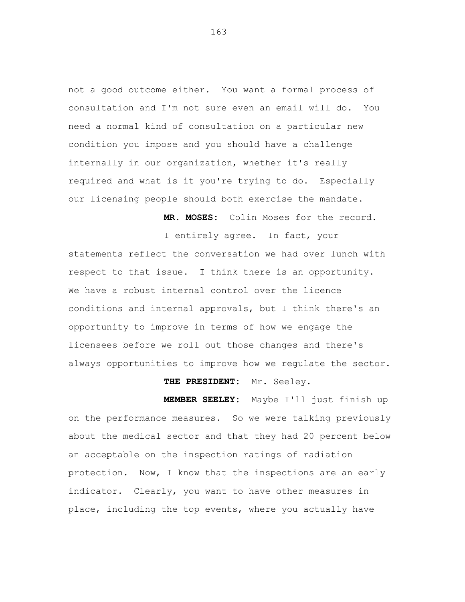not a good outcome either. You want a formal process of consultation and I'm not sure even an email will do. You need a normal kind of consultation on a particular new condition you impose and you should have a challenge internally in our organization, whether it's really required and what is it you're trying to do. Especially our licensing people should both exercise the mandate.

**MR. MOSES:** Colin Moses for the record.

I entirely agree. In fact, your statements reflect the conversation we had over lunch with respect to that issue. I think there is an opportunity. We have a robust internal control over the licence conditions and internal approvals, but I think there's an opportunity to improve in terms of how we engage the licensees before we roll out those changes and there's always opportunities to improve how we regulate the sector.

## **THE PRESIDENT:** Mr. Seeley.

**MEMBER SEELEY:** Maybe I'll just finish up on the performance measures. So we were talking previously about the medical sector and that they had 20 percent below an acceptable on the inspection ratings of radiation protection. Now, I know that the inspections are an early indicator. Clearly, you want to have other measures in place, including the top events, where you actually have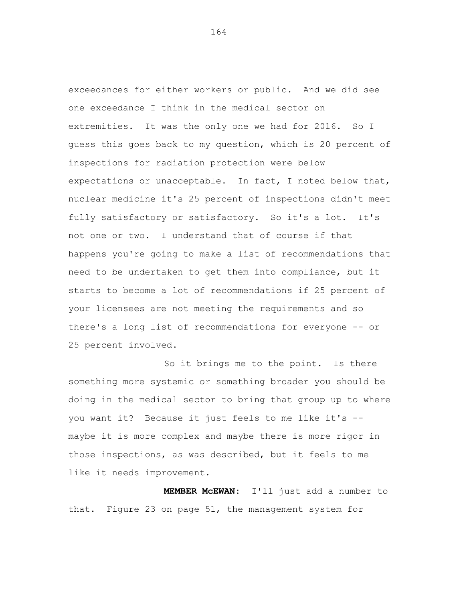exceedances for either workers or public. And we did see one exceedance I think in the medical sector on extremities. It was the only one we had for 2016. So I guess this goes back to my question, which is 20 percent of inspections for radiation protection were below expectations or unacceptable. In fact, I noted below that, nuclear medicine it's 25 percent of inspections didn't meet fully satisfactory or satisfactory. So it's a lot. It's not one or two. I understand that of course if that happens you're going to make a list of recommendations that need to be undertaken to get them into compliance, but it starts to become a lot of recommendations if 25 percent of your licensees are not meeting the requirements and so there's a long list of recommendations for everyone -- or 25 percent involved.

So it brings me to the point. Is there something more systemic or something broader you should be doing in the medical sector to bring that group up to where you want it? Because it just feels to me like it's - maybe it is more complex and maybe there is more rigor in those inspections, as was described, but it feels to me like it needs improvement.

**MEMBER McEWAN:** I'll just add a number to that. Figure 23 on page 51, the management system for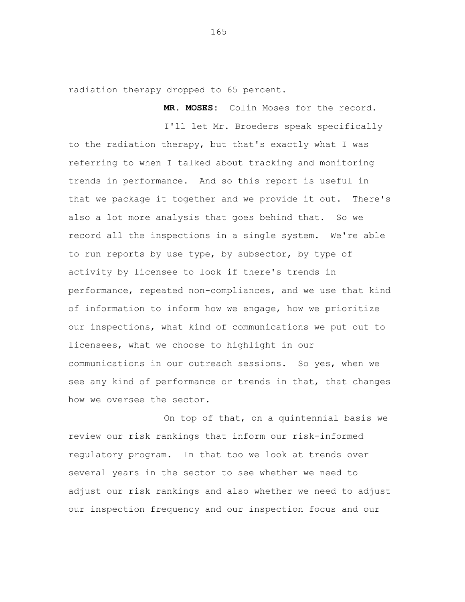radiation therapy dropped to 65 percent.

**MR. MOSES:** Colin Moses for the record.

I'll let Mr. Broeders speak specifically to the radiation therapy, but that's exactly what I was referring to when I talked about tracking and monitoring trends in performance. And so this report is useful in that we package it together and we provide it out. There's also a lot more analysis that goes behind that. So we record all the inspections in a single system. We're able to run reports by use type, by subsector, by type of activity by licensee to look if there's trends in performance, repeated non-compliances, and we use that kind of information to inform how we engage, how we prioritize our inspections, what kind of communications we put out to licensees, what we choose to highlight in our communications in our outreach sessions. So yes, when we see any kind of performance or trends in that, that changes how we oversee the sector.

On top of that, on a quintennial basis we review our risk rankings that inform our risk-informed regulatory program. In that too we look at trends over several years in the sector to see whether we need to adjust our risk rankings and also whether we need to adjust our inspection frequency and our inspection focus and our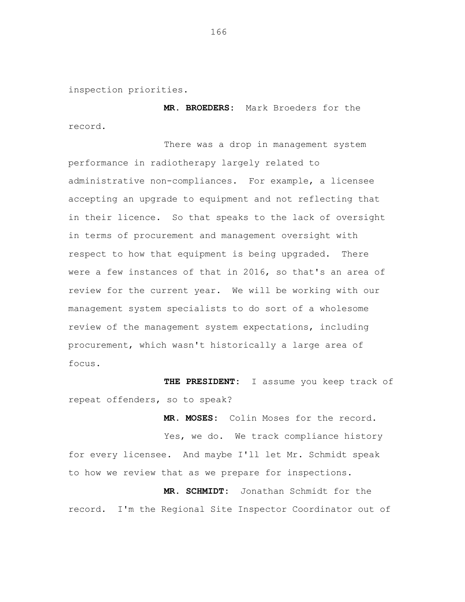inspection priorities.

 **MR. BROEDERS:** Mark Broeders for the record.

There was a drop in management system performance in radiotherapy largely related to administrative non-compliances. For example, a licensee accepting an upgrade to equipment and not reflecting that in their licence. So that speaks to the lack of oversight in terms of procurement and management oversight with respect to how that equipment is being upgraded. There were a few instances of that in 2016, so that's an area of review for the current year. We will be working with our management system specialists to do sort of a wholesome review of the management system expectations, including procurement, which wasn't historically a large area of focus.

**THE PRESIDENT:** I assume you keep track of repeat offenders, so to speak?

**MR. MOSES:** Colin Moses for the record. Yes, we do. We track compliance history for every licensee. And maybe I'll let Mr. Schmidt speak to how we review that as we prepare for inspections.

**MR. SCHMIDT:** Jonathan Schmidt for the record. I'm the Regional Site Inspector Coordinator out of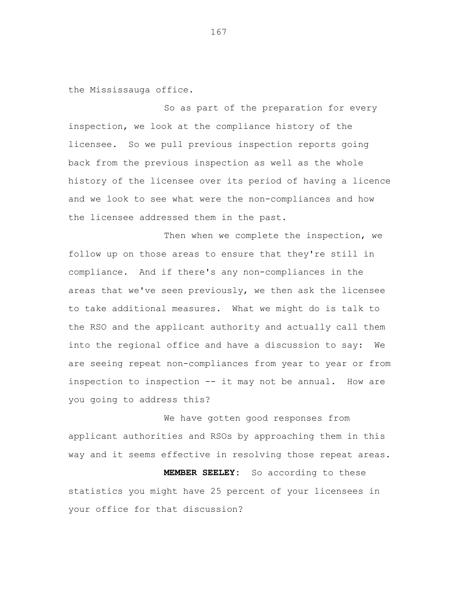the Mississauga office.

So as part of the preparation for every inspection, we look at the compliance history of the licensee. So we pull previous inspection reports going back from the previous inspection as well as the whole history of the licensee over its period of having a licence and we look to see what were the non-compliances and how the licensee addressed them in the past.

Then when we complete the inspection, we follow up on those areas to ensure that they're still in compliance. And if there's any non-compliances in the areas that we've seen previously, we then ask the licensee to take additional measures. What we might do is talk to the RSO and the applicant authority and actually call them into the regional office and have a discussion to say: We are seeing repeat non-compliances from year to year or from inspection to inspection -- it may not be annual. How are you going to address this?

We have gotten good responses from applicant authorities and RSOs by approaching them in this way and it seems effective in resolving those repeat areas. **MEMBER SEELEY:** So according to these statistics you might have 25 percent of your licensees in

your office for that discussion?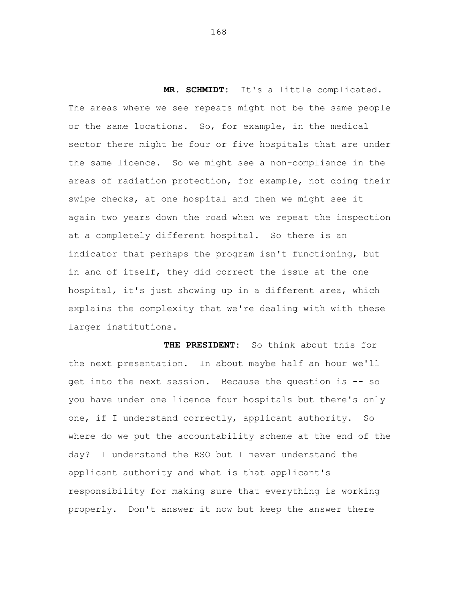**MR. SCHMIDT:** It's a little complicated. The areas where we see repeats might not be the same people or the same locations. So, for example, in the medical sector there might be four or five hospitals that are under the same licence. So we might see a non-compliance in the areas of radiation protection, for example, not doing their swipe checks, at one hospital and then we might see it again two years down the road when we repeat the inspection at a completely different hospital. So there is an indicator that perhaps the program isn't functioning, but in and of itself, they did correct the issue at the one hospital, it's just showing up in a different area, which explains the complexity that we're dealing with with these larger institutions.

**THE PRESIDENT:** So think about this for the next presentation. In about maybe half an hour we'll get into the next session. Because the question is -- so you have under one licence four hospitals but there's only one, if I understand correctly, applicant authority. So where do we put the accountability scheme at the end of the day? I understand the RSO but I never understand the applicant authority and what is that applicant's responsibility for making sure that everything is working properly. Don't answer it now but keep the answer there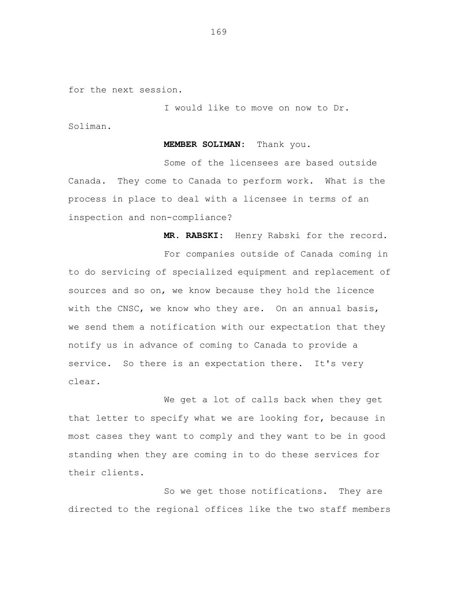for the next session.

I would like to move on now to Dr. Soliman.

**MEMBER SOLIMAN:** Thank you.

Some of the licensees are based outside Canada. They come to Canada to perform work. What is the process in place to deal with a licensee in terms of an inspection and non-compliance?

**MR. RABSKI:** Henry Rabski for the record.

For companies outside of Canada coming in to do servicing of specialized equipment and replacement of sources and so on, we know because they hold the licence with the CNSC, we know who they are. On an annual basis, we send them a notification with our expectation that they notify us in advance of coming to Canada to provide a service. So there is an expectation there. It's very clear.

We get a lot of calls back when they get that letter to specify what we are looking for, because in most cases they want to comply and they want to be in good standing when they are coming in to do these services for their clients.

So we get those notifications. They are directed to the regional offices like the two staff members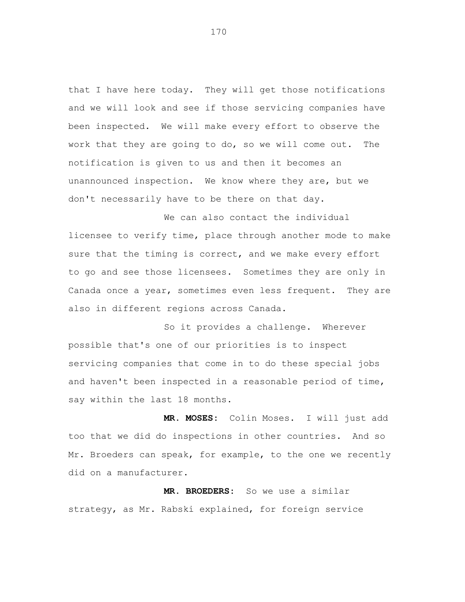that I have here today. They will get those notifications and we will look and see if those servicing companies have been inspected. We will make every effort to observe the work that they are going to do, so we will come out. The notification is given to us and then it becomes an unannounced inspection. We know where they are, but we don't necessarily have to be there on that day.

We can also contact the individual licensee to verify time, place through another mode to make sure that the timing is correct, and we make every effort to go and see those licensees. Sometimes they are only in Canada once a year, sometimes even less frequent. They are also in different regions across Canada.

So it provides a challenge. Wherever possible that's one of our priorities is to inspect servicing companies that come in to do these special jobs and haven't been inspected in a reasonable period of time, say within the last 18 months.

**MR. MOSES:** Colin Moses. I will just add too that we did do inspections in other countries. And so Mr. Broeders can speak, for example, to the one we recently did on a manufacturer.

**MR. BROEDERS:** So we use a similar strategy, as Mr. Rabski explained, for foreign service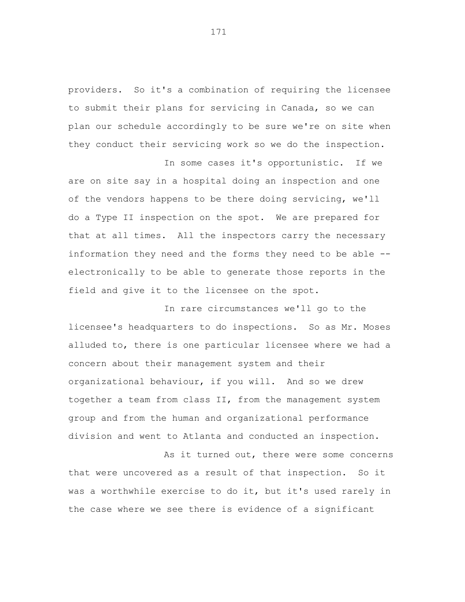providers. So it's a combination of requiring the licensee to submit their plans for servicing in Canada, so we can plan our schedule accordingly to be sure we're on site when they conduct their servicing work so we do the inspection.

In some cases it's opportunistic. If we are on site say in a hospital doing an inspection and one of the vendors happens to be there doing servicing, we'll do a Type II inspection on the spot. We are prepared for that at all times. All the inspectors carry the necessary information they need and the forms they need to be able - electronically to be able to generate those reports in the field and give it to the licensee on the spot.

In rare circumstances we'll go to the licensee's headquarters to do inspections. So as Mr. Moses alluded to, there is one particular licensee where we had a concern about their management system and their organizational behaviour, if you will. And so we drew together a team from class II, from the management system group and from the human and organizational performance division and went to Atlanta and conducted an inspection.

As it turned out, there were some concerns that were uncovered as a result of that inspection. So it was a worthwhile exercise to do it, but it's used rarely in the case where we see there is evidence of a significant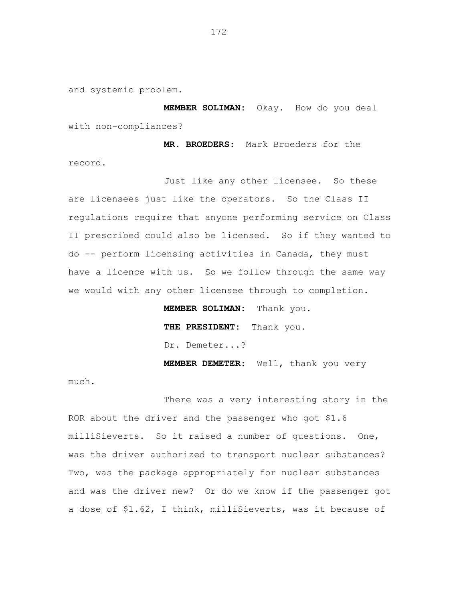and systemic problem.

**MEMBER SOLIMAN:** Okay. How do you deal with non-compliances?

 **MR. BROEDERS**: Mark Broeders for the record.

Just like any other licensee. So these are licensees just like the operators. So the Class II regulations require that anyone performing service on Class II prescribed could also be licensed. So if they wanted to do -- perform licensing activities in Canada, they must have a licence with us. So we follow through the same way we would with any other licensee through to completion.

**MEMBER SOLIMAN:** Thank you.

**THE PRESIDENT:** Thank you.

Dr. Demeter...?

 **MEMBER DEMETER**: Well, thank you very

much.

There was a very interesting story in the ROR about the driver and the passenger who got \$1.6 milliSieverts. So it raised a number of questions. One, was the driver authorized to transport nuclear substances? Two, was the package appropriately for nuclear substances and was the driver new? Or do we know if the passenger got a dose of \$1.62, I think, milliSieverts, was it because of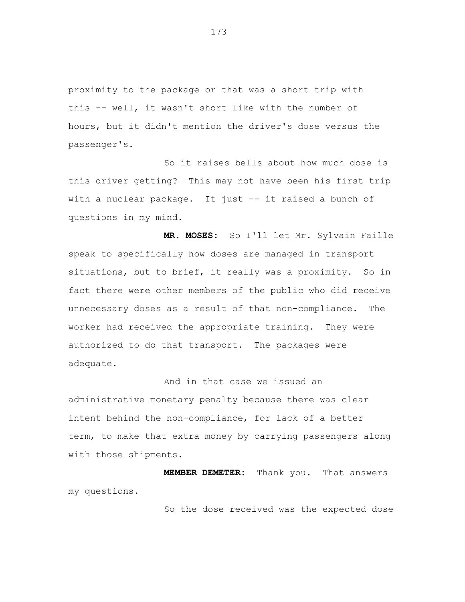proximity to the package or that was a short trip with this -- well, it wasn't short like with the number of hours, but it didn't mention the driver's dose versus the passenger's.

So it raises bells about how much dose is this driver getting? This may not have been his first trip with a nuclear package. It just -- it raised a bunch of questions in my mind.

**MR. MOSES:** So I'll let Mr. Sylvain Faille speak to specifically how doses are managed in transport situations, but to brief, it really was a proximity. So in fact there were other members of the public who did receive unnecessary doses as a result of that non-compliance. The worker had received the appropriate training. They were authorized to do that transport. The packages were adequate.

And in that case we issued an administrative monetary penalty because there was clear intent behind the non-compliance, for lack of a better term, to make that extra money by carrying passengers along with those shipments.

**MEMBER DEMETER:** Thank you. That answers my questions.

So the dose received was the expected dose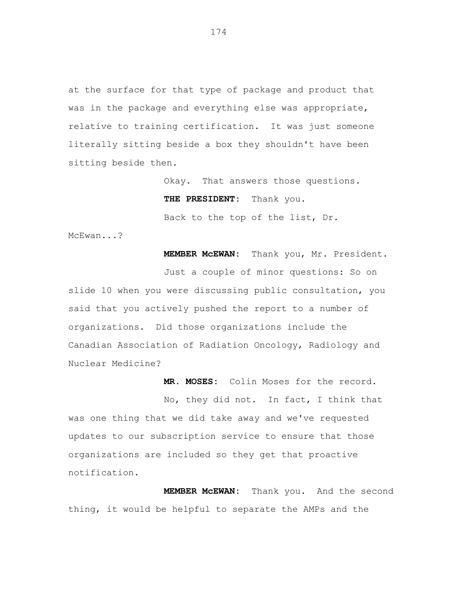at the surface for that type of package and product that was in the package and everything else was appropriate, relative to training certification. It was just someone literally sitting beside a box they shouldn't have been sitting beside then.

> Okay. That answers those questions. **THE PRESIDENT:** Thank you. Back to the top of the list, Dr.

McEwan...?

**MEMBER McEWAN:** Thank you, Mr. President.

Just a couple of minor questions: So on slide 10 when you were discussing public consultation, you said that you actively pushed the report to a number of organizations. Did those organizations include the Canadian Association of Radiation Oncology, Radiology and Nuclear Medicine?

**MR. MOSES:** Colin Moses for the record.

No, they did not. In fact, I think that was one thing that we did take away and we've requested updates to our subscription service to ensure that those organizations are included so they get that proactive notification.

**MEMBER McEWAN:** Thank you. And the second thing, it would be helpful to separate the AMPs and the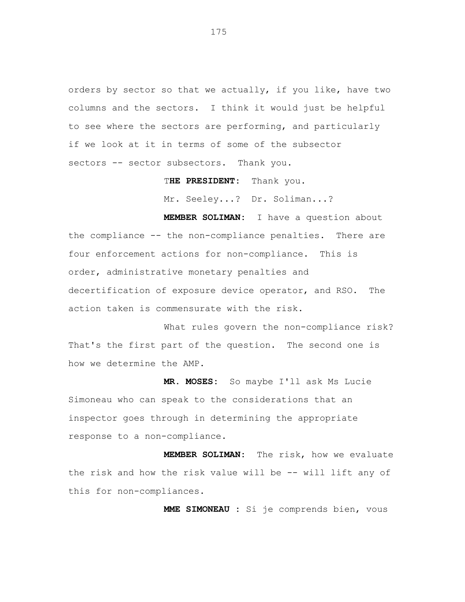orders by sector so that we actually, if you like, have two columns and the sectors. I think it would just be helpful to see where the sectors are performing, and particularly if we look at it in terms of some of the subsector sectors -- sector subsectors. Thank you.

T**HE PRESIDENT:** Thank you.

Mr. Seeley...? Dr. Soliman...?

**MEMBER SOLIMAN:** I have a question about the compliance -- the non-compliance penalties. There are four enforcement actions for non-compliance. This is order, administrative monetary penalties and decertification of exposure device operator, and RSO. The action taken is commensurate with the risk.

What rules govern the non-compliance risk? That's the first part of the question. The second one is how we determine the AMP.

**MR. MOSES:** So maybe I'll ask Ms Lucie Simoneau who can speak to the considerations that an inspector goes through in determining the appropriate response to a non-compliance.

**MEMBER SOLIMAN:** The risk, how we evaluate the risk and how the risk value will be -- will lift any of this for non-compliances.

**MME SIMONEAU :** Si je comprends bien, vous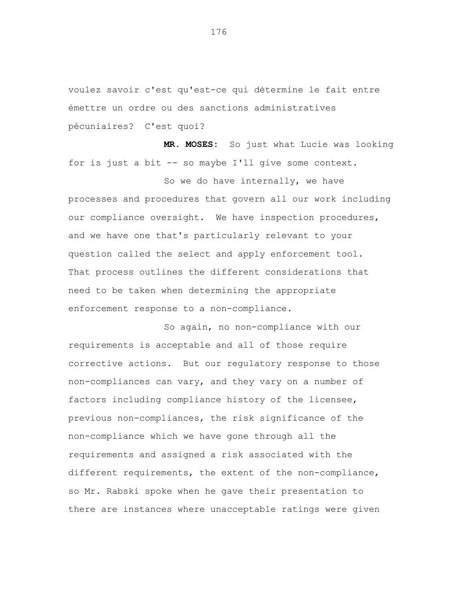voulez savoir c'est qu'est-ce qui détermine le fait entre émettre un ordre ou des sanctions administratives pécuniaires? C'est quoi?

**MR. MOSES:** So just what Lucie was looking for is just a bit -- so maybe I'll give some context.

So we do have internally, we have processes and procedures that govern all our work including our compliance oversight. We have inspection procedures, and we have one that's particularly relevant to your question called the select and apply enforcement tool. That process outlines the different considerations that need to be taken when determining the appropriate enforcement response to a non-compliance.

So again, no non-compliance with our requirements is acceptable and all of those require corrective actions. But our regulatory response to those non-compliances can vary, and they vary on a number of factors including compliance history of the licensee, previous non-compliances, the risk significance of the non-compliance which we have gone through all the requirements and assigned a risk associated with the different requirements, the extent of the non-compliance, so Mr. Rabski spoke when he gave their presentation to there are instances where unacceptable ratings were given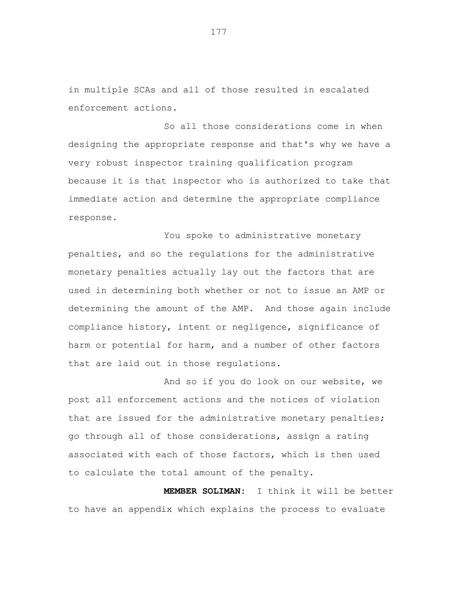in multiple SCAs and all of those resulted in escalated enforcement actions.

So all those considerations come in when designing the appropriate response and that's why we have a very robust inspector training qualification program because it is that inspector who is authorized to take that immediate action and determine the appropriate compliance response.

You spoke to administrative monetary penalties, and so the regulations for the administrative monetary penalties actually lay out the factors that are used in determining both whether or not to issue an AMP or determining the amount of the AMP. And those again include compliance history, intent or negligence, significance of harm or potential for harm, and a number of other factors that are laid out in those regulations.

And so if you do look on our website, we post all enforcement actions and the notices of violation that are issued for the administrative monetary penalties; go through all of those considerations, assign a rating associated with each of those factors, which is then used to calculate the total amount of the penalty.

**MEMBER SOLIMAN:** I think it will be better to have an appendix which explains the process to evaluate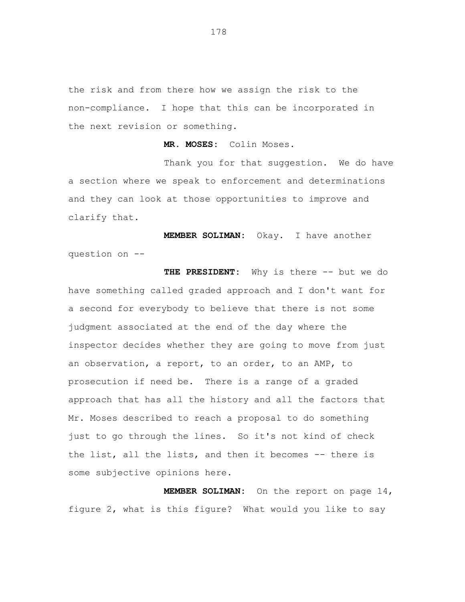the risk and from there how we assign the risk to the non-compliance. I hope that this can be incorporated in the next revision or something.

**MR. MOSES:** Colin Moses.

Thank you for that suggestion. We do have a section where we speak to enforcement and determinations and they can look at those opportunities to improve and clarify that.

**MEMBER SOLIMAN:** Okay. I have another question on --

**THE PRESIDENT:** Why is there -- but we do have something called graded approach and I don't want for a second for everybody to believe that there is not some judgment associated at the end of the day where the inspector decides whether they are going to move from just an observation, a report, to an order, to an AMP, to prosecution if need be. There is a range of a graded approach that has all the history and all the factors that Mr. Moses described to reach a proposal to do something just to go through the lines. So it's not kind of check the list, all the lists, and then it becomes -- there is some subjective opinions here.

**MEMBER SOLIMAN:** On the report on page 14, figure 2, what is this figure? What would you like to say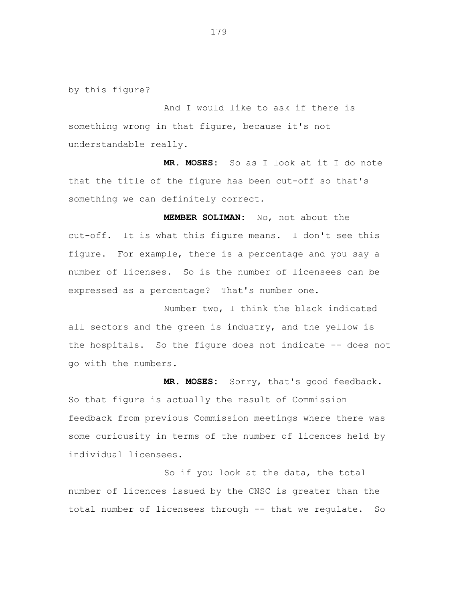by this figure?

And I would like to ask if there is something wrong in that figure, because it's not understandable really.

**MR. MOSES:** So as I look at it I do note that the title of the figure has been cut-off so that's something we can definitely correct.

**MEMBER SOLIMAN:** No, not about the cut-off. It is what this figure means. I don't see this figure. For example, there is a percentage and you say a number of licenses. So is the number of licensees can be expressed as a percentage? That's number one.

Number two, I think the black indicated all sectors and the green is industry, and the yellow is the hospitals. So the figure does not indicate -- does not go with the numbers.

**MR. MOSES:** Sorry, that's good feedback. So that figure is actually the result of Commission feedback from previous Commission meetings where there was some curiousity in terms of the number of licences held by individual licensees.

So if you look at the data, the total number of licences issued by the CNSC is greater than the total number of licensees through -- that we regulate. So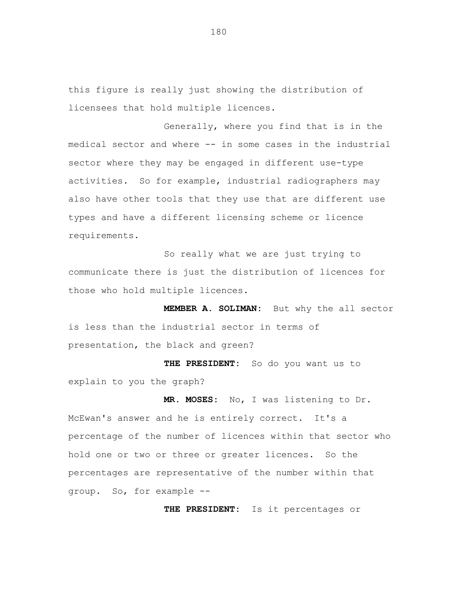this figure is really just showing the distribution of licensees that hold multiple licences.

Generally, where you find that is in the medical sector and where -- in some cases in the industrial sector where they may be engaged in different use-type activities. So for example, industrial radiographers may also have other tools that they use that are different use types and have a different licensing scheme or licence requirements.

So really what we are just trying to communicate there is just the distribution of licences for those who hold multiple licences.

**MEMBER A. SOLIMAN:** But why the all sector is less than the industrial sector in terms of presentation, the black and green?

**THE PRESIDENT:** So do you want us to explain to you the graph?

**MR. MOSES:** No, I was listening to Dr. McEwan's answer and he is entirely correct. It's a percentage of the number of licences within that sector who hold one or two or three or greater licences. So the percentages are representative of the number within that group. So, for example --

**THE PRESIDENT:** Is it percentages or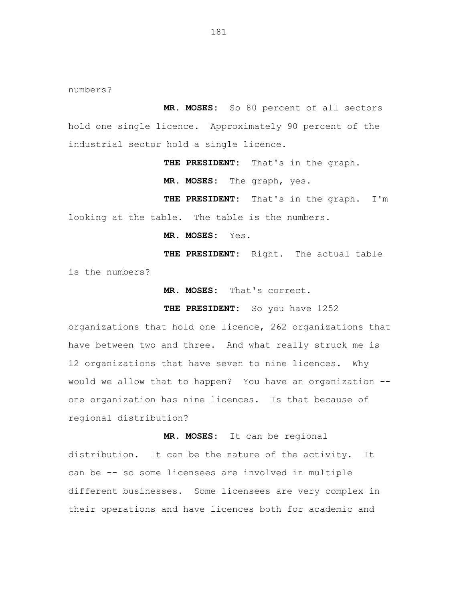numbers?

 **MR. MOSES:** So 80 percent of all sectors hold one single licence. Approximately 90 percent of the industrial sector hold a single licence.

**THE PRESIDENT:** That's in the graph.

**MR. MOSES:** The graph, yes.

**THE PRESIDENT:** That's in the graph. I'm looking at the table. The table is the numbers.

**MR. MOSES:** Yes.

**THE PRESIDENT:** Right. The actual table is the numbers?

**MR. MOSES:** That's correct**.** 

**THE PRESIDENT:** So you have 1252

organizations that hold one licence, 262 organizations that have between two and three. And what really struck me is 12 organizations that have seven to nine licences. Why would we allow that to happen? You have an organization - one organization has nine licences. Is that because of regional distribution?

**MR. MOSES:** It can be regional distribution. It can be the nature of the activity. It can be -- so some licensees are involved in multiple different businesses. Some licensees are very complex in their operations and have licences both for academic and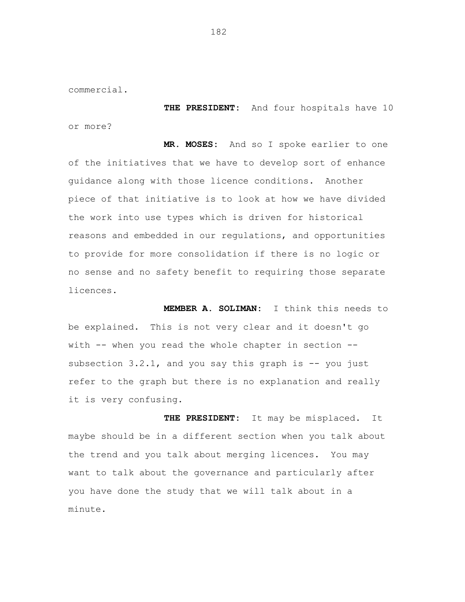commercial.

**THE PRESIDENT:** And four hospitals have 10 or more?

**MR. MOSES:** And so I spoke earlier to one of the initiatives that we have to develop sort of enhance guidance along with those licence conditions. Another piece of that initiative is to look at how we have divided the work into use types which is driven for historical reasons and embedded in our regulations, and opportunities to provide for more consolidation if there is no logic or no sense and no safety benefit to requiring those separate licences.

**MEMBER A. SOLIMAN:** I think this needs to be explained. This is not very clear and it doesn't go with -- when you read the whole chapter in section -subsection  $3.2.1$ , and you say this graph is  $-$  you just refer to the graph but there is no explanation and really it is very confusing.

 **THE PRESIDENT:** It may be misplaced. It maybe should be in a different section when you talk about the trend and you talk about merging licences. You may want to talk about the governance and particularly after you have done the study that we will talk about in a minute.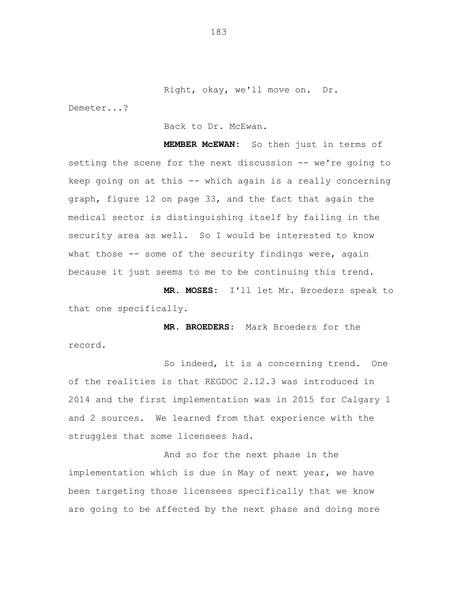Right, okay, we'll move on. Dr.

Demeter...?

Back to Dr. McEwan.

**MEMBER McEWAN:** So then just in terms of setting the scene for the next discussion -- we're going to keep going on at this -- which again is a really concerning graph, figure 12 on page 33, and the fact that again the medical sector is distinguishing itself by failing in the security area as well. So I would be interested to know what those  $-$ - some of the security findings were, again because it just seems to me to be continuing this trend.

**MR. MOSES:** I'll let Mr. Broeders speak to that one specifically.

 **MR. BROEDERS**: Mark Broeders for the record.

So indeed, it is a concerning trend. One of the realities is that REGDOC 2.12.3 was introduced in 2014 and the first implementation was in 2015 for Calgary 1 and 2 sources. We learned from that experience with the struggles that some licensees had.

And so for the next phase in the implementation which is due in May of next year, we have been targeting those licensees specifically that we know are going to be affected by the next phase and doing more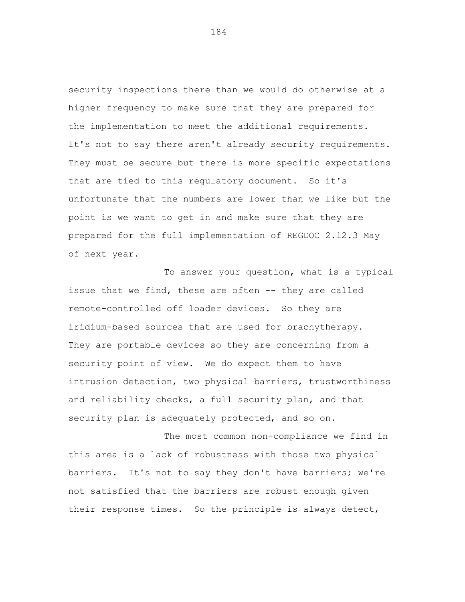security inspections there than we would do otherwise at a higher frequency to make sure that they are prepared for the implementation to meet the additional requirements. It's not to say there aren't already security requirements. They must be secure but there is more specific expectations that are tied to this regulatory document. So it's unfortunate that the numbers are lower than we like but the point is we want to get in and make sure that they are prepared for the full implementation of REGDOC 2.12.3 May of next year.

To answer your question, what is a typical issue that we find, these are often -- they are called remote-controlled off loader devices. So they are iridium-based sources that are used for brachytherapy. They are portable devices so they are concerning from a security point of view. We do expect them to have intrusion detection, two physical barriers, trustworthiness and reliability checks, a full security plan, and that security plan is adequately protected, and so on.

The most common non-compliance we find in this area is a lack of robustness with those two physical barriers. It's not to say they don't have barriers; we're not satisfied that the barriers are robust enough given their response times. So the principle is always detect,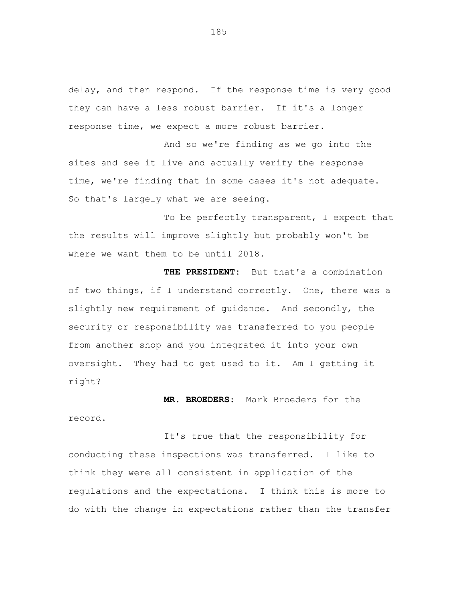delay, and then respond. If the response time is very good they can have a less robust barrier. If it's a longer response time, we expect a more robust barrier.

And so we're finding as we go into the sites and see it live and actually verify the response time, we're finding that in some cases it's not adequate. So that's largely what we are seeing.

To be perfectly transparent, I expect that the results will improve slightly but probably won't be where we want them to be until 2018.

**THE PRESIDENT:** But that's a combination of two things, if I understand correctly. One, there was a slightly new requirement of guidance. And secondly, the security or responsibility was transferred to you people from another shop and you integrated it into your own oversight. They had to get used to it. Am I getting it right?

 **MR. BROEDERS**: Mark Broeders for the record.

It's true that the responsibility for conducting these inspections was transferred. I like to think they were all consistent in application of the regulations and the expectations. I think this is more to do with the change in expectations rather than the transfer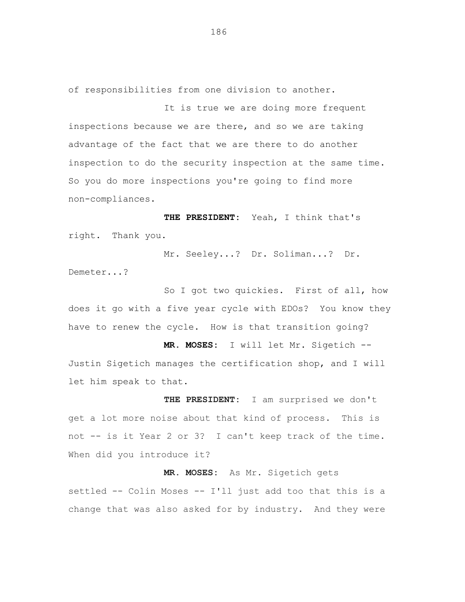of responsibilities from one division to another.

It is true we are doing more frequent inspections because we are there, and so we are taking advantage of the fact that we are there to do another inspection to do the security inspection at the same time. So you do more inspections you're going to find more non-compliances.

**THE PRESIDENT:** Yeah, I think that's right. Thank you.

Mr. Seeley...? Dr. Soliman...? Dr. Demeter...?

So I got two quickies. First of all, how does it go with a five year cycle with EDOs? You know they have to renew the cycle. How is that transition going?

**MR. MOSES:** I will let Mr. Sigetich -- Justin Sigetich manages the certification shop, and I will let him speak to that.

**THE PRESIDENT:** I am surprised we don't get a lot more noise about that kind of process. This is not -- is it Year 2 or 3? I can't keep track of the time. When did you introduce it?

**MR. MOSES:** As Mr. Sigetich gets settled -- Colin Moses -- I'll just add too that this is a change that was also asked for by industry. And they were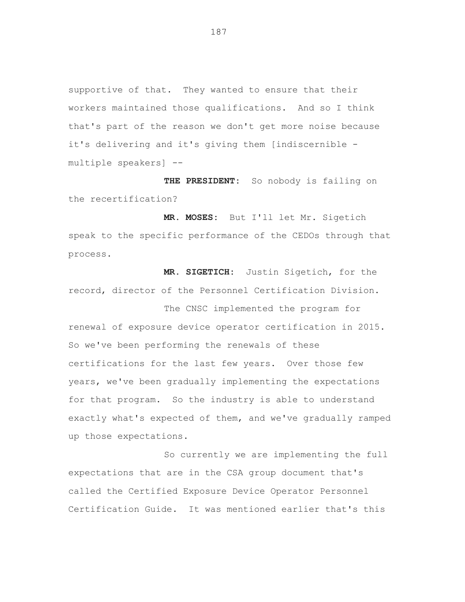supportive of that. They wanted to ensure that their workers maintained those qualifications. And so I think that's part of the reason we don't get more noise because it's delivering and it's giving them [indiscernible multiple speakers] --

**THE PRESIDENT:** So nobody is failing on the recertification?

**MR. MOSES:** But I'll let Mr. Sigetich speak to the specific performance of the CEDOs through that process.

**MR. SIGETICH:** Justin Sigetich, for the record, director of the Personnel Certification Division.

The CNSC implemented the program for renewal of exposure device operator certification in 2015. So we've been performing the renewals of these certifications for the last few years. Over those few years, we've been gradually implementing the expectations for that program. So the industry is able to understand exactly what's expected of them, and we've gradually ramped up those expectations.

So currently we are implementing the full expectations that are in the CSA group document that's called the Certified Exposure Device Operator Personnel Certification Guide. It was mentioned earlier that's this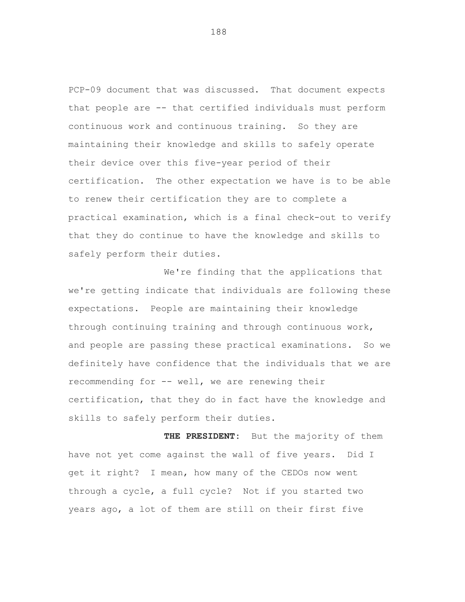PCP-09 document that was discussed. That document expects that people are -- that certified individuals must perform continuous work and continuous training. So they are maintaining their knowledge and skills to safely operate their device over this five-year period of their certification. The other expectation we have is to be able to renew their certification they are to complete a practical examination, which is a final check-out to verify that they do continue to have the knowledge and skills to safely perform their duties.

We're finding that the applications that we're getting indicate that individuals are following these expectations. People are maintaining their knowledge through continuing training and through continuous work, and people are passing these practical examinations. So we definitely have confidence that the individuals that we are recommending for -- well, we are renewing their certification, that they do in fact have the knowledge and skills to safely perform their duties.

**THE PRESIDENT:** But the majority of them have not yet come against the wall of five years. Did I get it right? I mean, how many of the CEDOs now went through a cycle, a full cycle? Not if you started two years ago, a lot of them are still on their first five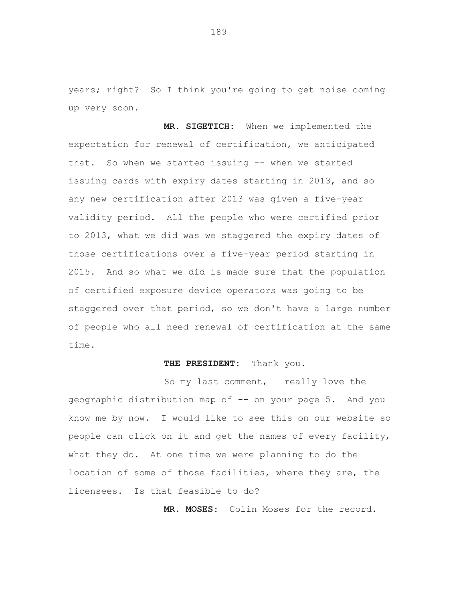years; right? So I think you're going to get noise coming up very soon.

**MR. SIGETICH:** When we implemented the expectation for renewal of certification, we anticipated that. So when we started issuing -- when we started issuing cards with expiry dates starting in 2013, and so any new certification after 2013 was given a five-year validity period. All the people who were certified prior to 2013, what we did was we staggered the expiry dates of those certifications over a five-year period starting in 2015. And so what we did is made sure that the population of certified exposure device operators was going to be staggered over that period, so we don't have a large number of people who all need renewal of certification at the same time.

## **THE PRESIDENT:** Thank you.

So my last comment, I really love the geographic distribution map of -- on your page 5. And you know me by now. I would like to see this on our website so people can click on it and get the names of every facility, what they do. At one time we were planning to do the location of some of those facilities, where they are, the licensees. Is that feasible to do?

**MR. MOSES:** Colin Moses for the record.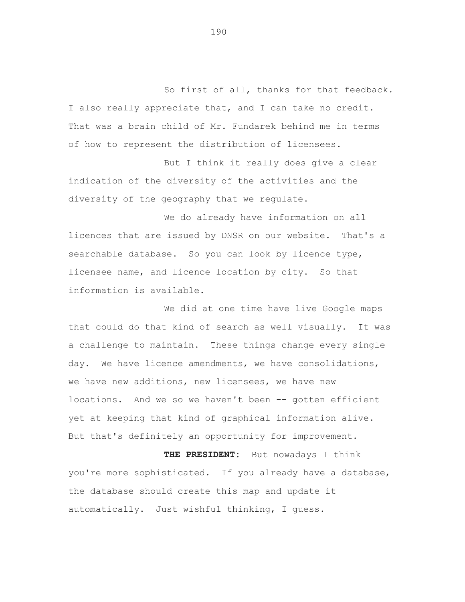So first of all, thanks for that feedback. I also really appreciate that, and I can take no credit. That was a brain child of Mr. Fundarek behind me in terms of how to represent the distribution of licensees.

But I think it really does give a clear indication of the diversity of the activities and the diversity of the geography that we regulate.

We do already have information on all licences that are issued by DNSR on our website. That's a searchable database. So you can look by licence type, licensee name, and licence location by city. So that information is available.

We did at one time have live Google maps that could do that kind of search as well visually. It was a challenge to maintain. These things change every single day. We have licence amendments, we have consolidations, we have new additions, new licensees, we have new locations. And we so we haven't been -- gotten efficient yet at keeping that kind of graphical information alive. But that's definitely an opportunity for improvement.

**THE PRESIDENT:** But nowadays I think you're more sophisticated. If you already have a database, the database should create this map and update it automatically. Just wishful thinking, I guess.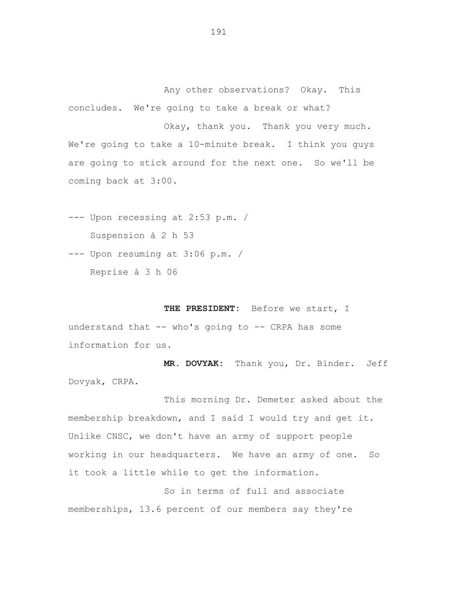Any other observations? Okay. This concludes. We're going to take a break or what?

Okay, thank you. Thank you very much. We're going to take a 10-minute break. I think you guys are going to stick around for the next one. So we'll be coming back at 3:00.

- --- Upon recessing at 2:53 p.m. / Suspension à 2 h 53
- --- Upon resuming at 3:06 p.m. / Reprise à 3 h 06

**THE PRESIDENT:** Before we start, I understand that  $--$  who's going to  $--$  CRPA has some information for us.

**MR. DOVYAK:** Thank you, Dr. Binder. Jeff Dovyak, CRPA.

This morning Dr. Demeter asked about the membership breakdown, and I said I would try and get it. Unlike CNSC, we don't have an army of support people working in our headquarters. We have an army of one. So it took a little while to get the information.

So in terms of full and associate memberships, 13.6 percent of our members say they're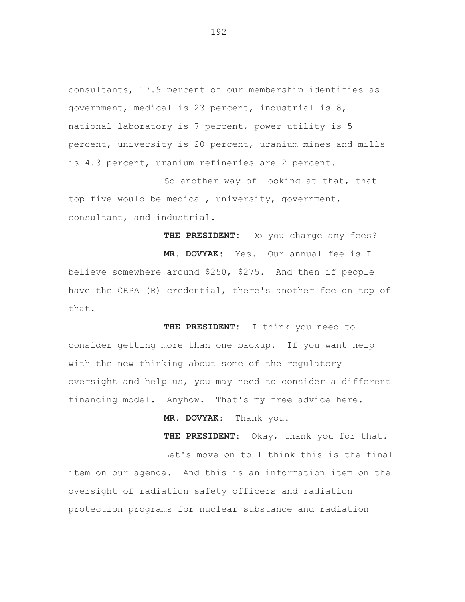consultants, 17.9 percent of our membership identifies as government, medical is 23 percent, industrial is 8, national laboratory is 7 percent, power utility is 5 percent, university is 20 percent, uranium mines and mills is 4.3 percent, uranium refineries are 2 percent.

So another way of looking at that, that top five would be medical, university, government, consultant, and industrial.

**THE PRESIDENT:** Do you charge any fees?

**MR. DOVYAK:** Yes. Our annual fee is I believe somewhere around \$250, \$275. And then if people have the CRPA (R) credential, there's another fee on top of that.

**THE PRESIDENT:** I think you need to consider getting more than one backup. If you want help with the new thinking about some of the regulatory oversight and help us, you may need to consider a different financing model. Anyhow. That's my free advice here.

**MR. DOVYAK:** Thank you.

**THE PRESIDENT:** Okay, thank you for that. Let's move on to I think this is the final item on our agenda. And this is an information item on the oversight of radiation safety officers and radiation protection programs for nuclear substance and radiation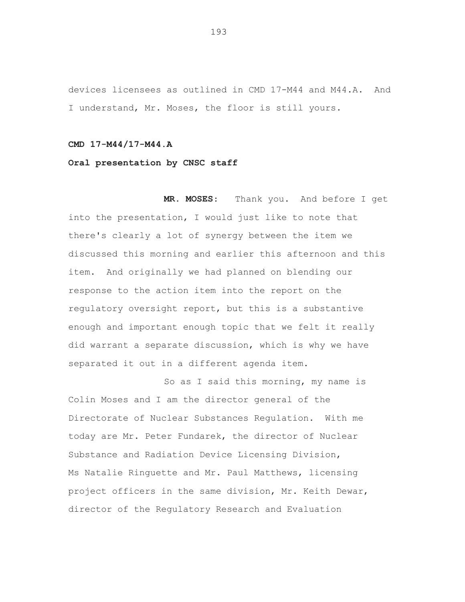devices licensees as outlined in CMD 17-M44 and M44.A. And I understand, Mr. Moses, the floor is still yours.

## **CMD 17-M44/17-M44.A**

## **Oral presentation by CNSC staff**

**MR. MOSES**: Thank you. And before I get into the presentation, I would just like to note that there's clearly a lot of synergy between the item we discussed this morning and earlier this afternoon and this item. And originally we had planned on blending our response to the action item into the report on the regulatory oversight report, but this is a substantive enough and important enough topic that we felt it really did warrant a separate discussion, which is why we have separated it out in a different agenda item.

So as I said this morning, my name is Colin Moses and I am the director general of the Directorate of Nuclear Substances Regulation. With me today are Mr. Peter Fundarek, the director of Nuclear Substance and Radiation Device Licensing Division, Ms Natalie Ringuette and Mr. Paul Matthews, licensing project officers in the same division, Mr. Keith Dewar, director of the Regulatory Research and Evaluation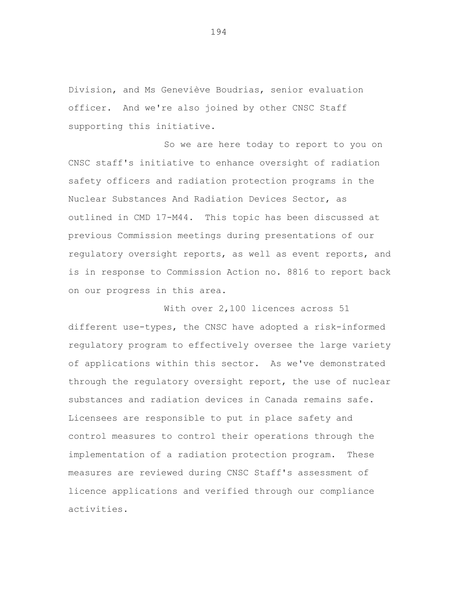Division, and Ms Geneviève Boudrias, senior evaluation officer. And we're also joined by other CNSC Staff supporting this initiative.

So we are here today to report to you on CNSC staff's initiative to enhance oversight of radiation safety officers and radiation protection programs in the Nuclear Substances And Radiation Devices Sector, as outlined in CMD 17-M44. This topic has been discussed at previous Commission meetings during presentations of our regulatory oversight reports, as well as event reports, and is in response to Commission Action no. 8816 to report back on our progress in this area.

With over 2,100 licences across 51 different use-types, the CNSC have adopted a risk-informed regulatory program to effectively oversee the large variety of applications within this sector. As we've demonstrated through the regulatory oversight report, the use of nuclear substances and radiation devices in Canada remains safe. Licensees are responsible to put in place safety and control measures to control their operations through the implementation of a radiation protection program. These measures are reviewed during CNSC Staff's assessment of licence applications and verified through our compliance activities.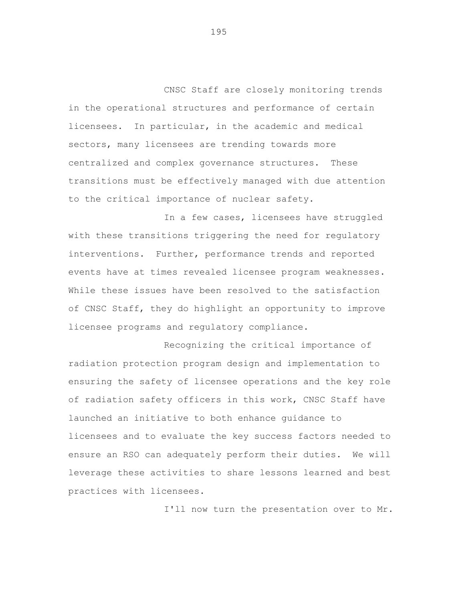CNSC Staff are closely monitoring trends in the operational structures and performance of certain licensees. In particular, in the academic and medical sectors, many licensees are trending towards more centralized and complex governance structures. These transitions must be effectively managed with due attention to the critical importance of nuclear safety.

In a few cases, licensees have struggled with these transitions triggering the need for regulatory interventions. Further, performance trends and reported events have at times revealed licensee program weaknesses. While these issues have been resolved to the satisfaction of CNSC Staff, they do highlight an opportunity to improve licensee programs and regulatory compliance.

Recognizing the critical importance of radiation protection program design and implementation to ensuring the safety of licensee operations and the key role of radiation safety officers in this work, CNSC Staff have launched an initiative to both enhance guidance to licensees and to evaluate the key success factors needed to ensure an RSO can adequately perform their duties. We will leverage these activities to share lessons learned and best practices with licensees.

I'll now turn the presentation over to Mr.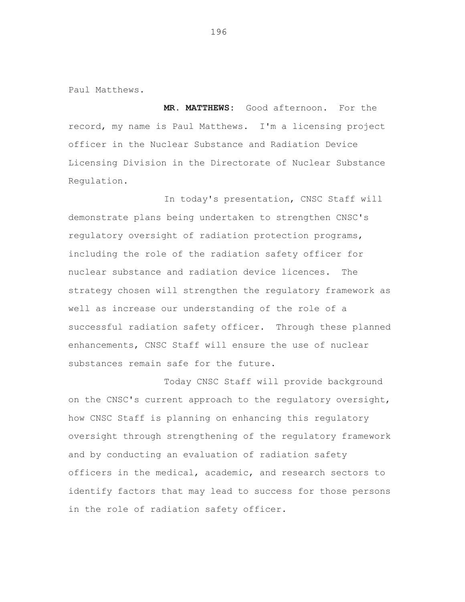Paul Matthews.

**MR. MATTHEWS:** Good afternoon. For the record, my name is Paul Matthews. I'm a licensing project officer in the Nuclear Substance and Radiation Device Licensing Division in the Directorate of Nuclear Substance Regulation.

In today's presentation, CNSC Staff will demonstrate plans being undertaken to strengthen CNSC's regulatory oversight of radiation protection programs, including the role of the radiation safety officer for nuclear substance and radiation device licences. The strategy chosen will strengthen the regulatory framework as well as increase our understanding of the role of a successful radiation safety officer. Through these planned enhancements, CNSC Staff will ensure the use of nuclear substances remain safe for the future.

Today CNSC Staff will provide background on the CNSC's current approach to the regulatory oversight, how CNSC Staff is planning on enhancing this regulatory oversight through strengthening of the regulatory framework and by conducting an evaluation of radiation safety officers in the medical, academic, and research sectors to identify factors that may lead to success for those persons in the role of radiation safety officer.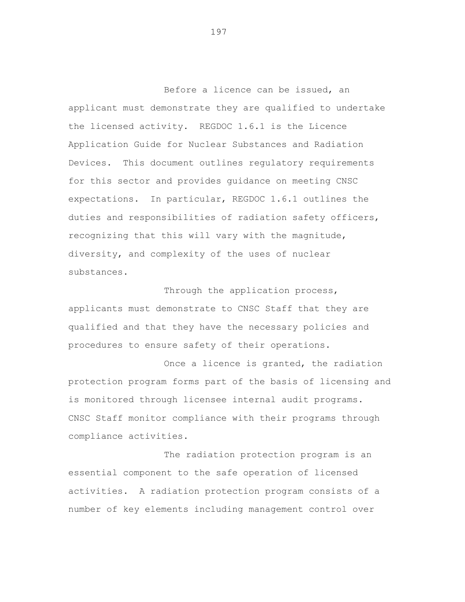Before a licence can be issued, an applicant must demonstrate they are qualified to undertake the licensed activity. REGDOC 1.6.1 is the Licence Application Guide for Nuclear Substances and Radiation Devices. This document outlines regulatory requirements for this sector and provides guidance on meeting CNSC expectations. In particular, REGDOC 1.6.1 outlines the duties and responsibilities of radiation safety officers, recognizing that this will vary with the magnitude, diversity, and complexity of the uses of nuclear substances.

Through the application process, applicants must demonstrate to CNSC Staff that they are qualified and that they have the necessary policies and procedures to ensure safety of their operations.

Once a licence is granted, the radiation protection program forms part of the basis of licensing and is monitored through licensee internal audit programs. CNSC Staff monitor compliance with their programs through compliance activities.

The radiation protection program is an essential component to the safe operation of licensed activities. A radiation protection program consists of a number of key elements including management control over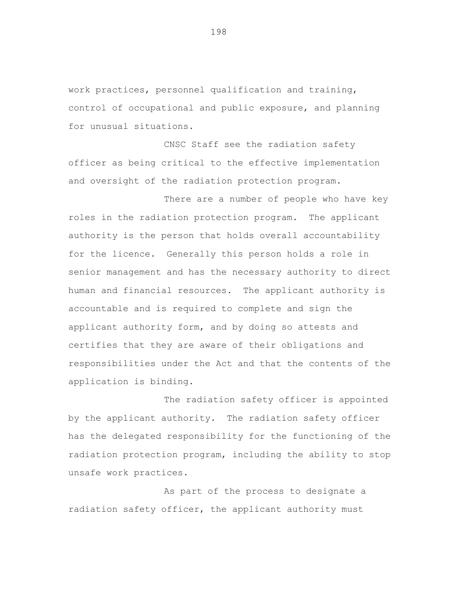work practices, personnel qualification and training, control of occupational and public exposure, and planning for unusual situations.

CNSC Staff see the radiation safety officer as being critical to the effective implementation and oversight of the radiation protection program.

There are a number of people who have key roles in the radiation protection program. The applicant authority is the person that holds overall accountability for the licence. Generally this person holds a role in senior management and has the necessary authority to direct human and financial resources. The applicant authority is accountable and is required to complete and sign the applicant authority form, and by doing so attests and certifies that they are aware of their obligations and responsibilities under the Act and that the contents of the application is binding.

The radiation safety officer is appointed by the applicant authority. The radiation safety officer has the delegated responsibility for the functioning of the radiation protection program, including the ability to stop unsafe work practices.

As part of the process to designate a radiation safety officer, the applicant authority must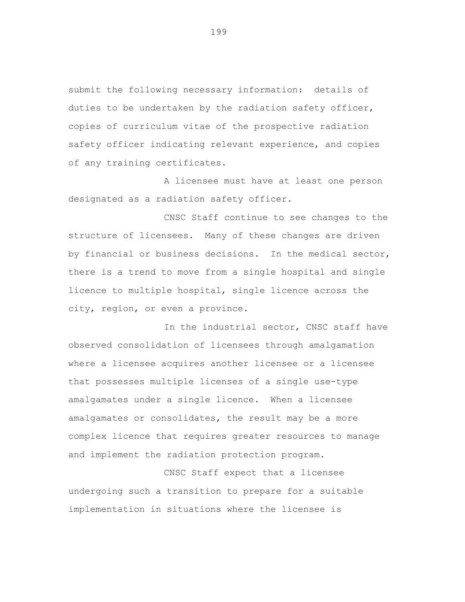submit the following necessary information: details of duties to be undertaken by the radiation safety officer, copies of curriculum vitae of the prospective radiation safety officer indicating relevant experience, and copies of any training certificates.

A licensee must have at least one person designated as a radiation safety officer.

CNSC Staff continue to see changes to the structure of licensees. Many of these changes are driven by financial or business decisions. In the medical sector, there is a trend to move from a single hospital and single licence to multiple hospital, single licence across the city, region, or even a province.

In the industrial sector, CNSC staff have observed consolidation of licensees through amalgamation where a licensee acquires another licensee or a licensee that possesses multiple licenses of a single use-type amalgamates under a single licence. When a licensee amalgamates or consolidates, the result may be a more complex licence that requires greater resources to manage and implement the radiation protection program.

CNSC Staff expect that a licensee undergoing such a transition to prepare for a suitable implementation in situations where the licensee is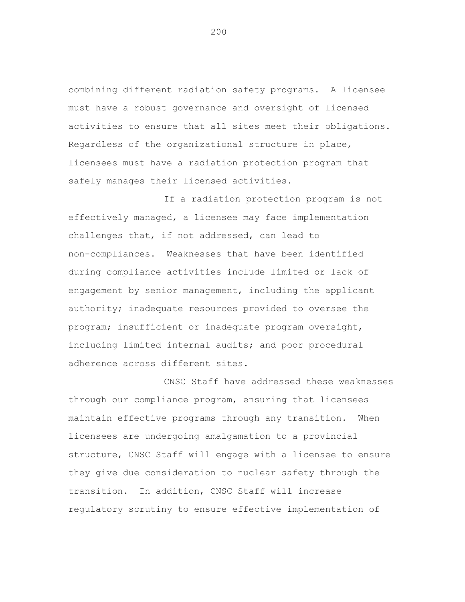combining different radiation safety programs. A licensee must have a robust governance and oversight of licensed activities to ensure that all sites meet their obligations. Regardless of the organizational structure in place, licensees must have a radiation protection program that safely manages their licensed activities.

If a radiation protection program is not effectively managed, a licensee may face implementation challenges that, if not addressed, can lead to non-compliances. Weaknesses that have been identified during compliance activities include limited or lack of engagement by senior management, including the applicant authority; inadequate resources provided to oversee the program; insufficient or inadequate program oversight, including limited internal audits; and poor procedural adherence across different sites.

CNSC Staff have addressed these weaknesses through our compliance program, ensuring that licensees maintain effective programs through any transition. When licensees are undergoing amalgamation to a provincial structure, CNSC Staff will engage with a licensee to ensure they give due consideration to nuclear safety through the transition. In addition, CNSC Staff will increase regulatory scrutiny to ensure effective implementation of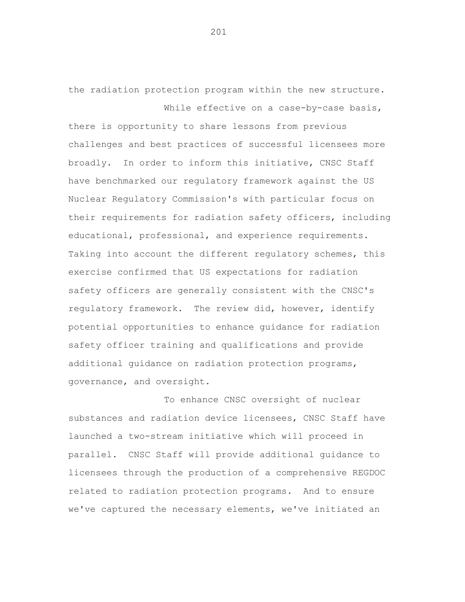the radiation protection program within the new structure. While effective on a case-by-case basis,

there is opportunity to share lessons from previous challenges and best practices of successful licensees more broadly. In order to inform this initiative, CNSC Staff have benchmarked our regulatory framework against the US Nuclear Regulatory Commission's with particular focus on their requirements for radiation safety officers, including educational, professional, and experience requirements. Taking into account the different regulatory schemes, this exercise confirmed that US expectations for radiation safety officers are generally consistent with the CNSC's regulatory framework. The review did, however, identify potential opportunities to enhance guidance for radiation safety officer training and qualifications and provide additional guidance on radiation protection programs, governance, and oversight.

To enhance CNSC oversight of nuclear substances and radiation device licensees, CNSC Staff have launched a two-stream initiative which will proceed in parallel. CNSC Staff will provide additional guidance to licensees through the production of a comprehensive REGDOC related to radiation protection programs. And to ensure we've captured the necessary elements, we've initiated an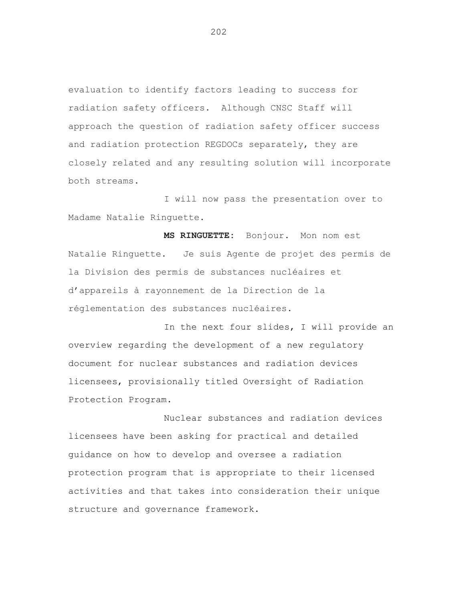evaluation to identify factors leading to success for radiation safety officers. Although CNSC Staff will approach the question of radiation safety officer success and radiation protection REGDOCs separately, they are closely related and any resulting solution will incorporate both streams.

I will now pass the presentation over to Madame Natalie Ringuette.

**MS RINGUETTE:** Bonjour. Mon nom est Natalie Ringuette. Je suis Agente de projet des permis de la Division des permis de substances nucléaires et d'appareils à rayonnement de la Direction de la réglementation des substances nucléaires.

In the next four slides, I will provide an overview regarding the development of a new regulatory document for nuclear substances and radiation devices licensees, provisionally titled Oversight of Radiation Protection Program.

Nuclear substances and radiation devices licensees have been asking for practical and detailed guidance on how to develop and oversee a radiation protection program that is appropriate to their licensed activities and that takes into consideration their unique structure and governance framework.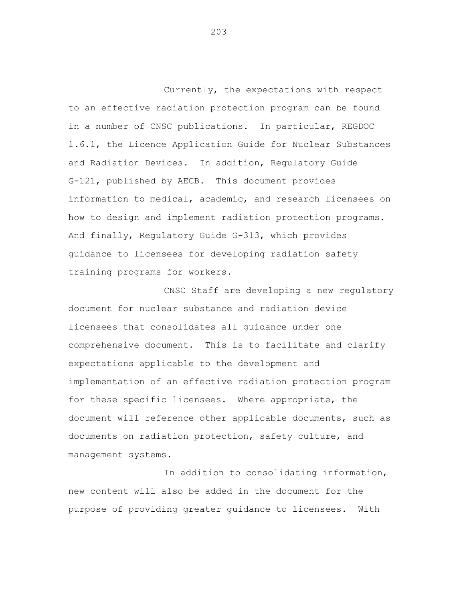Currently, the expectations with respect to an effective radiation protection program can be found in a number of CNSC publications. In particular, REGDOC 1.6.1, the Licence Application Guide for Nuclear Substances and Radiation Devices. In addition, Regulatory Guide G-121, published by AECB. This document provides information to medical, academic, and research licensees on how to design and implement radiation protection programs. And finally, Regulatory Guide G-313, which provides guidance to licensees for developing radiation safety training programs for workers.

CNSC Staff are developing a new regulatory document for nuclear substance and radiation device licensees that consolidates all guidance under one comprehensive document. This is to facilitate and clarify expectations applicable to the development and implementation of an effective radiation protection program for these specific licensees. Where appropriate, the document will reference other applicable documents, such as documents on radiation protection, safety culture, and management systems.

In addition to consolidating information, new content will also be added in the document for the purpose of providing greater guidance to licensees. With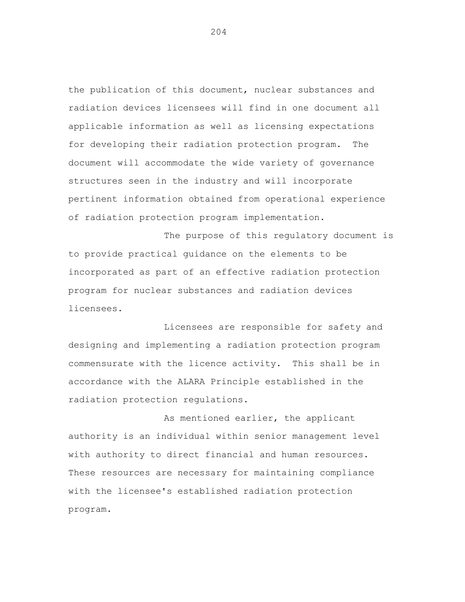the publication of this document, nuclear substances and radiation devices licensees will find in one document all applicable information as well as licensing expectations for developing their radiation protection program. The document will accommodate the wide variety of governance structures seen in the industry and will incorporate pertinent information obtained from operational experience of radiation protection program implementation.

The purpose of this regulatory document is to provide practical guidance on the elements to be incorporated as part of an effective radiation protection program for nuclear substances and radiation devices licensees.

Licensees are responsible for safety and designing and implementing a radiation protection program commensurate with the licence activity. This shall be in accordance with the ALARA Principle established in the radiation protection regulations.

As mentioned earlier, the applicant authority is an individual within senior management level with authority to direct financial and human resources. These resources are necessary for maintaining compliance with the licensee's established radiation protection program.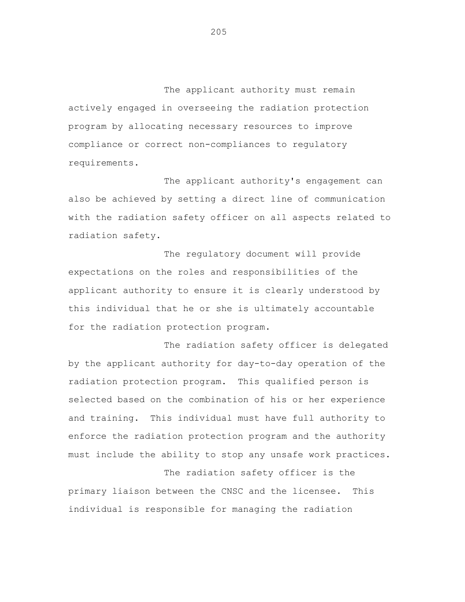The applicant authority must remain actively engaged in overseeing the radiation protection program by allocating necessary resources to improve compliance or correct non-compliances to regulatory requirements.

The applicant authority's engagement can also be achieved by setting a direct line of communication with the radiation safety officer on all aspects related to radiation safety.

The regulatory document will provide expectations on the roles and responsibilities of the applicant authority to ensure it is clearly understood by this individual that he or she is ultimately accountable for the radiation protection program.

The radiation safety officer is delegated by the applicant authority for day-to-day operation of the radiation protection program. This qualified person is selected based on the combination of his or her experience and training. This individual must have full authority to enforce the radiation protection program and the authority must include the ability to stop any unsafe work practices.

The radiation safety officer is the primary liaison between the CNSC and the licensee. This individual is responsible for managing the radiation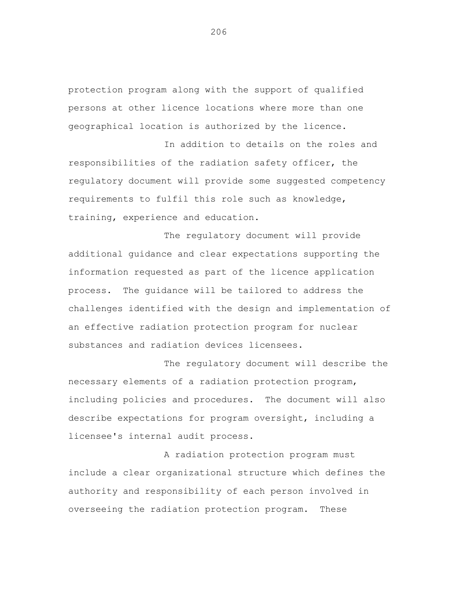protection program along with the support of qualified persons at other licence locations where more than one geographical location is authorized by the licence.

In addition to details on the roles and responsibilities of the radiation safety officer, the regulatory document will provide some suggested competency requirements to fulfil this role such as knowledge, training, experience and education.

The regulatory document will provide additional guidance and clear expectations supporting the information requested as part of the licence application process. The guidance will be tailored to address the challenges identified with the design and implementation of an effective radiation protection program for nuclear substances and radiation devices licensees.

The regulatory document will describe the necessary elements of a radiation protection program, including policies and procedures. The document will also describe expectations for program oversight, including a licensee's internal audit process.

A radiation protection program must include a clear organizational structure which defines the authority and responsibility of each person involved in overseeing the radiation protection program. These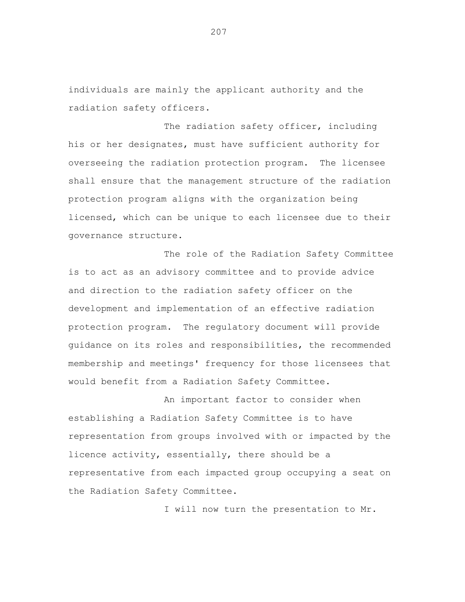individuals are mainly the applicant authority and the radiation safety officers.

The radiation safety officer, including his or her designates, must have sufficient authority for overseeing the radiation protection program. The licensee shall ensure that the management structure of the radiation protection program aligns with the organization being licensed, which can be unique to each licensee due to their governance structure.

The role of the Radiation Safety Committee is to act as an advisory committee and to provide advice and direction to the radiation safety officer on the development and implementation of an effective radiation protection program. The regulatory document will provide guidance on its roles and responsibilities, the recommended membership and meetings' frequency for those licensees that would benefit from a Radiation Safety Committee.

An important factor to consider when establishing a Radiation Safety Committee is to have representation from groups involved with or impacted by the licence activity, essentially, there should be a representative from each impacted group occupying a seat on the Radiation Safety Committee.

I will now turn the presentation to Mr.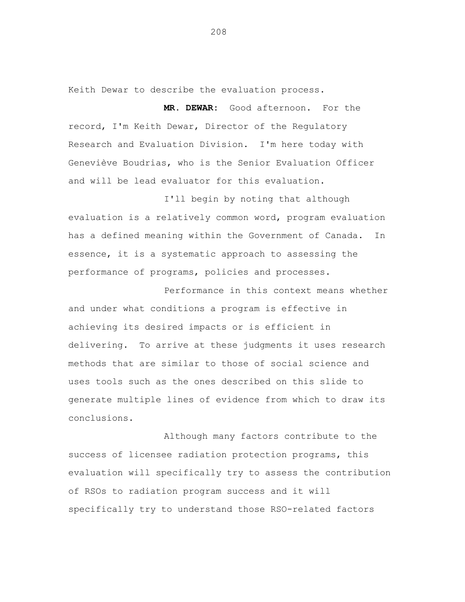Keith Dewar to describe the evaluation process.

**MR. DEWAR:** Good afternoon. For the record, I'm Keith Dewar, Director of the Regulatory Research and Evaluation Division. I'm here today with Geneviève Boudrias, who is the Senior Evaluation Officer and will be lead evaluator for this evaluation.

I'll begin by noting that although evaluation is a relatively common word, program evaluation has a defined meaning within the Government of Canada. In essence, it is a systematic approach to assessing the performance of programs, policies and processes.

Performance in this context means whether and under what conditions a program is effective in achieving its desired impacts or is efficient in delivering. To arrive at these judgments it uses research methods that are similar to those of social science and uses tools such as the ones described on this slide to generate multiple lines of evidence from which to draw its conclusions.

Although many factors contribute to the success of licensee radiation protection programs, this evaluation will specifically try to assess the contribution of RSOs to radiation program success and it will specifically try to understand those RSO-related factors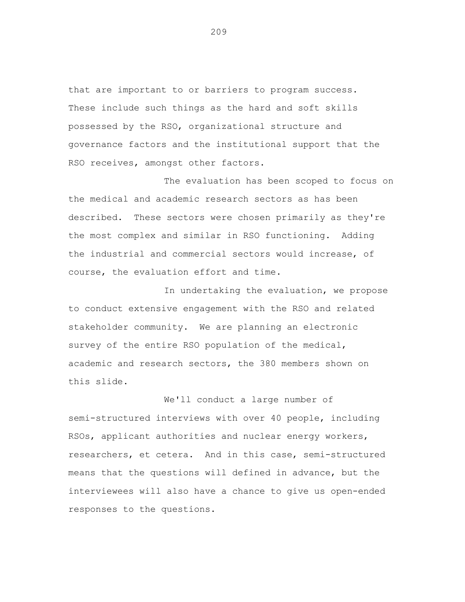that are important to or barriers to program success. These include such things as the hard and soft skills possessed by the RSO, organizational structure and governance factors and the institutional support that the RSO receives, amongst other factors.

The evaluation has been scoped to focus on the medical and academic research sectors as has been described. These sectors were chosen primarily as they're the most complex and similar in RSO functioning. Adding the industrial and commercial sectors would increase, of course, the evaluation effort and time.

In undertaking the evaluation, we propose to conduct extensive engagement with the RSO and related stakeholder community. We are planning an electronic survey of the entire RSO population of the medical, academic and research sectors, the 380 members shown on this slide.

We'll conduct a large number of semi-structured interviews with over 40 people, including RSOs, applicant authorities and nuclear energy workers, researchers, et cetera. And in this case, semi-structured means that the questions will defined in advance, but the interviewees will also have a chance to give us open-ended responses to the questions.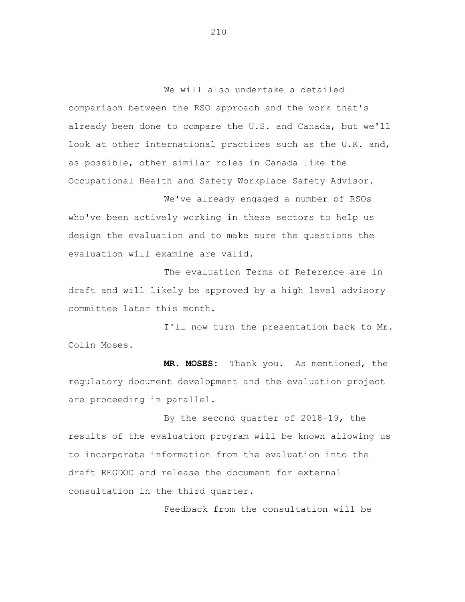We will also undertake a detailed comparison between the RSO approach and the work that's already been done to compare the U.S. and Canada, but we'll look at other international practices such as the U.K. and, as possible, other similar roles in Canada like the Occupational Health and Safety Workplace Safety Advisor.

We've already engaged a number of RSOs who've been actively working in these sectors to help us design the evaluation and to make sure the questions the evaluation will examine are valid.

The evaluation Terms of Reference are in draft and will likely be approved by a high level advisory committee later this month.

I'll now turn the presentation back to Mr. Colin Moses.

**MR. MOSES:** Thank you. As mentioned, the regulatory document development and the evaluation project are proceeding in parallel.

By the second quarter of 2018-19, the results of the evaluation program will be known allowing us to incorporate information from the evaluation into the draft REGDOC and release the document for external consultation in the third quarter.

Feedback from the consultation will be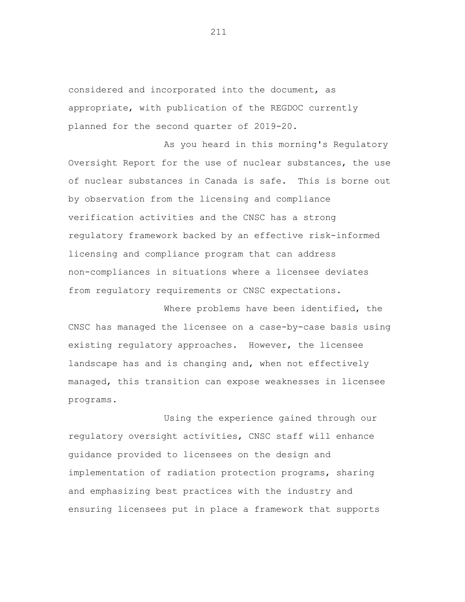considered and incorporated into the document, as appropriate, with publication of the REGDOC currently planned for the second quarter of 2019-20.

As you heard in this morning's Regulatory Oversight Report for the use of nuclear substances, the use of nuclear substances in Canada is safe. This is borne out by observation from the licensing and compliance verification activities and the CNSC has a strong regulatory framework backed by an effective risk-informed licensing and compliance program that can address non-compliances in situations where a licensee deviates from regulatory requirements or CNSC expectations.

Where problems have been identified, the CNSC has managed the licensee on a case-by-case basis using existing regulatory approaches. However, the licensee landscape has and is changing and, when not effectively managed, this transition can expose weaknesses in licensee programs.

Using the experience gained through our regulatory oversight activities, CNSC staff will enhance guidance provided to licensees on the design and implementation of radiation protection programs, sharing and emphasizing best practices with the industry and ensuring licensees put in place a framework that supports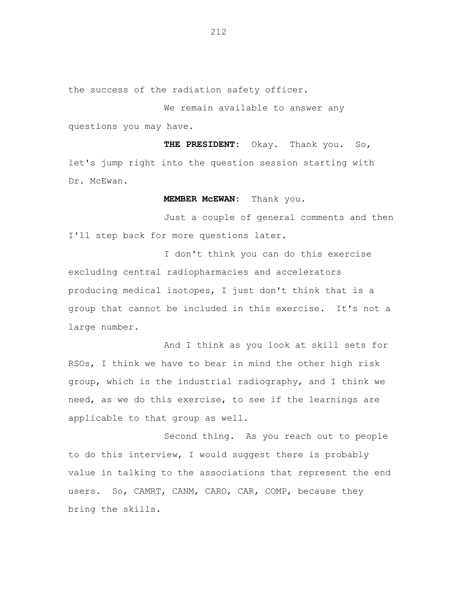the success of the radiation safety officer.

We remain available to answer any questions you may have.

**THE PRESIDENT:** Okay. Thank you. So, let's jump right into the question session starting with Dr. McEwan.

**MEMBER McEWAN:** Thank you.

Just a couple of general comments and then I'll step back for more questions later.

I don't think you can do this exercise excluding central radiopharmacies and accelerators producing medical isotopes, I just don't think that is a group that cannot be included in this exercise. It's not a large number.

And I think as you look at skill sets for RSOs, I think we have to bear in mind the other high risk group, which is the industrial radiography, and I think we need, as we do this exercise, to see if the learnings are applicable to that group as well.

Second thing. As you reach out to people to do this interview, I would suggest there is probably value in talking to the associations that represent the end users. So, CAMRT, CANM, CARO, CAR, COMP, because they bring the skills.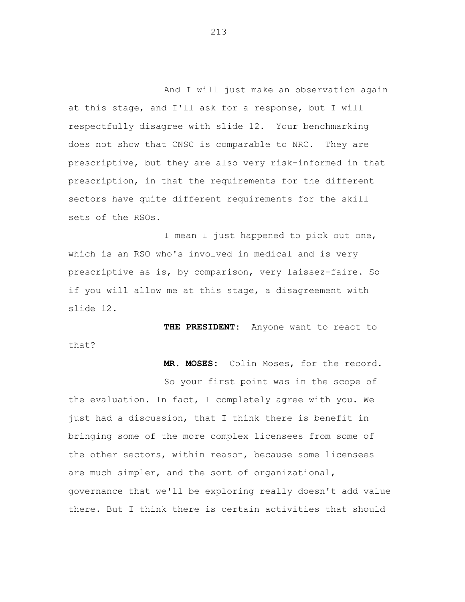And I will just make an observation again at this stage, and I'll ask for a response, but I will respectfully disagree with slide 12. Your benchmarking does not show that CNSC is comparable to NRC. They are prescriptive, but they are also very risk-informed in that prescription, in that the requirements for the different sectors have quite different requirements for the skill sets of the RSOs.

I mean I just happened to pick out one, which is an RSO who's involved in medical and is very prescriptive as is, by comparison, very laissez-faire. So if you will allow me at this stage, a disagreement with slide 12.

**THE PRESIDENT:** Anyone want to react to that?

 **MR. MOSES:** Colin Moses, for the record.

So your first point was in the scope of the evaluation. In fact, I completely agree with you. We just had a discussion, that I think there is benefit in bringing some of the more complex licensees from some of the other sectors, within reason, because some licensees are much simpler, and the sort of organizational, governance that we'll be exploring really doesn't add value there. But I think there is certain activities that should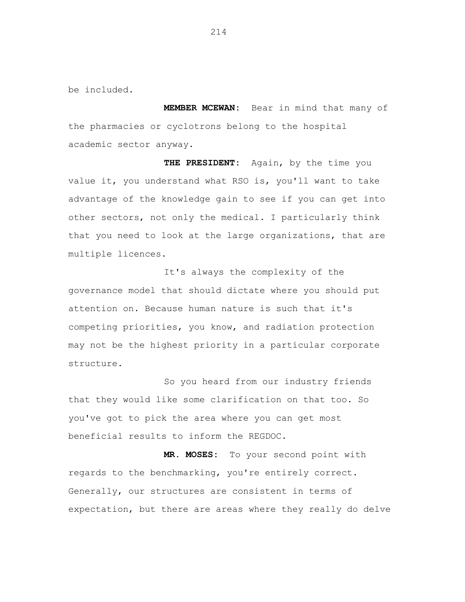be included.

 **MEMBER MCEWAN:** Bear in mind that many of the pharmacies or cyclotrons belong to the hospital academic sector anyway.

 **THE PRESIDENT:** Again, by the time you value it, you understand what RSO is, you'll want to take advantage of the knowledge gain to see if you can get into other sectors, not only the medical. I particularly think that you need to look at the large organizations, that are multiple licences.

It's always the complexity of the governance model that should dictate where you should put attention on. Because human nature is such that it's competing priorities, you know, and radiation protection may not be the highest priority in a particular corporate structure.

So you heard from our industry friends that they would like some clarification on that too. So you've got to pick the area where you can get most beneficial results to inform the REGDOC.

 **MR. MOSES:** To your second point with regards to the benchmarking, you're entirely correct. Generally, our structures are consistent in terms of expectation, but there are areas where they really do delve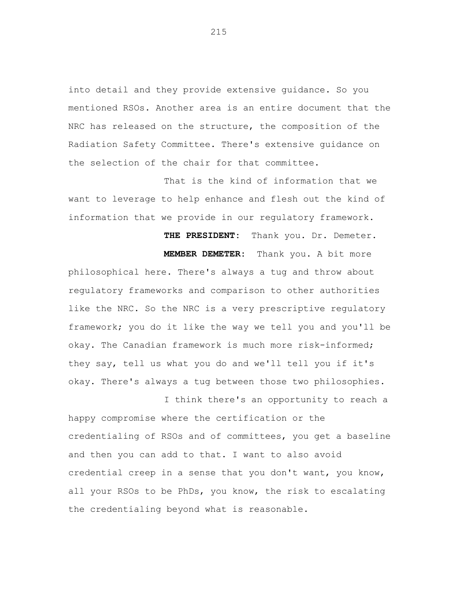into detail and they provide extensive guidance. So you mentioned RSOs. Another area is an entire document that the NRC has released on the structure, the composition of the Radiation Safety Committee. There's extensive guidance on the selection of the chair for that committee.

That is the kind of information that we want to leverage to help enhance and flesh out the kind of information that we provide in our regulatory framework.

 **THE PRESIDENT:** Thank you. Dr. Demeter.

 **MEMBER DEMETER:** Thank you. A bit more philosophical here. There's always a tug and throw about regulatory frameworks and comparison to other authorities like the NRC. So the NRC is a very prescriptive regulatory framework; you do it like the way we tell you and you'll be okay. The Canadian framework is much more risk-informed; they say, tell us what you do and we'll tell you if it's okay. There's always a tug between those two philosophies.

I think there's an opportunity to reach a happy compromise where the certification or the credentialing of RSOs and of committees, you get a baseline and then you can add to that. I want to also avoid credential creep in a sense that you don't want, you know, all your RSOs to be PhDs, you know, the risk to escalating the credentialing beyond what is reasonable.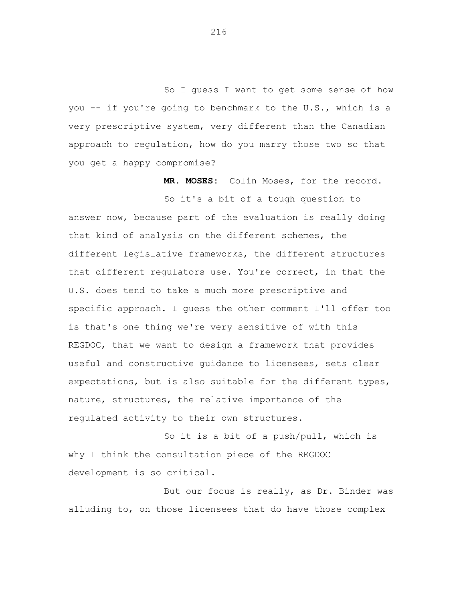So I guess I want to get some sense of how you -- if you're going to benchmark to the U.S., which is a very prescriptive system, very different than the Canadian approach to regulation, how do you marry those two so that you get a happy compromise?

 **MR. MOSES:** Colin Moses, for the record.

So it's a bit of a tough question to answer now, because part of the evaluation is really doing that kind of analysis on the different schemes, the different legislative frameworks, the different structures that different regulators use. You're correct, in that the U.S. does tend to take a much more prescriptive and specific approach. I guess the other comment I'll offer too is that's one thing we're very sensitive of with this REGDOC, that we want to design a framework that provides useful and constructive guidance to licensees, sets clear expectations, but is also suitable for the different types, nature, structures, the relative importance of the regulated activity to their own structures.

So it is a bit of a push/pull, which is why I think the consultation piece of the REGDOC development is so critical.

But our focus is really, as Dr. Binder was alluding to, on those licensees that do have those complex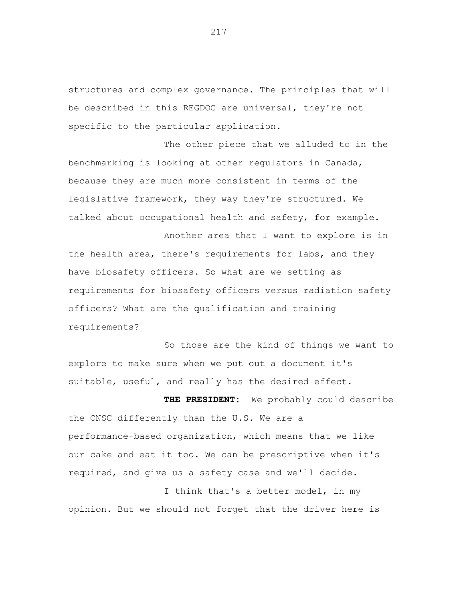structures and complex governance. The principles that will be described in this REGDOC are universal, they're not specific to the particular application.

The other piece that we alluded to in the benchmarking is looking at other regulators in Canada, because they are much more consistent in terms of the legislative framework, they way they're structured. We talked about occupational health and safety, for example.

Another area that I want to explore is in the health area, there's requirements for labs, and they have biosafety officers. So what are we setting as requirements for biosafety officers versus radiation safety officers? What are the qualification and training requirements?

So those are the kind of things we want to explore to make sure when we put out a document it's suitable, useful, and really has the desired effect.

**THE PRESIDENT:** We probably could describe the CNSC differently than the U.S. We are a performance-based organization, which means that we like our cake and eat it too. We can be prescriptive when it's required, and give us a safety case and we'll decide.

I think that's a better model, in my opinion. But we should not forget that the driver here is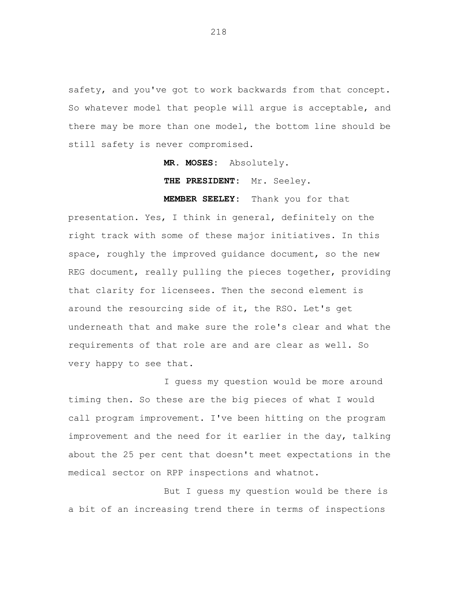safety, and you've got to work backwards from that concept. So whatever model that people will argue is acceptable, and there may be more than one model, the bottom line should be still safety is never compromised.

**MR. MOSES:** Absolutely.

 **THE PRESIDENT:** Mr. Seeley.

 **MEMBER SEELEY:** Thank you for that

presentation. Yes, I think in general, definitely on the right track with some of these major initiatives. In this space, roughly the improved guidance document, so the new REG document, really pulling the pieces together, providing that clarity for licensees. Then the second element is around the resourcing side of it, the RSO. Let's get underneath that and make sure the role's clear and what the requirements of that role are and are clear as well. So very happy to see that.

I guess my question would be more around timing then. So these are the big pieces of what I would call program improvement. I've been hitting on the program improvement and the need for it earlier in the day, talking about the 25 per cent that doesn't meet expectations in the medical sector on RPP inspections and whatnot.

But I guess my question would be there is a bit of an increasing trend there in terms of inspections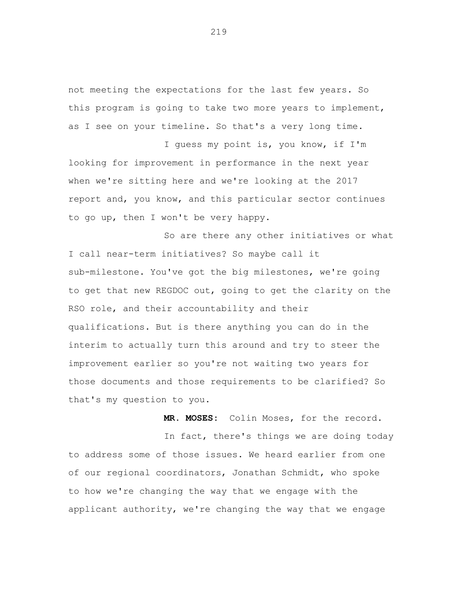not meeting the expectations for the last few years. So this program is going to take two more years to implement, as I see on your timeline. So that's a very long time.

I guess my point is, you know, if I'm looking for improvement in performance in the next year when we're sitting here and we're looking at the 2017 report and, you know, and this particular sector continues to go up, then I won't be very happy.

So are there any other initiatives or what I call near-term initiatives? So maybe call it sub-milestone. You've got the big milestones, we're going to get that new REGDOC out, going to get the clarity on the RSO role, and their accountability and their qualifications. But is there anything you can do in the interim to actually turn this around and try to steer the improvement earlier so you're not waiting two years for those documents and those requirements to be clarified? So that's my question to you.

**MR. MOSES:** Colin Moses, for the record.

In fact, there's things we are doing today to address some of those issues. We heard earlier from one of our regional coordinators, Jonathan Schmidt, who spoke to how we're changing the way that we engage with the applicant authority, we're changing the way that we engage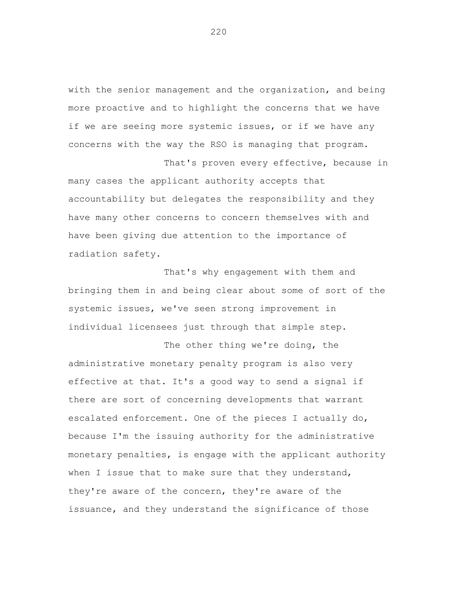with the senior management and the organization, and being more proactive and to highlight the concerns that we have if we are seeing more systemic issues, or if we have any concerns with the way the RSO is managing that program.

That's proven every effective, because in

many cases the applicant authority accepts that accountability but delegates the responsibility and they have many other concerns to concern themselves with and have been giving due attention to the importance of radiation safety.

That's why engagement with them and bringing them in and being clear about some of sort of the systemic issues, we've seen strong improvement in individual licensees just through that simple step.

The other thing we're doing, the administrative monetary penalty program is also very effective at that. It's a good way to send a signal if there are sort of concerning developments that warrant escalated enforcement. One of the pieces I actually do, because I'm the issuing authority for the administrative monetary penalties, is engage with the applicant authority when I issue that to make sure that they understand, they're aware of the concern, they're aware of the issuance, and they understand the significance of those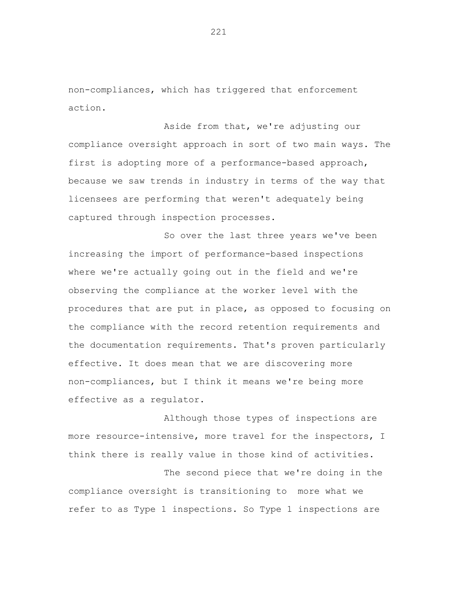non-compliances, which has triggered that enforcement action.

Aside from that, we're adjusting our compliance oversight approach in sort of two main ways. The first is adopting more of a performance-based approach, because we saw trends in industry in terms of the way that licensees are performing that weren't adequately being captured through inspection processes.

So over the last three years we've been increasing the import of performance-based inspections where we're actually going out in the field and we're observing the compliance at the worker level with the procedures that are put in place, as opposed to focusing on the compliance with the record retention requirements and the documentation requirements. That's proven particularly effective. It does mean that we are discovering more non-compliances, but I think it means we're being more effective as a regulator.

Although those types of inspections are more resource-intensive, more travel for the inspectors, I think there is really value in those kind of activities.

The second piece that we're doing in the compliance oversight is transitioning to more what we refer to as Type 1 inspections. So Type 1 inspections are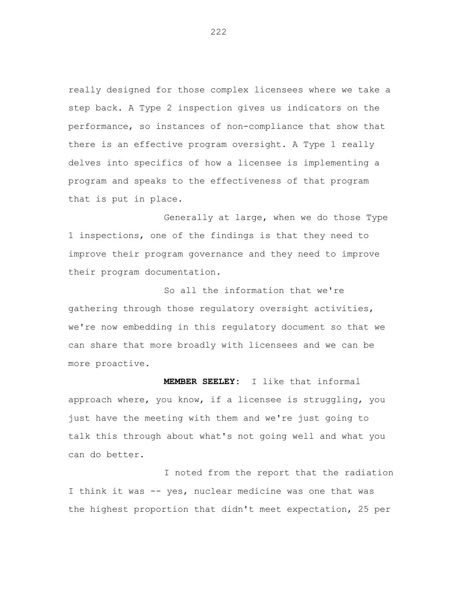really designed for those complex licensees where we take a step back. A Type 2 inspection gives us indicators on the performance, so instances of non-compliance that show that there is an effective program oversight. A Type 1 really delves into specifics of how a licensee is implementing a program and speaks to the effectiveness of that program that is put in place.

Generally at large, when we do those Type 1 inspections, one of the findings is that they need to improve their program governance and they need to improve their program documentation.

So all the information that we're gathering through those regulatory oversight activities, we're now embedding in this regulatory document so that we can share that more broadly with licensees and we can be more proactive.

 **MEMBER SEELEY:** I like that informal approach where, you know, if a licensee is struggling, you just have the meeting with them and we're just going to talk this through about what's not going well and what you can do better.

I noted from the report that the radiation I think it was -- yes, nuclear medicine was one that was the highest proportion that didn't meet expectation, 25 per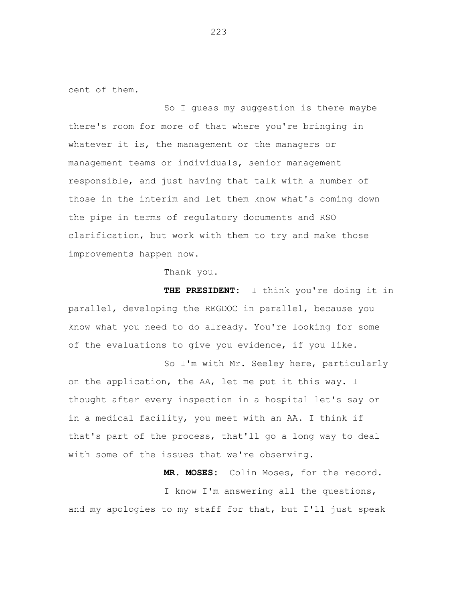cent of them.

So I guess my suggestion is there maybe there's room for more of that where you're bringing in whatever it is, the management or the managers or management teams or individuals, senior management responsible, and just having that talk with a number of those in the interim and let them know what's coming down the pipe in terms of regulatory documents and RSO clarification, but work with them to try and make those improvements happen now.

Thank you.

 **THE PRESIDENT:** I think you're doing it in parallel, developing the REGDOC in parallel, because you know what you need to do already. You're looking for some of the evaluations to give you evidence, if you like.

So I'm with Mr. Seeley here, particularly on the application, the AA, let me put it this way. I thought after every inspection in a hospital let's say or in a medical facility, you meet with an AA. I think if that's part of the process, that'll go a long way to deal with some of the issues that we're observing.

 **MR. MOSES:** Colin Moses, for the record.

I know I'm answering all the questions, and my apologies to my staff for that, but I'll just speak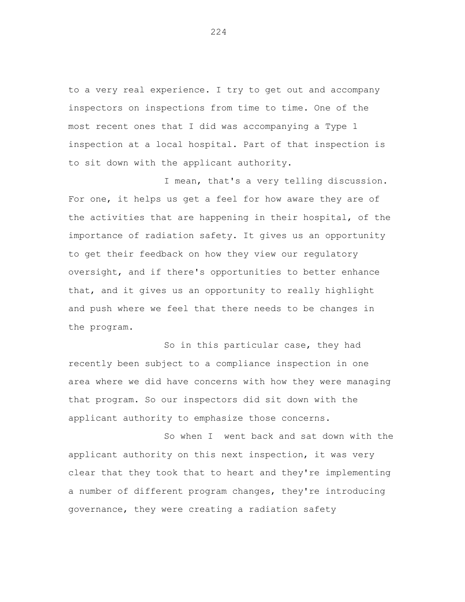to a very real experience. I try to get out and accompany inspectors on inspections from time to time. One of the most recent ones that I did was accompanying a Type 1 inspection at a local hospital. Part of that inspection is to sit down with the applicant authority.

I mean, that's a very telling discussion. For one, it helps us get a feel for how aware they are of the activities that are happening in their hospital, of the importance of radiation safety. It gives us an opportunity to get their feedback on how they view our regulatory oversight, and if there's opportunities to better enhance that, and it gives us an opportunity to really highlight and push where we feel that there needs to be changes in the program.

So in this particular case, they had recently been subject to a compliance inspection in one area where we did have concerns with how they were managing that program. So our inspectors did sit down with the applicant authority to emphasize those concerns.

So when I went back and sat down with the applicant authority on this next inspection, it was very clear that they took that to heart and they're implementing a number of different program changes, they're introducing governance, they were creating a radiation safety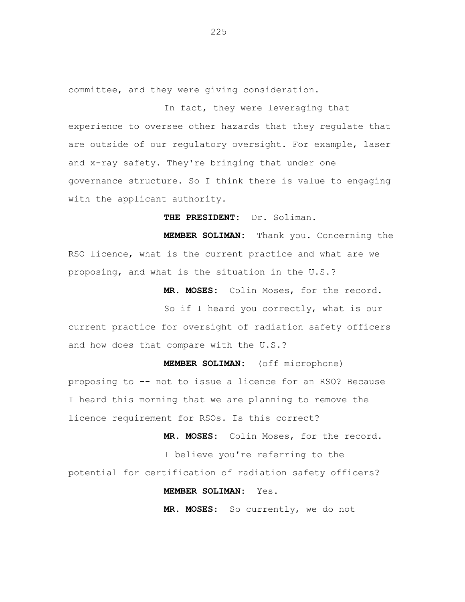committee, and they were giving consideration.

In fact, they were leveraging that experience to oversee other hazards that they regulate that are outside of our regulatory oversight. For example, laser and x-ray safety. They're bringing that under one governance structure. So I think there is value to engaging with the applicant authority.

 **THE PRESIDENT:** Dr. Soliman.

 **MEMBER SOLIMAN:** Thank you. Concerning the RSO licence, what is the current practice and what are we proposing, and what is the situation in the U.S.?

 **MR. MOSES:** Colin Moses, for the record.

So if I heard you correctly, what is our current practice for oversight of radiation safety officers and how does that compare with the U.S.?

 **MEMBER SOLIMAN:** (off microphone) proposing to -- not to issue a licence for an RSO? Because I heard this morning that we are planning to remove the licence requirement for RSOs. Is this correct?

 **MR. MOSES:** Colin Moses, for the record.

I believe you're referring to the potential for certification of radiation safety officers?

 **MEMBER SOLIMAN:** Yes.

 **MR. MOSES:** So currently, we do not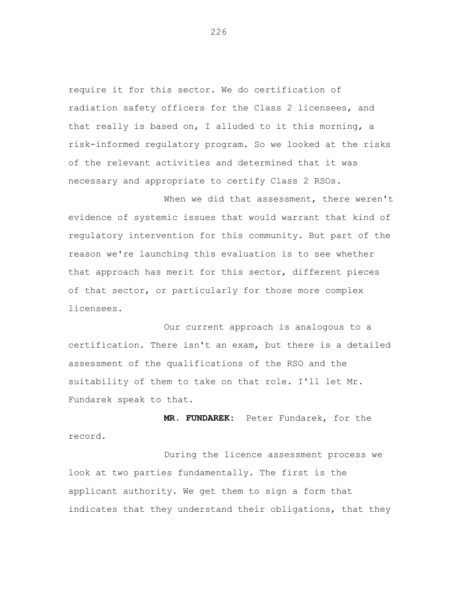require it for this sector. We do certification of radiation safety officers for the Class 2 licensees, and that really is based on, I alluded to it this morning, a risk-informed regulatory program. So we looked at the risks of the relevant activities and determined that it was necessary and appropriate to certify Class 2 RSOs.

When we did that assessment, there weren't evidence of systemic issues that would warrant that kind of regulatory intervention for this community. But part of the reason we're launching this evaluation is to see whether that approach has merit for this sector, different pieces of that sector, or particularly for those more complex licensees.

Our current approach is analogous to a certification. There isn't an exam, but there is a detailed assessment of the qualifications of the RSO and the suitability of them to take on that role. I'll let Mr. Fundarek speak to that.

 **MR. FUNDAREK:** Peter Fundarek, for the record.

During the licence assessment process we look at two parties fundamentally. The first is the applicant authority. We get them to sign a form that indicates that they understand their obligations, that they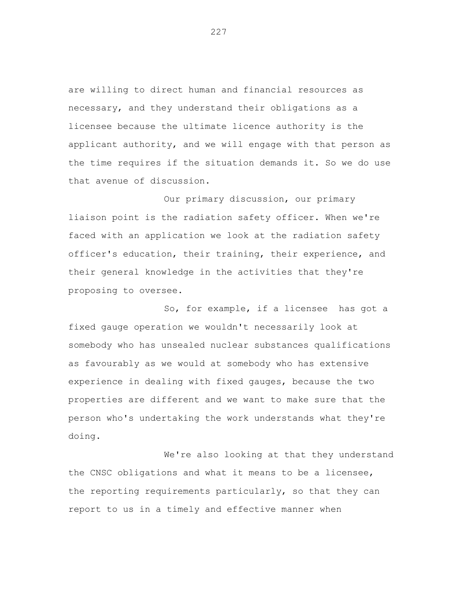are willing to direct human and financial resources as necessary, and they understand their obligations as a licensee because the ultimate licence authority is the applicant authority, and we will engage with that person as the time requires if the situation demands it. So we do use that avenue of discussion.

Our primary discussion, our primary liaison point is the radiation safety officer. When we're faced with an application we look at the radiation safety officer's education, their training, their experience, and their general knowledge in the activities that they're proposing to oversee.

So, for example, if a licensee has got a fixed gauge operation we wouldn't necessarily look at somebody who has unsealed nuclear substances qualifications as favourably as we would at somebody who has extensive experience in dealing with fixed gauges, because the two properties are different and we want to make sure that the person who's undertaking the work understands what they're doing.

We're also looking at that they understand the CNSC obligations and what it means to be a licensee, the reporting requirements particularly, so that they can report to us in a timely and effective manner when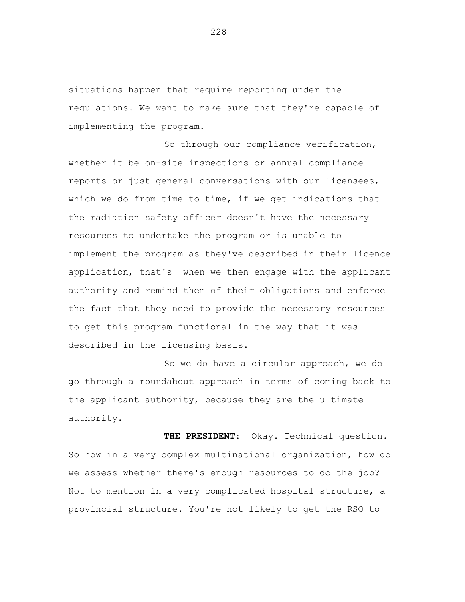situations happen that require reporting under the regulations. We want to make sure that they're capable of implementing the program.

So through our compliance verification, whether it be on-site inspections or annual compliance reports or just general conversations with our licensees, which we do from time to time, if we get indications that the radiation safety officer doesn't have the necessary resources to undertake the program or is unable to implement the program as they've described in their licence application, that's when we then engage with the applicant authority and remind them of their obligations and enforce the fact that they need to provide the necessary resources to get this program functional in the way that it was described in the licensing basis.

So we do have a circular approach, we do go through a roundabout approach in terms of coming back to the applicant authority, because they are the ultimate authority.

 **THE PRESIDENT:** Okay. Technical question. So how in a very complex multinational organization, how do we assess whether there's enough resources to do the job? Not to mention in a very complicated hospital structure, a provincial structure. You're not likely to get the RSO to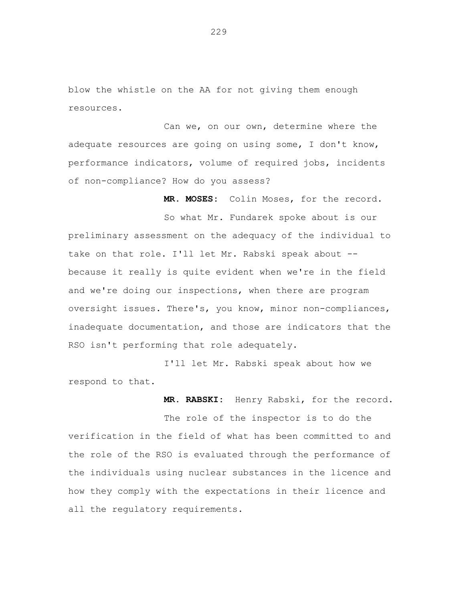blow the whistle on the AA for not giving them enough resources.

Can we, on our own, determine where the adequate resources are going on using some, I don't know, performance indicators, volume of required jobs, incidents of non-compliance? How do you assess?

 **MR. MOSES:** Colin Moses, for the record.

So what Mr. Fundarek spoke about is our preliminary assessment on the adequacy of the individual to take on that role. I'll let Mr. Rabski speak about - because it really is quite evident when we're in the field and we're doing our inspections, when there are program oversight issues. There's, you know, minor non-compliances, inadequate documentation, and those are indicators that the RSO isn't performing that role adequately.

I'll let Mr. Rabski speak about how we respond to that.

 **MR. RABSKI:** Henry Rabski, for the record.

The role of the inspector is to do the verification in the field of what has been committed to and the role of the RSO is evaluated through the performance of the individuals using nuclear substances in the licence and how they comply with the expectations in their licence and all the regulatory requirements.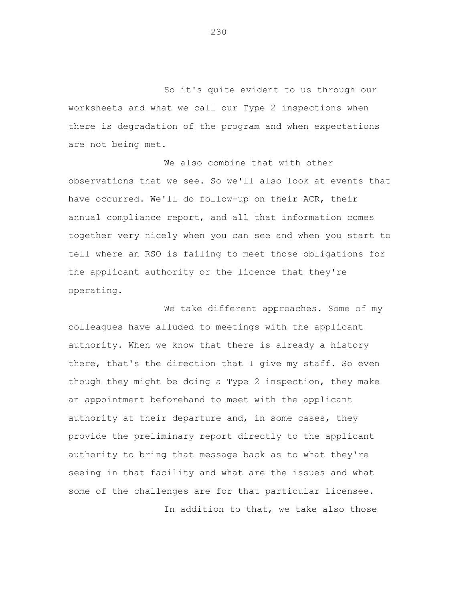So it's quite evident to us through our worksheets and what we call our Type 2 inspections when there is degradation of the program and when expectations are not being met.

We also combine that with other observations that we see. So we'll also look at events that have occurred. We'll do follow-up on their ACR, their annual compliance report, and all that information comes together very nicely when you can see and when you start to tell where an RSO is failing to meet those obligations for the applicant authority or the licence that they're operating.

We take different approaches. Some of my colleagues have alluded to meetings with the applicant authority. When we know that there is already a history there, that's the direction that I give my staff. So even though they might be doing a Type 2 inspection, they make an appointment beforehand to meet with the applicant authority at their departure and, in some cases, they provide the preliminary report directly to the applicant authority to bring that message back as to what they're seeing in that facility and what are the issues and what some of the challenges are for that particular licensee.

In addition to that, we take also those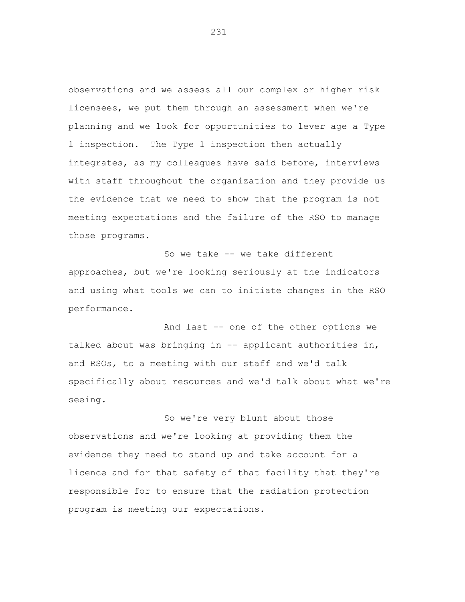observations and we assess all our complex or higher risk licensees, we put them through an assessment when we're planning and we look for opportunities to lever age a Type 1 inspection. The Type 1 inspection then actually integrates, as my colleagues have said before, interviews with staff throughout the organization and they provide us the evidence that we need to show that the program is not meeting expectations and the failure of the RSO to manage those programs.

So we take -- we take different approaches, but we're looking seriously at the indicators and using what tools we can to initiate changes in the RSO performance.

And last -- one of the other options we talked about was bringing in -- applicant authorities in, and RSOs, to a meeting with our staff and we'd talk specifically about resources and we'd talk about what we're seeing.

So we're very blunt about those observations and we're looking at providing them the evidence they need to stand up and take account for a licence and for that safety of that facility that they're responsible for to ensure that the radiation protection program is meeting our expectations.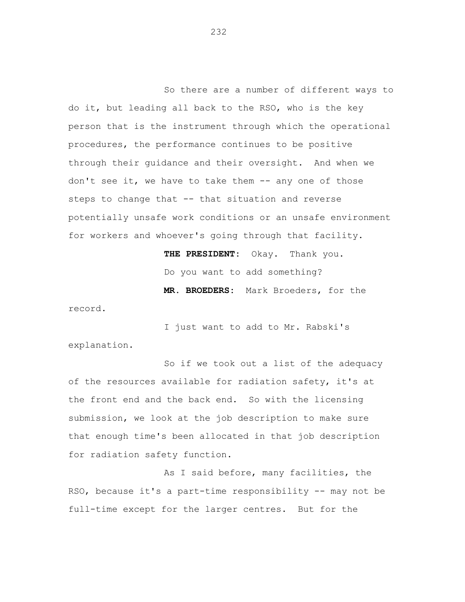So there are a number of different ways to do it, but leading all back to the RSO, who is the key person that is the instrument through which the operational procedures, the performance continues to be positive through their guidance and their oversight. And when we don't see it, we have to take them -- any one of those steps to change that -- that situation and reverse potentially unsafe work conditions or an unsafe environment for workers and whoever's going through that facility.

> **THE PRESIDENT:** Okay. Thank you. Do you want to add something? **MR. BROEDERS:** Mark Broeders, for the

record.

I just want to add to Mr. Rabski's explanation.

So if we took out a list of the adequacy of the resources available for radiation safety, it's at the front end and the back end. So with the licensing submission, we look at the job description to make sure that enough time's been allocated in that job description for radiation safety function.

As I said before, many facilities, the RSO, because it's a part-time responsibility -- may not be full-time except for the larger centres. But for the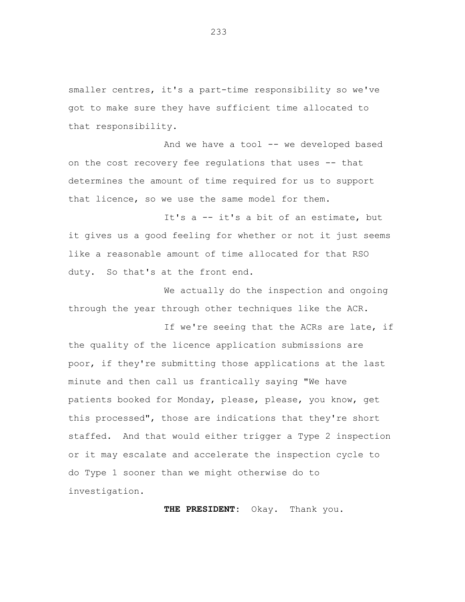smaller centres, it's a part-time responsibility so we've got to make sure they have sufficient time allocated to that responsibility.

And we have a tool -- we developed based on the cost recovery fee regulations that uses -- that determines the amount of time required for us to support that licence, so we use the same model for them.

It's a -- it's a bit of an estimate, but it gives us a good feeling for whether or not it just seems like a reasonable amount of time allocated for that RSO duty. So that's at the front end.

We actually do the inspection and ongoing through the year through other techniques like the ACR.

If we're seeing that the ACRs are late, if the quality of the licence application submissions are poor, if they're submitting those applications at the last minute and then call us frantically saying "We have patients booked for Monday, please, please, you know, get this processed", those are indications that they're short staffed. And that would either trigger a Type 2 inspection or it may escalate and accelerate the inspection cycle to do Type 1 sooner than we might otherwise do to investigation.

 **THE PRESIDENT:** Okay. Thank you.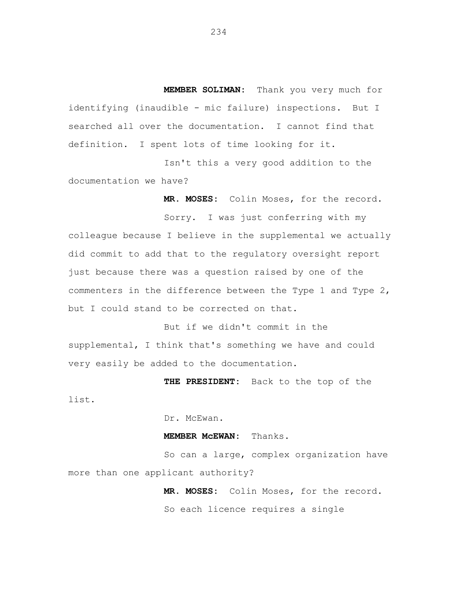**MEMBER SOLIMAN:** Thank you very much for identifying (inaudible - mic failure) inspections. But I searched all over the documentation. I cannot find that definition. I spent lots of time looking for it.

Isn't this a very good addition to the documentation we have?

 **MR. MOSES:** Colin Moses, for the record.

Sorry. I was just conferring with my colleague because I believe in the supplemental we actually did commit to add that to the regulatory oversight report just because there was a question raised by one of the commenters in the difference between the Type 1 and Type 2, but I could stand to be corrected on that.

But if we didn't commit in the supplemental, I think that's something we have and could very easily be added to the documentation.

 **THE PRESIDENT:** Back to the top of the

list.

Dr. McEwan.

## **MEMBER McEWAN:** Thanks.

So can a large, complex organization have more than one applicant authority?

> **MR. MOSES:** Colin Moses, for the record. So each licence requires a single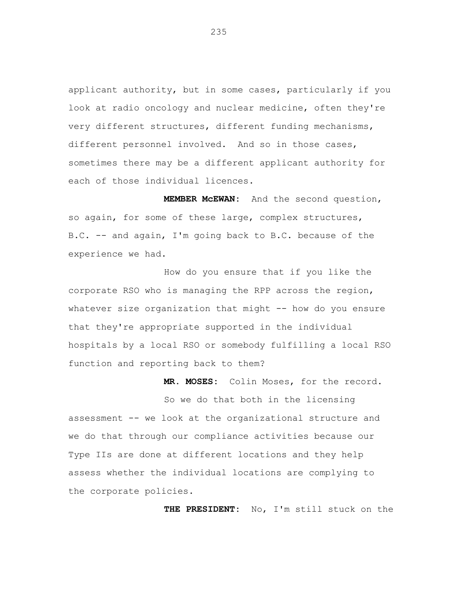applicant authority, but in some cases, particularly if you look at radio oncology and nuclear medicine, often they're very different structures, different funding mechanisms, different personnel involved. And so in those cases, sometimes there may be a different applicant authority for each of those individual licences.

 **MEMBER McEWAN:** And the second question, so again, for some of these large, complex structures, B.C. -- and again, I'm going back to B.C. because of the experience we had.

How do you ensure that if you like the corporate RSO who is managing the RPP across the region, whatever size organization that might -- how do you ensure that they're appropriate supported in the individual hospitals by a local RSO or somebody fulfilling a local RSO function and reporting back to them?

 **MR. MOSES:** Colin Moses, for the record.

So we do that both in the licensing assessment -- we look at the organizational structure and we do that through our compliance activities because our Type IIs are done at different locations and they help assess whether the individual locations are complying to the corporate policies.

 **THE PRESIDENT:** No, I'm still stuck on the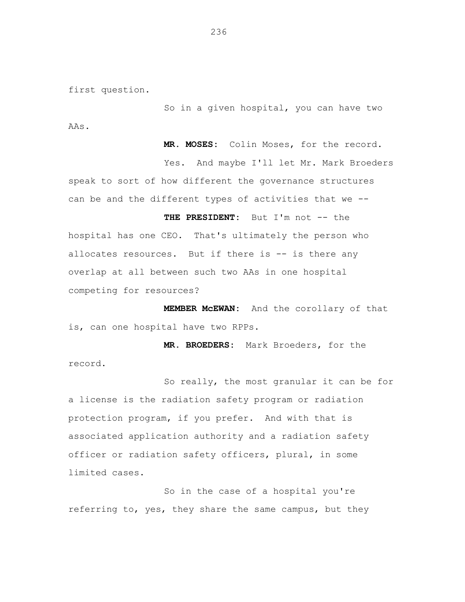first question.

So in a given hospital, you can have two AAs.

 **MR. MOSES:** Colin Moses, for the record. Yes. And maybe I'll let Mr. Mark Broeders speak to sort of how different the governance structures can be and the different types of activities that we --

**THE PRESIDENT:** But I'm not -- the hospital has one CEO. That's ultimately the person who allocates resources. But if there is -- is there any overlap at all between such two AAs in one hospital competing for resources?

**MEMBER McEWAN:** And the corollary of that is, can one hospital have two RPPs.

 **MR. BROEDERS:** Mark Broeders, for the record.

So really, the most granular it can be for a license is the radiation safety program or radiation protection program, if you prefer. And with that is associated application authority and a radiation safety officer or radiation safety officers, plural, in some limited cases.

So in the case of a hospital you're referring to, yes, they share the same campus, but they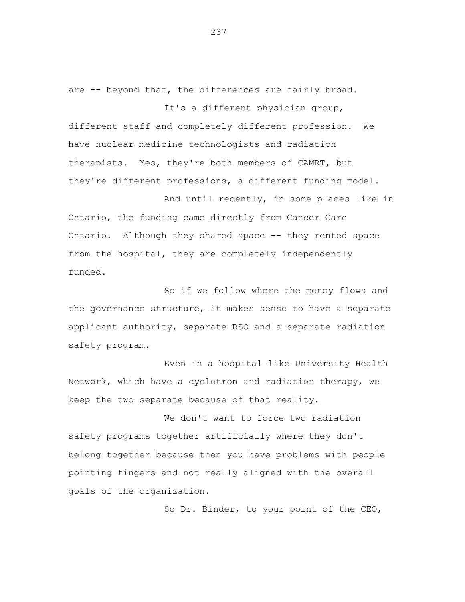are -- beyond that, the differences are fairly broad.

different staff and completely different profession. We have nuclear medicine technologists and radiation therapists. Yes, they're both members of CAMRT, but they're different professions, a different funding model.

It's a different physician group,

And until recently, in some places like in Ontario, the funding came directly from Cancer Care Ontario. Although they shared space -- they rented space from the hospital, they are completely independently funded.

So if we follow where the money flows and the governance structure, it makes sense to have a separate applicant authority, separate RSO and a separate radiation safety program.

Even in a hospital like University Health Network, which have a cyclotron and radiation therapy, we keep the two separate because of that reality.

We don't want to force two radiation safety programs together artificially where they don't belong together because then you have problems with people pointing fingers and not really aligned with the overall goals of the organization.

So Dr. Binder, to your point of the CEO,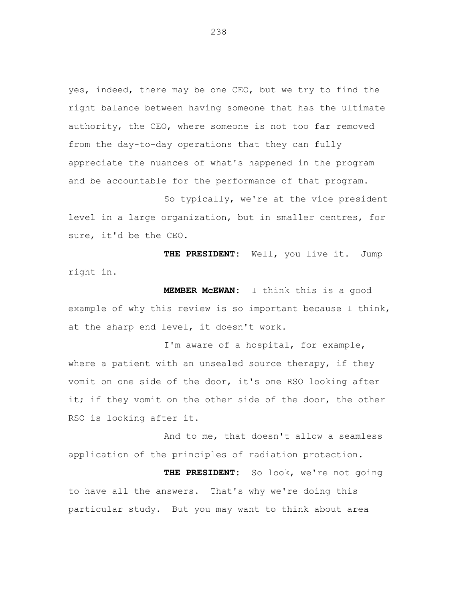yes, indeed, there may be one CEO, but we try to find the right balance between having someone that has the ultimate authority, the CEO, where someone is not too far removed from the day-to-day operations that they can fully appreciate the nuances of what's happened in the program and be accountable for the performance of that program.

So typically, we're at the vice president level in a large organization, but in smaller centres, for sure, it'd be the CEO.

**THE PRESIDENT:** Well, you live it. Jump right in.

**MEMBER McEWAN:** I think this is a good example of why this review is so important because I think, at the sharp end level, it doesn't work.

I'm aware of a hospital, for example, where a patient with an unsealed source therapy, if they vomit on one side of the door, it's one RSO looking after it; if they vomit on the other side of the door, the other RSO is looking after it.

And to me, that doesn't allow a seamless application of the principles of radiation protection.

 **THE PRESIDENT:** So look, we're not going to have all the answers. That's why we're doing this particular study. But you may want to think about area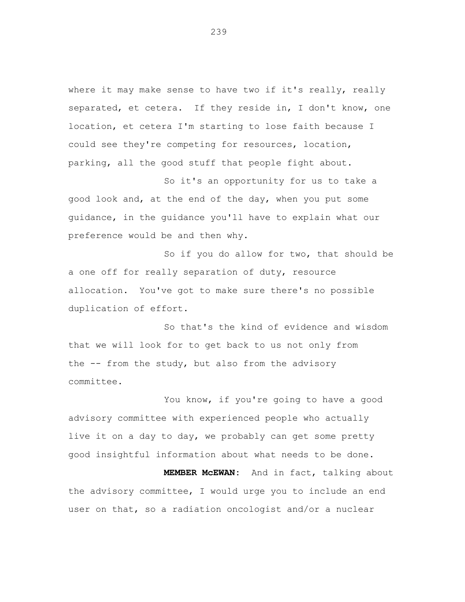where it may make sense to have two if it's really, really separated, et cetera. If they reside in, I don't know, one location, et cetera I'm starting to lose faith because I could see they're competing for resources, location, parking, all the good stuff that people fight about.

So it's an opportunity for us to take a good look and, at the end of the day, when you put some guidance, in the guidance you'll have to explain what our preference would be and then why.

So if you do allow for two, that should be a one off for really separation of duty, resource allocation. You've got to make sure there's no possible duplication of effort.

So that's the kind of evidence and wisdom that we will look for to get back to us not only from the -- from the study, but also from the advisory committee.

You know, if you're going to have a good advisory committee with experienced people who actually live it on a day to day, we probably can get some pretty good insightful information about what needs to be done.

**MEMBER McEWAN:** And in fact, talking about the advisory committee, I would urge you to include an end user on that, so a radiation oncologist and/or a nuclear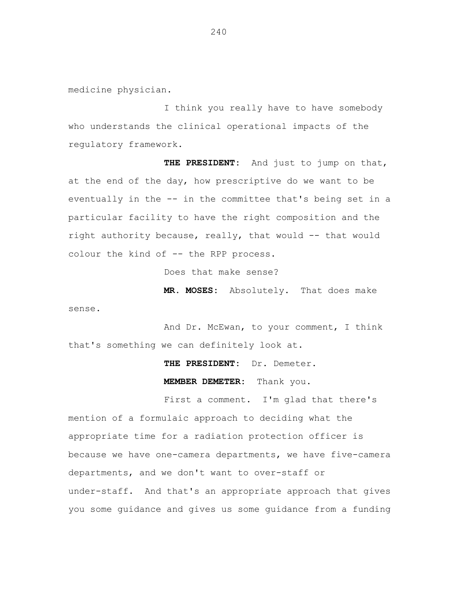medicine physician.

sense.

I think you really have to have somebody who understands the clinical operational impacts of the regulatory framework.

**THE PRESIDENT:** And just to jump on that, at the end of the day, how prescriptive do we want to be eventually in the -- in the committee that's being set in a particular facility to have the right composition and the right authority because, really, that would -- that would colour the kind of -- the RPP process.

Does that make sense?

**MR. MOSES:** Absolutely. That does make

And Dr. McEwan, to your comment, I think that's something we can definitely look at.

**THE PRESIDENT:** Dr. Demeter.

**MEMBER DEMETER:** Thank you.

First a comment. I'm glad that there's mention of a formulaic approach to deciding what the appropriate time for a radiation protection officer is because we have one-camera departments, we have five-camera departments, and we don't want to over-staff or under-staff. And that's an appropriate approach that gives you some guidance and gives us some guidance from a funding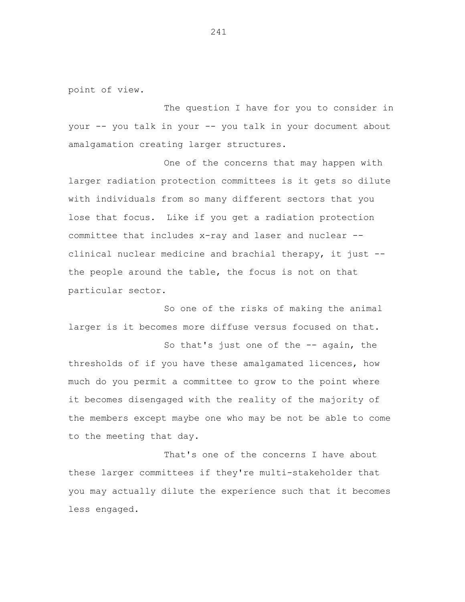point of view.

The question I have for you to consider in your -- you talk in your -- you talk in your document about amalgamation creating larger structures.

One of the concerns that may happen with larger radiation protection committees is it gets so dilute with individuals from so many different sectors that you lose that focus. Like if you get a radiation protection committee that includes x-ray and laser and nuclear - clinical nuclear medicine and brachial therapy, it just - the people around the table, the focus is not on that particular sector.

So one of the risks of making the animal larger is it becomes more diffuse versus focused on that.

So that's just one of the -- again, the thresholds of if you have these amalgamated licences, how much do you permit a committee to grow to the point where it becomes disengaged with the reality of the majority of the members except maybe one who may be not be able to come to the meeting that day.

That's one of the concerns I have about these larger committees if they're multi-stakeholder that you may actually dilute the experience such that it becomes less engaged.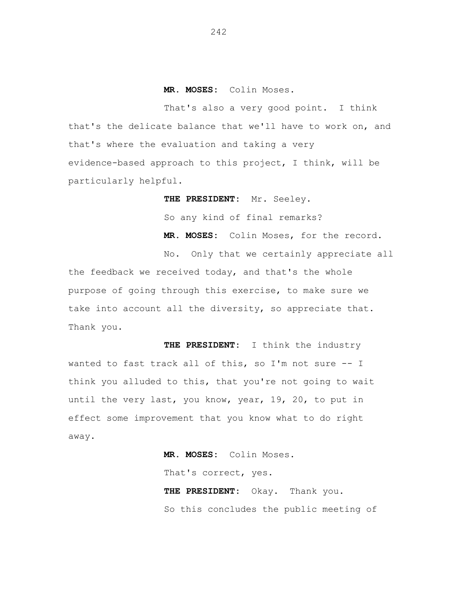## **MR. MOSES:** Colin Moses.

That's also a very good point. I think that's the delicate balance that we'll have to work on, and that's where the evaluation and taking a very evidence-based approach to this project, I think, will be particularly helpful.

> **THE PRESIDENT:** Mr. Seeley. So any kind of final remarks? **MR. MOSES:** Colin Moses, for the record.

No. Only that we certainly appreciate all the feedback we received today, and that's the whole purpose of going through this exercise, to make sure we take into account all the diversity, so appreciate that. Thank you.

**THE PRESIDENT:** I think the industry wanted to fast track all of this, so I'm not sure -- I think you alluded to this, that you're not going to wait until the very last, you know, year, 19, 20, to put in effect some improvement that you know what to do right away.

> **MR. MOSES:** Colin Moses. That's correct, yes. **THE PRESIDENT:** Okay. Thank you. So this concludes the public meeting of